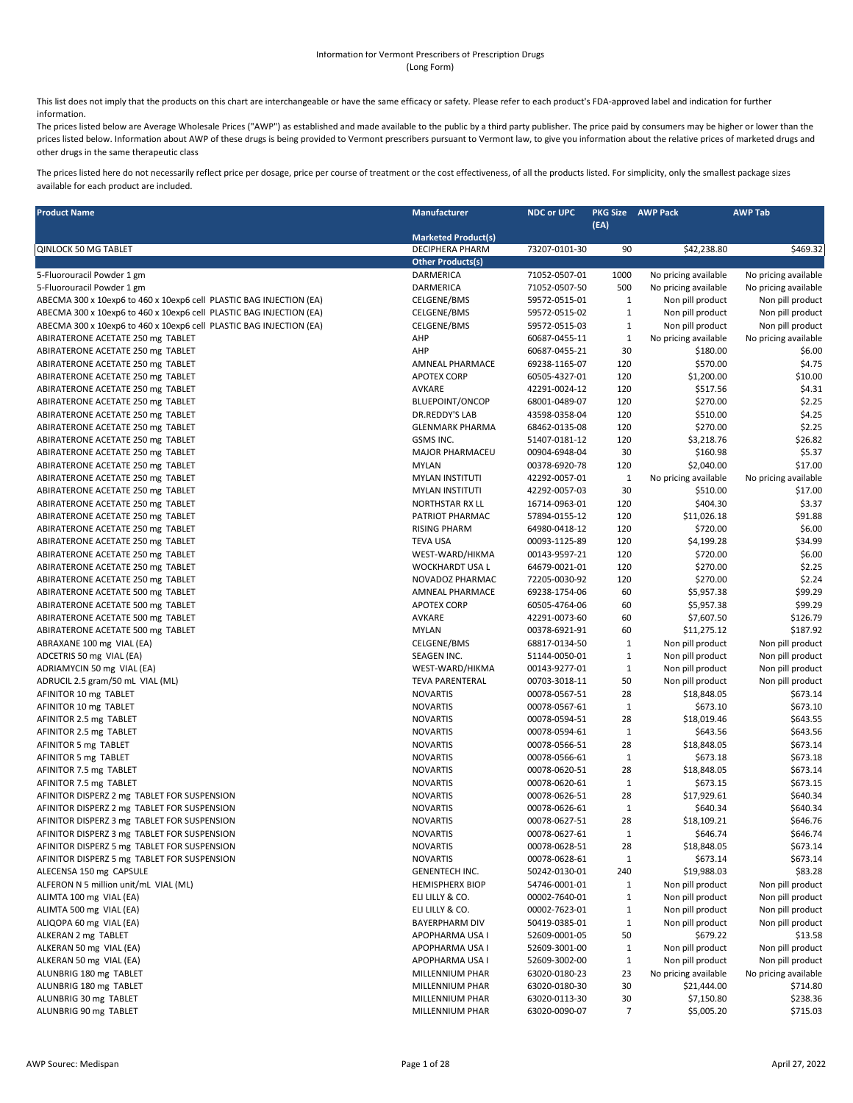## Information for Vermont Prescribers of Prescription Drugs (Long Form)

This list does not imply that the products on this chart are interchangeable or have the same efficacy or safety. Please refer to each product's FDA-approved label and indication for further information.

The prices listed below are Average Wholesale Prices ("AWP") as established and made available to the public by a third party publisher. The price paid by consumers may be higher or lower than the prices listed below. Information about AWP of these drugs is being provided to Vermont prescribers pursuant to Vermont law, to give you information about the relative prices of marketed drugs and other drugs in the same therapeutic class

The prices listed here do not necessarily reflect price per dosage, price per course of treatment or the cost effectiveness, of all the products listed. For simplicity, only the smallest package sizes available for each product are included.

| <b>Product Name</b>                                                 | Manufacturer                                | <b>NDC or UPC</b>              | (EA)               | <b>PKG Size AWP Pack</b> | <b>AWP Tab</b>       |
|---------------------------------------------------------------------|---------------------------------------------|--------------------------------|--------------------|--------------------------|----------------------|
| <b>QINLOCK 50 MG TABLET</b>                                         | <b>Marketed Product(s)</b>                  | 73207-0101-30                  | 90                 |                          |                      |
|                                                                     | DECIPHERA PHARM<br><b>Other Products(s)</b> |                                |                    | \$42,238.80              | \$469.32             |
| 5-Fluorouracil Powder 1 gm                                          | DARMERICA                                   | 71052-0507-01                  | 1000               | No pricing available     | No pricing available |
| 5-Fluorouracil Powder 1 gm                                          | DARMERICA                                   | 71052-0507-50                  | 500                | No pricing available     | No pricing available |
| ABECMA 300 x 10exp6 to 460 x 10exp6 cell PLASTIC BAG INJECTION (EA) | CELGENE/BMS                                 | 59572-0515-01                  | $\mathbf{1}$       | Non pill product         | Non pill product     |
| ABECMA 300 x 10exp6 to 460 x 10exp6 cell PLASTIC BAG INJECTION (EA) | CELGENE/BMS                                 | 59572-0515-02                  | $\mathbf{1}$       | Non pill product         | Non pill product     |
| ABECMA 300 x 10exp6 to 460 x 10exp6 cell PLASTIC BAG INJECTION (EA) | CELGENE/BMS                                 | 59572-0515-03                  | $\mathbf{1}$       | Non pill product         | Non pill product     |
| ABIRATERONE ACETATE 250 mg TABLET                                   | AHP                                         | 60687-0455-11                  | $\mathbf 1$        | No pricing available     | No pricing available |
| ABIRATERONE ACETATE 250 mg TABLET                                   | AHP                                         | 60687-0455-21                  | 30                 | \$180.00                 | \$6.00               |
| ABIRATERONE ACETATE 250 mg TABLET                                   | AMNEAL PHARMACE                             | 69238-1165-07                  | 120                | \$570.00                 | \$4.75               |
| ABIRATERONE ACETATE 250 mg TABLET                                   | <b>APOTEX CORP</b>                          | 60505-4327-01                  | 120                | \$1,200.00               | \$10.00              |
| ABIRATERONE ACETATE 250 mg TABLET                                   | AVKARE                                      | 42291-0024-12                  | 120                | \$517.56                 | \$4.31               |
| ABIRATERONE ACETATE 250 mg TABLET                                   | <b>BLUEPOINT/ONCOP</b>                      | 68001-0489-07                  | 120                | \$270.00                 | \$2.25               |
| ABIRATERONE ACETATE 250 mg TABLET                                   | DR.REDDY'S LAB                              | 43598-0358-04                  | 120                | \$510.00                 | \$4.25               |
| ABIRATERONE ACETATE 250 mg TABLET                                   | <b>GLENMARK PHARMA</b>                      | 68462-0135-08                  | 120                | \$270.00                 | \$2.25               |
| ABIRATERONE ACETATE 250 mg TABLET                                   | GSMS INC.                                   | 51407-0181-12                  | 120                | \$3,218.76               | \$26.82              |
| ABIRATERONE ACETATE 250 mg TABLET                                   | MAJOR PHARMACEU                             | 00904-6948-04                  | 30                 | \$160.98                 | \$5.37               |
| ABIRATERONE ACETATE 250 mg TABLET                                   | <b>MYLAN</b>                                | 00378-6920-78                  | 120                | \$2,040.00               | \$17.00              |
| ABIRATERONE ACETATE 250 mg TABLET                                   | <b>MYLAN INSTITUTI</b>                      | 42292-0057-01                  | $\mathbf{1}$       | No pricing available     | No pricing available |
| ABIRATERONE ACETATE 250 mg TABLET                                   | <b>MYLAN INSTITUTI</b>                      | 42292-0057-03                  | 30                 | \$510.00                 | \$17.00              |
| ABIRATERONE ACETATE 250 mg TABLET                                   | <b>NORTHSTAR RX LL</b>                      | 16714-0963-01                  | 120                | \$404.30                 | \$3.37               |
| ABIRATERONE ACETATE 250 mg TABLET                                   | PATRIOT PHARMAC                             | 57894-0155-12                  | 120                | \$11,026.18              | \$91.88              |
| ABIRATERONE ACETATE 250 mg TABLET                                   | <b>RISING PHARM</b>                         | 64980-0418-12                  | 120                | \$720.00                 | \$6.00               |
| ABIRATERONE ACETATE 250 mg TABLET                                   | <b>TEVA USA</b>                             | 00093-1125-89                  | 120                | \$4,199.28               | \$34.99              |
| ABIRATERONE ACETATE 250 mg TABLET                                   | WEST-WARD/HIKMA                             | 00143-9597-21                  | 120                | \$720.00                 | \$6.00               |
| ABIRATERONE ACETATE 250 mg TABLET                                   | WOCKHARDT USA L                             | 64679-0021-01                  | 120                | \$270.00                 | \$2.25               |
| ABIRATERONE ACETATE 250 mg TABLET                                   | NOVADOZ PHARMAC                             | 72205-0030-92                  | 120                | \$270.00                 | \$2.24               |
| ABIRATERONE ACETATE 500 mg TABLET                                   | AMNEAL PHARMACE                             | 69238-1754-06                  | 60                 | \$5,957.38               | \$99.29              |
| ABIRATERONE ACETATE 500 mg TABLET                                   | <b>APOTEX CORP</b>                          | 60505-4764-06                  | 60                 | \$5,957.38               | \$99.29              |
| ABIRATERONE ACETATE 500 mg TABLET                                   | AVKARE                                      | 42291-0073-60                  | 60                 | \$7,607.50               | \$126.79             |
| ABIRATERONE ACETATE 500 mg TABLET                                   | <b>MYLAN</b>                                | 00378-6921-91                  | 60                 | \$11,275.12              | \$187.92             |
| ABRAXANE 100 mg VIAL (EA)                                           | CELGENE/BMS                                 | 68817-0134-50                  | $\mathbf{1}$       | Non pill product         | Non pill product     |
| ADCETRIS 50 mg VIAL (EA)                                            | SEAGEN INC.                                 | 51144-0050-01                  | $\mathbf{1}$       | Non pill product         | Non pill product     |
| ADRIAMYCIN 50 mg VIAL (EA)                                          | WEST-WARD/HIKMA                             | 00143-9277-01                  | $\mathbf{1}$       | Non pill product         | Non pill product     |
| ADRUCIL 2.5 gram/50 mL VIAL (ML)                                    | <b>TEVA PARENTERAL</b>                      | 00703-3018-11                  | 50                 | Non pill product         | Non pill product     |
| AFINITOR 10 mg TABLET                                               | <b>NOVARTIS</b><br><b>NOVARTIS</b>          | 00078-0567-51                  | 28<br>$\mathbf{1}$ | \$18,848.05<br>\$673.10  | \$673.14<br>\$673.10 |
| AFINITOR 10 mg TABLET<br>AFINITOR 2.5 mg TABLET                     | <b>NOVARTIS</b>                             | 00078-0567-61<br>00078-0594-51 |                    | \$18,019.46              | \$643.55             |
| AFINITOR 2.5 mg TABLET                                              | <b>NOVARTIS</b>                             | 00078-0594-61                  | 28<br>$\mathbf{1}$ | \$643.56                 | \$643.56             |
| AFINITOR 5 mg TABLET                                                | <b>NOVARTIS</b>                             | 00078-0566-51                  | 28                 | \$18,848.05              | \$673.14             |
| AFINITOR 5 mg TABLET                                                | <b>NOVARTIS</b>                             | 00078-0566-61                  | $\mathbf{1}$       | \$673.18                 | \$673.18             |
| AFINITOR 7.5 mg TABLET                                              | <b>NOVARTIS</b>                             | 00078-0620-51                  | 28                 | \$18,848.05              | \$673.14             |
| AFINITOR 7.5 mg TABLET                                              | <b>NOVARTIS</b>                             | 00078-0620-61                  | $\mathbf{1}$       | \$673.15                 | \$673.15             |
| AFINITOR DISPERZ 2 mg TABLET FOR SUSPENSION                         | <b>NOVARTIS</b>                             | 00078-0626-51                  | 28                 | \$17,929.61              | \$640.34             |
| AFINITOR DISPERZ 2 mg TABLET FOR SUSPENSION                         | <b>NOVARTIS</b>                             | 00078-0626-61                  | $\mathbf{1}$       | \$640.34                 | \$640.34             |
| AFINITOR DISPERZ 3 mg TABLET FOR SUSPENSION                         | <b>NOVARTIS</b>                             | 00078-0627-51                  | 28                 | \$18,109.21              | \$646.76             |
| AFINITOR DISPERZ 3 mg TABLET FOR SUSPENSION                         | <b>NOVARTIS</b>                             | 00078-0627-61                  | 1                  | \$646.74                 | \$646.74             |
| AFINITOR DISPERZ 5 mg TABLET FOR SUSPENSION                         | <b>NOVARTIS</b>                             | 00078-0628-51                  | 28                 | \$18,848.05              | \$673.14             |
| AFINITOR DISPERZ 5 mg TABLET FOR SUSPENSION                         | <b>NOVARTIS</b>                             | 00078-0628-61                  | $\mathbf{1}$       | \$673.14                 | \$673.14             |
| ALECENSA 150 mg CAPSULE                                             | <b>GENENTECH INC.</b>                       | 50242-0130-01                  | 240                | \$19,988.03              | \$83.28              |
| ALFERON N 5 million unit/mL VIAL (ML)                               | <b>HEMISPHERX BIOP</b>                      | 54746-0001-01                  | 1                  | Non pill product         | Non pill product     |
| ALIMTA 100 mg VIAL (EA)                                             | ELI LILLY & CO.                             | 00002-7640-01                  | 1                  | Non pill product         | Non pill product     |
| ALIMTA 500 mg VIAL (EA)                                             | ELI LILLY & CO.                             | 00002-7623-01                  | $\mathbf{1}$       | Non pill product         | Non pill product     |
| ALIQOPA 60 mg VIAL (EA)                                             | BAYERPHARM DIV                              | 50419-0385-01                  | $\mathbf{1}$       | Non pill product         | Non pill product     |
| ALKERAN 2 mg TABLET                                                 | APOPHARMA USA I                             | 52609-0001-05                  | 50                 | \$679.22                 | \$13.58              |
| ALKERAN 50 mg VIAL (EA)                                             | APOPHARMA USA I                             | 52609-3001-00                  | $\mathbf{1}$       | Non pill product         | Non pill product     |
| ALKERAN 50 mg VIAL (EA)                                             | APOPHARMA USA I                             | 52609-3002-00                  | $\mathbf{1}$       | Non pill product         | Non pill product     |
| ALUNBRIG 180 mg TABLET                                              | MILLENNIUM PHAR                             | 63020-0180-23                  | 23                 | No pricing available     | No pricing available |
| ALUNBRIG 180 mg TABLET                                              | MILLENNIUM PHAR                             | 63020-0180-30                  | 30                 | \$21,444.00              | \$714.80             |
| ALUNBRIG 30 mg TABLET                                               | MILLENNIUM PHAR                             | 63020-0113-30                  | 30                 | \$7,150.80               | \$238.36             |
| ALUNBRIG 90 mg TABLET                                               | MILLENNIUM PHAR                             | 63020-0090-07                  | 7                  | \$5,005.20               | \$715.03             |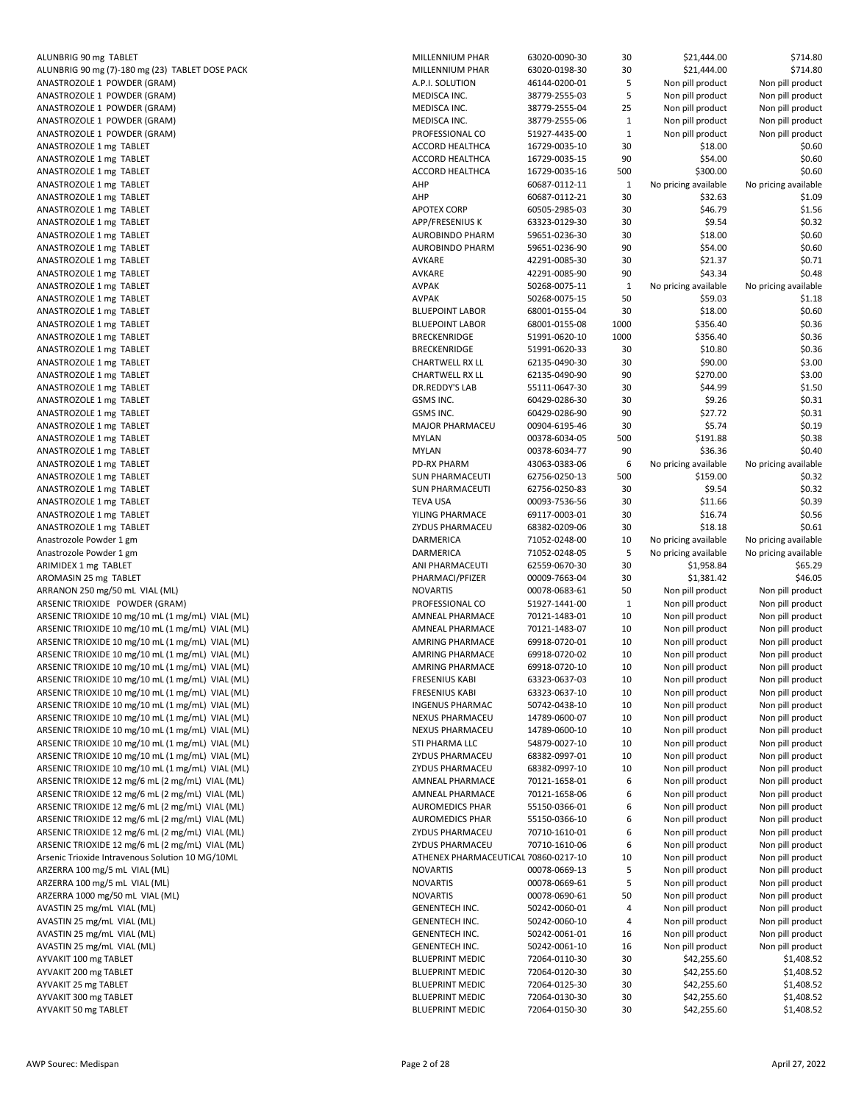| ALUNBRIG 90 mg (7)-180 mg (23) TABLET DOSE PACK                  |
|------------------------------------------------------------------|
| ANASTROZOLE 1 POWDER (GRAM)                                      |
| ANASTROZOLE 1 POWDER (GRAM)                                      |
| ANASTROZOLE 1 POWDER (GRAM)                                      |
| ANASTROZOLE 1 POWDER (GRAM)                                      |
| ANASTROZOLE 1 POWDER (GRAM)                                      |
| ANASTROZOLE 1 mg TABLET                                          |
| ANASTROZOLE 1 mg TABLET                                          |
| ANASTROZOLE 1 mg TABLET<br>ANASTROZOLE 1 mg TABLET               |
| ANASTROZOLE 1 mg TABLET                                          |
| ANASTROZOLE 1 mg TABLET                                          |
| ANASTROZOLE 1 mg TABLET                                          |
| ANASTROZOLE 1 mg TABLET                                          |
| ANASTROZOLE 1 mg TABLET                                          |
| ANASTROZOLE 1 mg TABLET                                          |
| ANASTROZOLE 1 mg TABLET                                          |
| ANASTROZOLE 1 mg TABLET                                          |
| ANASTROZOLE 1 mg TABLET                                          |
| ANASTROZOLE 1 mg TABLET                                          |
| ANASTROZOLE 1 mg TABLET                                          |
| ANASTROZOLE 1 mg TABLET                                          |
| ANASTROZOLE 1 mg TABLET                                          |
| ANASTROZOLE 1 mg TABLET                                          |
| ANASTROZOLE 1 mg TABLET                                          |
| ANASTROZOLE 1 mg TABLET                                          |
| ANASTROZOLE 1 mg TABLET                                          |
| ANASTROZOLE 1 mg TABLET                                          |
| ANASTROZOLE 1 mg TABLET                                          |
| ANASTROZOLE 1 mg TABLET                                          |
| ANASTROZOLE 1 mg TABLET                                          |
| ANASTROZOLE 1 mg TABLET                                          |
| ANASTROZOLE 1 mg TABLET                                          |
| ANASTROZOLE 1 mg TABLET<br>ANASTROZOLE 1 mg TABLET               |
| ANASTROZOLE 1 mg TABLET                                          |
| ANASTROZOLE 1 mg TABLET                                          |
|                                                                  |
|                                                                  |
| Anastrozole Powder 1 gm                                          |
| Anastrozole Powder 1 gm                                          |
| ARIMIDEX 1 mg TABLET<br>AROMASIN 25 mg TABLET                    |
| ARRANON 250 mg/50 mL VIAL (ML)                                   |
| ARSENIC TRIOXIDE POWDER (GRAM)                                   |
| ARSENIC TRIOXIDE 10 mg/10 mL (1 mg/mL) VIAL (ML)                 |
| ARSENIC TRIOXIDE 10 mg/10 mL (1 mg/mL) VIAL (ML)                 |
| ARSENIC TRIOXIDE 10 mg/10 mL (1 mg/mL) VIAL (ML)                 |
| ARSENIC TRIOXIDE 10 mg/10 mL (1 mg/mL) VIAL (ML)                 |
| ARSENIC TRIOXIDE 10 mg/10 mL (1 mg/mL) VIAL (ML)                 |
| ARSENIC TRIOXIDE 10 mg/10 mL (1 mg/mL) VIAL (ML)                 |
| ARSENIC TRIOXIDE 10 mg/10 mL (1 mg/mL) VIAL (ML)                 |
| ARSENIC TRIOXIDE 10 mg/10 mL (1 mg/mL) VIAL (ML)                 |
| ARSENIC TRIOXIDE 10 mg/10 mL (1 mg/mL) VIAL (ML)                 |
| ARSENIC TRIOXIDE 10 mg/10 mL (1 mg/mL) VIAL (ML)                 |
| ARSENIC TRIOXIDE 10 mg/10 mL (1 mg/mL) VIAL (ML)                 |
| ARSENIC TRIOXIDE 10 mg/10 mL (1 mg/mL) VIAL (ML)                 |
| ARSENIC TRIOXIDE 10 mg/10 mL (1 mg/mL) VIAL (ML)                 |
| ARSENIC TRIOXIDE 12 mg/6 mL (2 mg/mL) VIAL (ML)                  |
| ARSENIC TRIOXIDE 12 mg/6 mL (2 mg/mL) VIAL (ML)                  |
| ARSENIC TRIOXIDE 12 mg/6 mL (2 mg/mL) VIAL (ML)                  |
| ARSENIC TRIOXIDE 12 mg/6 mL (2 mg/mL) VIAL (ML)                  |
| ARSENIC TRIOXIDE 12 mg/6 mL (2 mg/mL) VIAL (ML)                  |
| ARSENIC TRIOXIDE 12 mg/6 mL (2 mg/mL) VIAL (ML)                  |
| Arsenic Trioxide Intravenous Solution 10 MG/10ML                 |
| ARZERRA 100 mg/5 mL VIAL (ML)                                    |
| ARZERRA 100 mg/5 mL VIAL (ML)<br>ARZERRA 1000 mg/50 mL VIAL (ML) |
| AVASTIN 25 mg/mL VIAL (ML)                                       |
|                                                                  |
| AVASTIN 25 mg/mL VIAL (ML)<br>AVASTIN 25 mg/mL VIAL (ML)         |
| AVASTIN 25 mg/mL VIAL (ML)                                       |
| AYVAKIT 100 mg TABLET                                            |
| AYVAKIT 200 mg TABLET                                            |
| AYVAKIT 25 mg TABLET                                             |
| AYVAKIT 300 mg TABLET<br>AYVAKIT 50 mg TABLET                    |

| ALUNBRIG 90 mg TABLET                                                                                                                                                                                     | MILLENNIUM PHAR                                  | 63020-0090-30                  | 30           | \$21,444.00                | \$714.80                 |
|-----------------------------------------------------------------------------------------------------------------------------------------------------------------------------------------------------------|--------------------------------------------------|--------------------------------|--------------|----------------------------|--------------------------|
| ALUNBRIG 90 mg (7)-180 mg (23) TABLET DOSE PACK                                                                                                                                                           | MILLENNIUM PHAR                                  | 63020-0198-30                  | 30           | \$21,444.00                | \$714.80                 |
| ANASTROZOLE 1 POWDER (GRAM)                                                                                                                                                                               | A.P.I. SOLUTION                                  | 46144-0200-01                  | 5            | Non pill product           | Non pill product         |
| ANASTROZOLE 1 POWDER (GRAM)                                                                                                                                                                               | MEDISCA INC.                                     | 38779-2555-03                  | 5            | Non pill product           | Non pill product         |
| ANASTROZOLE 1 POWDER (GRAM)                                                                                                                                                                               | MEDISCA INC.                                     | 38779-2555-04                  | 25           | Non pill product           | Non pill product         |
| ANASTROZOLE 1 POWDER (GRAM)                                                                                                                                                                               | MEDISCA INC.                                     | 38779-2555-06                  | $\mathbf{1}$ | Non pill product           | Non pill product         |
| ANASTROZOLE 1 POWDER (GRAM)                                                                                                                                                                               | PROFESSIONAL CO                                  | 51927-4435-00                  | 1            | Non pill product           | Non pill product         |
| ANASTROZOLE 1 mg TABLET                                                                                                                                                                                   | <b>ACCORD HEALTHCA</b>                           | 16729-0035-10                  | 30           | \$18.00                    | \$0.60                   |
| ANASTROZOLE 1 mg TABLET                                                                                                                                                                                   | <b>ACCORD HEALTHCA</b>                           | 16729-0035-15                  | 90           | \$54.00                    | \$0.60                   |
| ANASTROZOLE 1 mg TABLET                                                                                                                                                                                   | <b>ACCORD HEALTHCA</b>                           | 16729-0035-16                  | 500          | \$300.00                   | \$0.60                   |
| ANASTROZOLE 1 mg TABLET                                                                                                                                                                                   | AHP                                              |                                |              |                            |                          |
|                                                                                                                                                                                                           |                                                  | 60687-0112-11                  | 1            | No pricing available       | No pricing available     |
| ANASTROZOLE 1 mg TABLET                                                                                                                                                                                   | AHP                                              | 60687-0112-21                  | 30           | \$32.63                    | \$1.09                   |
| ANASTROZOLE 1 mg TABLET                                                                                                                                                                                   | <b>APOTEX CORP</b>                               | 60505-2985-03                  | 30           | \$46.79                    | \$1.56                   |
| ANASTROZOLE 1 mg TABLET                                                                                                                                                                                   | <b>APP/FRESENIUS K</b>                           | 63323-0129-30                  | 30           | \$9.54                     | \$0.32                   |
| ANASTROZOLE 1 mg TABLET                                                                                                                                                                                   | <b>AUROBINDO PHARM</b>                           | 59651-0236-30                  | 30           | \$18.00                    | \$0.60                   |
| ANASTROZOLE 1 mg TABLET                                                                                                                                                                                   | <b>AUROBINDO PHARM</b>                           | 59651-0236-90                  | 90           | \$54.00                    | \$0.60                   |
| ANASTROZOLE 1 mg TABLET                                                                                                                                                                                   | AVKARE                                           | 42291-0085-30                  | 30           | \$21.37                    | \$0.71                   |
| ANASTROZOLE 1 mg TABLET                                                                                                                                                                                   | AVKARE                                           | 42291-0085-90                  | 90           | \$43.34                    | \$0.48                   |
| ANASTROZOLE 1 mg TABLET                                                                                                                                                                                   | <b>AVPAK</b>                                     | 50268-0075-11                  | 1            | No pricing available       | No pricing available     |
| ANASTROZOLE 1 mg TABLET                                                                                                                                                                                   | <b>AVPAK</b>                                     | 50268-0075-15                  | 50           | \$59.03                    | \$1.18                   |
| ANASTROZOLE 1 mg TABLET                                                                                                                                                                                   | <b>BLUEPOINT LABOR</b>                           | 68001-0155-04                  | 30           | \$18.00                    | \$0.60                   |
| ANASTROZOLE 1 mg TABLET                                                                                                                                                                                   | <b>BLUEPOINT LABOR</b>                           | 68001-0155-08                  | 1000         | \$356.40                   | \$0.36                   |
| ANASTROZOLE 1 mg TABLET                                                                                                                                                                                   | <b>BRECKENRIDGE</b>                              | 51991-0620-10                  | 1000         | \$356.40                   | \$0.36                   |
| ANASTROZOLE 1 mg TABLET                                                                                                                                                                                   | <b>BRECKENRIDGE</b>                              | 51991-0620-33                  | 30           | \$10.80                    | \$0.36                   |
| ANASTROZOLE 1 mg TABLET                                                                                                                                                                                   | CHARTWELL RX LL                                  | 62135-0490-30                  | 30           | \$90.00                    | \$3.00                   |
| ANASTROZOLE 1 mg TABLET                                                                                                                                                                                   | <b>CHARTWELL RX LL</b>                           | 62135-0490-90                  | 90           | \$270.00                   | \$3.00                   |
|                                                                                                                                                                                                           |                                                  |                                |              |                            |                          |
| ANASTROZOLE 1 mg TABLET                                                                                                                                                                                   | DR.REDDY'S LAB                                   | 55111-0647-30                  | 30           | \$44.99                    | \$1.50                   |
| ANASTROZOLE 1 mg TABLET                                                                                                                                                                                   | GSMS INC.                                        | 60429-0286-30                  | 30           | \$9.26                     | \$0.31                   |
| ANASTROZOLE 1 mg TABLET                                                                                                                                                                                   | GSMS INC.                                        | 60429-0286-90                  | 90           | \$27.72                    | \$0.31                   |
| ANASTROZOLE 1 mg TABLET                                                                                                                                                                                   | <b>MAJOR PHARMACEU</b>                           | 00904-6195-46                  | 30           | \$5.74                     | \$0.19                   |
| ANASTROZOLE 1 mg TABLET                                                                                                                                                                                   | <b>MYLAN</b>                                     | 00378-6034-05                  | 500          | \$191.88                   | \$0.38                   |
| ANASTROZOLE 1 mg TABLET                                                                                                                                                                                   | MYLAN                                            | 00378-6034-77                  | 90           | \$36.36                    | \$0.40                   |
| ANASTROZOLE 1 mg TABLET                                                                                                                                                                                   | <b>PD-RX PHARM</b>                               | 43063-0383-06                  | 6            | No pricing available       | No pricing available     |
| ANASTROZOLE 1 mg TABLET                                                                                                                                                                                   | <b>SUN PHARMACEUTI</b>                           | 62756-0250-13                  | 500          | \$159.00                   | \$0.32                   |
| ANASTROZOLE 1 mg TABLET                                                                                                                                                                                   | <b>SUN PHARMACEUTI</b>                           | 62756-0250-83                  | 30           | \$9.54                     | \$0.32                   |
| ANASTROZOLE 1 mg TABLET                                                                                                                                                                                   | <b>TEVA USA</b>                                  | 00093-7536-56                  | 30           | \$11.66                    | \$0.39                   |
| ANASTROZOLE 1 mg TABLET                                                                                                                                                                                   | YILING PHARMACE                                  | 69117-0003-01                  | 30           | \$16.74                    | \$0.56                   |
| ANASTROZOLE 1 mg TABLET                                                                                                                                                                                   | ZYDUS PHARMACEU                                  | 68382-0209-06                  | 30           | \$18.18                    | \$0.61                   |
| Anastrozole Powder 1 gm                                                                                                                                                                                   | <b>DARMERICA</b>                                 | 71052-0248-00                  | 10           | No pricing available       | No pricing available     |
| Anastrozole Powder 1 gm                                                                                                                                                                                   | DARMERICA                                        | 71052-0248-05                  | 5            | No pricing available       | No pricing available     |
|                                                                                                                                                                                                           |                                                  |                                |              |                            |                          |
| ARIMIDEX 1 mg TABLET                                                                                                                                                                                      | ANI PHARMACEUTI                                  | 62559-0670-30                  | 30           | \$1,958.84                 | \$65.29                  |
| AROMASIN 25 mg TABLET                                                                                                                                                                                     | PHARMACI/PFIZER                                  | 00009-7663-04                  | 30           | \$1,381.42                 | \$46.05                  |
| ARRANON 250 mg/50 mL VIAL (ML)                                                                                                                                                                            | <b>NOVARTIS</b>                                  | 00078-0683-61                  | 50           | Non pill product           | Non pill product         |
| ARSENIC TRIOXIDE POWDER (GRAM)                                                                                                                                                                            | PROFESSIONAL CO                                  | 51927-1441-00                  | 1            | Non pill product           | Non pill product         |
| ARSENIC TRIOXIDE 10 mg/10 mL (1 mg/mL) VIAL (ML)                                                                                                                                                          | AMNEAL PHARMACE                                  | 70121-1483-01                  | 10           | Non pill product           | Non pill product         |
| ARSENIC TRIOXIDE 10 mg/10 mL (1 mg/mL) VIAL (ML)                                                                                                                                                          | AMNEAL PHARMACE                                  | 70121-1483-07                  | 10           | Non pill product           | Non pill product         |
| ARSENIC TRIOXIDE 10 mg/10 mL (1 mg/mL) VIAL (ML)                                                                                                                                                          | <b>AMRING PHARMACE</b>                           | 69918-0720-01                  | 10           | Non pill product           | Non pill product         |
| ARSENIC TRIOXIDE 10 mg/10 mL (1 mg/mL) VIAL (ML)                                                                                                                                                          | AMRING PHARMACE                                  | 69918-0720-02                  | 10           | Non pill product           | Non pill product         |
| ARSENIC TRIOXIDE 10 mg/10 mL (1 mg/mL) VIAL (ML)                                                                                                                                                          | <b>AMRING PHARMACE</b>                           | 69918-0720-10                  | 10           | Non pill product           | Non pill product         |
| ARSENIC TRIOXIDE 10 mg/10 mL (1 mg/mL) VIAL (ML)                                                                                                                                                          | <b>FRESENIUS KABI</b>                            | 63323-0637-03                  | 10           | Non pill product           | Non pill product         |
| ARSENIC TRIOXIDE 10 mg/10 mL (1 mg/mL) VIAL (ML)                                                                                                                                                          | <b>FRESENIUS KABI</b>                            | 63323-0637-10                  | 10           | Non pill product           | Non pill product         |
| ARSENIC TRIOXIDE 10 mg/10 mL (1 mg/mL) VIAL (ML)                                                                                                                                                          | <b>INGENUS PHARMAC</b>                           | 50742-0438-10                  | 10           | Non pill product           | Non pill product         |
| ARSENIC TRIOXIDE 10 mg/10 mL (1 mg/mL) VIAL (ML)                                                                                                                                                          | NEXUS PHARMACEU                                  | 14789-0600-07                  | 10           | Non pill product           | Non pill product         |
| ARSENIC TRIOXIDE 10 mg/10 mL (1 mg/mL) VIAL (ML)                                                                                                                                                          | NEXUS PHARMACEU                                  | 14789-0600-10                  | 10           | Non pill product           | Non pill product         |
| ARSENIC TRIOXIDE 10 mg/10 mL (1 mg/mL) VIAL (ML)                                                                                                                                                          | STI PHARMA LLC                                   | 54879-0027-10                  | 10           | Non pill product           | Non pill product         |
| ARSENIC TRIOXIDE 10 mg/10 mL (1 mg/mL) VIAL (ML)                                                                                                                                                          |                                                  |                                |              |                            |                          |
|                                                                                                                                                                                                           | ZYDUS PHARMACEU                                  | 68382-0997-01                  | 10           | Non pill product           | Non pill product         |
| ARSENIC TRIOXIDE 10 mg/10 mL (1 mg/mL) VIAL (ML)                                                                                                                                                          | ZYDUS PHARMACEU                                  | 68382-0997-10                  | 10           | Non pill product           | Non pill product         |
| ARSENIC TRIOXIDE 12 mg/6 mL (2 mg/mL) VIAL (ML)                                                                                                                                                           | AMNEAL PHARMACE                                  | 70121-1658-01                  |              | Non pill product           | Non pill product         |
| ARSENIC TRIOXIDE 12 mg/6 mL (2 mg/mL) VIAL (ML)                                                                                                                                                           |                                                  |                                | 6            |                            |                          |
| ARSENIC TRIOXIDE 12 mg/6 mL (2 mg/mL) VIAL (ML)                                                                                                                                                           | <b>AMNEAL PHARMACE</b>                           | 70121-1658-06                  | 6            | Non pill product           | Non pill product         |
|                                                                                                                                                                                                           | <b>AUROMEDICS PHAR</b>                           | 55150-0366-01                  | 6            | Non pill product           | Non pill product         |
|                                                                                                                                                                                                           | <b>AUROMEDICS PHAR</b>                           | 55150-0366-10                  | 6            | Non pill product           | Non pill product         |
|                                                                                                                                                                                                           | ZYDUS PHARMACEU                                  | 70710-1610-01                  | 6            | Non pill product           | Non pill product         |
|                                                                                                                                                                                                           | ZYDUS PHARMACEU                                  | 70710-1610-06                  | 6            | Non pill product           | Non pill product         |
| ARSENIC TRIOXIDE 12 mg/6 mL (2 mg/mL) VIAL (ML)<br>ARSENIC TRIOXIDE 12 mg/6 mL (2 mg/mL) VIAL (ML)<br>ARSENIC TRIOXIDE 12 mg/6 mL (2 mg/mL) VIAL (ML)<br>Arsenic Trioxide Intravenous Solution 10 MG/10ML | ATHENEX PHARMACEUTICAL 70860-0217-10             |                                | 10           | Non pill product           | Non pill product         |
| ARZERRA 100 mg/5 mL VIAL (ML)                                                                                                                                                                             | <b>NOVARTIS</b>                                  | 00078-0669-13                  | 5            | Non pill product           | Non pill product         |
|                                                                                                                                                                                                           |                                                  |                                |              |                            |                          |
| ARZERRA 100 mg/5 mL VIAL (ML)                                                                                                                                                                             | <b>NOVARTIS</b><br><b>NOVARTIS</b>               | 00078-0669-61<br>00078-0690-61 | 5            | Non pill product           | Non pill product         |
|                                                                                                                                                                                                           |                                                  |                                | 50           | Non pill product           | Non pill product         |
|                                                                                                                                                                                                           | <b>GENENTECH INC.</b>                            | 50242-0060-01                  | 4            | Non pill product           | Non pill product         |
|                                                                                                                                                                                                           | <b>GENENTECH INC.</b>                            | 50242-0060-10                  | 4            | Non pill product           | Non pill product         |
|                                                                                                                                                                                                           | <b>GENENTECH INC.</b>                            | 50242-0061-01                  | 16           | Non pill product           | Non pill product         |
|                                                                                                                                                                                                           | <b>GENENTECH INC.</b>                            | 50242-0061-10                  | 16           | Non pill product           | Non pill product         |
|                                                                                                                                                                                                           | <b>BLUEPRINT MEDIC</b>                           | 72064-0110-30                  | 30           | \$42,255.60                | \$1,408.52               |
| ARZERRA 1000 mg/50 mL VIAL (ML)<br>AVASTIN 25 mg/mL VIAL (ML)<br>AVASTIN 25 mg/mL VIAL (ML)<br>AVASTIN 25 mg/mL VIAL (ML)<br>AVASTIN 25 mg/mL VIAL (ML)<br>AYVAKIT 100 mg TABLET<br>AYVAKIT 200 mg TABLET | <b>BLUEPRINT MEDIC</b>                           | 72064-0120-30                  | 30           | \$42,255.60                | \$1,408.52               |
| AYVAKIT 25 mg TABLET                                                                                                                                                                                      | <b>BLUEPRINT MEDIC</b>                           | 72064-0125-30                  | 30           | \$42,255.60                | \$1,408.52               |
| AYVAKIT 300 mg TABLET<br><b>AYVAKIT 50 mg TABLET</b>                                                                                                                                                      | <b>BLUEPRINT MEDIC</b><br><b>BLUEPRINT MEDIC</b> | 72064-0130-30<br>72064-0150-30 | 30<br>30     | \$42,255.60<br>\$42,255.60 | \$1,408.52<br>\$1,408.52 |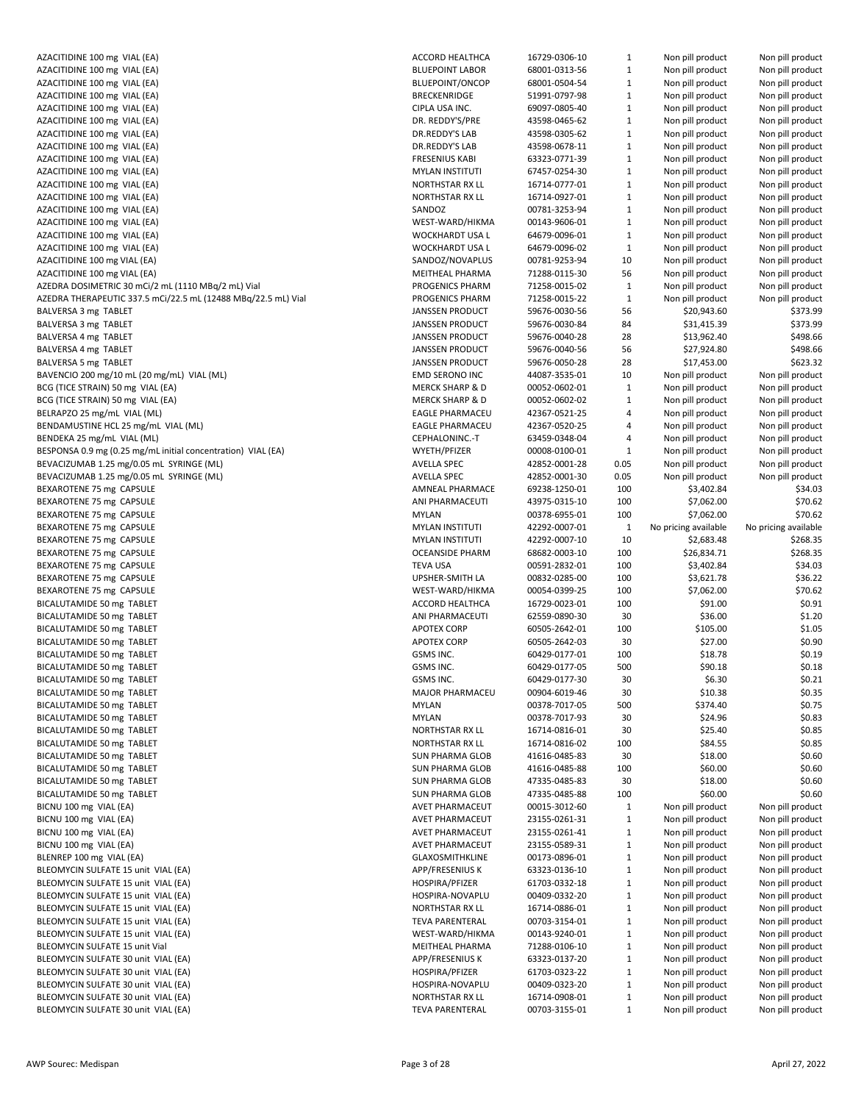| AZACITIDINE 100 mg VIAL (EA)                                  | ACCC             |
|---------------------------------------------------------------|------------------|
| AZACITIDINE 100 mg VIAL (EA)                                  | <b>BLUE</b>      |
| AZACITIDINE 100 mg VIAL (EA)                                  | <b>BLUE</b>      |
| AZACITIDINE 100 mg VIAL (EA)                                  | <b>BREC</b>      |
| AZACITIDINE 100 mg VIAL (EA)                                  | <b>CIPLA</b>     |
| AZACITIDINE 100 mg VIAL (EA)                                  | DR. F            |
| AZACITIDINE 100 mg VIAL (EA)                                  | DR.R             |
| AZACITIDINE 100 mg VIAL (EA)                                  | DR.R             |
|                                                               | <b>FRES</b>      |
| AZACITIDINE 100 mg VIAL (EA)                                  |                  |
| AZACITIDINE 100 mg VIAL (EA)                                  | MYL/             |
| AZACITIDINE 100 mg VIAL (EA)                                  | NOR <sup>-</sup> |
| AZACITIDINE 100 mg VIAL (EA)                                  | NOR <sup>-</sup> |
| AZACITIDINE 100 mg VIAL (EA)                                  | SAND             |
| AZACITIDINE 100 mg VIAL (EA)                                  | WES <sup>-</sup> |
| AZACITIDINE 100 mg VIAL (EA)                                  | <b>WOC</b>       |
| AZACITIDINE 100 mg VIAL (EA)                                  | <b>WOC</b>       |
| AZACITIDINE 100 mg VIAL (EA)                                  | SAND             |
| AZACITIDINE 100 mg VIAL (EA)                                  | MEIT             |
| AZEDRA DOSIMETRIC 30 mCi/2 mL (1110 MBq/2 mL) Vial            | <b>PROC</b>      |
| AZEDRA THERAPEUTIC 337.5 mCi/22.5 mL (12488 MBq/22.5 mL) Vial | <b>PROC</b>      |
| BALVERSA 3 mg TABLET                                          | <b>JANS</b>      |
| BALVERSA 3 mg TABLET                                          | <b>JANS</b>      |
|                                                               |                  |
| BALVERSA 4 mg TABLET                                          | <b>JANS</b>      |
| BALVERSA 4 mg TABLET                                          | <b>JANS</b>      |
| BALVERSA 5 mg TABLET                                          | JANS             |
| BAVENCIO 200 mg/10 mL (20 mg/mL) VIAL (ML)                    | EMD              |
| BCG (TICE STRAIN) 50 mg VIAL (EA)                             | <b>MER</b>       |
| BCG (TICE STRAIN) 50 mg VIAL (EA)                             | <b>MER</b>       |
| BELRAPZO 25 mg/mL VIAL (ML)                                   | EAGL             |
| BENDAMUSTINE HCL 25 mg/mL VIAL (ML)                           | EAGL             |
| BENDEKA 25 mg/mL VIAL (ML)                                    | <b>CEPH</b>      |
| BESPONSA 0.9 mg (0.25 mg/mL initial concentration) VIAL (EA)  | WYE <sup>-</sup> |
| BEVACIZUMAB 1.25 mg/0.05 mL SYRINGE (ML)                      | AVEL             |
|                                                               | AVEL             |
| BEVACIZUMAB 1.25 mg/0.05 mL SYRINGE (ML)                      |                  |
| BEXAROTENE 75 mg CAPSULE                                      | AMN              |
| BEXAROTENE 75 mg CAPSULE                                      | ANI F            |
| BEXAROTENE 75 mg CAPSULE                                      | <b>MYLA</b>      |
| BEXAROTENE 75 mg CAPSULE                                      | <b>MYLA</b>      |
| BEXAROTENE 75 mg CAPSULE                                      | MYL/             |
| BEXAROTENE 75 mg CAPSULE                                      | <b>OCEA</b>      |
| BEXAROTENE 75 mg CAPSULE                                      | <b>TEVA</b>      |
| BEXAROTENE 75 mg CAPSULE                                      | UPSH             |
| BEXAROTENE 75 mg CAPSULE                                      | WES <sup>-</sup> |
| BICALUTAMIDE 50 mg TABLET                                     | ACCC             |
| BICALUTAMIDE 50 mg TABLET                                     | ANI F            |
| BICALUTAMIDE 50 mg TABLET                                     | APO <sub>1</sub> |
|                                                               |                  |
| BICALUTAMIDE 50 mg TABLET                                     | APO <sub>1</sub> |
| BICALUTAMIDE 50 mg TABLET                                     | GSM:             |
| BICALUTAMIDE 50 mg TABLET                                     | GSM.             |
| BICALUTAMIDE 50 mg TABLET                                     | GSM.             |
| BICALUTAMIDE 50 mg TABLET                                     | <b>MAJ</b>       |
| BICALUTAMIDE 50 mg TABLET                                     | MYL/             |
| BICALUTAMIDE 50 mg TABLET                                     | <b>MYLA</b>      |
| BICALUTAMIDE 50 mg TABLET                                     | NOR <sup>1</sup> |
| BICALUTAMIDE 50 mg TABLET                                     | NOR <sub>1</sub> |
| BICALUTAMIDE 50 mg TABLET                                     | <b>SUN</b>       |
| BICALUTAMIDE 50 mg TABLET                                     | <b>SUN</b>       |
| BICALUTAMIDE 50 mg TABLET                                     | <b>SUN</b>       |
|                                                               |                  |
| BICALUTAMIDE 50 mg TABLET                                     | <b>SUN</b>       |
| BICNU 100 mg VIAL (EA)                                        | AVET             |
| BICNU 100 mg VIAL (EA)                                        | AVET             |
| BICNU 100 mg VIAL (EA)                                        | AVET             |
| BICNU 100 mg VIAL (EA)                                        | AVET             |
| BLENREP 100 mg VIAL (EA)                                      | GLAX             |
| BLEOMYCIN SULFATE 15 unit VIAL (EA)                           | APP/             |
| BLEOMYCIN SULFATE 15 unit VIAL (EA)                           | <b>HOSF</b>      |
| BLEOMYCIN SULFATE 15 unit VIAL (EA)                           | <b>HOSF</b>      |
| BLEOMYCIN SULFATE 15 unit VIAL (EA)                           | NOR <sup>-</sup> |
| BLEOMYCIN SULFATE 15 unit VIAL (EA)                           | <b>TEVA</b>      |
| BLEOMYCIN SULFATE 15 unit VIAL (EA)                           | WES <sup>-</sup> |
|                                                               |                  |
| BLEOMYCIN SULFATE 15 unit Vial                                | MEIT             |
| BLEOMYCIN SULFATE 30 unit VIAL (EA)                           | APP/             |
| BLEOMYCIN SULFATE 30 unit VIAL (EA)                           | <b>HOSF</b>      |
| BLEOMYCIN SULFATE 30 unit VIAL (EA)                           | <b>HOSF</b>      |
| BLEOMYCIN SULFATE 30 unit VIAL (EA)                           | NOR <sup>-</sup> |
| BLEOMYCIN SULFATE 30 unit VIAL (EA)                           | TEVA             |

| AZACITIDINE 100 mg VIAL (EA)                                               |                                    |                                |                              |                                      |                                      |
|----------------------------------------------------------------------------|------------------------------------|--------------------------------|------------------------------|--------------------------------------|--------------------------------------|
|                                                                            | <b>ACCORD HEALTHCA</b>             | 16729-0306-10                  | $\mathbf{1}$                 | Non pill product                     | Non pill product                     |
| AZACITIDINE 100 mg VIAL (EA)                                               | <b>BLUEPOINT LABOR</b>             | 68001-0313-56                  | $\mathbf{1}$                 | Non pill product                     | Non pill product                     |
| AZACITIDINE 100 mg VIAL (EA)                                               | <b>BLUEPOINT/ONCOP</b>             | 68001-0504-54                  | $\mathbf{1}$                 | Non pill product                     | Non pill product                     |
| AZACITIDINE 100 mg VIAL (EA)                                               | <b>BRECKENRIDGE</b>                | 51991-0797-98                  | $\mathbf{1}$                 | Non pill product                     | Non pill product                     |
| AZACITIDINE 100 mg VIAL (EA)                                               | CIPLA USA INC.                     | 69097-0805-40                  | $\mathbf{1}$                 | Non pill product                     | Non pill product                     |
| AZACITIDINE 100 mg VIAL (EA)                                               | DR. REDDY'S/PRE                    | 43598-0465-62                  | $\mathbf{1}$                 | Non pill product                     | Non pill product                     |
| AZACITIDINE 100 mg VIAL (EA)                                               | DR.REDDY'S LAB                     | 43598-0305-62                  | $\mathbf{1}$                 | Non pill product                     | Non pill product                     |
| AZACITIDINE 100 mg VIAL (EA)                                               | DR.REDDY'S LAB                     | 43598-0678-11                  | $\mathbf{1}$                 | Non pill product                     | Non pill product                     |
| AZACITIDINE 100 mg VIAL (EA)                                               | <b>FRESENIUS KABI</b>              | 63323-0771-39                  | $\mathbf{1}$                 | Non pill product                     | Non pill product                     |
| AZACITIDINE 100 mg VIAL (EA)                                               | <b>MYLAN INSTITUTI</b>             | 67457-0254-30                  | $\mathbf{1}$                 | Non pill product                     | Non pill product                     |
| AZACITIDINE 100 mg VIAL (EA)                                               | NORTHSTAR RX LL                    | 16714-0777-01                  | $\mathbf{1}$                 | Non pill product                     | Non pill product                     |
| AZACITIDINE 100 mg VIAL (EA)                                               | NORTHSTAR RX LL                    | 16714-0927-01                  | $\mathbf{1}$                 | Non pill product                     | Non pill product                     |
| AZACITIDINE 100 mg VIAL (EA)                                               | SANDOZ                             | 00781-3253-94                  | $\mathbf{1}$                 | Non pill product                     | Non pill product                     |
| AZACITIDINE 100 mg VIAL (EA)                                               | WEST-WARD/HIKMA                    | 00143-9606-01                  | $\mathbf{1}$                 | Non pill product                     | Non pill product                     |
|                                                                            |                                    |                                |                              |                                      |                                      |
| AZACITIDINE 100 mg VIAL (EA)                                               | WOCKHARDT USA L                    | 64679-0096-01                  | $\mathbf{1}$                 | Non pill product                     | Non pill product                     |
| AZACITIDINE 100 mg VIAL (EA)                                               | WOCKHARDT USA L                    | 64679-0096-02                  | $\mathbf{1}$                 | Non pill product                     | Non pill product                     |
| AZACITIDINE 100 mg VIAL (EA)                                               | SANDOZ/NOVAPLUS                    | 00781-9253-94                  | 10                           | Non pill product                     | Non pill product                     |
| AZACITIDINE 100 mg VIAL (EA)                                               | MEITHEAL PHARMA                    | 71288-0115-30                  | 56                           | Non pill product                     | Non pill product                     |
| AZEDRA DOSIMETRIC 30 mCi/2 mL (1110 MBq/2 mL) Vial                         | PROGENICS PHARM                    | 71258-0015-02                  | $\mathbf{1}$                 | Non pill product                     | Non pill product                     |
| AZEDRA THERAPEUTIC 337.5 mCi/22.5 mL (12488 MBq/22.5 mL) Vial              | PROGENICS PHARM                    | 71258-0015-22                  | $\mathbf{1}$                 | Non pill product                     | Non pill product                     |
| BALVERSA 3 mg TABLET                                                       | <b>JANSSEN PRODUCT</b>             | 59676-0030-56                  | 56                           | \$20,943.60                          | \$373.99                             |
| BALVERSA 3 mg TABLET                                                       | <b>JANSSEN PRODUCT</b>             | 59676-0030-84                  | 84                           | \$31,415.39                          | \$373.99                             |
| BALVERSA 4 mg TABLET                                                       | <b>JANSSEN PRODUCT</b>             | 59676-0040-28                  | 28                           | \$13,962.40                          | \$498.66                             |
| BALVERSA 4 mg TABLET                                                       | <b>JANSSEN PRODUCT</b>             | 59676-0040-56                  | 56                           | \$27,924.80                          | \$498.66                             |
| BALVERSA 5 mg TABLET                                                       | <b>JANSSEN PRODUCT</b>             | 59676-0050-28                  | 28                           | \$17,453.00                          | \$623.32                             |
| BAVENCIO 200 mg/10 mL (20 mg/mL) VIAL (ML)                                 | EMD SERONO INC                     | 44087-3535-01                  | 10                           | Non pill product                     | Non pill product                     |
| BCG (TICE STRAIN) 50 mg VIAL (EA)                                          | <b>MERCK SHARP &amp; D</b>         | 00052-0602-01                  | $\mathbf{1}$                 | Non pill product                     | Non pill product                     |
| BCG (TICE STRAIN) 50 mg VIAL (EA)                                          | <b>MERCK SHARP &amp; D</b>         | 00052-0602-02                  | $\mathbf{1}$                 | Non pill product                     | Non pill product                     |
| BELRAPZO 25 mg/mL VIAL (ML)                                                | <b>EAGLE PHARMACEU</b>             | 42367-0521-25                  | 4                            | Non pill product                     | Non pill product                     |
| BENDAMUSTINE HCL 25 mg/mL VIAL (ML)                                        | <b>EAGLE PHARMACEU</b>             | 42367-0520-25                  | 4                            | Non pill product                     | Non pill product                     |
| BENDEKA 25 mg/mL VIAL (ML)                                                 | CEPHALONINC .- T                   | 63459-0348-04                  | 4                            | Non pill product                     | Non pill product                     |
| BESPONSA 0.9 mg (0.25 mg/mL initial concentration) VIAL (EA)               | WYETH/PFIZER                       | 00008-0100-01                  | $\mathbf{1}$                 | Non pill product                     | Non pill product                     |
| BEVACIZUMAB 1.25 mg/0.05 mL SYRINGE (ML)                                   | <b>AVELLA SPEC</b>                 | 42852-0001-28                  | 0.05                         | Non pill product                     | Non pill product                     |
| BEVACIZUMAB 1.25 mg/0.05 mL SYRINGE (ML)                                   | <b>AVELLA SPEC</b>                 | 42852-0001-30                  | 0.05                         | Non pill product                     | Non pill product                     |
| BEXAROTENE 75 mg CAPSULE                                                   | AMNEAL PHARMACE                    | 69238-1250-01                  | 100                          | \$3,402.84                           | \$34.03                              |
| BEXAROTENE 75 mg CAPSULE                                                   | ANI PHARMACEUTI                    | 43975-0315-10                  | 100                          | \$7,062.00                           | \$70.62                              |
| BEXAROTENE 75 mg CAPSULE                                                   | <b>MYLAN</b>                       |                                | 100                          | \$7,062.00                           | \$70.62                              |
|                                                                            |                                    | 00378-6955-01                  |                              |                                      |                                      |
| BEXAROTENE 75 mg CAPSULE                                                   | <b>MYLAN INSTITUTI</b>             | 42292-0007-01                  | $1\,$                        | No pricing available                 | No pricing available                 |
| BEXAROTENE 75 mg CAPSULE                                                   | <b>MYLAN INSTITUTI</b>             | 42292-0007-10                  | 10                           | \$2,683.48                           | \$268.35                             |
| BEXAROTENE 75 mg CAPSULE                                                   | <b>OCEANSIDE PHARM</b>             | 68682-0003-10                  | 100                          | \$26,834.71                          | \$268.35                             |
| BEXAROTENE 75 mg CAPSULE                                                   | <b>TEVA USA</b>                    | 00591-2832-01                  | 100                          | \$3,402.84                           | \$34.03                              |
| BEXAROTENE 75 mg CAPSULE                                                   | UPSHER-SMITH LA                    | 00832-0285-00                  | 100                          | \$3,621.78                           | \$36.22                              |
| BEXAROTENE 75 mg CAPSULE                                                   | WEST-WARD/HIKMA                    | 00054-0399-25                  | 100                          | \$7,062.00                           | \$70.62                              |
| BICALUTAMIDE 50 mg TABLET                                                  | ACCORD HEALTHCA                    | 16729-0023-01                  | 100                          | \$91.00                              | \$0.91                               |
| BICALUTAMIDE 50 mg TABLET                                                  | ANI PHARMACEUTI                    | 62559-0890-30                  | 30                           | \$36.00                              | \$1.20                               |
| BICALUTAMIDE 50 mg TABLET                                                  | <b>APOTEX CORP</b>                 | 60505-2642-01                  | 100                          | \$105.00                             | \$1.05                               |
| BICALUTAMIDE 50 mg TABLET                                                  | <b>APOTEX CORP</b>                 | 60505-2642-03                  | 30                           |                                      |                                      |
|                                                                            | GSMS INC.                          |                                |                              | \$27.00                              | \$0.90                               |
| BICALUTAMIDE 50 mg TABLET                                                  |                                    | 60429-0177-01                  | 100                          | \$18.78                              | \$0.19                               |
| BICALUTAMIDE 50 mg TABLET                                                  | GSMS INC.                          | 60429-0177-05                  | 500                          | \$90.18                              | \$0.18                               |
| BICALUTAMIDE 50 mg TABLET                                                  | GSMS INC.                          | 60429-0177-30                  | 30                           | \$6.30                               | \$0.21                               |
| BICALUTAMIDE 50 mg TABLET                                                  | MAJOR PHARMACEU                    | 00904-6019-46                  | 30                           | \$10.38                              | \$0.35                               |
| BICALUTAMIDE 50 mg TABLET                                                  | <b>MYLAN</b>                       | 00378-7017-05                  | 500                          | \$374.40                             | \$0.75                               |
| BICALUTAMIDE 50 mg TABLET                                                  | <b>MYLAN</b>                       | 00378-7017-93                  | 30                           | \$24.96                              | \$0.83                               |
| BICALUTAMIDE 50 mg TABLET                                                  | NORTHSTAR RX LL                    | 16714-0816-01                  | 30                           | \$25.40                              | \$0.85                               |
|                                                                            | NORTHSTAR RX LL                    | 16714-0816-02                  |                              |                                      | \$0.85                               |
| BICALUTAMIDE 50 mg TABLET                                                  |                                    |                                | 100                          | \$84.55                              |                                      |
| BICALUTAMIDE 50 mg TABLET                                                  | <b>SUN PHARMA GLOB</b>             | 41616-0485-83                  | 30                           | \$18.00                              | \$0.60                               |
| BICALUTAMIDE 50 mg TABLET                                                  | <b>SUN PHARMA GLOB</b>             | 41616-0485-88                  | 100                          | \$60.00                              | \$0.60                               |
| BICALUTAMIDE 50 mg TABLET                                                  | <b>SUN PHARMA GLOB</b>             | 47335-0485-83                  | 30                           | \$18.00                              | \$0.60                               |
| BICALUTAMIDE 50 mg TABLET                                                  | <b>SUN PHARMA GLOB</b>             | 47335-0485-88                  | 100                          | \$60.00                              | \$0.60                               |
| BICNU 100 mg VIAL (EA)                                                     | AVET PHARMACEUT                    | 00015-3012-60                  | $\mathbf{1}$                 | Non pill product                     | Non pill product                     |
| BICNU 100 mg VIAL (EA)                                                     | <b>AVET PHARMACEUT</b>             | 23155-0261-31                  | $\mathbf{1}$                 | Non pill product                     | Non pill product                     |
| BICNU 100 mg VIAL (EA)                                                     | AVET PHARMACEUT                    | 23155-0261-41                  | $\mathbf{1}$                 | Non pill product                     | Non pill product                     |
| BICNU 100 mg VIAL (EA)                                                     | <b>AVET PHARMACEUT</b>             | 23155-0589-31                  | $\mathbf{1}$                 | Non pill product                     | Non pill product                     |
| BLENREP 100 mg VIAL (EA)                                                   | <b>GLAXOSMITHKLINE</b>             | 00173-0896-01                  | $\mathbf{1}$                 | Non pill product                     | Non pill product                     |
| BLEOMYCIN SULFATE 15 unit VIAL (EA)                                        | APP/FRESENIUS K                    | 63323-0136-10                  | $\mathbf{1}$                 | Non pill product                     | Non pill product                     |
| BLEOMYCIN SULFATE 15 unit VIAL (EA)                                        | HOSPIRA/PFIZER                     | 61703-0332-18                  | $\mathbf{1}$                 | Non pill product                     | Non pill product                     |
| BLEOMYCIN SULFATE 15 unit VIAL (EA)                                        | HOSPIRA-NOVAPLU                    | 00409-0332-20                  | $\mathbf{1}$                 | Non pill product                     | Non pill product                     |
| BLEOMYCIN SULFATE 15 unit VIAL (EA)                                        | NORTHSTAR RX LL                    | 16714-0886-01                  | $\mathbf{1}$                 | Non pill product                     | Non pill product                     |
| BLEOMYCIN SULFATE 15 unit VIAL (EA)                                        | TEVA PARENTERAL                    | 00703-3154-01                  | $\mathbf{1}$                 | Non pill product                     | Non pill product                     |
| BLEOMYCIN SULFATE 15 unit VIAL (EA)                                        | WEST-WARD/HIKMA                    | 00143-9240-01                  | $\mathbf{1}$                 | Non pill product                     | Non pill product                     |
| BLEOMYCIN SULFATE 15 unit Vial                                             | MEITHEAL PHARMA                    | 71288-0106-10                  | $\mathbf{1}$                 | Non pill product                     | Non pill product                     |
| BLEOMYCIN SULFATE 30 unit VIAL (EA)                                        | APP/FRESENIUS K                    | 63323-0137-20                  | $\mathbf{1}$                 | Non pill product                     | Non pill product                     |
| BLEOMYCIN SULFATE 30 unit VIAL (EA)                                        | HOSPIRA/PFIZER                     | 61703-0323-22                  | $\mathbf{1}$                 | Non pill product                     | Non pill product                     |
| BLEOMYCIN SULFATE 30 unit VIAL (EA)                                        | HOSPIRA-NOVAPLU                    | 00409-0323-20                  | $\mathbf{1}$                 | Non pill product                     | Non pill product                     |
| BLEOMYCIN SULFATE 30 unit VIAL (EA)<br>BLEOMYCIN SULFATE 30 unit VIAL (EA) | NORTHSTAR RX LL<br>TEVA PARENTERAL | 16714-0908-01<br>00703-3155-01 | $\mathbf{1}$<br>$\mathbf{1}$ | Non pill product<br>Non pill product | Non pill product<br>Non pill product |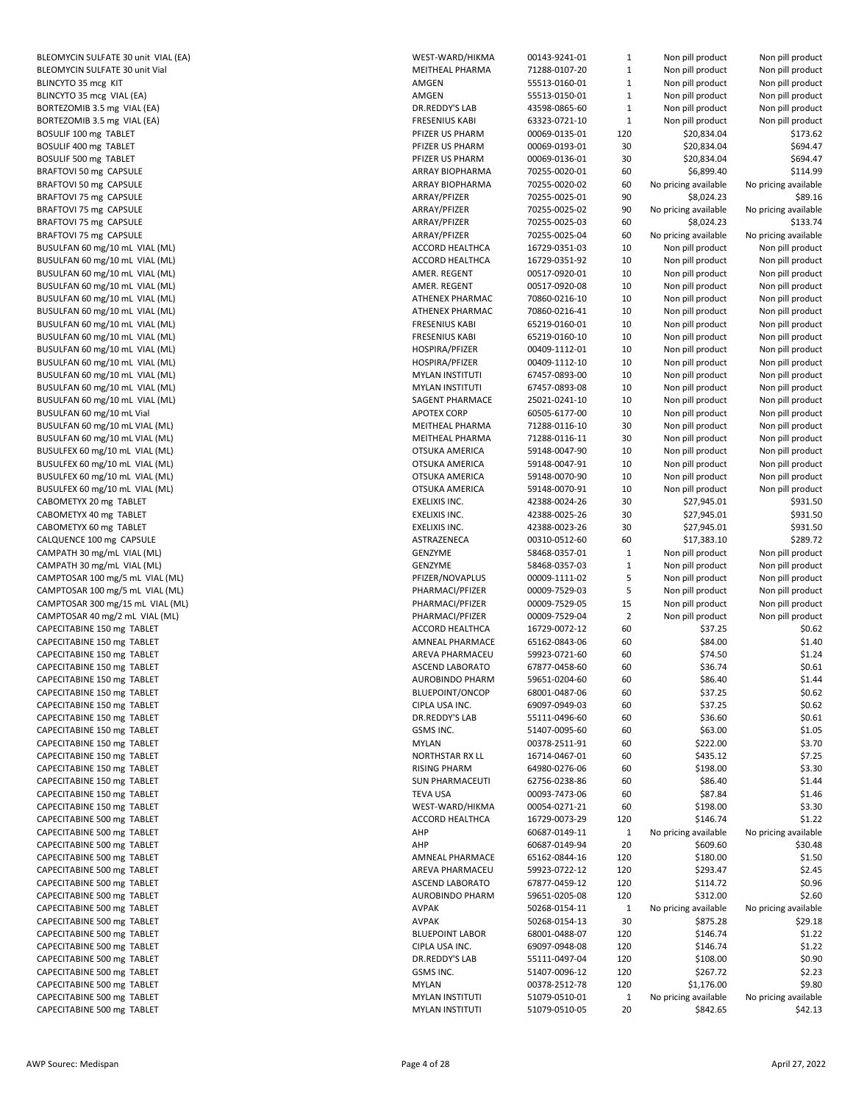BLEOMYCIN SULFATE 30 unit VIAL (EA) BLEOMYCIN SULFATE 30 unit Vial BLINCYTO 35 mcg KIT BLINCYTO 35 mcg VIAL (EA) BORTEZOMIB 3.5 mg VIAL (EA) BORTEZOMIB 3.5 mg VIAL (EA) BOSULIF 100 mg TABLET BOSULIF 400 mg TABLET BOSULIF 500 mg TABLET BRAFTOVI 50 mg CAPSULE BRAFTOVI 50 mg CAPSULE BRAFTOVI 75 mg CAPSULE BRAFTOVI 75 mg CAPSULE BRAFTOVI 75 mg CAPSULE BRAFTOVI 75 mg CAPSULE BUSULFAN 60 mg/10 mL VIAL (ML) BUSULFAN 60 mg/10 mL VIAL (ML) BUSULFAN 60 mg/10 mL VIAL (ML) BUSULFAN 60 mg/10 mL VIAL (ML) BUSULFAN 60 mg/10 mL VIAL (ML) BUSULFAN 60 mg/10 mL VIAL (ML) BUSULFAN 60 mg/10 mL VIAL (ML) BUSULFAN 60 mg/10 mL VIAL (ML) BUSULFAN 60 mg/10 mL VIAL (ML) BUSULFAN 60 mg/10 mL VIAL (ML) BUSULFAN 60 mg/10 mL VIAL (ML) BUSULFAN 60 mg/10 mL VIAL (ML) BUSULFAN 60 mg/10 mL VIAL (ML) BUSULFAN 60 mg/10 mL Vial BUSULFAN 60 mg/10 mL VIAL (ML) BUSULFAN 60 mg/10 mL VIAL (ML) BUSULFEX 60 mg/10 mL VIAL (ML) BUSULFEX 60 mg/10 mL VIAL (ML) BUSULFEX 60 mg/10 mL VIAL (ML) BUSULFEX 60 mg/10 mL VIAL (ML) CABOMETYX 20 mg TABLET CABOMETYX 40 mg TABLET CABOMETYX 60 mg TABLET CALQUENCE 100 mg CAPSULE CAMPATH 30 mg/mL VIAL (ML) CAMPATH 30 mg/mL VIAL (ML) CAMPTOSAR 100 mg/5 mL VIAL (ML) CAMPTOSAR 100 mg/5 mL VIAL (ML) CAMPTOSAR 300 mg/15 mL VIAL (ML) CAMPTOSAR 40 mg/2 mL VIAL (ML) CAPECITABINE 150 mg TABLET CAPECITABINE 150 mg TABLET CAPECITABINE 150 mg TABLET CAPECITABINE 150 mg TABLET CAPECITABINE 150 mg TABLET CAPECITABINE 150 mg TABLET CAPECITABINE 150 mg TABLET CAPECITABINE 150 mg TABLET CAPECITABINE 150 mg TABLET CAPECITABINE 150 mg TABLET CAPECITABINE 150 mg TABLET CAPECITABINE 150 mg TABLET CAPECITABINE 150 mg TABLET CAPECITABINE 150 mg TABLET CAPECITABINE 150 mg TABLET CAPECITABINE 500 mg TABLET CAPECITABINE 500 mg TABLET CAPECITABINE 500 mg TABLET CAPECITABINE 500 mg TABLET CAPECITABINE 500 mg TABLET CAPECITABINE 500 mg TABLET CAPECITABINE 500 mg TABLET CAPECITABINE 500 mg TABLET CAPECITABINE 500 mg TABLET CAPECITABINE 500 mg TABLET CAPECITABINE 500 mg TABLET CAPECITABINE 500 mg TABLET CAPECITABINE 500 mg TABLET CAPECITABINE 500 mg TABLET CAPECITABINE 500 mg TABLET CAPECITABINE 500 mg TABLET

| WEST-WARD/HIKMA        | 00143-9241-01 | $\mathbf{1}$ | Non pill product     | Non pill product     |
|------------------------|---------------|--------------|----------------------|----------------------|
| MEITHEAL PHARMA        | 71288-0107-20 | $\mathbf{1}$ | Non pill product     | Non pill product     |
| AMGEN                  | 55513-0160-01 | $\mathbf{1}$ | Non pill product     | Non pill product     |
| AMGEN                  | 55513-0150-01 | $\mathbf{1}$ | Non pill product     | Non pill product     |
| DR.REDDY'S LAB         | 43598-0865-60 | $\mathbf 1$  | Non pill product     | Non pill product     |
| <b>FRESENIUS KABI</b>  | 63323-0721-10 | $\mathbf 1$  | Non pill product     | Non pill product     |
| PFIZER US PHARM        | 00069-0135-01 | 120          | \$20,834.04          | \$173.62             |
| PFIZER US PHARM        |               | 30           |                      | \$694.47             |
|                        | 00069-0193-01 |              | \$20,834.04          |                      |
| PFIZER US PHARM        | 00069-0136-01 | 30           | \$20,834.04          | \$694.47             |
| ARRAY BIOPHARMA        | 70255-0020-01 | 60           | \$6,899.40           | \$114.99             |
| ARRAY BIOPHARMA        | 70255-0020-02 | 60           | No pricing available | No pricing available |
| ARRAY/PFIZER           | 70255-0025-01 | 90           | \$8,024.23           | \$89.16              |
| ARRAY/PFIZER           | 70255-0025-02 | 90           | No pricing available | No pricing available |
| ARRAY/PFIZER           | 70255-0025-03 | 60           | \$8,024.23           | \$133.74             |
| ARRAY/PFIZER           | 70255-0025-04 | 60           | No pricing available | No pricing available |
| ACCORD HEALTHCA        | 16729-0351-03 | 10           | Non pill product     | Non pill product     |
| ACCORD HEALTHCA        |               | 10           |                      |                      |
|                        | 16729-0351-92 |              | Non pill product     | Non pill product     |
| AMER. REGENT           | 00517-0920-01 | 10           | Non pill product     | Non pill product     |
| AMER. REGENT           | 00517-0920-08 | 10           | Non pill product     | Non pill product     |
| ATHENEX PHARMAC        | 70860-0216-10 | 10           | Non pill product     | Non pill product     |
| ATHENEX PHARMAC        | 70860-0216-41 | 10           | Non pill product     | Non pill product     |
| <b>FRESENIUS KABI</b>  | 65219-0160-01 | 10           | Non pill product     | Non pill product     |
| <b>FRESENIUS KABI</b>  | 65219-0160-10 | 10           | Non pill product     | Non pill product     |
| HOSPIRA/PFIZER         | 00409-1112-01 | 10           | Non pill product     | Non pill product     |
| HOSPIRA/PFIZER         | 00409-1112-10 | 10           | Non pill product     | Non pill product     |
|                        |               |              |                      |                      |
| <b>MYLAN INSTITUTI</b> | 67457-0893-00 | 10           | Non pill product     | Non pill product     |
| <b>MYLAN INSTITUTI</b> | 67457-0893-08 | 10           | Non pill product     | Non pill product     |
| SAGENT PHARMACE        | 25021-0241-10 | 10           | Non pill product     | Non pill product     |
| <b>APOTEX CORP</b>     | 60505-6177-00 | 10           | Non pill product     | Non pill product     |
| MEITHEAL PHARMA        | 71288-0116-10 | 30           | Non pill product     | Non pill product     |
| MEITHEAL PHARMA        | 71288-0116-11 | 30           | Non pill product     | Non pill product     |
| OTSUKA AMERICA         | 59148-0047-90 | 10           | Non pill product     | Non pill product     |
| OTSUKA AMERICA         | 59148-0047-91 | 10           | Non pill product     | Non pill product     |
| OTSUKA AMERICA         | 59148-0070-90 | 10           | Non pill product     | Non pill product     |
|                        |               | 10           |                      | Non pill product     |
| OTSUKA AMERICA         | 59148-0070-91 |              | Non pill product     |                      |
| EXELIXIS INC.          | 42388-0024-26 | 30           | \$27,945.01          | \$931.50             |
| EXELIXIS INC.          | 42388-0025-26 | 30           | \$27,945.01          | \$931.50             |
| EXELIXIS INC.          | 42388-0023-26 | 30           | \$27,945.01          | \$931.50             |
| ASTRAZENECA            | 00310-0512-60 | 60           | \$17,383.10          | \$289.72             |
| GENZYME                | 58468-0357-01 | $\mathbf{1}$ | Non pill product     | Non pill product     |
| GENZYME                | 58468-0357-03 | $\mathbf{1}$ | Non pill product     | Non pill product     |
| PFIZER/NOVAPLUS        | 00009-1111-02 | 5            | Non pill product     | Non pill product     |
| PHARMACI/PFIZER        | 00009-7529-03 | 5            | Non pill product     | Non pill product     |
| PHARMACI/PFIZER        | 00009-7529-05 | 15           | Non pill product     | Non pill product     |
|                        |               |              |                      |                      |
| PHARMACI/PFIZER        | 00009-7529-04 | 2            | Non pill product     | Non pill product     |
| ACCORD HEALTHCA        | 16729-0072-12 | 60           | \$37.25              | \$0.62               |
| AMNEAL PHARMACE        | 65162-0843-06 | 60           | \$84.00              | \$1.40               |
| AREVA PHARMACEU        | 59923-0721-60 | 60           | \$74.50              | \$1.24               |
| <b>ASCEND LABORATO</b> | 67877-0458-60 | 60           | \$36.74              | \$0.61               |
| AUROBINDO PHARM        | 59651-0204-60 | 60           | \$86.40              | \$1.44               |
| BLUEPOINT/ONCOP        | 68001-0487-06 | 60           | \$37.25              | \$0.62               |
| CIPLA USA INC.         | 69097-0949-03 | 60           | \$37.25              | \$0.62               |
| DR.REDDY'S LAB         | 55111-0496-60 | 60           | \$36.60              | \$0.61               |
|                        |               |              |                      |                      |
| GSMS INC.              | 51407-0095-60 | 60           | \$63.00              | \$1.05               |
| MYLAN                  | 00378-2511-91 | 60           | \$222.00             | \$3.70               |
| NORTHSTAR RX LL        | 16714-0467-01 | 60           | \$435.12             | \$7.25               |
| <b>RISING PHARM</b>    | 64980-0276-06 | 60           | \$198.00             | \$3.30               |
| <b>SUN PHARMACEUTI</b> | 62756-0238-86 | 60           | \$86.40              | \$1.44               |
| <b>TEVA USA</b>        | 00093-7473-06 | 60           | \$87.84              | \$1.46               |
| WEST-WARD/HIKMA        | 00054-0271-21 | 60           | \$198.00             | \$3.30               |
| ACCORD HEALTHCA        | 16729-0073-29 | 120          | \$146.74             | \$1.22               |
| AHP                    | 60687-0149-11 | $\mathbf{1}$ | No pricing available | No pricing available |
|                        |               |              |                      |                      |
| АНР                    | 60687-0149-94 | 20           | \$609.60             | \$30.48              |
| AMNEAL PHARMACE        | 65162-0844-16 | 120          | \$180.00             | \$1.50               |
| AREVA PHARMACEU        | 59923-0722-12 | 120          | \$293.47             | \$2.45               |
| <b>ASCEND LABORATO</b> | 67877-0459-12 | 120          | \$114.72             | \$0.96               |
| AUROBINDO PHARM        | 59651-0205-08 | 120          | \$312.00             | \$2.60               |
| <b>AVPAK</b>           | 50268-0154-11 | 1            | No pricing available | No pricing available |
| <b>AVPAK</b>           | 50268-0154-13 | 30           | \$875.28             | \$29.18              |
| <b>BLUEPOINT LABOR</b> | 68001-0488-07 | 120          | \$146.74             | \$1.22               |
| CIPLA USA INC.         | 69097-0948-08 |              |                      |                      |
|                        |               | 120          | \$146.74             | \$1.22               |
| DR.REDDY'S LAB         | 55111-0497-04 | 120          | \$108.00             | \$0.90               |
| GSMS INC.              | 51407-0096-12 | 120          | \$267.72             | \$2.23               |
| <b>MYLAN</b>           | 00378-2512-78 | 120          | \$1,176.00           | \$9.80               |
| <b>MYLAN INSTITUTI</b> | 51079-0510-01 | $\mathbf{1}$ | No pricing available | No pricing available |
| <b>MYLAN INSTITUTI</b> | 51079-0510-05 | 20           | \$842.65             | \$42.13              |
|                        |               |              |                      |                      |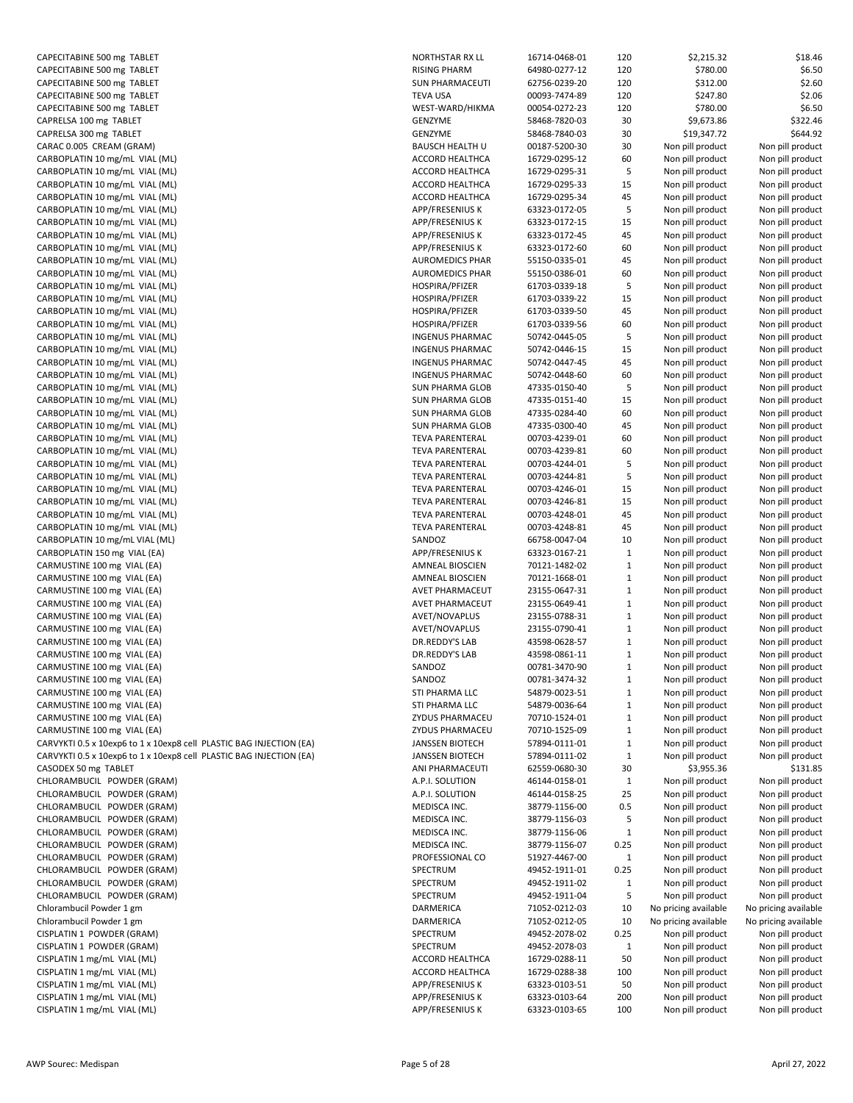| CAPECITABINE 500 mg TABLET                                          |
|---------------------------------------------------------------------|
| CAPECITABINE 500 mg TABLET                                          |
| CAPECITABINE 500 mg TABLET                                          |
| CAPECITABINE 500 mg TABLET                                          |
| CAPECITABINE 500 mg TABLET                                          |
| CAPRELSA 100 mg TABLET                                              |
| CAPRELSA 300 mg TABLET                                              |
| CARAC 0.005 CREAM (GRAM)                                            |
| CARBOPLATIN 10 mg/mL VIAL (ML)                                      |
| CARBOPLATIN 10 mg/mL VIAL (ML)                                      |
| CARBOPLATIN 10 mg/mL VIAL (ML)                                      |
| CARBOPLATIN 10 mg/mL VIAL (ML)<br>CARBOPLATIN 10 mg/mL VIAL (ML)    |
| CARBOPLATIN 10 mg/mL VIAL (ML)                                      |
| CARBOPLATIN 10 mg/mL VIAL (ML)                                      |
| CARBOPLATIN 10 mg/mL VIAL (ML)                                      |
| CARBOPLATIN 10 mg/mL VIAL (ML)                                      |
| CARBOPLATIN 10 mg/mL VIAL (ML)                                      |
| CARBOPLATIN 10 mg/mL VIAL (ML)                                      |
| CARBOPLATIN 10 mg/mL VIAL (ML)                                      |
| CARBOPLATIN 10 mg/mL VIAL (ML)                                      |
| CARBOPLATIN 10 mg/mL VIAL (ML)                                      |
| CARBOPLATIN 10 mg/mL VIAL (ML)                                      |
| CARBOPLATIN 10 mg/mL VIAL (ML)                                      |
| CARBOPLATIN 10 mg/mL VIAL (ML)                                      |
| CARBOPLATIN 10 mg/mL VIAL (ML)                                      |
| CARBOPLATIN 10 mg/mL VIAL (ML)                                      |
| CARBOPLATIN 10 mg/mL VIAL (ML)                                      |
| CARBOPLATIN 10 mg/mL VIAL (ML)                                      |
| CARBOPLATIN 10 mg/mL VIAL (ML)                                      |
| CARBOPLATIN 10 mg/mL VIAL (ML)                                      |
| CARBOPLATIN 10 mg/mL VIAL (ML)                                      |
| CARBOPLATIN 10 mg/mL VIAL (ML)                                      |
| CARBOPLATIN 10 mg/mL VIAL (ML)                                      |
| CARBOPLATIN 10 mg/mL VIAL (ML)                                      |
| CARBOPLATIN 10 mg/mL VIAL (ML)                                      |
| CARBOPLATIN 10 mg/mL VIAL (ML)                                      |
| CARBOPLATIN 10 mg/mL VIAL (ML)                                      |
| CARBOPLATIN 10 mg/mL VIAL (ML)                                      |
| CARBOPLATIN 150 mg VIAL (EA)                                        |
| CARMUSTINE 100 mg VIAL (EA)                                         |
| CARMUSTINE 100 mg VIAL (EA)                                         |
| CARMUSTINE 100 mg VIAL (EA)                                         |
| CARMUSTINE 100 mg VIAL (EA)                                         |
| CARMUSTINE 100 mg VIAL (EA)                                         |
| CARMUSTINE 100 mg VIAL (EA)<br>CARMUSTINE 100 mg VIAL (EA)          |
| CARMUSTINE 100 mg VIAL (EA)                                         |
| CARMUSTINE 100 mg VIAL (EA)                                         |
| CARMUSTINE 100 mg VIAL (EA)                                         |
| CARMUSTINE 100 mg VIAL (EA)                                         |
| CARMUSTINE 100 mg VIAL (EA)                                         |
| CARMUSTINE 100 mg VIAL (EA)                                         |
| CARMUSTINE 100 mg VIAL (EA)                                         |
| CARVYKTI 0.5 x 10exp6 to 1 x 10exp8 cell PLASTIC BAG INJECTION (EA) |
| CARVYKTI 0.5 x 10exp6 to 1 x 10exp8 cell PLASTIC BAG INJECTION (EA) |
| CASODEX 50 mg TABLET                                                |
| CHLORAMBUCIL POWDER (GRAM)                                          |
| CHLORAMBUCIL POWDER (GRAM)                                          |
| CHLORAMBUCIL POWDER (GRAM)                                          |
| CHLORAMBUCIL POWDER (GRAM)                                          |
| CHLORAMBUCIL POWDER (GRAM)                                          |
| CHLORAMBUCIL POWDER (GRAM)                                          |
| CHLORAMBUCIL POWDER (GRAM)                                          |
| CHLORAMBUCIL POWDER (GRAM)                                          |
| CHLORAMBUCIL POWDER (GRAM)                                          |
| CHLORAMBUCIL POWDER (GRAM)                                          |
| Chlorambucil Powder 1 gm                                            |
| Chlorambucil Powder 1 gm                                            |
| CISPLATIN 1 POWDER (GRAM)                                           |
| CISPLATIN 1 POWDER (GRAM)                                           |
| CISPLATIN 1 mg/mL VIAL (ML)                                         |
| CISPLATIN 1 mg/mL VIAL (ML)                                         |
| CISPLATIN 1 mg/mL VIAL (ML)                                         |
| CISPLATIN 1 mg/mL VIAL (ML)<br>CISPLATIN 1 mg/mL VIAL (ML)          |
|                                                                     |

| CAPECITABINE 500 mg TABLET                                          | NORTHSTAR RX LL        | 16714-0468-01 | 120          | \$2,215.32           | \$18.46              |
|---------------------------------------------------------------------|------------------------|---------------|--------------|----------------------|----------------------|
| CAPECITABINE 500 mg TABLET                                          | <b>RISING PHARM</b>    | 64980-0277-12 | 120          | \$780.00             | \$6.50               |
| CAPECITABINE 500 mg TABLET                                          | <b>SUN PHARMACEUTI</b> | 62756-0239-20 | 120          | \$312.00             | \$2.60               |
| CAPECITABINE 500 mg TABLET                                          | <b>TEVA USA</b>        | 00093-7474-89 | 120          | \$247.80             | \$2.06               |
| CAPECITABINE 500 mg TABLET                                          | WEST-WARD/HIKMA        | 00054-0272-23 | 120          | \$780.00             | \$6.50               |
| CAPRELSA 100 mg TABLET                                              | GENZYME                | 58468-7820-03 | 30           | \$9,673.86           | \$322.46             |
| CAPRELSA 300 mg TABLET                                              | GENZYME                | 58468-7840-03 | 30           | \$19,347.72          | \$644.92             |
| CARAC 0.005 CREAM (GRAM)                                            | <b>BAUSCH HEALTH U</b> | 00187-5200-30 | 30           | Non pill product     | Non pill product     |
| CARBOPLATIN 10 mg/mL VIAL (ML)                                      | <b>ACCORD HEALTHCA</b> | 16729-0295-12 | 60           | Non pill product     | Non pill product     |
| CARBOPLATIN 10 mg/mL VIAL (ML)                                      | ACCORD HEALTHCA        | 16729-0295-31 | 5            | Non pill product     | Non pill product     |
|                                                                     |                        |               |              |                      |                      |
| CARBOPLATIN 10 mg/mL VIAL (ML)                                      | ACCORD HEALTHCA        | 16729-0295-33 | 15           | Non pill product     | Non pill product     |
| CARBOPLATIN 10 mg/mL VIAL (ML)                                      | ACCORD HEALTHCA        | 16729-0295-34 | 45           | Non pill product     | Non pill product     |
| CARBOPLATIN 10 mg/mL VIAL (ML)                                      | <b>APP/FRESENIUS K</b> | 63323-0172-05 | 5            | Non pill product     | Non pill product     |
| CARBOPLATIN 10 mg/mL VIAL (ML)                                      | APP/FRESENIUS K        | 63323-0172-15 | 15           | Non pill product     | Non pill product     |
| CARBOPLATIN 10 mg/mL VIAL (ML)                                      | APP/FRESENIUS K        | 63323-0172-45 | 45           | Non pill product     | Non pill product     |
| CARBOPLATIN 10 mg/mL VIAL (ML)                                      | <b>APP/FRESENIUS K</b> | 63323-0172-60 | 60           | Non pill product     | Non pill product     |
| CARBOPLATIN 10 mg/mL VIAL (ML)                                      | <b>AUROMEDICS PHAR</b> | 55150-0335-01 | 45           | Non pill product     | Non pill product     |
| CARBOPLATIN 10 mg/mL VIAL (ML)                                      | <b>AUROMEDICS PHAR</b> | 55150-0386-01 | 60           | Non pill product     | Non pill product     |
| CARBOPLATIN 10 mg/mL VIAL (ML)                                      | HOSPIRA/PFIZER         | 61703-0339-18 | 5            | Non pill product     | Non pill product     |
| CARBOPLATIN 10 mg/mL VIAL (ML)                                      | HOSPIRA/PFIZER         | 61703-0339-22 | 15           | Non pill product     | Non pill product     |
| CARBOPLATIN 10 mg/mL VIAL (ML)                                      | HOSPIRA/PFIZER         | 61703-0339-50 | 45           | Non pill product     | Non pill product     |
| CARBOPLATIN 10 mg/mL VIAL (ML)                                      | HOSPIRA/PFIZER         | 61703-0339-56 | 60           | Non pill product     | Non pill product     |
| CARBOPLATIN 10 mg/mL VIAL (ML)                                      | <b>INGENUS PHARMAC</b> | 50742-0445-05 | 5            | Non pill product     | Non pill product     |
| CARBOPLATIN 10 mg/mL VIAL (ML)                                      | <b>INGENUS PHARMAC</b> | 50742-0446-15 | 15           | Non pill product     | Non pill product     |
| CARBOPLATIN 10 mg/mL VIAL (ML)                                      | <b>INGENUS PHARMAC</b> | 50742-0447-45 | 45           | Non pill product     | Non pill product     |
| CARBOPLATIN 10 mg/mL VIAL (ML)                                      |                        |               |              |                      | Non pill product     |
|                                                                     | <b>INGENUS PHARMAC</b> | 50742-0448-60 | 60           | Non pill product     |                      |
| CARBOPLATIN 10 mg/mL VIAL (ML)                                      | SUN PHARMA GLOB        | 47335-0150-40 | 5            | Non pill product     | Non pill product     |
| CARBOPLATIN 10 mg/mL VIAL (ML)                                      | SUN PHARMA GLOB        | 47335-0151-40 | 15           | Non pill product     | Non pill product     |
| CARBOPLATIN 10 mg/mL VIAL (ML)                                      | SUN PHARMA GLOB        | 47335-0284-40 | 60           | Non pill product     | Non pill product     |
| CARBOPLATIN 10 mg/mL VIAL (ML)                                      | SUN PHARMA GLOB        | 47335-0300-40 | 45           | Non pill product     | Non pill product     |
| CARBOPLATIN 10 mg/mL VIAL (ML)                                      | <b>TEVA PARENTERAL</b> | 00703-4239-01 | 60           | Non pill product     | Non pill product     |
| CARBOPLATIN 10 mg/mL VIAL (ML)                                      | <b>TEVA PARENTERAL</b> | 00703-4239-81 | 60           | Non pill product     | Non pill product     |
| CARBOPLATIN 10 mg/mL VIAL (ML)                                      | <b>TEVA PARENTERAL</b> | 00703-4244-01 | 5            | Non pill product     | Non pill product     |
| CARBOPLATIN 10 mg/mL VIAL (ML)                                      | <b>TEVA PARENTERAL</b> | 00703-4244-81 | 5            | Non pill product     | Non pill product     |
| CARBOPLATIN 10 mg/mL VIAL (ML)                                      | <b>TEVA PARENTERAL</b> | 00703-4246-01 | 15           | Non pill product     | Non pill product     |
| CARBOPLATIN 10 mg/mL VIAL (ML)                                      | <b>TEVA PARENTERAL</b> | 00703-4246-81 | 15           | Non pill product     | Non pill product     |
| CARBOPLATIN 10 mg/mL VIAL (ML)                                      | <b>TEVA PARENTERAL</b> | 00703-4248-01 | 45           | Non pill product     | Non pill product     |
| CARBOPLATIN 10 mg/mL VIAL (ML)                                      | <b>TEVA PARENTERAL</b> | 00703-4248-81 | 45           | Non pill product     | Non pill product     |
| CARBOPLATIN 10 mg/mL VIAL (ML)                                      | SANDOZ                 | 66758-0047-04 | 10           | Non pill product     | Non pill product     |
| CARBOPLATIN 150 mg VIAL (EA)                                        |                        |               |              |                      |                      |
|                                                                     | APP/FRESENIUS K        | 63323-0167-21 | $\mathbf{1}$ | Non pill product     | Non pill product     |
| CARMUSTINE 100 mg VIAL (EA)                                         | AMNEAL BIOSCIEN        | 70121-1482-02 | $\mathbf{1}$ | Non pill product     | Non pill product     |
| CARMUSTINE 100 mg VIAL (EA)                                         | AMNEAL BIOSCIEN        | 70121-1668-01 | $\mathbf{1}$ | Non pill product     | Non pill product     |
| CARMUSTINE 100 mg VIAL (EA)                                         | AVET PHARMACEUT        | 23155-0647-31 | $\mathbf{1}$ | Non pill product     | Non pill product     |
| CARMUSTINE 100 mg VIAL (EA)                                         | AVET PHARMACEUT        | 23155-0649-41 | $\mathbf{1}$ | Non pill product     | Non pill product     |
| CARMUSTINE 100 mg VIAL (EA)                                         | AVET/NOVAPLUS          | 23155-0788-31 | $\mathbf{1}$ | Non pill product     | Non pill product     |
| CARMUSTINE 100 mg VIAL (EA)                                         | AVET/NOVAPLUS          | 23155-0790-41 | $\mathbf{1}$ | Non pill product     | Non pill product     |
| CARMUSTINE 100 mg VIAL (EA)                                         | DR.REDDY'S LAB         | 43598-0628-57 | $\mathbf{1}$ | Non pill product     | Non pill product     |
| CARMUSTINE 100 mg VIAL (EA)                                         | DR.REDDY'S LAB         | 43598-0861-11 | $\mathbf{1}$ | Non pill product     | Non pill product     |
| CARMUSTINE 100 mg VIAL (EA)                                         | SANDOZ                 | 00781-3470-90 | $\mathbf{1}$ | Non pill product     | Non pill product     |
| CARMUSTINE 100 mg VIAL (EA)                                         | SANDOZ                 | 00781-3474-32 | $\mathbf{1}$ | Non pill product     | Non pill product     |
| CARMUSTINE 100 mg VIAL (EA)                                         | STI PHARMA LLC         | 54879-0023-51 | $\mathbf{1}$ | Non pill product     | Non pill product     |
| CARMUSTINE 100 mg VIAL (EA)                                         | STI PHARMA LLC         | 54879-0036-64 | $\mathbf{1}$ | Non pill product     | Non pill product     |
| CARMUSTINE 100 mg VIAL (EA)                                         | ZYDUS PHARMACEU        | 70710-1524-01 | $\mathbf{1}$ | Non pill product     | Non pill product     |
| CARMUSTINE 100 mg VIAL (EA)                                         | ZYDUS PHARMACEU        | 70710-1525-09 | $\mathbf{1}$ | Non pill product     | Non pill product     |
| CARVYKTI 0.5 x 10exp6 to 1 x 10exp8 cell PLASTIC BAG INJECTION (EA) | <b>JANSSEN BIOTECH</b> | 57894-0111-01 | $\mathbf{1}$ | Non pill product     | Non pill product     |
|                                                                     |                        |               |              |                      |                      |
| CARVYKTI 0.5 x 10exp6 to 1 x 10exp8 cell PLASTIC BAG INJECTION (EA) | <b>JANSSEN BIOTECH</b> | 57894-0111-02 | $\mathbf{1}$ | Non pill product     | Non pill product     |
| CASODEX 50 mg TABLET                                                | ANI PHARMACEUTI        | 62559-0680-30 | 30           | \$3,955.36           | \$131.85             |
| CHLORAMBUCIL POWDER (GRAM)                                          | A.P.I. SOLUTION        | 46144-0158-01 | $\mathbf{1}$ | Non pill product     | Non pill product     |
| CHLORAMBUCIL POWDER (GRAM)                                          | A.P.I. SOLUTION        | 46144-0158-25 | 25           | Non pill product     | Non pill product     |
| CHLORAMBUCIL POWDER (GRAM)                                          | MEDISCA INC.           | 38779-1156-00 | 0.5          | Non pill product     | Non pill product     |
| CHLORAMBUCIL POWDER (GRAM)                                          | MEDISCA INC.           | 38779-1156-03 | 5            | Non pill product     | Non pill product     |
| CHLORAMBUCIL POWDER (GRAM)                                          | MEDISCA INC.           | 38779-1156-06 | $\mathbf{1}$ | Non pill product     | Non pill product     |
| CHLORAMBUCIL POWDER (GRAM)                                          | MEDISCA INC.           | 38779-1156-07 | 0.25         | Non pill product     | Non pill product     |
| CHLORAMBUCIL POWDER (GRAM)                                          | PROFESSIONAL CO        | 51927-4467-00 | $\mathbf{1}$ | Non pill product     | Non pill product     |
| CHLORAMBUCIL POWDER (GRAM)                                          | SPECTRUM               | 49452-1911-01 | 0.25         | Non pill product     | Non pill product     |
| CHLORAMBUCIL POWDER (GRAM)                                          | SPECTRUM               | 49452-1911-02 | $\mathbf{1}$ | Non pill product     | Non pill product     |
| CHLORAMBUCIL POWDER (GRAM)                                          | SPECTRUM               | 49452-1911-04 | 5            | Non pill product     | Non pill product     |
| Chlorambucil Powder 1 gm                                            | DARMERICA              | 71052-0212-03 | 10           | No pricing available | No pricing available |
| Chlorambucil Powder 1 gm                                            | DARMERICA              | 71052-0212-05 | 10           | No pricing available | No pricing available |
| CISPLATIN 1 POWDER (GRAM)                                           | SPECTRUM               | 49452-2078-02 | 0.25         | Non pill product     | Non pill product     |
|                                                                     |                        |               |              |                      |                      |
| CISPLATIN 1 POWDER (GRAM)                                           | SPECTRUM               | 49452-2078-03 | $\mathbf{1}$ | Non pill product     | Non pill product     |
| CISPLATIN 1 mg/mL VIAL (ML)                                         | <b>ACCORD HEALTHCA</b> | 16729-0288-11 | 50           | Non pill product     | Non pill product     |
| CISPLATIN 1 mg/mL VIAL (ML)                                         | ACCORD HEALTHCA        | 16729-0288-38 | 100          | Non pill product     | Non pill product     |
| CISPLATIN 1 mg/mL VIAL (ML)                                         | APP/FRESENIUS K        | 63323-0103-51 | 50           | Non pill product     | Non pill product     |
| CISPLATIN 1 mg/mL VIAL (ML)                                         | APP/FRESENIUS K        | 63323-0103-64 | 200          | Non pill product     | Non pill product     |
| CISPLATIN 1 mg/mL VIAL (ML)                                         | APP/FRESENIUS K        | 63323-0103-65 | 100          | Non pill product     | Non pill product     |
|                                                                     |                        |               |              |                      |                      |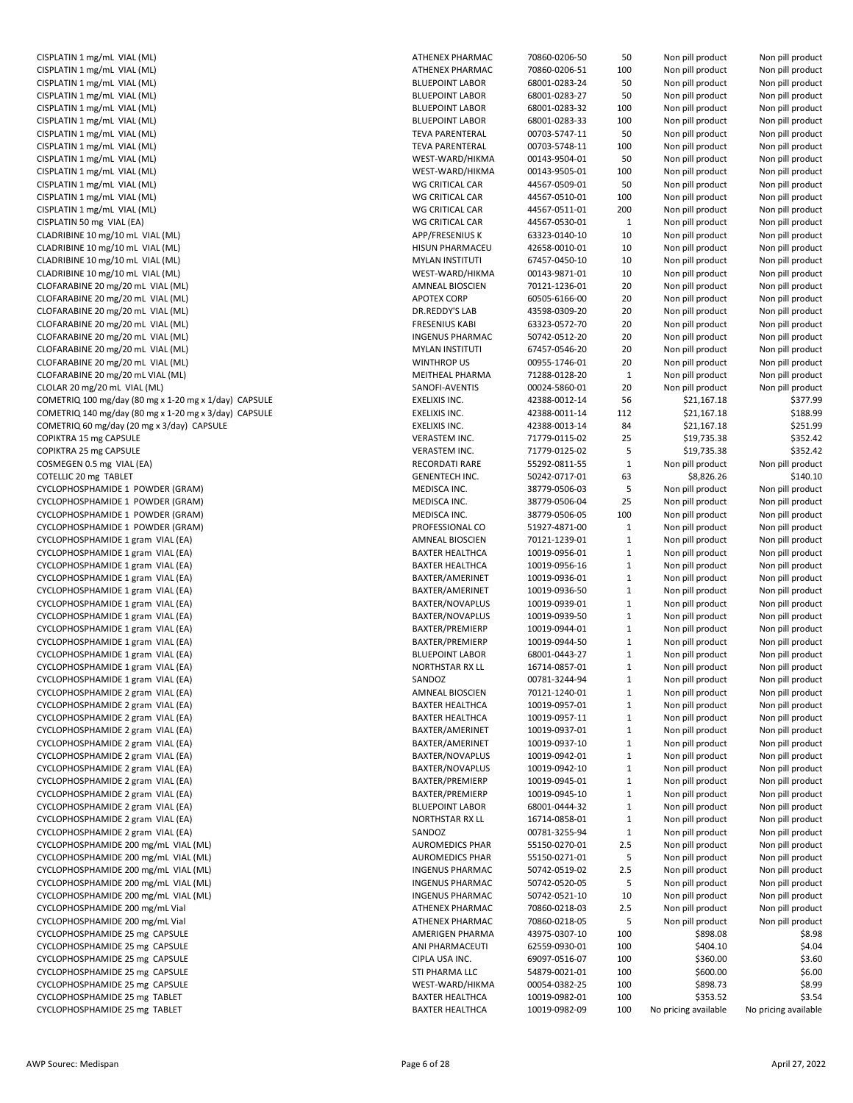| CISPLATIN 1 mg/mL VIAL (ML)                                                  | ATHEI                        |
|------------------------------------------------------------------------------|------------------------------|
| CISPLATIN 1 mg/mL VIAL (ML)                                                  | <b>ATHEI</b>                 |
| CISPLATIN 1 mg/mL VIAL (ML)                                                  | <b>BLUEF</b>                 |
| CISPLATIN 1 mg/mL VIAL (ML)                                                  | <b>BLUEF</b>                 |
| CISPLATIN 1 mg/mL VIAL (ML)                                                  | <b>BLUEF</b>                 |
| CISPLATIN 1 mg/mL VIAL (ML)                                                  | <b>BLUEF</b>                 |
| CISPLATIN 1 mg/mL VIAL (ML)                                                  | <b>TEVA</b>                  |
| CISPLATIN 1 mg/mL VIAL (ML)                                                  | TEVA                         |
| CISPLATIN 1 mg/mL VIAL (ML)                                                  | WEST                         |
| CISPLATIN 1 mg/mL VIAL (ML)                                                  | WEST                         |
| CISPLATIN 1 mg/mL VIAL (ML)                                                  | WG C                         |
| CISPLATIN 1 mg/mL VIAL (ML)                                                  | WG C                         |
| CISPLATIN 1 mg/mL VIAL (ML)                                                  | WG C                         |
| CISPLATIN 50 mg VIAL (EA)                                                    | WG C                         |
| CLADRIBINE 10 mg/10 mL VIAL (ML)                                             | APP/F                        |
| CLADRIBINE 10 mg/10 mL VIAL (ML)                                             | <b>HISUN</b>                 |
| CLADRIBINE 10 mg/10 mL VIAL (ML)                                             | MYLA                         |
| CLADRIBINE 10 mg/10 mL VIAL (ML)                                             | WEST                         |
| CLOFARABINE 20 mg/20 mL VIAL (ML)                                            | AMNE                         |
| CLOFARABINE 20 mg/20 mL VIAL (ML)                                            | <b>APOT</b>                  |
| CLOFARABINE 20 mg/20 mL VIAL (ML)                                            | DR.RE<br><b>FRESE</b>        |
| CLOFARABINE 20 mg/20 mL VIAL (ML)<br>CLOFARABINE 20 mg/20 mL VIAL (ML)       | <b>INGEN</b>                 |
| CLOFARABINE 20 mg/20 mL VIAL (ML)                                            | <b>MYLA</b>                  |
| CLOFARABINE 20 mg/20 mL VIAL (ML)                                            | <b>WINT</b>                  |
| CLOFARABINE 20 mg/20 mL VIAL (ML)                                            | MEITH                        |
| CLOLAR 20 mg/20 mL VIAL (ML)                                                 | SANO                         |
| COMETRIQ 100 mg/day (80 mg x 1-20 mg x 1/day) CAPSULE                        | EXELI)                       |
| COMETRIQ 140 mg/day (80 mg x 1-20 mg x 3/day) CAPSULE                        | EXELI)                       |
| COMETRIQ 60 mg/day (20 mg x 3/day) CAPSULE                                   | EXELI)                       |
| COPIKTRA 15 mg CAPSULE                                                       | <b>VERAS</b>                 |
| COPIKTRA 25 mg CAPSULE                                                       | <b>VERAS</b>                 |
| COSMEGEN 0.5 mg VIAL (EA)                                                    | <b>RECO</b>                  |
| COTELLIC 20 mg TABLET                                                        | <b>GENE</b>                  |
| CYCLOPHOSPHAMIDE 1 POWDER (GRAM)                                             | MEDI:                        |
| CYCLOPHOSPHAMIDE 1 POWDER (GRAM)                                             | MEDI:                        |
| CYCLOPHOSPHAMIDE 1 POWDER (GRAM)                                             | MEDI:                        |
| CYCLOPHOSPHAMIDE 1 POWDER (GRAM)                                             | <b>PROFI</b>                 |
| CYCLOPHOSPHAMIDE 1 gram VIAL (EA)                                            | AMNE                         |
| CYCLOPHOSPHAMIDE 1 gram VIAL (EA)                                            | <b>BAXTI</b>                 |
| CYCLOPHOSPHAMIDE 1 gram VIAL (EA)                                            | <b>BAXTI</b>                 |
| CYCLOPHOSPHAMIDE 1 gram VIAL (EA)                                            | <b>BAXTI</b>                 |
| CYCLOPHOSPHAMIDE 1 gram VIAL (EA)                                            | <b>BAXTE</b>                 |
| CYCLOPHOSPHAMIDE 1 gram VIAL (EA)                                            | <b>BAXTE</b>                 |
| CYCLOPHOSPHAMIDE 1 gram VIAL (EA)                                            | <b>BAXTE</b>                 |
| CYCLOPHOSPHAMIDE 1 gram VIAL (EA)                                            | <b>BAXTE</b>                 |
| CYCLOPHOSPHAMIDE 1 gram VIAL (EA)                                            | <b>BAXTE</b>                 |
| CYCLOPHOSPHAMIDE 1 gram VIAL (EA)                                            | <b>BLUEF</b>                 |
| CYCLOPHOSPHAMIDE 1 gram VIAL (EA)                                            | <b>NORT</b>                  |
| CYCLOPHOSPHAMIDE 1 gram VIAL (EA)                                            | SAND                         |
| CYCLOPHOSPHAMIDE 2 gram VIAL (EA)                                            | AMNE                         |
| CYCLOPHOSPHAMIDE 2 gram VIAL (EA)                                            | <b>BAXTI</b>                 |
| CYCLOPHOSPHAMIDE 2 gram VIAL (EA)                                            | <b>BAXTI</b>                 |
| CYCLOPHOSPHAMIDE 2 gram VIAL (EA)                                            | <b>BAXTI</b>                 |
| CYCLOPHOSPHAMIDE 2 gram VIAL (EA)                                            | <b>BAXTE</b>                 |
| CYCLOPHOSPHAMIDE 2 gram VIAL (EA)                                            | <b>BAXTI</b>                 |
| CYCLOPHOSPHAMIDE 2 gram VIAL (EA)                                            | <b>BAXTE</b>                 |
| CYCLOPHOSPHAMIDE 2 gram VIAL (EA)                                            | <b>BAXTE</b>                 |
| CYCLOPHOSPHAMIDE 2 gram VIAL (EA)                                            | <b>BAXTI</b>                 |
| CYCLOPHOSPHAMIDE 2 gram VIAL (EA)                                            | <b>BLUEF</b>                 |
| CYCLOPHOSPHAMIDE 2 gram VIAL (EA)                                            | <b>NORT</b>                  |
| CYCLOPHOSPHAMIDE 2 gram VIAL (EA)                                            | SAND                         |
| CYCLOPHOSPHAMIDE 200 mg/mL VIAL (ML)<br>CYCLOPHOSPHAMIDE 200 mg/mL VIAL (ML) | AURO<br>AURO                 |
|                                                                              |                              |
| CYCLOPHOSPHAMIDE 200 mg/mL VIAL (ML)<br>CYCLOPHOSPHAMIDE 200 mg/mL VIAL (ML) | <b>INGEN</b><br><b>INGEN</b> |
| CYCLOPHOSPHAMIDE 200 mg/mL VIAL (ML)                                         | <b>INGEN</b>                 |
| CYCLOPHOSPHAMIDE 200 mg/mL Vial                                              | ATHEI                        |
| CYCLOPHOSPHAMIDE 200 mg/mL Vial                                              | ATHEI                        |
| CYCLOPHOSPHAMIDE 25 mg CAPSULE                                               | AMER                         |
| CYCLOPHOSPHAMIDE 25 mg CAPSULE                                               | ANI PI                       |
| CYCLOPHOSPHAMIDE 25 mg CAPSULE                                               | <b>CIPLA</b>                 |
| CYCLOPHOSPHAMIDE 25 mg CAPSULE                                               | STI PH                       |
| CYCLOPHOSPHAMIDE 25 mg CAPSULE                                               | WEST                         |
| CYCLOPHOSPHAMIDE 25 mg TABLET                                                | <b>BAXTE</b>                 |
| CYCLOPHOSPHAMIDE 25 mg TABLET                                                | <b>BAXTI</b>                 |

| CISPLATIN 1 mg/mL VIAL (ML)                           | <b>ATHENEX PHARMAC</b> | 70860-0206-50 | 50           | Non pill product     | Non pill product     |
|-------------------------------------------------------|------------------------|---------------|--------------|----------------------|----------------------|
| CISPLATIN 1 mg/mL VIAL (ML)                           | <b>ATHENEX PHARMAC</b> | 70860-0206-51 | 100          | Non pill product     | Non pill product     |
| CISPLATIN 1 mg/mL VIAL (ML)                           | <b>BLUEPOINT LABOR</b> | 68001-0283-24 | 50           | Non pill product     | Non pill product     |
| CISPLATIN 1 mg/mL VIAL (ML)                           | <b>BLUEPOINT LABOR</b> | 68001-0283-27 | 50           | Non pill product     | Non pill product     |
| CISPLATIN 1 mg/mL VIAL (ML)                           | <b>BLUEPOINT LABOR</b> | 68001-0283-32 | 100          | Non pill product     | Non pill product     |
| CISPLATIN 1 mg/mL VIAL (ML)                           | <b>BLUEPOINT LABOR</b> | 68001-0283-33 | 100          | Non pill product     | Non pill product     |
| CISPLATIN 1 mg/mL VIAL (ML)                           | <b>TEVA PARENTERAL</b> | 00703-5747-11 | 50           | Non pill product     | Non pill product     |
| CISPLATIN 1 mg/mL VIAL (ML)                           | <b>TEVA PARENTERAL</b> | 00703-5748-11 | 100          | Non pill product     | Non pill product     |
|                                                       |                        |               |              |                      |                      |
| CISPLATIN 1 mg/mL VIAL (ML)                           | WEST-WARD/HIKMA        | 00143-9504-01 | 50           | Non pill product     | Non pill product     |
| CISPLATIN 1 mg/mL VIAL (ML)                           | WEST-WARD/HIKMA        | 00143-9505-01 | 100          | Non pill product     | Non pill product     |
| CISPLATIN 1 mg/mL VIAL (ML)                           | WG CRITICAL CAR        | 44567-0509-01 | 50           | Non pill product     | Non pill product     |
| CISPLATIN 1 mg/mL VIAL (ML)                           | WG CRITICAL CAR        | 44567-0510-01 | 100          | Non pill product     | Non pill product     |
| CISPLATIN 1 mg/mL VIAL (ML)                           | WG CRITICAL CAR        | 44567-0511-01 | 200          | Non pill product     | Non pill product     |
| CISPLATIN 50 mg VIAL (EA)                             | WG CRITICAL CAR        | 44567-0530-01 | $\mathbf{1}$ | Non pill product     | Non pill product     |
| CLADRIBINE 10 mg/10 mL VIAL (ML)                      | APP/FRESENIUS K        | 63323-0140-10 | 10           | Non pill product     | Non pill product     |
| CLADRIBINE 10 mg/10 mL VIAL (ML)                      | <b>HISUN PHARMACEU</b> | 42658-0010-01 | 10           | Non pill product     | Non pill product     |
| CLADRIBINE 10 mg/10 mL VIAL (ML)                      | <b>MYLAN INSTITUTI</b> | 67457-0450-10 | 10           | Non pill product     | Non pill product     |
|                                                       |                        |               |              |                      |                      |
| CLADRIBINE 10 mg/10 mL VIAL (ML)                      | WEST-WARD/HIKMA        | 00143-9871-01 | 10           | Non pill product     | Non pill product     |
| CLOFARABINE 20 mg/20 mL VIAL (ML)                     | AMNEAL BIOSCIEN        | 70121-1236-01 | 20           | Non pill product     | Non pill product     |
| CLOFARABINE 20 mg/20 mL VIAL (ML)                     | <b>APOTEX CORP</b>     | 60505-6166-00 | 20           | Non pill product     | Non pill product     |
| CLOFARABINE 20 mg/20 mL VIAL (ML)                     | DR.REDDY'S LAB         | 43598-0309-20 | 20           | Non pill product     | Non pill product     |
| CLOFARABINE 20 mg/20 mL VIAL (ML)                     | <b>FRESENIUS KABI</b>  | 63323-0572-70 | 20           | Non pill product     | Non pill product     |
| CLOFARABINE 20 mg/20 mL VIAL (ML)                     | <b>INGENUS PHARMAC</b> | 50742-0512-20 | 20           | Non pill product     | Non pill product     |
| CLOFARABINE 20 mg/20 mL VIAL (ML)                     | <b>MYLAN INSTITUTI</b> | 67457-0546-20 | 20           | Non pill product     | Non pill product     |
| CLOFARABINE 20 mg/20 mL VIAL (ML)                     | <b>WINTHROP US</b>     | 00955-1746-01 | 20           | Non pill product     | Non pill product     |
| CLOFARABINE 20 mg/20 mL VIAL (ML)                     | MEITHEAL PHARMA        | 71288-0128-20 | $\mathbf{1}$ |                      |                      |
|                                                       |                        |               |              | Non pill product     | Non pill product     |
| CLOLAR 20 mg/20 mL VIAL (ML)                          | SANOFI-AVENTIS         | 00024-5860-01 | 20           | Non pill product     | Non pill product     |
| COMETRIQ 100 mg/day (80 mg x 1-20 mg x 1/day) CAPSULE | <b>EXELIXIS INC.</b>   | 42388-0012-14 | 56           | \$21,167.18          | \$377.99             |
| COMETRIQ 140 mg/day (80 mg x 1-20 mg x 3/day) CAPSULE | <b>EXELIXIS INC.</b>   | 42388-0011-14 | 112          | \$21,167.18          | \$188.99             |
| COMETRIQ 60 mg/day (20 mg x 3/day) CAPSULE            | EXELIXIS INC.          | 42388-0013-14 | 84           | \$21,167.18          | \$251.99             |
| COPIKTRA 15 mg CAPSULE                                | VERASTEM INC.          | 71779-0115-02 | 25           | \$19,735.38          | \$352.42             |
| COPIKTRA 25 mg CAPSULE                                | VERASTEM INC.          | 71779-0125-02 | 5            | \$19,735.38          | \$352.42             |
| COSMEGEN 0.5 mg VIAL (EA)                             | RECORDATI RARE         | 55292-0811-55 | $\mathbf{1}$ | Non pill product     | Non pill product     |
| COTELLIC 20 mg TABLET                                 | <b>GENENTECH INC.</b>  | 50242-0717-01 | 63           | \$8,826.26           | \$140.10             |
|                                                       |                        |               |              |                      |                      |
| CYCLOPHOSPHAMIDE 1 POWDER (GRAM)                      | MEDISCA INC.           | 38779-0506-03 | 5            | Non pill product     | Non pill product     |
| CYCLOPHOSPHAMIDE 1 POWDER (GRAM)                      | MEDISCA INC.           | 38779-0506-04 | 25           | Non pill product     | Non pill product     |
| CYCLOPHOSPHAMIDE 1 POWDER (GRAM)                      | MEDISCA INC.           | 38779-0506-05 | 100          | Non pill product     | Non pill product     |
| CYCLOPHOSPHAMIDE 1 POWDER (GRAM)                      | PROFESSIONAL CO        | 51927-4871-00 | $\mathbf{1}$ | Non pill product     | Non pill product     |
| CYCLOPHOSPHAMIDE 1 gram VIAL (EA)                     | AMNEAL BIOSCIEN        | 70121-1239-01 | $\mathbf{1}$ | Non pill product     | Non pill product     |
| CYCLOPHOSPHAMIDE 1 gram VIAL (EA)                     | <b>BAXTER HEALTHCA</b> | 10019-0956-01 | $\mathbf{1}$ | Non pill product     | Non pill product     |
| CYCLOPHOSPHAMIDE 1 gram VIAL (EA)                     | <b>BAXTER HEALTHCA</b> | 10019-0956-16 | $\mathbf{1}$ | Non pill product     | Non pill product     |
| CYCLOPHOSPHAMIDE 1 gram VIAL (EA)                     | BAXTER/AMERINET        | 10019-0936-01 | $\mathbf{1}$ | Non pill product     | Non pill product     |
| CYCLOPHOSPHAMIDE 1 gram VIAL (EA)                     | BAXTER/AMERINET        | 10019-0936-50 | $\mathbf{1}$ | Non pill product     | Non pill product     |
|                                                       |                        | 10019-0939-01 |              | Non pill product     |                      |
| CYCLOPHOSPHAMIDE 1 gram VIAL (EA)                     | BAXTER/NOVAPLUS        |               | $\mathbf{1}$ |                      | Non pill product     |
| CYCLOPHOSPHAMIDE 1 gram VIAL (EA)                     | <b>BAXTER/NOVAPLUS</b> | 10019-0939-50 | $\mathbf{1}$ | Non pill product     | Non pill product     |
| CYCLOPHOSPHAMIDE 1 gram VIAL (EA)                     | BAXTER/PREMIERP        | 10019-0944-01 | $\mathbf{1}$ | Non pill product     | Non pill product     |
| CYCLOPHOSPHAMIDE 1 gram VIAL (EA)                     | BAXTER/PREMIERP        | 10019-0944-50 | $\mathbf{1}$ | Non pill product     | Non pill product     |
| CYCLOPHOSPHAMIDE 1 gram VIAL (EA)                     | <b>BLUEPOINT LABOR</b> | 68001-0443-27 | $\mathbf{1}$ | Non pill product     | Non pill product     |
| CYCLOPHOSPHAMIDE 1 gram VIAL (EA)                     | NORTHSTAR RX LL        | 16714-0857-01 | $\mathbf{1}$ | Non pill product     | Non pill product     |
| CYCLOPHOSPHAMIDE 1 gram VIAL (EA)                     | SANDOZ                 | 00781-3244-94 | $\mathbf{1}$ | Non pill product     | Non pill product     |
| CYCLOPHOSPHAMIDE 2 gram VIAL (EA)                     | AMNEAL BIOSCIEN        | 70121-1240-01 | $\mathbf{1}$ | Non pill product     | Non pill product     |
| CYCLOPHOSPHAMIDE 2 gram VIAL (EA)                     | <b>BAXTER HEALTHCA</b> | 10019-0957-01 | $\mathbf{1}$ | Non pill product     | Non pill product     |
|                                                       |                        |               |              |                      |                      |
| CYCLOPHOSPHAMIDE 2 gram VIAL (EA)                     | <b>BAXTER HEALTHCA</b> | 10019-0957-11 | $\mathbf{1}$ | Non pill product     | Non pill product     |
| CYCLOPHOSPHAMIDE 2 gram VIAL (EA)                     | BAXTER/AMERINET        | 10019-0937-01 | $\mathbf{1}$ | Non pill product     | Non pill product     |
| CYCLOPHOSPHAMIDE 2 gram VIAL (EA)                     | BAXTER/AMERINET        | 10019-0937-10 | $\mathbf{1}$ | Non pill product     | Non pill product     |
| CYCLOPHOSPHAMIDE 2 gram VIAL (EA)                     | <b>BAXTER/NOVAPLUS</b> | 10019-0942-01 | $\mathbf{1}$ | Non pill product     | Non pill product     |
| CYCLOPHOSPHAMIDE 2 gram VIAL (EA)                     | <b>BAXTER/NOVAPLUS</b> | 10019-0942-10 | $\mathbf{1}$ | Non pill product     | Non pill product     |
| CYCLOPHOSPHAMIDE 2 gram VIAL (EA)                     | BAXTER/PREMIERP        | 10019-0945-01 | $\mathbf{1}$ | Non pill product     | Non pill product     |
| CYCLOPHOSPHAMIDE 2 gram VIAL (EA)                     | BAXTER/PREMIERP        | 10019-0945-10 | $\mathbf{1}$ | Non pill product     | Non pill product     |
| CYCLOPHOSPHAMIDE 2 gram VIAL (EA)                     | <b>BLUEPOINT LABOR</b> | 68001-0444-32 | $\mathbf{1}$ | Non pill product     | Non pill product     |
|                                                       |                        |               |              |                      |                      |
| CYCLOPHOSPHAMIDE 2 gram VIAL (EA)                     | NORTHSTAR RX LL        | 16714-0858-01 | $\mathbf{1}$ | Non pill product     | Non pill product     |
| CYCLOPHOSPHAMIDE 2 gram VIAL (EA)                     | SANDOZ                 | 00781-3255-94 | $\mathbf{1}$ | Non pill product     | Non pill product     |
| CYCLOPHOSPHAMIDE 200 mg/mL VIAL (ML)                  | <b>AUROMEDICS PHAR</b> | 55150-0270-01 | 2.5          | Non pill product     | Non pill product     |
| CYCLOPHOSPHAMIDE 200 mg/mL VIAL (ML)                  | <b>AUROMEDICS PHAR</b> | 55150-0271-01 | 5            | Non pill product     | Non pill product     |
| CYCLOPHOSPHAMIDE 200 mg/mL VIAL (ML)                  | <b>INGENUS PHARMAC</b> | 50742-0519-02 | 2.5          | Non pill product     | Non pill product     |
| CYCLOPHOSPHAMIDE 200 mg/mL VIAL (ML)                  | <b>INGENUS PHARMAC</b> | 50742-0520-05 | 5            | Non pill product     | Non pill product     |
| CYCLOPHOSPHAMIDE 200 mg/mL VIAL (ML)                  | <b>INGENUS PHARMAC</b> | 50742-0521-10 | 10           | Non pill product     | Non pill product     |
| CYCLOPHOSPHAMIDE 200 mg/mL Vial                       | ATHENEX PHARMAC        | 70860-0218-03 | 2.5          | Non pill product     | Non pill product     |
| CYCLOPHOSPHAMIDE 200 mg/mL Vial                       |                        |               |              |                      |                      |
|                                                       | ATHENEX PHARMAC        | 70860-0218-05 | 5            | Non pill product     | Non pill product     |
| CYCLOPHOSPHAMIDE 25 mg CAPSULE                        | AMERIGEN PHARMA        | 43975-0307-10 | 100          | \$898.08             | \$8.98               |
| CYCLOPHOSPHAMIDE 25 mg CAPSULE                        | ANI PHARMACEUTI        | 62559-0930-01 | 100          | \$404.10             | \$4.04               |
| CYCLOPHOSPHAMIDE 25 mg CAPSULE                        | CIPLA USA INC.         | 69097-0516-07 | 100          | \$360.00             | \$3.60               |
| CYCLOPHOSPHAMIDE 25 mg CAPSULE                        | STI PHARMA LLC         | 54879-0021-01 | 100          | \$600.00             | \$6.00               |
| CYCLOPHOSPHAMIDE 25 mg CAPSULE                        | WEST-WARD/HIKMA        | 00054-0382-25 | 100          | \$898.73             | \$8.99               |
| CYCLOPHOSPHAMIDE 25 mg TABLET                         | <b>BAXTER HEALTHCA</b> | 10019-0982-01 | 100          | \$353.52             | \$3.54               |
| CYCLOPHOSPHAMIDE 25 mg TABLET                         | <b>BAXTER HEALTHCA</b> | 10019-0982-09 | 100          | No pricing available | No pricing available |
|                                                       |                        |               |              |                      |                      |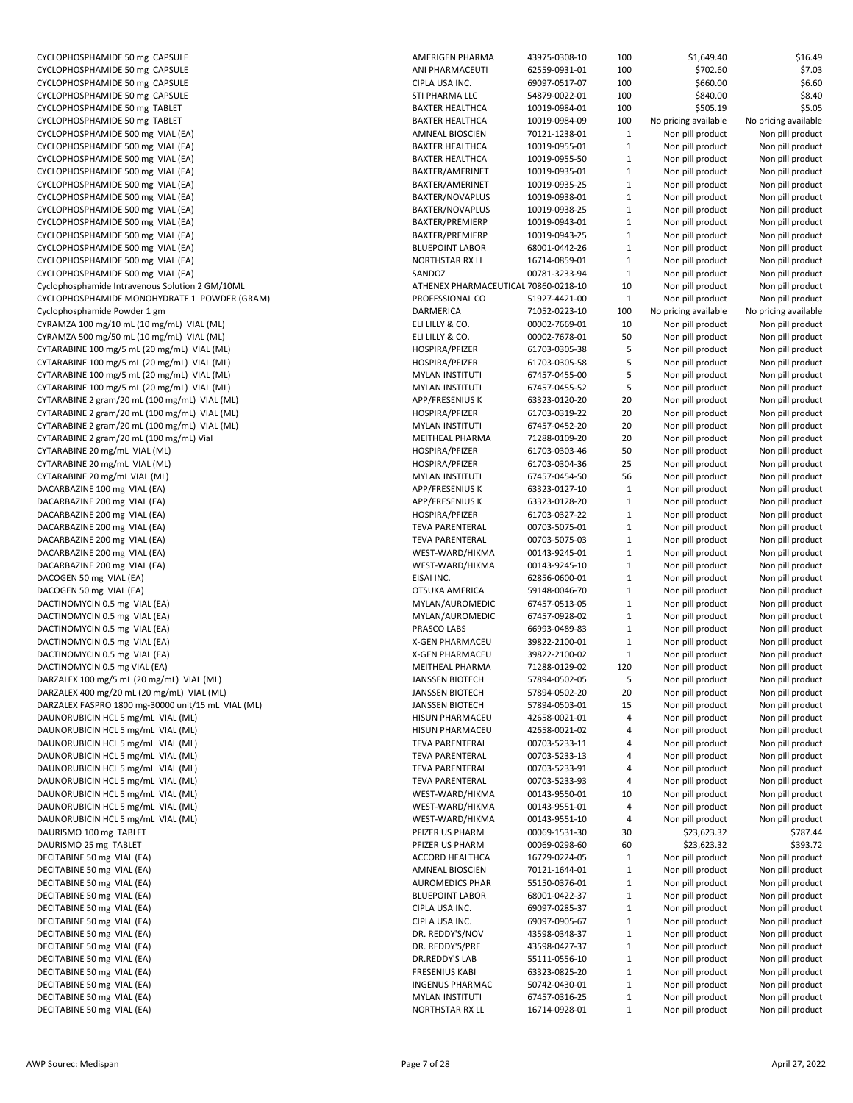| CYCLOPHOSPHAMIDE 50 mg CAPSULE                           | AM              |
|----------------------------------------------------------|-----------------|
| CYCLOPHOSPHAMIDE 50 mg CAPSULE                           | AN              |
| CYCLOPHOSPHAMIDE 50 mg CAPSULE                           | <b>CIP</b>      |
| CYCLOPHOSPHAMIDE 50 mg CAPSULE                           | STI             |
| CYCLOPHOSPHAMIDE 50 mg TABLET                            | BA)             |
| CYCLOPHOSPHAMIDE 50 mg TABLET                            | BA)             |
| CYCLOPHOSPHAMIDE 500 mg VIAL (EA)                        | AM              |
|                                                          | BA)             |
| CYCLOPHOSPHAMIDE 500 mg VIAL (EA)                        |                 |
| CYCLOPHOSPHAMIDE 500 mg VIAL (EA)                        | BA)             |
| CYCLOPHOSPHAMIDE 500 mg VIAL (EA)                        | BA)             |
| CYCLOPHOSPHAMIDE 500 mg VIAL (EA)                        | BA)             |
| CYCLOPHOSPHAMIDE 500 mg VIAL (EA)                        | BA)             |
| CYCLOPHOSPHAMIDE 500 mg VIAL (EA)                        | BA)             |
| CYCLOPHOSPHAMIDE 500 mg VIAL (EA)                        | BA)             |
| CYCLOPHOSPHAMIDE 500 mg VIAL (EA)                        | BA)             |
| CYCLOPHOSPHAMIDE 500 mg VIAL (EA)                        | <b>BLI</b>      |
|                                                          | NO              |
| CYCLOPHOSPHAMIDE 500 mg VIAL (EA)                        |                 |
| CYCLOPHOSPHAMIDE 500 mg VIAL (EA)                        | SAI             |
| Cyclophosphamide Intravenous Solution 2 GM/10ML          | ATI             |
| CYCLOPHOSPHAMIDE MONOHYDRATE 1 POWDER (GRAM)             | PR <sub>0</sub> |
| Cyclophosphamide Powder 1 gm                             | DA              |
| CYRAMZA 100 mg/10 mL (10 mg/mL) VIAL (ML)                | ELI             |
| CYRAMZA 500 mg/50 mL (10 mg/mL) VIAL (ML)                | ELI             |
| CYTARABINE 100 mg/5 mL (20 mg/mL) VIAL (ML)              | HO              |
| CYTARABINE 100 mg/5 mL (20 mg/mL) VIAL (ML)              | HO              |
|                                                          |                 |
| CYTARABINE 100 mg/5 mL (20 mg/mL) VIAL (ML)              | MY              |
| CYTARABINE 100 mg/5 mL (20 mg/mL) VIAL (ML)              | MY              |
| CYTARABINE 2 gram/20 mL (100 mg/mL) VIAL (ML)            | API             |
| CYTARABINE 2 gram/20 mL (100 mg/mL) VIAL (ML)            | HO              |
| CYTARABINE 2 gram/20 mL (100 mg/mL) VIAL (ML)            | MY              |
| CYTARABINE 2 gram/20 mL (100 mg/mL) Vial                 | ME              |
| CYTARABINE 20 mg/mL VIAL (ML)                            | HO              |
| CYTARABINE 20 mg/mL VIAL (ML)                            | HO              |
|                                                          | MY              |
| CYTARABINE 20 mg/mL VIAL (ML)                            |                 |
| DACARBAZINE 100 mg VIAL (EA)                             | API             |
| DACARBAZINE 200 mg VIAL (EA)                             | API             |
| DACARBAZINE 200 mg VIAL (EA)                             | HO              |
| DACARBAZINE 200 mg VIAL (EA)                             | TE۱             |
|                                                          |                 |
| DACARBAZINE 200 mg VIAL (EA)                             | TE۱             |
|                                                          | WE              |
| DACARBAZINE 200 mg VIAL (EA)                             |                 |
| DACARBAZINE 200 mg VIAL (EA)                             | WE              |
| DACOGEN 50 mg VIAL (EA)                                  | EIS.            |
| DACOGEN 50 mg VIAL (EA)                                  | OT:             |
| DACTINOMYCIN 0.5 mg VIAL (EA)                            | MY              |
| DACTINOMYCIN 0.5 mg VIAL (EA)                            | MY              |
| DACTINOMYCIN 0.5 mg VIAL (EA)                            | PR/             |
| DACTINOMYCIN 0.5 mg VIAL (EA)                            | X-G             |
| DACTINOMYCIN 0.5 mg VIAL (EA)                            | X-G             |
|                                                          |                 |
| DACTINOMYCIN 0.5 mg VIAL (EA)                            | ME              |
| DARZALEX 100 mg/5 mL (20 mg/mL) VIAL (ML)                | JA۱             |
| DARZALEX 400 mg/20 mL (20 mg/mL) VIAL (ML)               | JA۱             |
| DARZALEX FASPRO 1800 mg-30000 unit/15 mL VIAL (ML)       | JA۱             |
| DAUNORUBICIN HCL 5 mg/mL VIAL (ML)                       | HIS             |
| DAUNORUBICIN HCL 5 mg/mL VIAL (ML)                       | HIS             |
| DAUNORUBICIN HCL 5 mg/mL VIAL (ML)                       | TE۱             |
|                                                          |                 |
| DAUNORUBICIN HCL 5 mg/mL VIAL (ML)                       | TE۱             |
| DAUNORUBICIN HCL 5 mg/mL VIAL (ML)                       | TE۱             |
| DAUNORUBICIN HCL 5 mg/mL VIAL (ML)                       | TE۱             |
| DAUNORUBICIN HCL 5 mg/mL VIAL (ML)                       | WE              |
| DAUNORUBICIN HCL 5 mg/mL VIAL (ML)                       | WE              |
| DAUNORUBICIN HCL 5 mg/mL VIAL (ML)                       | WE              |
| DAURISMO 100 mg TABLET                                   | PFI             |
| DAURISMO 25 mg TABLET                                    | PFI             |
| DECITABINE 50 mg VIAL (EA)                               | AC              |
|                                                          | AM              |
| DECITABINE 50 mg VIAL (EA)                               |                 |
| DECITABINE 50 mg VIAL (EA)                               | AU              |
| DECITABINE 50 mg VIAL (EA)                               | <b>BLL</b>      |
| DECITABINE 50 mg VIAL (EA)                               | <b>CIP</b>      |
| DECITABINE 50 mg VIAL (EA)                               | <b>CIP</b>      |
| DECITABINE 50 mg VIAL (EA)                               | DR.             |
| DECITABINE 50 mg VIAL (EA)                               | DR.             |
| DECITABINE 50 mg VIAL (EA)                               | DR.             |
| DECITABINE 50 mg VIAL (EA)                               | <b>FRE</b>      |
|                                                          | <b>ING</b>      |
| DECITABINE 50 mg VIAL (EA)<br>DECITABINE 50 mg VIAL (EA) | MY              |

| CYCLOPHOSPHAMIDE 50 mg CAPSULE                     | AMERIGEN PHARMA                      | 43975-0308-10 | 100          | \$1,649.40                      | \$16.49              |
|----------------------------------------------------|--------------------------------------|---------------|--------------|---------------------------------|----------------------|
| CYCLOPHOSPHAMIDE 50 mg CAPSULE                     | ANI PHARMACEUTI                      | 62559-0931-01 | 100          | \$702.60                        | \$7.03               |
| CYCLOPHOSPHAMIDE 50 mg CAPSULE                     | CIPLA USA INC.                       | 69097-0517-07 | 100          | \$660.00                        | \$6.60               |
| CYCLOPHOSPHAMIDE 50 mg CAPSULE                     | STI PHARMA LLC                       | 54879-0022-01 | 100          | \$840.00                        | \$8.40               |
| CYCLOPHOSPHAMIDE 50 mg TABLET                      | <b>BAXTER HEALTHCA</b>               | 10019-0984-01 | 100          | \$505.19                        | \$5.05               |
| CYCLOPHOSPHAMIDE 50 mg TABLET                      | <b>BAXTER HEALTHCA</b>               | 10019-0984-09 | 100          | No pricing available            | No pricing available |
| CYCLOPHOSPHAMIDE 500 mg VIAL (EA)                  | <b>AMNEAL BIOSCIEN</b>               | 70121-1238-01 | 1            | Non pill product                | Non pill product     |
| CYCLOPHOSPHAMIDE 500 mg VIAL (EA)                  | <b>BAXTER HEALTHCA</b>               | 10019-0955-01 | $\mathbf{1}$ | Non pill product                | Non pill product     |
| CYCLOPHOSPHAMIDE 500 mg VIAL (EA)                  | <b>BAXTER HEALTHCA</b>               | 10019-0955-50 | $\mathbf{1}$ | Non pill product                | Non pill product     |
| CYCLOPHOSPHAMIDE 500 mg VIAL (EA)                  | BAXTER/AMERINET                      | 10019-0935-01 | $\mathbf{1}$ | Non pill product                | Non pill product     |
| CYCLOPHOSPHAMIDE 500 mg VIAL (EA)                  | BAXTER/AMERINET                      | 10019-0935-25 | $\mathbf{1}$ | Non pill product                | Non pill product     |
| CYCLOPHOSPHAMIDE 500 mg VIAL (EA)                  | <b>BAXTER/NOVAPLUS</b>               | 10019-0938-01 | $\mathbf{1}$ | Non pill product                | Non pill product     |
| CYCLOPHOSPHAMIDE 500 mg VIAL (EA)                  | BAXTER/NOVAPLUS                      | 10019-0938-25 | $\mathbf{1}$ | Non pill product                | Non pill product     |
| CYCLOPHOSPHAMIDE 500 mg VIAL (EA)                  | BAXTER/PREMIERP                      | 10019-0943-01 | $\mathbf{1}$ | Non pill product                | Non pill product     |
| CYCLOPHOSPHAMIDE 500 mg VIAL (EA)                  | BAXTER/PREMIERP                      | 10019-0943-25 | $\mathbf{1}$ | Non pill product                | Non pill product     |
| CYCLOPHOSPHAMIDE 500 mg VIAL (EA)                  | <b>BLUEPOINT LABOR</b>               | 68001-0442-26 | $\mathbf{1}$ | Non pill product                | Non pill product     |
| CYCLOPHOSPHAMIDE 500 mg VIAL (EA)                  | NORTHSTAR RX LL                      | 16714-0859-01 | $\mathbf{1}$ | Non pill product                | Non pill product     |
| CYCLOPHOSPHAMIDE 500 mg VIAL (EA)                  | SANDOZ                               | 00781-3233-94 | $\mathbf{1}$ | Non pill product                | Non pill product     |
| Cyclophosphamide Intravenous Solution 2 GM/10ML    | ATHENEX PHARMACEUTICAL 70860-0218-10 |               | 10           | Non pill product                | Non pill product     |
| CYCLOPHOSPHAMIDE MONOHYDRATE 1 POWDER (GRAM)       | PROFESSIONAL CO                      | 51927-4421-00 | $\mathbf{1}$ | Non pill product                | Non pill product     |
| Cyclophosphamide Powder 1 gm                       | DARMERICA                            | 71052-0223-10 | 100          | No pricing available            | No pricing available |
| CYRAMZA 100 mg/10 mL (10 mg/mL) VIAL (ML)          | ELI LILLY & CO.                      | 00002-7669-01 | 10           | Non pill product                | Non pill product     |
| CYRAMZA 500 mg/50 mL (10 mg/mL) VIAL (ML)          | ELI LILLY & CO.                      | 00002-7678-01 | 50           | Non pill product                | Non pill product     |
| CYTARABINE 100 mg/5 mL (20 mg/mL) VIAL (ML)        | HOSPIRA/PFIZER                       | 61703-0305-38 | 5            | Non pill product                | Non pill product     |
| CYTARABINE 100 mg/5 mL (20 mg/mL) VIAL (ML)        | HOSPIRA/PFIZER                       | 61703-0305-58 | 5            | Non pill product                | Non pill product     |
| CYTARABINE 100 mg/5 mL (20 mg/mL) VIAL (ML)        | <b>MYLAN INSTITUTI</b>               | 67457-0455-00 | 5            | Non pill product                | Non pill product     |
| CYTARABINE 100 mg/5 mL (20 mg/mL) VIAL (ML)        | <b>MYLAN INSTITUTI</b>               | 67457-0455-52 | 5            | Non pill product                | Non pill product     |
| CYTARABINE 2 gram/20 mL (100 mg/mL) VIAL (ML)      | <b>APP/FRESENIUS K</b>               | 63323-0120-20 | 20           | Non pill product                | Non pill product     |
| CYTARABINE 2 gram/20 mL (100 mg/mL) VIAL (ML)      | HOSPIRA/PFIZER                       | 61703-0319-22 | 20           | Non pill product                | Non pill product     |
| CYTARABINE 2 gram/20 mL (100 mg/mL) VIAL (ML)      | <b>MYLAN INSTITUTI</b>               | 67457-0452-20 | 20           | Non pill product                | Non pill product     |
| CYTARABINE 2 gram/20 mL (100 mg/mL) Vial           | MEITHEAL PHARMA                      | 71288-0109-20 | 20           | Non pill product                | Non pill product     |
| CYTARABINE 20 mg/mL VIAL (ML)                      | HOSPIRA/PFIZER                       | 61703-0303-46 | 50           | Non pill product                | Non pill product     |
| CYTARABINE 20 mg/mL VIAL (ML)                      | HOSPIRA/PFIZER                       | 61703-0304-36 | 25           | Non pill product                | Non pill product     |
| CYTARABINE 20 mg/mL VIAL (ML)                      | <b>MYLAN INSTITUTI</b>               | 67457-0454-50 | 56           | Non pill product                | Non pill product     |
| DACARBAZINE 100 mg VIAL (EA)                       | APP/FRESENIUS K                      | 63323-0127-10 | $\mathbf{1}$ | Non pill product                | Non pill product     |
| DACARBAZINE 200 mg VIAL (EA)                       | APP/FRESENIUS K                      | 63323-0128-20 | $\mathbf{1}$ | Non pill product                | Non pill product     |
| DACARBAZINE 200 mg VIAL (EA)                       | HOSPIRA/PFIZER                       | 61703-0327-22 | $\mathbf{1}$ | Non pill product                | Non pill product     |
| DACARBAZINE 200 mg VIAL (EA)                       | <b>TEVA PARENTERAL</b>               | 00703-5075-01 | $\mathbf{1}$ | Non pill product                | Non pill product     |
| DACARBAZINE 200 mg VIAL (EA)                       | <b>TEVA PARENTERAL</b>               | 00703-5075-03 | $\mathbf{1}$ | Non pill product                | Non pill product     |
| DACARBAZINE 200 mg VIAL (EA)                       | WEST-WARD/HIKMA                      | 00143-9245-01 | $\mathbf{1}$ | Non pill product                | Non pill product     |
| DACARBAZINE 200 mg VIAL (EA)                       | WEST-WARD/HIKMA                      | 00143-9245-10 | $\mathbf{1}$ | Non pill product                | Non pill product     |
| DACOGEN 50 mg VIAL (EA)                            | EISAI INC.                           | 62856-0600-01 | $\mathbf{1}$ | Non pill product                | Non pill product     |
| DACOGEN 50 mg VIAL (EA)                            | OTSUKA AMERICA                       | 59148-0046-70 | $\mathbf{1}$ | Non pill product                | Non pill product     |
| DACTINOMYCIN 0.5 mg VIAL (EA)                      | MYLAN/AUROMEDIC                      | 67457-0513-05 | $\mathbf{1}$ | Non pill product                | Non pill product     |
| DACTINOMYCIN 0.5 mg VIAL (EA)                      | MYLAN/AUROMEDIC                      | 67457-0928-02 | $\mathbf{1}$ | Non pill product                | Non pill product     |
| DACTINOMYCIN 0.5 mg VIAL (EA)                      | PRASCO LABS                          | 66993-0489-83 | $\mathbf{1}$ | Non pill product                | Non pill product     |
| DACTINOMYCIN 0.5 mg VIAL (EA)                      | <b>X-GEN PHARMACEU</b>               | 39822-2100-01 | $\mathbf{1}$ | Non pill product                | Non pill product     |
| DACTINOMYCIN 0.5 mg VIAL (EA)                      | X-GEN PHARMACEU                      | 39822-2100-02 | $\mathbf{1}$ | Non pill product                | Non pill product     |
| DACTINOMYCIN 0.5 mg VIAL (EA)                      | MEITHEAL PHARMA                      | 71288-0129-02 | 120          | Non pill product                | Non pill product     |
| DARZALEX 100 mg/5 mL (20 mg/mL) VIAL (ML)          | <b>JANSSEN BIOTECH</b>               | 57894-0502-05 | 5            | Non pill product                | Non pill product     |
| DARZALEX 400 mg/20 mL (20 mg/mL) VIAL (ML)         | <b>JANSSEN BIOTECH</b>               | 57894-0502-20 | 20           | Non pill product                | Non pill product     |
| DARZALEX FASPRO 1800 mg-30000 unit/15 mL VIAL (ML) | <b>JANSSEN BIOTECH</b>               | 57894-0503-01 | 15           | Non pill product                | Non pill product     |
| DAUNORUBICIN HCL 5 mg/mL VIAL (ML)                 | <b>HISUN PHARMACEU</b>               | 42658-0021-01 | 4            | Non pill product                | Non pill product     |
| DAUNORUBICIN HCL 5 mg/mL VIAL (ML)                 | HISUN PHARMACEU                      | 42658-0021-02 | 4            | Non pill product                | Non pill product     |
| DAUNORUBICIN HCL 5 mg/mL VIAL (ML)                 | <b>TEVA PARENTERAL</b>               | 00703-5233-11 | 4            | Non pill product                | Non pill product     |
| DAUNORUBICIN HCL 5 mg/mL VIAL (ML)                 | <b>TEVA PARENTERAL</b>               | 00703-5233-13 | 4            | Non pill product                | Non pill product     |
| DAUNORUBICIN HCL 5 mg/mL VIAL (ML)                 | <b>TEVA PARENTERAL</b>               | 00703-5233-91 | 4            | Non pill product                | Non pill product     |
| DAUNORUBICIN HCL 5 mg/mL VIAL (ML)                 | <b>TEVA PARENTERAL</b>               | 00703-5233-93 | 4            | Non pill product                | Non pill product     |
| DAUNORUBICIN HCL 5 mg/mL VIAL (ML)                 | WEST-WARD/HIKMA                      | 00143-9550-01 | 10           | Non pill product                | Non pill product     |
| DAUNORUBICIN HCL 5 mg/mL VIAL (ML)                 | WEST-WARD/HIKMA                      | 00143-9551-01 | 4            | Non pill product                | Non pill product     |
|                                                    | WEST-WARD/HIKMA                      |               | 4            |                                 |                      |
| DAUNORUBICIN HCL 5 mg/mL VIAL (ML)                 |                                      | 00143-9551-10 |              | Non pill product<br>\$23,623.32 | Non pill product     |
| DAURISMO 100 mg TABLET                             | PFIZER US PHARM                      | 00069-1531-30 | 30           | \$23,623.32                     | \$787.44             |
| DAURISMO 25 mg TABLET                              | PFIZER US PHARM                      | 00069-0298-60 | 60           |                                 | \$393.72             |
| DECITABINE 50 mg VIAL (EA)                         | ACCORD HEALTHCA                      | 16729-0224-05 | $\mathbf{1}$ | Non pill product                | Non pill product     |
| DECITABINE 50 mg VIAL (EA)                         | AMNEAL BIOSCIEN                      | 70121-1644-01 | $\mathbf{1}$ | Non pill product                | Non pill product     |
| DECITABINE 50 mg VIAL (EA)                         | <b>AUROMEDICS PHAR</b>               | 55150-0376-01 | $\mathbf{1}$ | Non pill product                | Non pill product     |
| DECITABINE 50 mg VIAL (EA)                         | <b>BLUEPOINT LABOR</b>               | 68001-0422-37 | $\mathbf{1}$ | Non pill product                | Non pill product     |
| DECITABINE 50 mg VIAL (EA)                         | CIPLA USA INC.                       | 69097-0285-37 | $\mathbf{1}$ | Non pill product                | Non pill product     |
| DECITABINE 50 mg VIAL (EA)                         | CIPLA USA INC.                       | 69097-0905-67 | $\mathbf{1}$ | Non pill product                | Non pill product     |
| DECITABINE 50 mg VIAL (EA)                         | DR. REDDY'S/NOV                      | 43598-0348-37 | $\mathbf{1}$ | Non pill product                | Non pill product     |
| DECITABINE 50 mg VIAL (EA)                         | DR. REDDY'S/PRE                      | 43598-0427-37 | $\mathbf{1}$ | Non pill product                | Non pill product     |
| DECITABINE 50 mg VIAL (EA)                         | DR.REDDY'S LAB                       | 55111-0556-10 | $\mathbf{1}$ | Non pill product                | Non pill product     |
| DECITABINE 50 mg VIAL (EA)                         | <b>FRESENIUS KABI</b>                | 63323-0825-20 | $\mathbf{1}$ | Non pill product                | Non pill product     |
| DECITABINE 50 mg VIAL (EA)                         | <b>INGENUS PHARMAC</b>               | 50742-0430-01 | $\mathbf{1}$ | Non pill product                | Non pill product     |
| DECITABINE 50 mg VIAL (EA)                         | <b>MYLAN INSTITUTI</b>               | 67457-0316-25 | $\mathbf{1}$ | Non pill product                | Non pill product     |
| DECITABINE 50 mg VIAL (EA)                         | NORTHSTAR RX LL                      | 16714-0928-01 | $\mathbf{1}$ | Non pill product                | Non pill product     |
|                                                    |                                      |               |              |                                 |                      |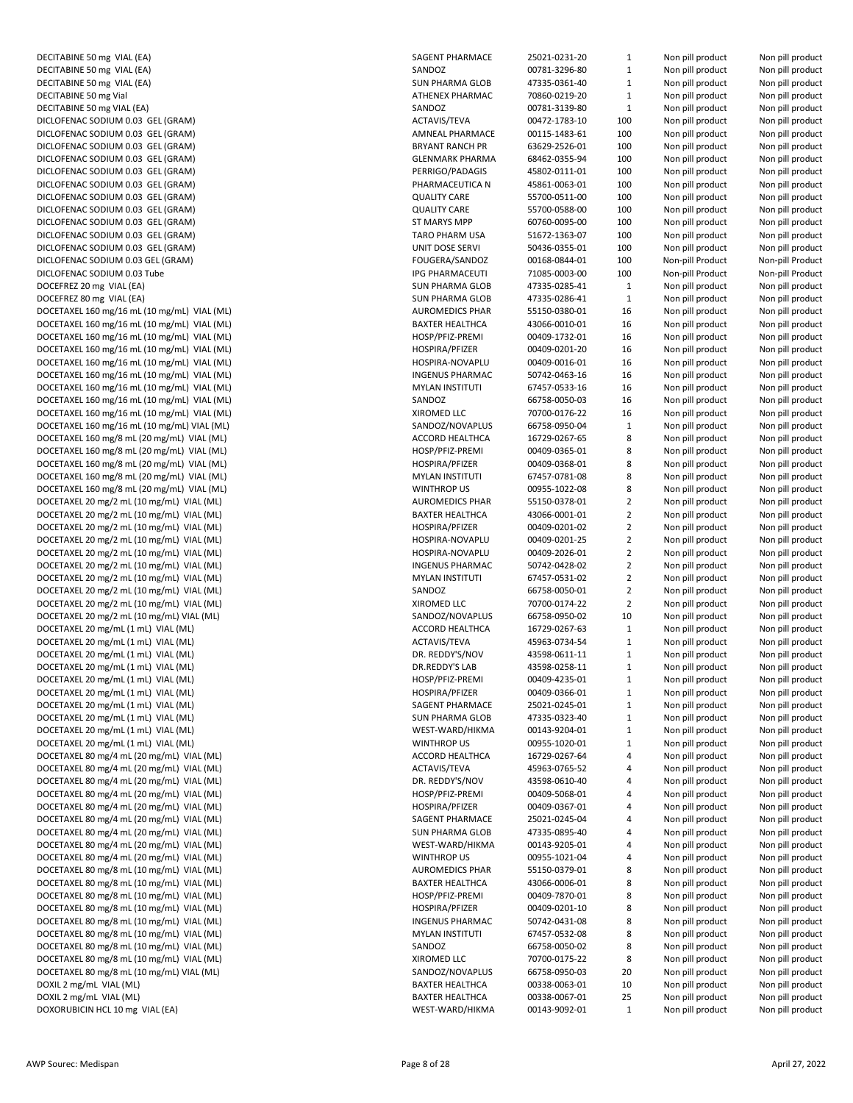DECITABINE 50 mg VIAL (EA) DECITABINE 50 mg VIAL (EA) DECITABINE 50 mg VIAL (EA) DECITABINE 50 mg Vial DECITABINE 50 mg VIAL (EA) DICLOFENAC SODIUM 0.03 GEL (GRAM) DICLOFENAC SODIUM 0.03 GEL (GRAM) DICLOFENAC SODIUM 0.03 GEL (GRAM) DICLOFENAC SODIUM 0.03 GEL (GRAM) DICLOFENAC SODIUM 0.03 GEL (GRAM) DICLOFENAC SODIUM 0.03 GEL (GRAM) DICLOFENAC SODIUM 0.03 GEL (GRAM) DICLOFENAC SODIUM 0.03 GEL (GRAM) DICLOFENAC SODIUM 0.03 GEL (GRAM) DICLOFENAC SODIUM 0.03 GEL (GRAM) DICLOFENAC SODIUM 0.03 GEL (GRAM) DICLOFENAC SODIUM 0.03 GEL (GRAM) DICLOFENAC SODIUM 0.03 Tube DOCEFREZ 20 mg VIAL (EA) DOCEFREZ 80 mg VIAL (EA) DOCETAXEL 160 mg/16 mL (10 mg/mL) VIAL (ML) DOCETAXEL 160 mg/16 mL (10 mg/mL) VIAL (ML) DOCETAXEL 160 mg/16 mL (10 mg/mL) VIAL (ML) DOCETAXEL 160 mg/16 mL (10 mg/mL) VIAL (ML) DOCETAXEL 160 mg/16 mL (10 mg/mL) VIAL (ML) DOCETAXEL 160 mg/16 mL (10 mg/mL) VIAL (ML) DOCETAXEL 160 mg/16 mL (10 mg/mL) VIAL (ML) DOCETAXEL 160 mg/16 mL (10 mg/mL) VIAL (ML) DOCETAXEL 160 mg/16 mL (10 mg/mL) VIAL (ML) DOCETAXEL 160 mg/16 mL (10 mg/mL) VIAL (ML) DOCETAXEL 160 mg/8 mL (20 mg/mL) VIAL (ML) DOCETAXEL 160 mg/8 mL (20 mg/mL) VIAL (ML) DOCETAXEL 160 mg/8 mL (20 mg/mL) VIAL (ML) DOCETAXEL 160 mg/8 mL (20 mg/mL) VIAL (ML) DOCETAXEL 160 mg/8 mL (20 mg/mL) VIAL (ML) DOCETAXEL 20 mg/2 mL (10 mg/mL) VIAL (ML) DOCETAXEL 20 mg/2 mL (10 mg/mL) VIAL (ML) DOCETAXEL 20 mg/2 mL (10 mg/mL) VIAL (ML) DOCETAXEL 20 mg/2 mL (10 mg/mL) VIAL (ML) DOCETAXEL 20 mg/2 mL (10 mg/mL) VIAL (ML) DOCETAXEL 20 mg/2 mL (10 mg/mL) VIAL (ML) DOCETAXEL 20 mg/2 mL (10 mg/mL) VIAL (ML) DOCETAXEL 20 mg/2 mL (10 mg/mL) VIAL (ML) DOCETAXEL 20 mg/2 mL (10 mg/mL) VIAL (ML) DOCETAXEL 20 mg/2 mL (10 mg/mL) VIAL (ML) DOCETAXEL 20 mg/mL (1 mL) VIAL (ML) DOCETAXEL 20 mg/mL (1 mL) VIAL (ML) DOCETAXEL 20 mg/mL (1 mL) VIAL (ML) DOCETAXEL 20 mg/mL (1 mL) VIAL (ML) DOCETAXEL 20 mg/mL (1 mL) VIAL (ML) DOCETAXEL 20 mg/mL (1 mL) VIAL (ML) DOCETAXEL 20 mg/mL (1 mL) VIAL (ML) DOCETAXEL 20 mg/mL (1 mL) VIAL (ML) DOCETAXEL 20 mg/mL (1 mL) VIAL (ML) DOCETAXEL 20 mg/mL (1 mL) VIAL (ML) DOCETAXEL 80 mg/4 mL (20 mg/mL) VIAL (ML) DOCETAXEL 80 mg/4 mL (20 mg/mL) VIAL (ML) DOCETAXEL 80 mg/4 mL (20 mg/mL) VIAL (ML) DOCETAXEL 80 mg/4 mL (20 mg/mL) VIAL (ML) DOCETAXEL 80 mg/4 mL (20 mg/mL) VIAL (ML) DOCETAXEL 80 mg/4 mL (20 mg/mL) VIAL (ML) DOCETAXEL 80 mg/4 mL (20 mg/mL) VIAL (ML) DOCETAXEL 80 mg/4 mL (20 mg/mL) VIAL (ML) DOCETAXEL 80 mg/4 mL (20 mg/mL) VIAL (ML) DOCETAXEL 80 mg/8 mL (10 mg/mL) VIAL (ML) DOCETAXEL 80 mg/8 mL (10 mg/mL) VIAL (ML) DOCETAXEL 80 mg/8 mL (10 mg/mL) VIAL (ML) DOCETAXEL 80 mg/8 mL (10 mg/mL) VIAL (ML) DOCETAXEL 80 mg/8 mL (10 mg/mL) VIAL (ML) DOCETAXEL 80 mg/8 mL (10 mg/mL) VIAL (ML) DOCETAXEL 80 mg/8 mL (10 mg/mL) VIAL (ML) DOCETAXEL 80 mg/8 mL (10 mg/mL) VIAL (ML) DOCETAXEL 80 mg/8 mL (10 mg/mL) VIAL (ML) DOXIL 2 mg/mL VIAL (ML) DOXIL 2 mg/mL VIAL (ML) DOXORUBICIN HCL 10 mg VIAL (EA)

| SAGENT PHARMACE        | 25021-0231-20                  | $\mathbf 1$    | Non pill product | Non pill product |
|------------------------|--------------------------------|----------------|------------------|------------------|
| SANDOZ                 | 00781-3296-80                  | $\mathbf{1}$   | Non pill product | Non pill product |
| <b>SUN PHARMA GLOB</b> | 47335-0361-40                  | $\mathbf{1}$   | Non pill product | Non pill product |
| ATHENEX PHARMAC        | 70860-0219-20                  | $\mathbf{1}$   | Non pill product | Non pill product |
| SANDOZ                 | 00781-3139-80                  | $\mathbf{1}$   | Non pill product | Non pill product |
| ACTAVIS/TEVA           | 00472-1783-10                  | 100            | Non pill product | Non pill product |
| <b>AMNEAL PHARMACE</b> | 00115-1483-61                  | 100            | Non pill product | Non pill product |
| <b>BRYANT RANCH PR</b> | 63629-2526-01                  | 100            | Non pill product | Non pill product |
| <b>GLENMARK PHARMA</b> | 68462-0355-94                  | 100            | Non pill product | Non pill product |
| PERRIGO/PADAGIS        | 45802-0111-01                  | 100            | Non pill product | Non pill product |
| PHARMACEUTICA N        | 45861-0063-01                  | 100            | Non pill product | Non pill product |
| <b>QUALITY CARE</b>    | 55700-0511-00                  | 100            | Non pill product | Non pill product |
| <b>QUALITY CARE</b>    | 55700-0588-00                  | 100            | Non pill product | Non pill product |
| <b>ST MARYS MPP</b>    | 60760-0095-00                  | 100            | Non pill product | Non pill product |
| <b>TARO PHARM USA</b>  | 51672-1363-07                  | 100            | Non pill product | Non pill product |
| <b>UNIT DOSE SERVI</b> | 50436-0355-01                  | 100            | Non pill product | Non pill product |
| FOUGERA/SANDOZ         | 00168-0844-01                  | 100            | Non-pill Product | Non-pill Product |
| <b>IPG PHARMACEUTI</b> | 71085-0003-00                  | 100            | Non-pill Product | Non-pill Product |
| <b>SUN PHARMA GLOB</b> | 47335-0285-41                  | 1              | Non pill product | Non pill product |
| <b>SUN PHARMA GLOB</b> | 47335-0286-41                  | $\mathbf 1$    | Non pill product | Non pill product |
| <b>AUROMEDICS PHAR</b> | 55150-0380-01                  | 16             | Non pill product | Non pill product |
| <b>BAXTER HEALTHCA</b> | 43066-0010-01                  | 16             | Non pill product | Non pill product |
| HOSP/PFIZ-PREMI        | 00409-1732-01                  | 16             | Non pill product | Non pill product |
| HOSPIRA/PFIZER         | 00409-0201-20                  | 16             | Non pill product | Non pill product |
| HOSPIRA-NOVAPLU        | 00409-0016-01                  | 16             | Non pill product | Non pill product |
| <b>INGENUS PHARMAC</b> | 50742-0463-16                  | 16             | Non pill product | Non pill product |
| <b>MYLAN INSTITUTI</b> | 67457-0533-16                  | 16             | Non pill product | Non pill product |
| SANDOZ                 | 66758-0050-03                  | 16             | Non pill product | Non pill product |
| XIROMED LLC            | 70700-0176-22                  | 16             | Non pill product | Non pill product |
| SANDOZ/NOVAPLUS        | 66758-0950-04                  | $\mathbf 1$    | Non pill product | Non pill product |
|                        |                                |                |                  | Non pill product |
| ACCORD HEALTHCA        | 16729-0267-65<br>00409-0365-01 | 8              | Non pill product |                  |
| HOSP/PFIZ-PREMI        |                                | 8              | Non pill product | Non pill product |
| HOSPIRA/PFIZER         | 00409-0368-01                  | 8              | Non pill product | Non pill product |
| <b>MYLAN INSTITUTI</b> | 67457-0781-08                  | 8              | Non pill product | Non pill product |
| <b>WINTHROP US</b>     | 00955-1022-08                  | 8              | Non pill product | Non pill product |
| <b>AUROMEDICS PHAR</b> | 55150-0378-01                  | 2              | Non pill product | Non pill product |
| <b>BAXTER HEALTHCA</b> | 43066-0001-01                  | $\overline{2}$ | Non pill product | Non pill product |
| HOSPIRA/PFIZER         | 00409-0201-02                  | $\overline{2}$ | Non pill product | Non pill product |
| HOSPIRA-NOVAPLU        | 00409-0201-25                  | $\overline{2}$ | Non pill product | Non pill product |
| HOSPIRA-NOVAPLU        | 00409-2026-01                  | $\overline{2}$ | Non pill product | Non pill product |
| <b>INGENUS PHARMAC</b> | 50742-0428-02                  | $\overline{2}$ | Non pill product | Non pill product |
| <b>MYLAN INSTITUTI</b> | 67457-0531-02                  | $\overline{2}$ | Non pill product | Non pill product |
| SANDOZ                 | 66758-0050-01                  | $\overline{2}$ | Non pill product | Non pill product |
| XIROMED LLC            | 70700-0174-22                  | $\overline{2}$ | Non pill product | Non pill product |
| SANDOZ/NOVAPLUS        | 66758-0950-02                  | 10             | Non pill product | Non pill product |
| ACCORD HEALTHCA        | 16729-0267-63                  | $\mathbf{1}$   | Non pill product | Non pill product |
| ACTAVIS/TEVA           | 45963-0734-54                  | $\mathbf{1}$   | Non pill product | Non pill product |
| DR. REDDY'S/NOV        | 43598-0611-11                  | $\mathbf{1}$   | Non pill product | Non pill product |
| DR.REDDY'S LAB         | 43598-0258-11                  | $\mathbf{1}$   | Non pill product | Non pill product |
| HOSP/PFIZ-PREMI        | 00409-4235-01                  | 1              | Non pill product | Non pill product |
| HOSPIRA/PFIZER         | 00409-0366-01                  | $\mathbf{1}$   | Non pill product | Non pill product |
| SAGENT PHARMACE        | 25021-0245-01                  | $\mathbf 1$    | Non pill product | Non pill product |
| <b>SUN PHARMA GLOB</b> | 47335-0323-40                  | $\mathbf 1$    | Non pill product | Non pill product |
| WEST-WARD/HIKMA        | 00143-9204-01                  | $\mathbf 1$    | Non pill product | Non pill product |
| WINTHROP US            | 00955-1020-01                  | $\mathbf 1$    | Non pill product | Non pill product |
| ACCORD HEALTHCA        | 16729-0267-64                  | 4              | Non pill product | Non pill product |
| ACTAVIS/TEVA           | 45963-0765-52                  | 4              | Non pill product | Non pill product |
| DR. REDDY'S/NOV        | 43598-0610-40                  | 4              | Non pill product | Non pill product |
| HOSP/PFIZ-PREMI        | 00409-5068-01                  | 4              | Non pill product | Non pill product |
| HOSPIRA/PFIZER         | 00409-0367-01                  | 4              | Non pill product | Non pill product |
| SAGENT PHARMACE        | 25021-0245-04                  | 4              | Non pill product | Non pill product |
| <b>SUN PHARMA GLOB</b> | 47335-0895-40                  | 4              | Non pill product | Non pill product |
| WEST-WARD/HIKMA        | 00143-9205-01                  | 4              | Non pill product | Non pill product |
| WINTHROP US            | 00955-1021-04                  | 4              | Non pill product | Non pill product |
| <b>AUROMEDICS PHAR</b> | 55150-0379-01                  | 8              | Non pill product | Non pill product |
| <b>BAXTER HEALTHCA</b> | 43066-0006-01                  | 8              | Non pill product | Non pill product |
| HOSP/PFIZ-PREMI        | 00409-7870-01                  | 8              | Non pill product | Non pill product |
| HOSPIRA/PFIZER         | 00409-0201-10                  | 8              | Non pill product | Non pill product |
| <b>INGENUS PHARMAC</b> | 50742-0431-08                  | 8              | Non pill product | Non pill product |
| <b>MYLAN INSTITUTI</b> | 67457-0532-08                  | 8              | Non pill product | Non pill product |
| SANDOZ                 | 66758-0050-02                  | 8              | Non pill product | Non pill product |
| XIROMED LLC            | 70700-0175-22                  | 8              | Non pill product | Non pill product |
| SANDOZ/NOVAPLUS        | 66758-0950-03                  | 20             | Non pill product | Non pill product |
| <b>BAXTER HEALTHCA</b> | 00338-0063-01                  | 10             | Non pill product | Non pill product |
| <b>BAXTER HEALTHCA</b> | 00338-0067-01                  | 25             | Non pill product | Non pill product |
| WEST-WARD/HIKMA        | 00143-9092-01                  | $\mathbf 1$    | Non pill product | Non pill product |
|                        |                                |                |                  |                  |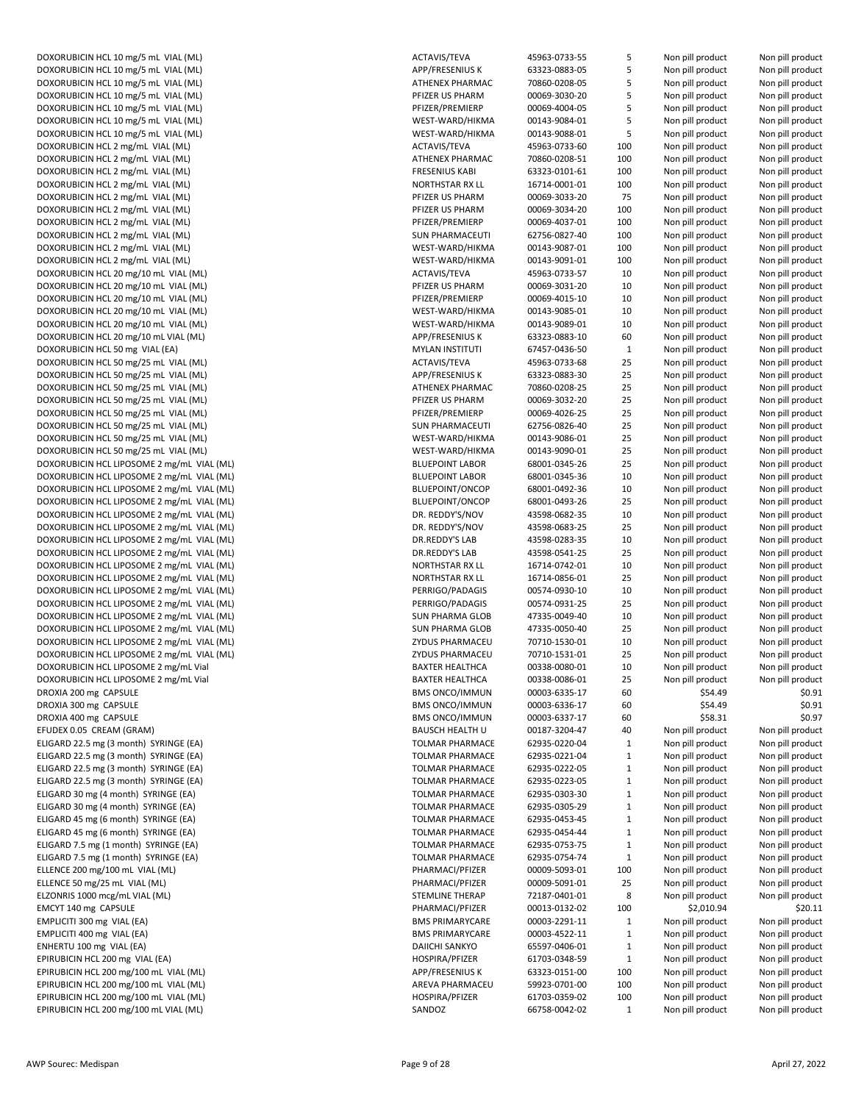DOXORUBICIN HCL 10 mg/5 mL VIAL (ML)<br>DOXORUBICIN HCL 10 mg/5 mL VIAL (ML) APP DOXORUBICIN HCL 10 mg/5 mL VIAL (ML)<br>DOXORUBICIN HCL 10 mg/5 mL VIAL (ML) ATH DOXORUBICIN HCL 10 mg/5 mL VIAL (ML) DOXORUBICIN HCL 10 mg/5 mL VIAL (ML) end and the contract use of the PFIZ DOXORUBICIN HCL 10 mg/5 mL VIAL (ML) end and the matrix of print of print print print print print print print DOXORUBICIN HCL 10 mg/5 mL VIAL (ML)<br>DOXORUBICIN HCL 10 mg/5 mL VIAL (ML) WEST-WARD MARD WARD WARD DOXORUBICIN HCL 10 mg/5 mL VIAL (ML) DOXORUBICIN HCL 2 mg/mL VIAL (ML)<br>DOXORUBICIN HCL 2 mg/mL VIAL (ML) ATH DOXORUBICIN HCL 2 mg/mL VIAL (ML) DOXORUBICIN HCL 2 mg/mL VIAL (ML) FRESHIPS AND PRESENT ASSAULT AS A STATE OF PRESENT ASSAULT AS A STATE OF PRES DOXORUBICIN HCL 2 mg/mL VIAL (ML) NORTHSTAR RX LL 16714-0001-01 NORTHSTAR RX 2001-01 100 NOR DOXORUBICIN HCL 2 mg/mL VIAL (ML) end and pill product Non pill product Non pill product Non pill product Non p DOXORUBICIN HCL 2 mg/mL VIAL (ML)<br>DOXORUBICIN HCL 2 mg/mL VIAL (ML) PHARM 00069-3034-20 PHARM product Product Product Product Product Non pill p DOXORUBICIN HCL 2 mg/mL VIAL (ML) DOXORUBICIN HCL 2 mg/mL VIAL (ML)<br>DOXORUBICIN HCL 2 mg/mL VIAL (ML) SUN PHARMACEUTI 62756-0827-40 NON pill product Non pill product Non pill pro DOXORUBICIN HCL 2 mg/mL VIAL (ML) DOXORUBICIN HCL 2 mg/mL VIAL (ML) WEST-WARD/HIGHT NON product Non-DOXORUBICIN HCL 20 mg/10 mL VIAL (ML) ACTAVISITEVA 46963-0733-0733-0733-0733-57 10 Non pill product Non pill product Non pill product Non pill product Non pill product Non pill product Non pill product Non pill product Non DOXORUBICIN HCL 20 mg/10 mL VIAL (ML)<br>DOXORUBICIN HCL 20 mg/10 mL VIAL (ML) PRODUCT PRODUCT PRODUCT PRODUCT PRODUCT PRODUCT PRODUCT PRODUCT NON pill DOXORUBICIN HCL 20 mg/10 mL VIAL (ML) DOXORUBICIN HCL 20 mg/10 mL VIAL (ML)<br>DOXORUBICIN HCL 20 mg/10 mL VIAL (ML) Non pill product Non pill product Non pill product Non pill product Non p DOXORUBICIN HCL 20 mg/10 mL VIAL (ML) DOXORUBICIN HCL 20 mg/10 mL VIAL (ML) APP DOXORUBICIN HCL 50 mg VIAL (EA) MYLAN INSTITUTI 67457-0436-50 DOXORUBICIN HCL 50 mg/25 mL VIAL (ML)<br>DOXORUBICIN HCL 50 mg/25 mL VIAL (ML) APP DOXORUBICIN HCL 50 mg/25 mL VIAL (ML)<br>DOXORUBICIN HCL 50 mg/25 mL VIAL (ML) ATH DOXORUBICIN HCL 50 mg/25 mL VIAL (ML) DOXORUBICIN HCL 50 mg/25 mL VIAL (ML)<br>DOXORUBICIN HCL 50 mg/25 mL VIAL (ML) Product Non pill product Product Product Product Product Product Non pi DOXORUBICIN HCL 50 mg/25 mL VIAL (ML) DOXORUBICIN HCL 50 mg/25 mL VIAL (ML) SUN PHARMACEUTI 62756-0826-40 25 Non pill product Non pill product DOXORUBICIN HCL 50 mg/25 mL VIAL (ML) WEST-WARD/HIGMA 00143-9086-01 25 NON pill product Non pill product Non p DOXORUBICIN HCL 50 mg/25 mL VIAL (ML)<br>DOXORUBICIN HCL LIPOSOME 2 mg/mL VIAL (ML) BLU DOXORUBICIN HCL LIPOSOME 2 mg/mL VIAL (ML) DOXORUBICIN HCL LIPOSOME 2 mg/mL VIAL (ML)<br>DOXORUBICIN HCL LIPOSOME 2 mg/mL VIAL (ML) DOXORUBICIN PLU DOXORUBICIN HCL LIPOSOME 2 mg/mL VIAL (ML) DOXORUBICIN HCL LIPOSOME 2 mg/mL VIAL (ML) BLUEPOINT/ONCOP 68001-0493-26 PLU DOXORUBICIN HCL LIPOSOME 2 mg/mL VIAL (ML) DR. DOXORUBICIN HCL LIPOSOME 2 mg/mL VIAL (ML) DR. DOXORUBICIN HCL LIPOSOME 2 mg/mL VIAL (ML)<br>DOXORUBICIN HCL LIPOSOME 2 mg/mL VIAL (ML)<br>DR. DOXORUBICIN HCL LIPOSOME 2 mg/mL VIAL (ML) DOXORUBICIN HCL LIPOSOME 2 mg/mL VIAL (ML) NORTHSTAR RAY LL 16714-0742-01 NORTHSTAR RAY PRODUCT NON pill product Non pill product Non pill product Non pill product Non pill product Non pill product Non pill product Non pil DOXORUBICIN HCL LIPOSOME 2 mg/mL VIAL (ML) NORTHSTAR RAY LL 16714-0856-01 25 NOR DOXORUBICIN HCL LIPOSOME 2 mg/mL VIAL (ML) PER DOXORUBICIN HCL LIPOSOME 2 mg/mL VIAL (ML) **PER** DOXORUBICIN HCL LIPOSOME 2 mg/mL VIAL (ML)<br>DOXORUBICIN HCL LIPOSOME 2 mg/mL VIAL (ML)<br>SUN DOXORUBICIN HCL LIPOSOME 2 mg/mL VIAL (ML)<br>DOXORUBICIN HCL LIPOSOME 2 mg/mL VIAL (ML)<br>ZYD DOXORUBICIN HCL LIPOSOME 2 mg/mL VIAL (ML) DOXORUBICIN HCL LIPOSOME 2 mg/mL VIAL (ML) **PHARMACHUS PHARMACEU 70710-1531-01** 27 No DOXORUBICIN HCL LIPOSOME 2 mg/mL Vial BAXTER HEALTHCA 00338-0080-01 10 Non pill product Non pill product Non p DOXORUBICIN HCL LIPOSOME 2 mg/mL Vial BAX<br>DROXIA 200 mg CAPSULE DROXIA 200 mg CAPSULE DROXIA 300 mg CAPSULE BMS ONCO/IMMUN 0003-6336-17 60003-634.49 \$1.49 \$0.91 \$0.91 \$0.91 \$0.91 \$0.91 \$0.91 \$0.91 \$0.91 \$0.91 \$0.91 \$1.49 \$0.91 \$1.49 \$0.91 \$1.49 \$1.49 \$1.49 \$1.49 \$1.49 \$1.49 \$1.49 \$1.49 \$1.49 \$1.49 \$1.49 \$1. DROXIA 400 mg CAPSULE **BMS ONCO** 2003-6337-17 6003-6337-17 60 \$58.31 \$0.97 \$1.97 \$0.97 \$1.97 \$1.97 \$1.97 \$1.97 \$1.97 \$1.97 \$1.97 \$1.97 \$1.97 \$1.97 \$1.97 \$1.97 \$1.97 \$1.97 \$1.97 \$1.97 \$1.97 \$1.97 \$1.97 \$1.97 \$1.97 \$1.97 \$1. EFUDEX 0.05 CREAM (GRAM) BAUSCH HEALTH U 20187-3204-47 40187-3204-47 40 Non pill product Non pill product Non p ELIGARD 22.5 mg (3 month) SYRINGE (EA) TOL ELIGARD 22.5 mg (3 month) SYRINGE (EA) TOL ELIGARD 22.5 mg (3 month) SYRINGE (EA) TOLAGARD 22.5 mg (3 month) SYRINGE (EA) TOLAGAR PHARMACE 62935-0223-023<br>TOLGARD 22.5 mg (3 month) SYRINGE (FA) ELIGARD 22.5 mg (3 month) SYRINGE (EA) ELIGARD 30 mg (4 month) SYRINGE (EA) TOLL THARMACH ARMACH ARMACH ARMACH ARMACH ARMACH ARMACH ARMACH ARMACH ARM<br>TOLMAR PHARMACE 62930-0303-0303-0303-030-3003-0303-0430-3003-0430-3003-030-3003-030-3003-030-3003-403-030-3003 ELIGARD 30 mg (4 month) SYRINGE (EA) ELIGARD 45 mg (6 month) SYRINGE (EA) TOLI ELIGARD 45 mg (6 month) SYRINGE (EA) TOL ELIGARD 7.5 mg (1 month) SYRINGE (EA) TOLMAR PHARMACE 62935-0753-75 ELIGARD 7.5 mg (1 month) SYRINGE (EA) ELLENCE 200 mg/100 mL VIAL (ML)<br>ELLENCE 50 mg/25 mL VIAL (ML) PHARMACI/PFIZER 00009-5093-01 PHA ELLENCE 50 mg/25 mL VIAL (ML) ELZONRIS 1000 mcg/mL VIAL (ML) STEI EMCYT 140 mg CAPSULE **PHARMACI/PRIZER 00013-0132-0132-02 10013-0132-02 10013-0132-02 100** EMPLICITI 300 mg VIAL (EA) BMS PRIMARYCARE 00003-2291-11 EMPLICITI 400 mg VIAL (EA) BMS PRIMARYCARE 00003-4522-11 ENHERTU 100 mg VIAL (EA) EPIRUBICIN HCL 200 mg VIAL (EA) https://www.assett.com/en/article/en/article/en/article/en/article/en/article/ EPIRUBICIN HCL 200 mg/100 mL VIAL (ML) and pill product APP EPIRUBICIN HCL 200 mg/100 mL VIAL (ML) ARE EPIRUBICIN HCL 200 mg/100 mL VIAL (ML) https://www.terminal.com/example.org/2003-0359-02 100 non-pill product N EPIRUBICIN HCL 200 mg/100 mL VIAL (ML) SANDON CHE SANDON SAN

| AVIS/TEVA                    | 45963-0733-55                  | 5            | Non pill product                     | Non pill product                     |
|------------------------------|--------------------------------|--------------|--------------------------------------|--------------------------------------|
| '/FRESENIUS K                | 63323-0883-05                  | 5            | Non pill product                     | Non pill product                     |
| <b>IENEX PHARMAC</b>         | 70860-0208-05                  | 5            | Non pill product                     | Non pill product                     |
| ZER US PHARM                 | 00069-3030-20                  | 5            | Non pill product                     | Non pill product                     |
| ZER/PREMIERP                 | 00069-4004-05                  | 5            | Non pill product                     | Non pill product                     |
| ST-WARD/HIKMA                | 00143-9084-01                  | 5            | Non pill product                     | Non pill product                     |
| ST-WARD/HIKMA                | 00143-9088-01                  | 5            | Non pill product                     | Non pill product                     |
| AVIS/TEVA                    | 45963-0733-60                  | 100          | Non pill product                     | Non pill product                     |
| <b>IENEX PHARMAC</b>         | 70860-0208-51                  | 100          | Non pill product                     | Non pill product                     |
| SENIUS KABI                  | 63323-0101-61                  | 100          | Non pill product                     | Non pill product                     |
| RTHSTAR RX LL                | 16714-0001-01                  | 100          | Non pill product                     | Non pill product                     |
| ZER US PHARM                 | 00069-3033-20                  | 75           | Non pill product                     | Non pill product                     |
| ZER US PHARM                 | 00069-3034-20                  | 100          | Non pill product                     | Non pill product                     |
| ZER/PREMIERP                 | 00069-4037-01                  | 100          | Non pill product                     | Non pill product                     |
| <b>J PHARMACEUTI</b>         | 62756-0827-40                  | 100          | Non pill product                     | Non pill product                     |
| ST-WARD/HIKMA                | 00143-9087-01                  | 100          | Non pill product                     | Non pill product                     |
| ST-WARD/HIKMA                | 00143-9091-01                  | 100          | Non pill product                     | Non pill product                     |
| AVIS/TEVA                    | 45963-0733-57                  | 10           | Non pill product                     | Non pill product                     |
| ZER US PHARM                 | 00069-3031-20                  | 10           | Non pill product                     | Non pill product                     |
| ZER/PREMIERP                 | 00069-4015-10                  | 10           | Non pill product                     | Non pill product                     |
| ST-WARD/HIKMA                | 00143-9085-01                  | 10           | Non pill product                     | Non pill product                     |
| ST-WARD/HIKMA                | 00143-9089-01                  | 10           | Non pill product                     | Non pill product                     |
| '/FRESENIUS K                | 63323-0883-10                  | 60           | Non pill product                     | Non pill product                     |
| LAN INSTITUTI                | 67457-0436-50                  | $\mathbf{1}$ | Non pill product                     | Non pill product                     |
| AVIS/TEVA                    | 45963-0733-68                  | 25           | Non pill product                     | Non pill product                     |
| P/FRESENIUS K                | 63323-0883-30                  | 25           | Non pill product                     | Non pill product                     |
| <b>IENEX PHARMAC</b>         | 70860-0208-25                  | 25           | Non pill product                     | Non pill product                     |
| <b>ZER US PHARM</b>          | 00069-3032-20                  | 25           | Non pill product                     | Non pill product                     |
| ZER/PREMIERP                 | 00069-4026-25                  | 25           | Non pill product                     | Non pill product                     |
| <b>J PHARMACEUTI</b>         | 62756-0826-40                  | 25           | Non pill product                     | Non pill product                     |
| ST-WARD/HIKMA                | 00143-9086-01                  | 25           | Non pill product                     | Non pill product                     |
| ST-WARD/HIKMA                | 00143-9090-01                  | 25           | Non pill product                     | Non pill product                     |
| <b>EPOINT LABOR</b>          | 68001-0345-26                  | 25           | Non pill product                     | Non pill product                     |
| <b>EPOINT LABOR</b>          | 68001-0345-36                  | 10           | Non pill product                     | Non pill product                     |
| <b>IEPOINT/ONCOP</b>         | 68001-0492-36                  | 10           | Non pill product                     | Non pill product                     |
| <b>IEPOINT/ONCOP</b>         | 68001-0493-26                  | 25           | Non pill product                     | Non pill product                     |
| REDDY'S/NOV                  | 43598-0682-35                  | 10           | Non pill product                     | Non pill product                     |
| REDDY'S/NOV                  | 43598-0683-25                  | 25           | Non pill product                     | Non pill product                     |
| REDDY'S LAB                  | 43598-0283-35                  | 10           | Non pill product                     | Non pill product                     |
|                              |                                |              |                                      |                                      |
| REDDY'S LAB<br>RTHSTAR RX LL | 43598-0541-25<br>16714-0742-01 | 25<br>10     | Non pill product                     | Non pill product<br>Non pill product |
| RTHSTAR RX LL                |                                | 25           | Non pill product                     |                                      |
| RIGO/PADAGIS                 | 16714-0856-01<br>00574-0930-10 | 10           | Non pill product<br>Non pill product | Non pill product                     |
| RIGO/PADAGIS                 |                                |              |                                      | Non pill product                     |
|                              | 00574-0931-25                  | 25           | Non pill product                     | Non pill product                     |
| <b>I PHARMA GLOB</b>         | 47335-0049-40                  | 10           | Non pill product                     | Non pill product                     |
| I PHARMA GLOB                | 47335-0050-40                  | 25           | Non pill product                     | Non pill product                     |
| US PHARMACEU                 | 70710-1530-01                  | 10           | Non pill product                     | Non pill product                     |
| US PHARMACEU                 | 70710-1531-01                  | 25           | Non pill product                     | Non pill product                     |
| <b>(TER HEALTHCA</b>         | 00338-0080-01                  | 10           | Non pill product                     | Non pill product                     |
| (TER HEALTHCA                | 00338-0086-01                  | 25           | Non pill product                     | Non pill product                     |
| S ONCO/IMMUN                 | 00003-6335-17                  | 60           | \$54.49                              | \$0.91                               |
| S ONCO/IMMUN                 | 00003-6336-17                  | 60           | \$54.49                              | \$0.91                               |
| S ONCO/IMMUN                 | 00003-6337-17                  | 60           | \$58.31                              | \$0.97                               |
| <b>JSCH HEALTH U</b>         | 00187-3204-47                  | 40           | Non pill product                     | Non pill product                     |
| MAR PHARMACE                 | 62935-0220-04                  | $\mathbf 1$  | Non pill product                     | Non pill product                     |
| MAR PHARMACE                 | 62935-0221-04                  | 1            | Non pill product                     | Non pill product                     |
| MAR PHARMACE                 | 62935-0222-05                  | 1            | Non pill product                     | Non pill product                     |
| MAR PHARMACE                 | 62935-0223-05                  | 1            | Non pill product                     | Non pill product                     |
| MAR PHARMACE                 | 62935-0303-30                  | 1            | Non pill product                     | Non pill product                     |
| MAR PHARMACE                 | 62935-0305-29                  | 1            | Non pill product                     | Non pill product                     |
| MAR PHARMACE                 | 62935-0453-45                  | 1            | Non pill product                     | Non pill product                     |
| MAR PHARMACE                 | 62935-0454-44                  | 1            | Non pill product                     | Non pill product                     |
| MAR PHARMACE                 | 62935-0753-75                  | 1            | Non pill product                     | Non pill product                     |
| MAR PHARMACE                 | 62935-0754-74                  | 1            | Non pill product                     | Non pill product                     |
| \RMACI/PFIZER                | 00009-5093-01                  | 100          | Non pill product                     | Non pill product                     |
| \RMACI/PFIZER                | 00009-5091-01                  | 25           | Non pill product                     | Non pill product                     |
| <b>MLINE THERAP</b>          | 72187-0401-01                  | 8            | Non pill product                     | Non pill product                     |
| \RMACI/PFIZER                | 00013-0132-02                  | 100          | \$2,010.94                           | \$20.11                              |
| S PRIMARYCARE                | 00003-2291-11                  | 1            | Non pill product                     | Non pill product                     |
| S PRIMARYCARE                | 00003-4522-11                  | 1            | Non pill product                     | Non pill product                     |
| <b>ICHI SANKYO</b>           | 65597-0406-01                  | 1            | Non pill product                     | Non pill product                     |
| SPIRA/PFIZER                 | 61703-0348-59                  | $\mathbf 1$  | Non pill product                     | Non pill product                     |
| '/FRESENIUS K                | 63323-0151-00                  | 100          | Non pill product                     | Non pill product                     |
| VA PHARMACEU                 | 59923-0701-00                  | 100          | Non pill product                     | Non pill product                     |
| SPIRA/PFIZER                 | 61703-0359-02                  | 100          | Non pill product                     | Non pill product                     |
| IDOZ                         | 66758-0042-02                  | $\mathbf{1}$ | Non pill product                     | Non pill product                     |
|                              |                                |              |                                      |                                      |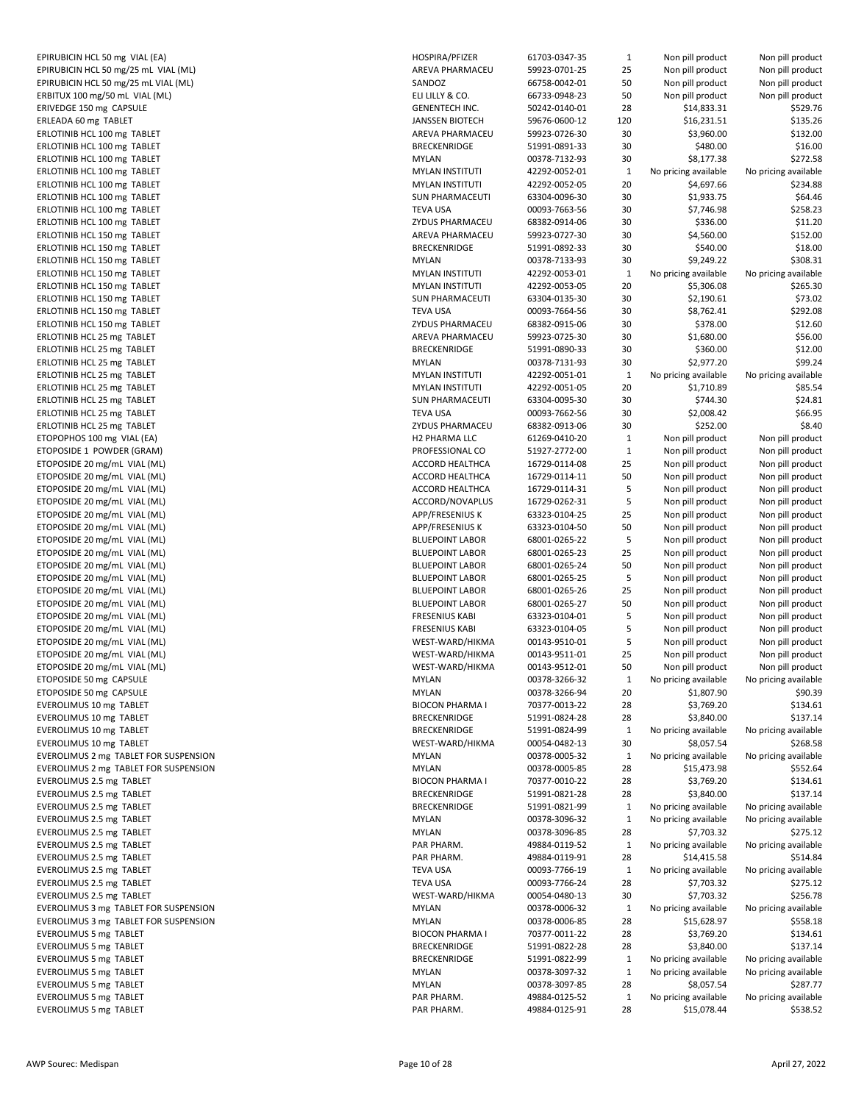EPIRUBICIN HCL 50 mg VIAL (EA)<br>EPIRUBICIN HCL 50 mg/25 mL VIAL (ML) HOSPIRA 61703-0347-355-3547-470-355-3547-47-355-3547-355-355-47-355-47-35 EPIRUBICIN HCL 50 mg/25 mL VIAL (ML)<br>FPIRIIRICIN HCL 50 mg/25 mL VIAL (ML) AREVA PHARMACEU 59923-0701-25 AN EPIRUBICIN HCL 50 mg/25 mL VIAL (ML) ERBITUX 100 mg/50 mL VIAL (ML) ELILLY AND product Non pill product Non pill product Non pill product Non pill product Non pill product Non pill product Non pill product Non pill product Non pill product Non pill product No ERIVEDGE 150 mg CAPSULE GENERATION CONTROL AT SAN AT GENERAL SERVEDGE 150 mg CAPSULE ERLEADA 60 mg TABLET JANSSEN BIOTECH 59676-0600-12 120 \$16,231.51 \$135.26 ERLOTINIB HCL 100 mg TABLET ERLOTINIB HCL 100 mg TABLET<br>ERLOTINIB HCL 100 mg TABLET START START START START START START START START START START START START START STAR ERLOTINIB HCL 100 mg TABLET ERLOTINIB HCL 100 mg TABLET MYLAN INSTITUTI 100 mg TABLET ERLOTINIB HCL 100 mg TABLET MYLAN INSTITUTI 42292-0052-05 20 \$4,697.66 \$234.88 ERLOTINIB HCL 100 mg TABLET SUN PHARMACEUTI 634.4634.934.94 ERLOTINIB HCL 100 mg TABLET TEVA USA 00093-7663-56 30 \$7,754.99 \$7,846.99 \$7,754.99 \$7,754.99 \$7,746. ERLOTINIB HCL 100 mg TABLET **EXAMPLE 1999 ZYDUS 2008** ERLOTINIB HCL 150 mg TABLET<br>ERLOTINIB HCL 150 mg TABLET 69923-0727-30 \$152.00 \$152.00 \$152.00 \$152.00 \$152.00 \$152.00 \$152.00 \$152.00 \$15 ERLOTINIB HCL 150 mg TABLET ERLOTINIB HCL 150 mg TABLET MYLAN 00378-7133-93 30 and 10378-7134.22 \$108.22 \$108.22 \$108.22 \$108.22 \$108.22 \$108.22 \$108.31 ERLOTINIB HCL 150 mg TABLET MYLAN INSTITUTI 1229-0053-01292-0053-01292-0053-01292-0053-01292-0053-01 ERLOTINIB HCL 150 mg TABLET MYLAN INSTITUTI 42292-0053-05 20 \$5,306.08 \$265.30 ERLOTINIB HCL 150 mg TABLET ERLOTINIB HCL 150 mg TABLET TEVA USA 00093-7664-56 30 \$8,762.41 \$292.08 ERLOTINIB HCL 150 mg TABLET ERLOTINIB HCL 25 mg TABLET AREVA PHARMACEU 59923-0725-30 30 \$1,690.00 \$1,690.00 \$1,690.00 \$1,690.00 \$56.00 \$1,690.00 \$56.00 \$56.00 \$56.00 \$56.00 \$56.00 \$56.00 \$56.00 \$56.00 \$56.00 \$56.00 \$56.00 \$56.00 \$56.00 \$56.00 \$56.00 ERLOTINIB HCL 25 mg TABLET BRECKENSION SAN BRECKEN BRECKEN BRECKEN BRECKEN ERLOTINIB HCL 25 mg TABLET MARE THE SERIES OF THE SERIES OF THE SERIES OF THE SERIES OF THE SERIES OF THE SERIES OF THE SERIES OF THE SERIES OF THE SERIES OF THE SERIES OF THE SERIES OF THE SERIES OF THE SERIES OF THE SERI ERLOTINIB HCL 25 mg TABLET ERLOTINIB HCL 25 mg TABLET MYLAN INSTITUTI 42292-0051-05 20 \$1,710.89 \$95.54 \$95.54 \$95.54 \$95.54 \$95.54 \$95.54 ERLOTINIB HCL 25 mg TABLET SUN PHARMACEUTI 634.81 \$350 \$74.81 \$74.81 \$74.81 \$74.81 \$30.91 \$74.81 \$74.81 \$74.81 \$74.81 \$24.81 \$74.81 \$74.81 \$74.81 \$74.81 \$74.81 \$74.81 \$74.81 \$74.81 \$74.81 \$74.81 \$74.81 \$74.81 \$74.81 \$74.81 ERLOTINIB HCL 25 mg TABLET TEVA USA 00093-7662-56 30 \$2,000 \$2,009.42 \$75.956 \$76.95 ERLOTINIB HCL 25 mg TABLET ZYDUS PHARMACEU 68382-0913-06 30 \$252.00 \$8.40 ETOPOPHOS 100 mg VIAL (EA) has a station of the H2 PH2 PH2 PH2 PH2 PHARMA LLC 61269-0410-2010-2010-2010-2010-20 ETOPOSIDE 1 POWDER (GRAM) **PROFESSION** ETOPOSIDE 20 mg/mL VIAL (ML) ACCORD HEALTHCA 16729-0114-012 ACCORD HEALTHCA 16729-0114-08 Non pill product Non pill product Non pill product Non pill product Non pill product Non pill product Non pill product Non pill prod ETOPOSIDE 20 mg/mL VIAL (ML)<br>ETOPOSIDE 20 mg/mL VIAL (ML) ACCORD HEALTHCA 16729-011 50 NON pill product ACCORD ACCORD ACCORD ACCORD ACCORD ACCORD ACCORD ACCORD ACCORD ACCORD ACCORD ACCORD ACCORD ACCORD ACCORD ACCORD ACCORD ETOPOSIDE 20 mg/mL VIAL (ML) ETOPOSIDE 20 mg/mL VIAL (ML) and a series and a series of the series of the series and a series are a series of the series of the series of the series of the series of the series of the series of the series of the series o ETOPOSIDE 20 mg/mL VIAL (ML) APP/FRESENIUS K 6332-0104-25 Non pill product Non pill product APP/FRESENIUS APP/ ETOPOSIDE 20 mg/mL VIAL (ML) APP ETOPOSIDE 20 mg/mL VIAL (ML)<br>ETOPOSIDE 20 mg/mL VIAL (ML) BLUI ETOPOSIDE 20 mg/mL VIAL (ML) ETOPOSIDE 20 mg/mL VIAL (ML) BLUEPOINT LABOR 68001-0265-24 50001-0265-24 50 Non pill product Non pill product N ETOPOSIDE 20 mg/mL VIAL (ML) BLUI ETOPOSIDE 20 mg/mL VIAL (ML) BLUEPOINT LABOR 68001-0265-26001-0265-26 25 Non pill product Non pill product Non pill product Non pill product Non pill product Non pill product Non pill product Non pill product Non pill prod ETOPOSIDE 20 mg/mL VIAL (ML) BLUI ETOPOSIDE 20 mg/mL VIAL (ML)<br>ETOPOSIDE 20 mg/mL VIAL (ML) FRES ETOPOSIDE 20 mg/mL VIAL (ML)<br>ETOPOSIDE 20 mg/mL VIAL (ML) FRES ETOPOSIDE 20 mg/mL VIAL (ML) ETOPOSIDE 20 mg/mL VIAL (ML) WEST-WARD/HIGMA 00143-9511-01 25 NON pill product Non pill product Non pill product Non pill product Non pill product Non pill product Non pill product Non pill product Non pill product Non pil ETOPOSIDE 20 mg/mL VIAL (ML) WEST-WARD/HIGMA 00143-9512-01 NON pill product Non pill product Non pill product N ETOPOSIDE 50 mg CAPSULE and the state of the state of the state of the state of the state of the state of the state of the state of the state of the state of the state of the state of the state of the state of the state of ETOPOSIDE 50 mg CAPSULE EVEROLIMUS 10 mg TABLET BIOCON PHARMA I 70377-0013-22 28 \$3,769.20 \$134.61 EVEROLIMUS 10 mg TABLET 61991-0824-28 28 349.914.14 28 341.14 28 34.924.14 28 30.00 \$137.14 28 30.00 \$137.14 37.14 37.14 37.14 37.14 37.14 37.14 37.14 37.14 37.14 37.14 37.14 37.14 37.14 37.14 37.14 37.14 37.14 37.14 37.14 EVEROLIMUS 10 mg TABLET **BRECKERS** EVEROLIMUS 10 mg TABLET WEST-WARD/HIMA 000545.54 \$268.59 \$9,000 \$9,000 \$9,000 \$9,000 \$9,000 \$9,000 \$168.59 \$26 EVEROLIMUS 2 mg TABLET FOR SUSPENSION<br>EVEROLIMUS 2 mg TABLET FOR SUSPENSION 60378-0005-322-0005-322-0005-322-0005-322-0005-322-0005-322-0005-322-000 EVEROLIMUS 2 mg TABLET FOR SUSPENSION EVEROLIMUS 2.5 mg TABLET BIOCON PHARMA I 70377-0010-22 28 BIOCON PHARMA I 70377-0010-22 28 \$3,769.70 EVEROLIMUS 2.5 mg TABLET<br>EVEROLIMUS 2.5 mg TABLET BRECKENRIDGE 51991-0821-28 28 30.91.14 28 30.00 \$137.14 BRECKEN EVEROLIMUS 2.5 mg TABLET EVEROLIMUS 2.5 mg TABLET MYLAN 00378-3096-32 EVEROLIMUS 2.5 mg TABLET MYLAN 00378-3096-85 28 3975.12 \$7,703.32 \$275.12 \$275.12 \$275.12 \$275.12 \$275.12 \$275 EVEROLIMUS 2.5 mg TABLET<br>EVEROLIMUS 2.5 mg TABLET PAR PHARM. 49884-0119-5284-0119-5284-0119-5284-0119-5284-0119-5284-0119-5284-0119-528 EVEROLIMUS 2.5 mg TABLET EVEROLIMUS 2.5 mg TABLET TEVA USA 00093-7766-19 EVEROLIMUS 2.5 mg TABLET EVEROLIMUS 2.5 mg TABLET WEST-WARD/HIMA 000545.78 \$7,703.32 \$7,703.32 \$7,704.78 \$1,704.79 \$7,704.78 \$1,703. EVEROLIMUS 3 mg TABLET FOR SUSPENSION MYL EVEROLIMUS 3 mg TABLET FOR SUSPENSION GALLAN 1999-0006-85 28 28 29.97 \$159.97 \$159.97 \$159.97 \$159.97 \$159.97<br>EVEROLIMUS 5 mg TABLET EVEROLIMUS 5 mg TABLET<br>EVEROLIMUS 5 mg TABLET at the state of the state of the state of the state of the state of the state of the st EVEROLIMUS 5 mg TABLET EVEROLIMUS 5 mg TABLET BRECKERS FOR SALES AND STREEKENRIDGE 51991-0922-991-0922-991-0922-991-0922-99 EVEROLIMUS 5 mg TABLET MYLAN 00378-3297-3297-32097-32097-32097-32097-32097-32097-32097-32097-32097-32097-32097 EVEROLIMUS 5 mg TABLET MYLAN 00378-3097-85 28 and 28 \$8,000 \$3,000 \$3,000 \$3,000 \$3,000 \$3,057.54 \$287.777.777 EVEROLIMUS 5 mg TABLET **PAR** EVEROLIMUS 5 mg TABLET PAR PAR PAR PAR

| PIRA/PFIZER                          | 61703-0347-35                  | 1                            | Non pill product                     | Non pill product                     |
|--------------------------------------|--------------------------------|------------------------------|--------------------------------------|--------------------------------------|
| VA PHARMACEU                         | 59923-0701-25                  | 25                           | Non pill product                     | Non pill product                     |
| <b>IDOZ</b>                          | 66758-0042-01                  | 50                           | Non pill product                     | Non pill product                     |
| LILLY & CO.                          | 66733-0948-23                  | 50                           | Non pill product                     | Non pill product                     |
| <b>IENTECH INC.</b>                  | 50242-0140-01                  | 28                           | \$14,833.31                          | \$529.76                             |
| <b>SSEN BIOTECH</b>                  | 59676-0600-12                  | 120                          | \$16,231.51                          | \$135.26                             |
| VA PHARMACEU                         | 59923-0726-30                  | 30                           | \$3,960.00                           | \$132.00                             |
| <b>CKENRIDGE</b>                     | 51991-0891-33                  | 30                           | \$480.00                             | \$16.00                              |
| .AN                                  | 00378-7132-93                  | 30                           | \$8,177.38                           | \$272.58                             |
| AN INSTITUTI<br>AN INSTITUTI         | 42292-0052-01<br>42292-0052-05 | $\mathbf 1$<br>20            | No pricing available<br>\$4,697.66   | No pricing available<br>\$234.88     |
| <b>PHARMACEUTI</b>                   | 63304-0096-30                  | 30                           | \$1,933.75                           | \$64.46                              |
| A USA                                | 00093-7663-56                  | 30                           | \$7,746.98                           | \$258.23                             |
| US PHARMACEU                         | 68382-0914-06                  | 30                           | \$336.00                             | \$11.20                              |
| VA PHARMACEU                         | 59923-0727-30                  | 30                           | \$4,560.00                           | \$152.00                             |
| <b>CKENRIDGE</b>                     | 51991-0892-33                  | 30                           | \$540.00                             | \$18.00                              |
| ΑN                                   | 00378-7133-93                  | 30                           | \$9,249.22                           | \$308.31                             |
| AN INSTITUTI                         | 42292-0053-01                  | $\mathbf 1$                  | No pricing available                 | No pricing available                 |
| AN INSTITUTI                         | 42292-0053-05                  | 20                           | \$5,306.08                           | \$265.30                             |
| I PHARMACEUTI                        | 63304-0135-30                  | 30                           | \$2,190.61                           | \$73.02                              |
| A USA                                | 00093-7664-56                  | 30                           | \$8,762.41                           | \$292.08                             |
| US PHARMACEU                         | 68382-0915-06                  | 30                           | \$378.00                             | \$12.60                              |
| VA PHARMACEU                         | 59923-0725-30                  | 30                           | \$1,680.00                           | \$56.00                              |
| <b>CKENRIDGE</b>                     | 51991-0890-33                  | 30                           | \$360.00                             | \$12.00                              |
| AN                                   | 00378-7131-93                  | 30                           | \$2,977.20                           | \$99.24                              |
| <b>AN INSTITUTI</b>                  | 42292-0051-01                  | $\mathbf 1$                  | No pricing available                 | No pricing available                 |
| <b>AN INSTITUTI</b>                  | 42292-0051-05                  | 20                           | \$1,710.89                           | \$85.54                              |
| I PHARMACEUTI                        | 63304-0095-30                  | 30                           | \$744.30                             | \$24.81                              |
| A USA                                | 00093-7662-56                  | 30                           | \$2,008.42                           | \$66.95                              |
| US PHARMACEU                         | 68382-0913-06                  | 30                           | \$252.00                             | \$8.40                               |
| <b>PHARMA LLC</b>                    | 61269-0410-20<br>51927-2772-00 | $\mathbf{1}$<br>$\mathbf{1}$ | Non pill product                     | Non pill product                     |
| <b>FESSIONAL CO</b><br>ORD HEALTHCA  | 16729-0114-08                  | 25                           | Non pill product<br>Non pill product | Non pill product<br>Non pill product |
| ORD HEALTHCA                         | 16729-0114-11                  | 50                           | Non pill product                     | Non pill product                     |
| ORD HEALTHCA                         | 16729-0114-31                  | 5                            | Non pill product                     | Non pill product                     |
| ORD/NOVAPLUS:                        | 16729-0262-31                  | 5                            | Non pill product                     | Non pill product                     |
| <b>/FRESENIUS K</b>                  | 63323-0104-25                  | 25                           | Non pill product                     | Non pill product                     |
| <b>/FRESENIUS K</b>                  | 63323-0104-50                  | 50                           | Non pill product                     | Non pill product                     |
| <b>EPOINT LABOR</b>                  | 68001-0265-22                  | 5                            | Non pill product                     | Non pill product                     |
| <b>EPOINT LABOR</b>                  | 68001-0265-23                  | 25                           | Non pill product                     | Non pill product                     |
| <b>EPOINT LABOR</b>                  | 68001-0265-24                  | 50                           | Non pill product                     | Non pill product                     |
| <b>EPOINT LABOR</b>                  | 68001-0265-25                  | 5                            | Non pill product                     | Non pill product                     |
| <b>EPOINT LABOR</b>                  | 68001-0265-26                  | 25                           | Non pill product                     | Non pill product                     |
| <b>EPOINT LABOR</b>                  | 68001-0265-27                  | 50                           | Non pill product                     | Non pill product                     |
| SENIUS KABI                          | 63323-0104-01                  | 5                            | Non pill product                     | Non pill product                     |
| SENIUS KABI                          | 63323-0104-05                  | 5                            | Non pill product                     | Non pill product                     |
| ST-WARD/HIKMA                        | 00143-9510-01                  | 5                            | Non pill product                     | Non pill product                     |
| ST-WARD/HIKMA                        | 00143-9511-01                  | 25                           | Non pill product                     | Non pill product                     |
| ST-WARD/HIKMA                        | 00143-9512-01                  | 50                           | Non pill product                     | Non pill product                     |
| ΑN                                   | 00378-3266-32                  | $\mathbf 1$                  | No pricing available                 | No pricing available                 |
| AN                                   | 00378-3266-94                  | 20                           | \$1,807.90                           | \$90.39                              |
| CON PHARMA I                         | 70377-0013-22                  | 28                           | \$3,769.20                           | \$134.61                             |
| <b>CKENRIDGE</b><br><b>CKENRIDGE</b> | 51991-0824-28<br>51991-0824-99 | 28<br>$\mathbf{1}$           | \$3,840.00<br>No pricing available   | \$137.14<br>No pricing available     |
| ST-WARD/HIKMA                        | 00054-0482-13                  | 30                           | \$8,057.54                           | \$268.58                             |
| .AN                                  | 00378-0005-32                  | $\mathbf 1$                  | No pricing available                 | No pricing available                 |
| <b>AN</b>                            | 00378-0005-85                  | 28                           | \$15,473.98                          | \$552.64                             |
| CON PHARMA I                         | 70377-0010-22                  | 28                           | \$3,769.20                           | \$134.61                             |
| <b>CKENRIDGE</b>                     | 51991-0821-28                  | 28                           | \$3,840.00                           | \$137.14                             |
| <b>CKENRIDGE</b>                     | 51991-0821-99                  | 1                            | No pricing available                 | No pricing available                 |
| ΑN                                   | 00378-3096-32                  | $\mathbf 1$                  | No pricing available                 | No pricing available                 |
| ΑN                                   | 00378-3096-85                  | 28                           | \$7,703.32                           | \$275.12                             |
| PHARM.                               | 49884-0119-52                  | $\mathbf{1}$                 | No pricing available                 | No pricing available                 |
| PHARM.                               | 49884-0119-91                  | 28                           | \$14,415.58                          | \$514.84                             |
| A USA                                | 00093-7766-19                  | $\mathbf{1}$                 | No pricing available                 | No pricing available                 |
| A USA                                | 00093-7766-24                  | 28                           | \$7,703.32                           | \$275.12                             |
| ST-WARD/HIKMA                        | 00054-0480-13                  | 30                           | \$7,703.32                           | \$256.78                             |
| AN                                   | 00378-0006-32                  | 1                            | No pricing available                 | No pricing available                 |
| AN                                   | 00378-0006-85                  | 28                           | \$15,628.97                          | \$558.18                             |
| CON PHARMA I                         | 70377-0011-22                  | 28                           | \$3,769.20                           | \$134.61                             |
| <b>CKENRIDGE</b>                     | 51991-0822-28                  | 28                           | \$3,840.00                           | \$137.14                             |
| <b>CKENRIDGE</b>                     | 51991-0822-99                  | $\mathbf 1$                  | No pricing available                 | No pricing available                 |
| ΑN                                   | 00378-3097-32                  | $\mathbf 1$                  | No pricing available                 | No pricing available                 |
| AN                                   | 00378-3097-85                  | 28                           | \$8,057.54                           | \$287.77                             |
| PHARM.                               | 49884-0125-52                  | $\mathbf{1}$                 | No pricing available                 | No pricing available                 |
| PHARM.                               | 49884-0125-91                  | 28                           | \$15,078.44                          | \$538.52                             |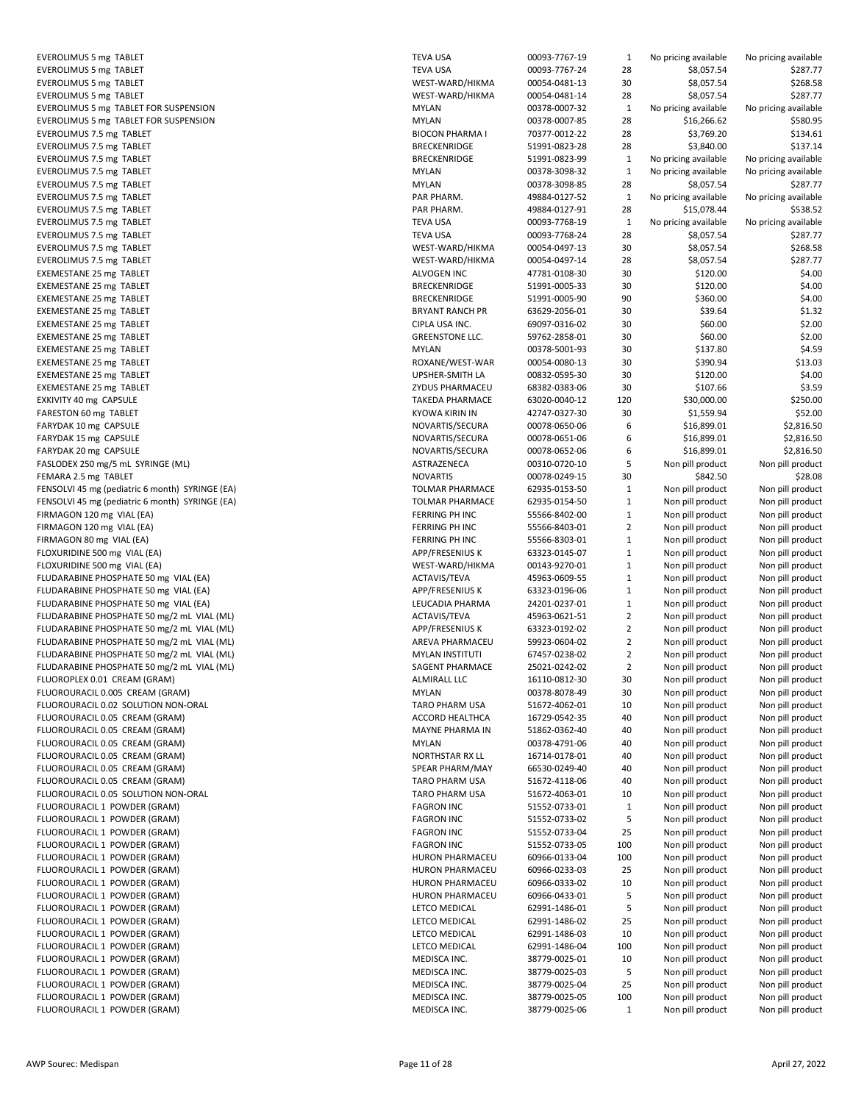EVEROLIMUS 5 mg TABLET TEVA USA 00093-7767-19 1 No pricing available No pricing available No pricing available N EVEROLIMUS 5 mg TABLET<br>EVEROLIMUS 5 mg TABLET<br>WESA 00093-7881 ET EVEROLIMUS 5 mg TABLET EVEROLIMUS 5 mg TABLET WEST-WARD/HIMA 000545.0481-0481-0481-0481-14 287.774 \$287.774 \$287.774 \$287.77 EVEROLIMUS 5 mg TABLET FOR SUSPENSION **MYLAN 00378-00378-0007-32 1 NO pricing available No pricing available No** EVEROLIMUS 5 mg TABLET FOR SUSPENSION MODEL AND THE SUSPENSION MYLAN ON A SHOCK BIOCK BIOCK AND BIOCK BIOCK BIOCK EVEROLIMUS 7.5 mg TABLET EVEROLIMUS 7.5 mg TABLET BRECKENSING 51991-0823-28 28 3191-0823-28 28 3191-0823-28 28 30.00 \$137.14 28 30.00 \$1<br>EVEROLIMUS 7.5 mg TABLET EVEROLIMUS 7.5 mg TABLET EVEROLIMUS 7.5 mg TABLET MYLAN 00378-32 1 NO pricing available No pricing available No pricing available No pri EVEROLIMUS 7.5 mg TABLET MYLAN 00378-3098-85 287.778-85 287.84 and 287.778-3098-85 287.777.777.777.77 EVEROLIMUS 7.5 mg TABLET PAR PAR PAR PAR EVEROLIMUS 7.5 mg TABLET PAR PHARM. 49884-0127-91 28884-0127-91 2884-0127-91 28884-0127-91 28 \$15,078.52.52.52<br>PHARM PHARM PHARM PHARM PHARM PHARM PHARM PHARM PHARM PHARM PHARM PHARM PHARM PHARM PHARM PHARM PHARM PHARM PH EVEROLIMUS 7.5 mg TABLET EVEROLIMUS 7.5 mg TABLET TEVA USA 00093-7768-24 28 \$8,057.54 \$287.77 EVEROLIMUS 7.5 mg TABLET EVEROLIMUS 7.5 mg TABLET WEST-WARD/HIMA 000545.0497-14 28 \$8,000 \$287.77 \$287.777.774 \$287.777.777.77 EXEMESTANE 25 mg TABLET ALVOGEN INC 47781-0108-30 4120.00 \$120.00 \$120.00 \$120.00 \$120.00 \$120.00 \$120.00 \$120 EXEMESTANE 25 mg TABLET<br>EXEMESTANE 25 mg TABLET BRECKEN EXEMESTANE 25 mg TABLET EXEMESTANE 25 mg TABLET<br>EXEMESTANE 25 mg TABLET BRYANT RANCH PR 63629-2056-01 30 \$39.64 \$1.3229-2056-01 30 \$39.64 \$1.3229-2056-01 \$1.3 EXEMESTANE 25 mg TABLET EXEMESTANE 25 mg TABLET GREENSTONE LACKERSTONE LACKERSTONE GREENSTONE LACKERSTONE LACKERSTONE GREENSTONE GREEN EXEMESTANE 25 mg TABLET MYLAN 00378-5001-93 30 \$137.80 \$137.80 \$137.80 \$137.80 \$137.80 \$137.80 \$137.80 \$137.80 \$137.80 \$137.80 \$137.80 \$137.80 \$137.80 \$137.80 \$137.80 \$137.80 \$137.80 \$137.80 \$137.80 \$137.80 \$137.80 \$137.80 EXEMESTANE 25 mg TABLET<br>EXEMESTANE 25 mg TABLET ROXANE/WEST-WAR 000914 \$13.04 \$13.04 \$13.04 \$13.04 \$13.04 \$13.04 \$13.03 \$13.04 \$13.03 EXEMESTANE 25 mg TABLET EXEMESTANE 25 mg TABLET ZYDUS PHARMACEU 68382-0383-06 30 \$107.66 \$3.59 EXKIVITY 40 mg CAPSULE TAKEDA PHARMACE 63020-0040-12 120 \$30,000.00 \$250.00 FARESTON 60 mg TABLET KYO FARYDAK 10 mg CAPSULE NOVARTIS/SECURA 00078-0650-0650-0650-0650-0650-0650-0650-078-078-0078-01 \$2,816.5001 \$2,816.500 FARYDAK 15 mg CAPSULE NOV FARYDAK 20 mg CAPSULE NOVARTIS/SECURA 00078-0652-0652-0652-0653-0652-0653-0652-0652-078-0078-01 \$2,816.5001 \$2,816.500 FASLODEX 250 mg/5 mL SYRINGE (ML) ASTRAZENECA 00310-0720-10 5 Non pill product Non pill product FEMARA 2.5 mg TABLET<br>
FENSOLVI 45 mg (pediatric 6 month) SYRINGE (EA)<br>
TOLM FENSOLVI 45 mg (pediatric 6 month) SYRINGE (EA) FENSOLVI 45 mg (pediatric 6 month) SYRINGE (EA) TOLMAR PHARMACE 63935-0154-50 1 Non-pill product Non pill product Non pill product Non pill product Non pill product Non pill product Non pill product Non pill product Non pi FIRMAGON 120 mg VIAL (EA) FERRING PH INC 55566-8402-00 1 Non-pill product Non pill product Non pill product No FIRMAGON 120 mg VIAL (EA) FERRING PH INC 55566-8403-01 2 Non-pill product Non pill product Non pill product No FIRMAGON 80 mg VIAL (EA) FERRING PH INC 55566-8303-01 1 Non pill product Non pill product Non pill product Non<br>FLOXURIDINE 500 mg VIAL (EA) FERRING PRODUct Non pill product Non pill product Non pill product Non pill produ FLOXURIDINE 500 mg VIAL (EA) FLOXURIDINE 500 mg VIAL (EA) WEST-WARD/HIKMA 00143-9270-01 1 NON pill product Non pill product Non pill product Non pill product Non pill product Non pill product Non pill product Non pill product Non pill product Non pill FLUDARABINE PHOSPHATE 50 mg VIAL (EA) ACTA FLUDARABINE PHOSPHATE 50 mg VIAL (EA) APP<sub>/</sub>FRESENIUS K 6332-0196-06 1 Non-pill product Non-pill product Non-pill product Non-FLUDARABINE PHOSPHATE 50 mg VIAL (EA) and pill product non pill product Non pill product Non pill product Non p FLUDARABINE PHOSPHATE 50 mg/2 mL VIAL (ML)<br>FLUDARABINE PHOSPHATE 50 mg/2 mL VIAL (ML) APP, and pill product APP, FLUDARABINE PHOSPHATE 50 mg/2 mL VIAL (ML)<br>FLUDARABINE PHOSPHATE 50 mg/2 mL VIAL (ML)<br>ARE' FLUDARABINE PHOSPHATE 50 mg/2 mL VIAL (ML) FLUDARABINE PHOSPHATE 50 mg/2 mL VIAL (ML) MYLAN INSTITUTI 67457-0238-02 2 Non pill product Non pill product FLUDARABINE PHOSPHATE 50 mg/2 mL VIAL (ML) SAGENT PHARMACE 250 FLUOROPLEX 0.01 CREAM (GRAM) ALM<br>ILLOROURACIL 0.005 CREAM (GRAM) ALMIRAL PRODUCT NON pill product Non pill product Non pill product Non pill pr FLUOROURACIL 0.005 CREAM (GRAM) FLUOROURACIL 0.02 SOLUTION NON-ORAL TAR FLUOROURACIL 0.05 CREAM (GRAM) ACCORD HEALTHCA 1672-0542-35 40 Non pill product Non pill product Non pill product Non pill product Non pill product Non pill product Non pill product Non pill product Non pill product Non pi FLUOROURACIL 0.05 CREAM (GRAM) MAYNE PHARMA IN 51862-0362-4036-0362-40 MAY FLUOROURACIL 0.05 CREAM (GRAM) MYL FLUOROURACIL 0.05 CREAM (GRAM) NORTHSTAR RAY LAND RORTHSTAR RAY LOCAL 16714-0178-0178-0178-0178-0178-0178-0178<br>The pill product Non pill product Non pill product Non pill product Non pipe product Non pipe product Non pipe FLUOROURACIL 0.05 CREAM (GRAM) FLUOROURACIL 0.05 CREAM (GRAM) TAR FLUOROURACIL 0.05 SOLUTION NON-ORAL TARO PHARM USA 51672-4063-01 NON pill product Non pill product Non pill pr<br>Pharm Parm Product Non pill product Non pill product Non pill product Non pill product Non pill product Non pi<br> FLUOROURACIL 1 POWDER (GRAM) FLUOROURACIL 1 POWDER (GRAM) FAGI FLUOROURACIL 1 POWDER (GRAM) FAG FLUOROURACIL 1 POWDER (GRAM) FAGRON INC 51552-0733-05 100 Non pill product Non pill product FLUOROURACIL 1 POWDER (GRAM) FLUOROURACIL 1 POWDER (GRAM) HURON PHARMACEU 6096-0233-0233-0233-034-0233-033-033-03 25 NON pill product Non p<br>FLUOROURACIL 1 POWDER (GRAM) FLUOROURACIL 1 POWDER (GRAM) FLUOROURACIL 1 POWDER (GRAM) HUR FLUOROURACIL 1 POWDER (GRAM) **REDUCT 1 NON pill product Non pill product Non pill product Non pill product Non p** FLUOROURACIL 1 POWDER (GRAM) LETCO MEDICAL 62991-1486-02 25 Non pill product Non pill product Non pill product<br>The product Non pill product Non pill product Non pill product Non pill product Non pill product Non pill prod FLUOROURACIL 1 POWDER (GRAM) LETCO MEDICAL 62991-1486-03 10 NON pill product Non pill product Non pill product<br>FLUOROURACIL 1 POWDER (GRAM) FLUOROURACIL 1 POWDER (GRAM) FLUOROURACIL 1 POWDER (GRAM) MEDISCA INC. 38779-0025-0025-0025-0025-01 10 NON pill product Non pill product No<br>The pill product Non pill product Non pill product Non pill product Non pill product Non pill product Non pill FLUOROURACIL 1 POWDER (GRAM) FLUOROURACIL 1 POWDER (GRAM) MEDISCA INC. 38779-0025-0025-0025-0025-04 25779-0025-0025-04 25 NON pill product N FLUOROURACIL 1 POWDER (GRAM) MED FLUOROURACIL 1 POWDER (GRAM) MEDISCA INC. 38779-0025-06 1 Non pill product Non pill product

| A USA                           | 00093-7767-19                  | 1                  | No pricing available                 | No pricing available                 |
|---------------------------------|--------------------------------|--------------------|--------------------------------------|--------------------------------------|
| A USA                           | 00093-7767-24                  | 28                 | \$8,057.54                           | \$287.77                             |
| T-WARD/HIKMA                    | 00054-0481-13                  | 30                 | \$8,057.54                           | \$268.58                             |
| T-WARD/HIKMA                    | 00054-0481-14                  | 28                 | \$8,057.54                           | \$287.77                             |
| AN                              | 00378-0007-32                  | $\mathbf{1}$       | No pricing available                 | No pricing available                 |
| AN                              | 00378-0007-85                  | 28                 | \$16,266.62                          | \$580.95                             |
| <b>CON PHARMA I</b>             | 70377-0012-22                  | 28                 | \$3,769.20                           | \$134.61                             |
| CKENRIDGE                       | 51991-0823-28                  | 28                 | \$3,840.00                           | \$137.14                             |
| CKENRIDGE                       | 51991-0823-99                  | 1                  | No pricing available                 | No pricing available                 |
| AN                              | 00378-3098-32                  | $\mathbf{1}$       | No pricing available                 | No pricing available                 |
| AN<br>PHARM.                    | 00378-3098-85                  | 28<br>$\mathbf{1}$ | \$8,057.54                           | \$287.77<br>No pricing available     |
| PHARM.                          | 49884-0127-52<br>49884-0127-91 | 28                 | No pricing available<br>\$15,078.44  | \$538.52                             |
| A USA                           | 00093-7768-19                  | $\mathbf{1}$       | No pricing available                 | No pricing available                 |
| A USA                           | 00093-7768-24                  | 28                 | \$8,057.54                           | \$287.77                             |
| T-WARD/HIKMA                    | 00054-0497-13                  | 30                 | \$8,057.54                           | \$268.58                             |
| T-WARD/HIKMA                    | 00054-0497-14                  | 28                 | \$8,057.54                           | \$287.77                             |
| <b>JGEN INC</b>                 | 47781-0108-30                  | 30                 | \$120.00                             | \$4.00                               |
| CKENRIDGE                       | 51991-0005-33                  | 30                 | \$120.00                             | \$4.00                               |
| CKENRIDGE                       | 51991-0005-90                  | 90                 | \$360.00                             | \$4.00                               |
| ANT RANCH PR                    | 63629-2056-01                  | 30                 | \$39.64                              | \$1.32                               |
| A USA INC.                      | 69097-0316-02                  | 30                 | \$60.00                              | \$2.00                               |
| ENSTONE LLC.                    | 59762-2858-01                  | 30                 | \$60.00                              | \$2.00                               |
| AN                              | 00378-5001-93                  | 30                 | \$137.80                             | \$4.59                               |
| ANE/WEST-WAR                    | 00054-0080-13                  | 30                 | \$390.94                             | \$13.03                              |
| HER-SMITH LA                    | 00832-0595-30                  | 30                 | \$120.00                             | \$4.00                               |
| JS PHARMACEU                    | 68382-0383-06                  | 30                 | \$107.66                             | \$3.59                               |
| <b>EDA PHARMACE</b>             | 63020-0040-12                  | 120                | \$30,000.00                          | \$250.00                             |
| WA KIRIN IN                     | 42747-0327-30                  | 30                 | \$1,559.94                           | \$52.00                              |
| 'ARTIS/SECURA                   | 00078-0650-06                  | 6                  | \$16,899.01                          | \$2,816.50                           |
| ARTIS/SECURA                    | 00078-0651-06                  | 6                  | \$16,899.01                          | \$2,816.50                           |
| 'ARTIS/SECURA                   | 00078-0652-06                  | 6                  | \$16,899.01                          | \$2,816.50                           |
| RAZENECA                        | 00310-0720-10                  | 5                  | Non pill product                     | Non pill product                     |
| <b>ARTIS</b>                    | 00078-0249-15                  | 30                 | \$842.50                             | \$28.08                              |
| <b>MAR PHARMACE</b>             | 62935-0153-50                  | $\mathbf{1}$       | Non pill product                     | Non pill product                     |
| <b>MAR PHARMACE</b>             | 62935-0154-50                  | $\mathbf{1}$       | Non pill product                     | Non pill product                     |
| <b>RING PH INC</b>              | 55566-8402-00                  | $\mathbf{1}$       | Non pill product                     | Non pill product                     |
| <b>RING PH INC</b>              | 55566-8403-01                  | $\overline{2}$     | Non pill product                     | Non pill product                     |
| <b>RING PH INC</b>              | 55566-8303-01                  | $\mathbf{1}$       | Non pill product                     | Non pill product                     |
| <b>FRESENIUS K</b>              | 63323-0145-07                  | $\mathbf{1}$       | Non pill product                     | Non pill product                     |
| T-WARD/HIKMA                    | 00143-9270-01                  | $\mathbf{1}$       | Non pill product                     | Non pill product                     |
| AVIS/TEVA<br><b>FRESENIUS K</b> | 45963-0609-55                  | 1<br>1             | Non pill product                     | Non pill product<br>Non pill product |
| <b>CADIA PHARMA</b>             | 63323-0196-06<br>24201-0237-01 | 1                  | Non pill product<br>Non pill product | Non pill product                     |
| AVIS/TEVA                       | 45963-0621-51                  | 2                  | Non pill product                     | Non pill product                     |
| <b>FRESENIUS K</b>              | 63323-0192-02                  | 2                  | Non pill product                     | Non pill product                     |
| VA PHARMACEU                    | 59923-0604-02                  | $\overline{2}$     | Non pill product                     | Non pill product                     |
| AN INSTITUTI                    | 67457-0238-02                  | $\overline{2}$     | Non pill product                     | Non pill product                     |
| ENT PHARMACE                    | 25021-0242-02                  | $\overline{2}$     | Non pill product                     | Non pill product                     |
| <b>IRALL LLC</b>                | 16110-0812-30                  | 30                 | Non pill product                     | Non pill product                     |
| AN                              | 00378-8078-49                  | 30                 | Non pill product                     | Non pill product                     |
| O PHARM USA                     | 51672-4062-01                  | 10                 | Non pill product                     | Non pill product                     |
| ORD HEALTHCA                    | 16729-0542-35                  | 40                 | Non pill product                     | Non pill product                     |
| 'NE PHARMA IN                   | 51862-0362-40                  | 40                 | Non pill product                     | Non pill product                     |
| AN                              | 00378-4791-06                  | 40                 | Non pill product                     | Non pill product                     |
| THSTAR RX LL                    | 16714-0178-01                  | 40                 | Non pill product                     | Non pill product                     |
| <b>AR PHARM/MAY</b>             | 66530-0249-40                  | 40                 | Non pill product                     | Non pill product                     |
| O PHARM USA                     | 51672-4118-06                  | 40                 | Non pill product                     | Non pill product                     |
| O PHARM USA                     | 51672-4063-01                  | 10                 | Non pill product                     | Non pill product                     |
| RON INC                         | 51552-0733-01                  | $\mathbf 1$        | Non pill product                     | Non pill product                     |
| RON INC                         | 51552-0733-02                  | 5                  | Non pill product                     | Non pill product                     |
| RON INC                         | 51552-0733-04                  | 25                 | Non pill product                     | Non pill product                     |
| RON INC                         | 51552-0733-05                  | 100                | Non pill product                     | Non pill product                     |
| ON PHARMACEU                    | 60966-0133-04                  | 100                | Non pill product                     | Non pill product                     |
| ON PHARMACEU                    | 60966-0233-03                  | 25                 | Non pill product                     | Non pill product                     |
| ON PHARMACEU                    | 60966-0333-02                  | 10                 | Non pill product                     | Non pill product                     |
| ON PHARMACEU<br>O MEDICAL       | 60966-0433-01                  | 5<br>5             | Non pill product                     | Non pill product                     |
| O MEDICAL                       | 62991-1486-01<br>62991-1486-02 | 25                 | Non pill product<br>Non pill product | Non pill product<br>Non pill product |
| O MEDICAL                       | 62991-1486-03                  | 10                 | Non pill product                     | Non pill product                     |
| O MEDICAL                       | 62991-1486-04                  | 100                | Non pill product                     | Non pill product                     |
| ISCA INC.                       | 38779-0025-01                  | 10                 | Non pill product                     | Non pill product                     |
| ISCA INC.                       | 38779-0025-03                  | 5                  | Non pill product                     | Non pill product                     |
| JISCA INC.                      | 38779-0025-04                  | 25                 | Non pill product                     | Non pill product                     |
| ISCA INC.                       | 38779-0025-05                  | 100                | Non pill product                     | Non pill product                     |
| ISCA INC.                       | 38779-0025-06                  | 1                  | Non pill product                     | Non pill product                     |
|                                 |                                |                    |                                      |                                      |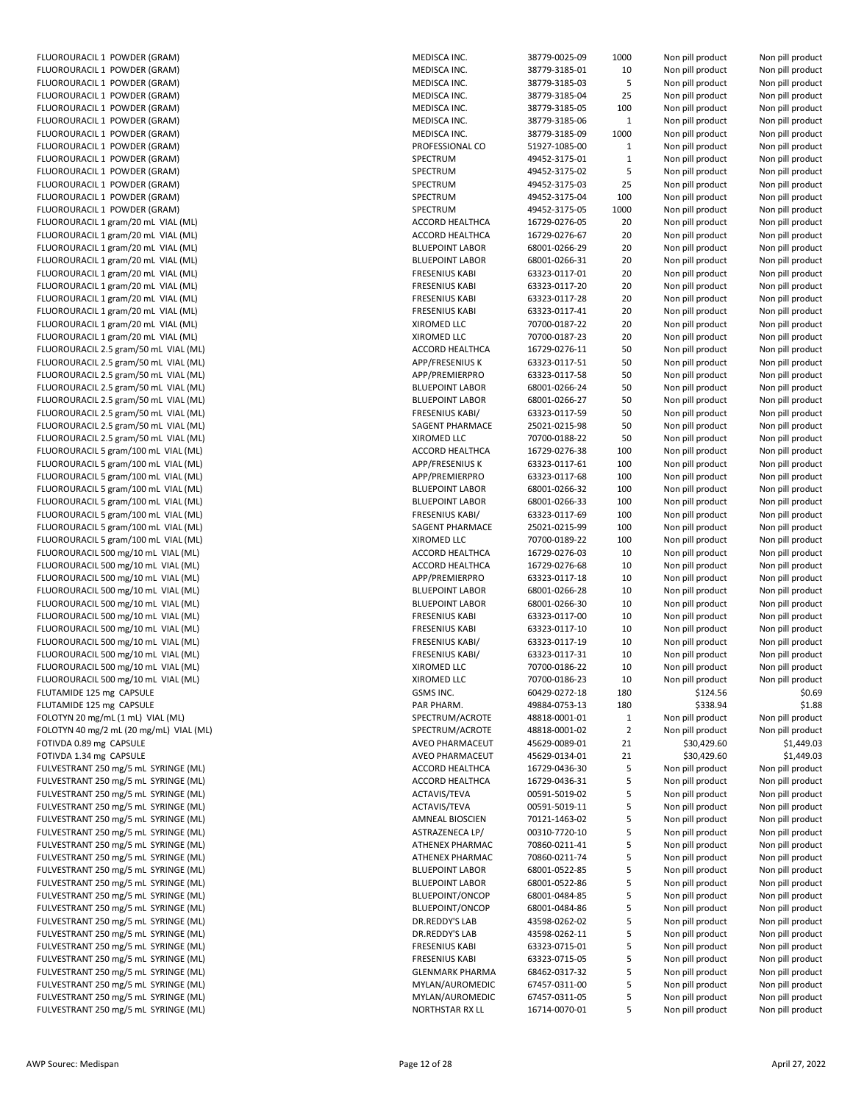| FLUOROURACIL 1 POWDER (GRAM)            | MEDISCA INC.           | 38779-0025-09 |
|-----------------------------------------|------------------------|---------------|
| FLUOROURACIL 1 POWDER (GRAM)            | MEDISCA INC.           | 38779-3185-01 |
| FLUOROURACIL 1 POWDER (GRAM)            | MEDISCA INC.           | 38779-3185-03 |
| FLUOROURACIL 1 POWDER (GRAM)            | MEDISCA INC.           | 38779-3185-04 |
| FLUOROURACIL 1 POWDER (GRAM)            | MEDISCA INC.           | 38779-3185-05 |
| FLUOROURACIL 1 POWDER (GRAM)            | MEDISCA INC.           | 38779-3185-06 |
| FLUOROURACIL 1 POWDER (GRAM)            | MEDISCA INC.           | 38779-3185-09 |
| FLUOROURACIL 1 POWDER (GRAM)            | PROFESSIONAL CO        | 51927-1085-00 |
|                                         |                        |               |
| FLUOROURACIL 1 POWDER (GRAM)            | SPECTRUM               | 49452-3175-01 |
| FLUOROURACIL 1 POWDER (GRAM)            | SPECTRUM               | 49452-3175-02 |
| FLUOROURACIL 1 POWDER (GRAM)            | SPECTRUM               | 49452-3175-03 |
| FLUOROURACIL 1 POWDER (GRAM)            | SPECTRUM               | 49452-3175-04 |
| FLUOROURACIL 1 POWDER (GRAM)            | SPECTRUM               | 49452-3175-05 |
| FLUOROURACIL 1 gram/20 mL VIAL (ML)     | ACCORD HEALTHCA        | 16729-0276-05 |
| FLUOROURACIL 1 gram/20 mL VIAL (ML)     | ACCORD HEALTHCA        | 16729-0276-67 |
| FLUOROURACIL 1 gram/20 mL VIAL (ML)     | <b>BLUEPOINT LABOR</b> | 68001-0266-29 |
| FLUOROURACIL 1 gram/20 mL VIAL (ML)     | <b>BLUEPOINT LABOR</b> | 68001-0266-31 |
| FLUOROURACIL 1 gram/20 mL VIAL (ML)     | <b>FRESENIUS KABI</b>  | 63323-0117-01 |
| FLUOROURACIL 1 gram/20 mL VIAL (ML)     | <b>FRESENIUS KABI</b>  | 63323-0117-20 |
|                                         |                        | 63323-0117-28 |
| FLUOROURACIL 1 gram/20 mL VIAL (ML)     | <b>FRESENIUS KABI</b>  |               |
| FLUOROURACIL 1 gram/20 mL VIAL (ML)     | <b>FRESENIUS KABI</b>  | 63323-0117-41 |
| FLUOROURACIL 1 gram/20 mL VIAL (ML)     | XIROMED LLC            | 70700-0187-22 |
| FLUOROURACIL 1 gram/20 mL VIAL (ML)     | XIROMED LLC            | 70700-0187-23 |
| FLUOROURACIL 2.5 gram/50 mL VIAL (ML)   | ACCORD HEALTHCA        | 16729-0276-11 |
| FLUOROURACIL 2.5 gram/50 mL VIAL (ML)   | APP/FRESENIUS K        | 63323-0117-51 |
| FLUOROURACIL 2.5 gram/50 mL VIAL (ML)   | APP/PREMIERPRO         | 63323-0117-58 |
| FLUOROURACIL 2.5 gram/50 mL VIAL (ML)   | <b>BLUEPOINT LABOR</b> | 68001-0266-24 |
| FLUOROURACIL 2.5 gram/50 mL VIAL (ML)   | <b>BLUEPOINT LABOR</b> | 68001-0266-27 |
| FLUOROURACIL 2.5 gram/50 mL VIAL (ML)   | <b>FRESENIUS KABI/</b> | 63323-0117-59 |
| FLUOROURACIL 2.5 gram/50 mL VIAL (ML)   | SAGENT PHARMACE        | 25021-0215-98 |
|                                         | XIROMED LLC            |               |
| FLUOROURACIL 2.5 gram/50 mL VIAL (ML)   |                        | 70700-0188-22 |
| FLUOROURACIL 5 gram/100 mL VIAL (ML)    | ACCORD HEALTHCA        | 16729-0276-38 |
| FLUOROURACIL 5 gram/100 mL VIAL (ML)    | APP/FRESENIUS K        | 63323-0117-61 |
| FLUOROURACIL 5 gram/100 mL VIAL (ML)    | APP/PREMIERPRO         | 63323-0117-68 |
| FLUOROURACIL 5 gram/100 mL VIAL (ML)    | <b>BLUEPOINT LABOR</b> | 68001-0266-32 |
| FLUOROURACIL 5 gram/100 mL VIAL (ML)    | <b>BLUEPOINT LABOR</b> | 68001-0266-33 |
| FLUOROURACIL 5 gram/100 mL VIAL (ML)    | <b>FRESENIUS KABI/</b> | 63323-0117-69 |
| FLUOROURACIL 5 gram/100 mL VIAL (ML)    | SAGENT PHARMACE        | 25021-0215-99 |
| FLUOROURACIL 5 gram/100 mL VIAL (ML)    | XIROMED LLC            | 70700-0189-22 |
| FLUOROURACIL 500 mg/10 mL VIAL (ML)     | ACCORD HEALTHCA        | 16729-0276-03 |
| FLUOROURACIL 500 mg/10 mL VIAL (ML)     | ACCORD HEALTHCA        | 16729-0276-68 |
| FLUOROURACIL 500 mg/10 mL VIAL (ML)     | APP/PREMIERPRO         | 63323-0117-18 |
|                                         |                        |               |
| FLUOROURACIL 500 mg/10 mL VIAL (ML)     | <b>BLUEPOINT LABOR</b> | 68001-0266-28 |
| FLUOROURACIL 500 mg/10 mL VIAL (ML)     | <b>BLUEPOINT LABOR</b> | 68001-0266-30 |
| FLUOROURACIL 500 mg/10 mL VIAL (ML)     | <b>FRESENIUS KABI</b>  | 63323-0117-00 |
| FLUOROURACIL 500 mg/10 mL VIAL (ML)     | <b>FRESENIUS KABI</b>  | 63323-0117-10 |
| FLUOROURACIL 500 mg/10 mL VIAL (ML)     | <b>FRESENIUS KABI/</b> | 63323-0117-19 |
| FLUOROURACIL 500 mg/10 mL VIAL (ML)     | <b>FRESENIUS KABI/</b> | 63323-0117-31 |
| FLUOROURACIL 500 mg/10 mL VIAL (ML)     | XIROMED LLC            | 70700-0186-22 |
| FLUOROURACIL 500 mg/10 mL VIAL (ML)     | XIROMED LLC            | 70700-0186-23 |
| FLUTAMIDE 125 mg CAPSULE                | GSMS INC.              | 60429-0272-18 |
| FLUTAMIDE 125 mg CAPSULE                | PAR PHARM.             | 49884-0753-13 |
| FOLOTYN 20 mg/mL (1 mL) VIAL (ML)       | SPECTRUM/ACROTE        | 48818-0001-01 |
|                                         | SPECTRUM/ACROTE        |               |
| FOLOTYN 40 mg/2 mL (20 mg/mL) VIAL (ML) |                        | 48818-0001-02 |
| FOTIVDA 0.89 mg CAPSULE                 | AVEO PHARMACEUT        | 45629-0089-01 |
| FOTIVDA 1.34 mg CAPSULE                 | AVEO PHARMACEUT        | 45629-0134-01 |
| FULVESTRANT 250 mg/5 mL SYRINGE (ML)    | ACCORD HEALTHCA        | 16729-0436-30 |
| FULVESTRANT 250 mg/5 mL SYRINGE (ML)    | ACCORD HEALTHCA        | 16729-0436-31 |
| FULVESTRANT 250 mg/5 mL SYRINGE (ML)    | ACTAVIS/TEVA           | 00591-5019-02 |
| FULVESTRANT 250 mg/5 mL SYRINGE (ML)    | ACTAVIS/TEVA           | 00591-5019-11 |
| FULVESTRANT 250 mg/5 mL SYRINGE (ML)    | AMNEAL BIOSCIEN        | 70121-1463-02 |
| FULVESTRANT 250 mg/5 mL SYRINGE (ML)    | ASTRAZENECA LP/        | 00310-7720-10 |
| FULVESTRANT 250 mg/5 mL SYRINGE (ML)    | ATHENEX PHARMAC        | 70860-0211-41 |
| FULVESTRANT 250 mg/5 mL SYRINGE (ML)    |                        |               |
|                                         | ATHENEX PHARMAC        | 70860-0211-74 |
| FULVESTRANT 250 mg/5 mL SYRINGE (ML)    | <b>BLUEPOINT LABOR</b> | 68001-0522-85 |
| FULVESTRANT 250 mg/5 mL SYRINGE (ML)    | <b>BLUEPOINT LABOR</b> | 68001-0522-86 |
| FULVESTRANT 250 mg/5 mL SYRINGE (ML)    | <b>BLUEPOINT/ONCOP</b> | 68001-0484-85 |
| FULVESTRANT 250 mg/5 mL SYRINGE (ML)    | BLUEPOINT/ONCOP        | 68001-0484-86 |
| FULVESTRANT 250 mg/5 mL SYRINGE (ML)    | DR.REDDY'S LAB         | 43598-0262-02 |
| FULVESTRANT 250 mg/5 mL SYRINGE (ML)    | DR.REDDY'S LAB         | 43598-0262-11 |
| FULVESTRANT 250 mg/5 mL SYRINGE (ML)    | <b>FRESENIUS KABI</b>  | 63323-0715-01 |
| FULVESTRANT 250 mg/5 mL SYRINGE (ML)    | <b>FRESENIUS KABI</b>  | 63323-0715-05 |
| FULVESTRANT 250 mg/5 mL SYRINGE (ML)    | <b>GLENMARK PHARMA</b> | 68462-0317-32 |
| FULVESTRANT 250 mg/5 mL SYRINGE (ML)    | MYLAN/AUROMEDIC        | 67457-0311-00 |
| FULVESTRANT 250 mg/5 mL SYRINGE (ML)    | MYLAN/AUROMEDIC        | 67457-0311-05 |
|                                         |                        |               |
| FULVESTRANT 250 mg/5 mL SYRINGE (ML)    | NORTHSTAR RX LL        | 16714-0070-01 |

| FLUOROURACIL 1 POWDER (GRAM)            | MEDISCA INC.           | 38779-0025-09 | 1000           | Non pill product | Non pill product |
|-----------------------------------------|------------------------|---------------|----------------|------------------|------------------|
| FLUOROURACIL 1 POWDER (GRAM)            | MEDISCA INC.           | 38779-3185-01 | 10             | Non pill product | Non pill product |
| FLUOROURACIL 1 POWDER (GRAM)            | MEDISCA INC.           | 38779-3185-03 | 5              | Non pill product | Non pill product |
| FLUOROURACIL 1 POWDER (GRAM)            | MEDISCA INC.           | 38779-3185-04 | 25             | Non pill product | Non pill product |
| FLUOROURACIL 1 POWDER (GRAM)            | MEDISCA INC.           | 38779-3185-05 | 100            | Non pill product | Non pill product |
| FLUOROURACIL 1 POWDER (GRAM)            | MEDISCA INC.           | 38779-3185-06 | $\mathbf 1$    | Non pill product | Non pill product |
| FLUOROURACIL 1 POWDER (GRAM)            | MEDISCA INC.           | 38779-3185-09 | 1000           | Non pill product | Non pill product |
| FLUOROURACIL 1 POWDER (GRAM)            | PROFESSIONAL CO        | 51927-1085-00 | $\mathbf{1}$   | Non pill product | Non pill product |
| FLUOROURACIL 1 POWDER (GRAM)            | SPECTRUM               | 49452-3175-01 | $\mathbf 1$    | Non pill product | Non pill product |
| FLUOROURACIL 1 POWDER (GRAM)            | SPECTRUM               | 49452-3175-02 | 5              |                  |                  |
|                                         |                        |               |                | Non pill product | Non pill product |
| FLUOROURACIL 1 POWDER (GRAM)            | SPECTRUM               | 49452-3175-03 | 25             | Non pill product | Non pill product |
| FLUOROURACIL 1 POWDER (GRAM)            | SPECTRUM               | 49452-3175-04 | 100            | Non pill product | Non pill product |
| FLUOROURACIL 1 POWDER (GRAM)            | SPECTRUM               | 49452-3175-05 | 1000           | Non pill product | Non pill product |
| FLUOROURACIL 1 gram/20 mL VIAL (ML)     | ACCORD HEALTHCA        | 16729-0276-05 | 20             | Non pill product | Non pill product |
| FLUOROURACIL 1 gram/20 mL VIAL (ML)     | ACCORD HEALTHCA        | 16729-0276-67 | 20             | Non pill product | Non pill product |
| FLUOROURACIL 1 gram/20 mL VIAL (ML)     | <b>BLUEPOINT LABOR</b> | 68001-0266-29 | 20             | Non pill product | Non pill product |
| FLUOROURACIL 1 gram/20 mL VIAL (ML)     | <b>BLUEPOINT LABOR</b> | 68001-0266-31 | 20             | Non pill product | Non pill product |
| FLUOROURACIL 1 gram/20 mL VIAL (ML)     | <b>FRESENIUS KABI</b>  | 63323-0117-01 | 20             | Non pill product | Non pill product |
| FLUOROURACIL 1 gram/20 mL VIAL (ML)     | <b>FRESENIUS KABI</b>  | 63323-0117-20 | 20             | Non pill product | Non pill product |
| FLUOROURACIL 1 gram/20 mL VIAL (ML)     | <b>FRESENIUS KABI</b>  | 63323-0117-28 | 20             | Non pill product | Non pill product |
| FLUOROURACIL 1 gram/20 mL VIAL (ML)     | <b>FRESENIUS KABI</b>  | 63323-0117-41 | 20             | Non pill product | Non pill product |
| FLUOROURACIL 1 gram/20 mL VIAL (ML)     | XIROMED LLC            | 70700-0187-22 | 20             | Non pill product | Non pill product |
| FLUOROURACIL 1 gram/20 mL VIAL (ML)     | XIROMED LLC            | 70700-0187-23 | 20             | Non pill product | Non pill product |
|                                         | ACCORD HEALTHCA        |               |                |                  |                  |
| FLUOROURACIL 2.5 gram/50 mL VIAL (ML)   |                        | 16729-0276-11 | 50             | Non pill product | Non pill product |
| FLUOROURACIL 2.5 gram/50 mL VIAL (ML)   | APP/FRESENIUS K        | 63323-0117-51 | 50             | Non pill product | Non pill product |
| FLUOROURACIL 2.5 gram/50 mL VIAL (ML)   | APP/PREMIERPRO         | 63323-0117-58 | 50             | Non pill product | Non pill product |
| FLUOROURACIL 2.5 gram/50 mL VIAL (ML)   | <b>BLUEPOINT LABOR</b> | 68001-0266-24 | 50             | Non pill product | Non pill product |
| FLUOROURACIL 2.5 gram/50 mL VIAL (ML)   | <b>BLUEPOINT LABOR</b> | 68001-0266-27 | 50             | Non pill product | Non pill product |
| FLUOROURACIL 2.5 gram/50 mL VIAL (ML)   | <b>FRESENIUS KABI/</b> | 63323-0117-59 | 50             | Non pill product | Non pill product |
| FLUOROURACIL 2.5 gram/50 mL VIAL (ML)   | SAGENT PHARMACE        | 25021-0215-98 | 50             | Non pill product | Non pill product |
| FLUOROURACIL 2.5 gram/50 mL VIAL (ML)   | XIROMED LLC            | 70700-0188-22 | 50             | Non pill product | Non pill product |
| FLUOROURACIL 5 gram/100 mL VIAL (ML)    | ACCORD HEALTHCA        | 16729-0276-38 | 100            | Non pill product | Non pill product |
| FLUOROURACIL 5 gram/100 mL VIAL (ML)    | APP/FRESENIUS K        | 63323-0117-61 | 100            | Non pill product | Non pill product |
| FLUOROURACIL 5 gram/100 mL VIAL (ML)    | APP/PREMIERPRO         | 63323-0117-68 | 100            | Non pill product | Non pill product |
| FLUOROURACIL 5 gram/100 mL VIAL (ML)    | <b>BLUEPOINT LABOR</b> | 68001-0266-32 | 100            | Non pill product | Non pill product |
| FLUOROURACIL 5 gram/100 mL VIAL (ML)    | <b>BLUEPOINT LABOR</b> | 68001-0266-33 | 100            | Non pill product | Non pill product |
| FLUOROURACIL 5 gram/100 mL VIAL (ML)    | <b>FRESENIUS KABI/</b> | 63323-0117-69 | 100            |                  |                  |
|                                         |                        |               |                | Non pill product | Non pill product |
| FLUOROURACIL 5 gram/100 mL VIAL (ML)    | SAGENT PHARMACE        | 25021-0215-99 | 100            | Non pill product | Non pill product |
| FLUOROURACIL 5 gram/100 mL VIAL (ML)    | XIROMED LLC            | 70700-0189-22 | 100            | Non pill product | Non pill product |
| FLUOROURACIL 500 mg/10 mL VIAL (ML)     | ACCORD HEALTHCA        | 16729-0276-03 | 10             | Non pill product | Non pill product |
| FLUOROURACIL 500 mg/10 mL VIAL (ML)     | ACCORD HEALTHCA        | 16729-0276-68 | 10             | Non pill product | Non pill product |
| FLUOROURACIL 500 mg/10 mL VIAL (ML)     | APP/PREMIERPRO         | 63323-0117-18 | 10             | Non pill product | Non pill product |
| FLUOROURACIL 500 mg/10 mL VIAL (ML)     | <b>BLUEPOINT LABOR</b> | 68001-0266-28 | 10             | Non pill product | Non pill product |
| FLUOROURACIL 500 mg/10 mL VIAL (ML)     | <b>BLUEPOINT LABOR</b> | 68001-0266-30 | 10             | Non pill product | Non pill product |
| FLUOROURACIL 500 mg/10 mL VIAL (ML)     | <b>FRESENIUS KABI</b>  | 63323-0117-00 | 10             | Non pill product | Non pill product |
| FLUOROURACIL 500 mg/10 mL VIAL (ML)     | <b>FRESENIUS KABI</b>  | 63323-0117-10 | 10             | Non pill product | Non pill product |
| FLUOROURACIL 500 mg/10 mL VIAL (ML)     | <b>FRESENIUS KABI/</b> | 63323-0117-19 | 10             | Non pill product | Non pill product |
| FLUOROURACIL 500 mg/10 mL VIAL (ML)     | <b>FRESENIUS KABI/</b> | 63323-0117-31 | 10             | Non pill product | Non pill product |
| FLUOROURACIL 500 mg/10 mL VIAL (ML)     | XIROMED LLC            | 70700-0186-22 | 10             | Non pill product | Non pill product |
| FLUOROURACIL 500 mg/10 mL VIAL (ML)     | XIROMED LLC            | 70700-0186-23 | 10             | Non pill product | Non pill product |
|                                         |                        | 60429-0272-18 |                |                  |                  |
| FLUTAMIDE 125 mg CAPSULE                | GSMS INC.              |               | 180            | \$124.56         | \$0.69           |
| FLUTAMIDE 125 mg CAPSULE                | PAR PHARM.             | 49884-0753-13 | 180            | \$338.94         | \$1.88           |
| FOLOTYN 20 mg/mL (1 mL) VIAL (ML)       | SPECTRUM/ACROTE        | 48818-0001-01 | $\mathbf{1}$   | Non pill product | Non pill product |
| FOLOTYN 40 mg/2 mL (20 mg/mL) VIAL (ML) | SPECTRUM/ACROTE        | 48818-0001-02 | $\overline{2}$ | Non pill product | Non pill product |
| FOTIVDA 0.89 mg CAPSULE                 | AVEO PHARMACEUT        | 45629-0089-01 | 21             | \$30,429.60      | \$1,449.03       |
| FOTIVDA 1.34 mg CAPSULE                 | AVEO PHARMACEUT        | 45629-0134-01 | 21             | \$30,429.60      | \$1,449.03       |
| FULVESTRANT 250 mg/5 mL SYRINGE (ML)    | ACCORD HEALTHCA        | 16729-0436-30 | 5              | Non pill product | Non pill product |
| FULVESTRANT 250 mg/5 mL SYRINGE (ML)    | ACCORD HEALTHCA        | 16729-0436-31 | 5              | Non pill product | Non pill product |
| FULVESTRANT 250 mg/5 mL SYRINGE (ML)    | ACTAVIS/TEVA           | 00591-5019-02 | 5              | Non pill product | Non pill product |
| FULVESTRANT 250 mg/5 mL SYRINGE (ML)    | ACTAVIS/TEVA           | 00591-5019-11 | 5              | Non pill product | Non pill product |
| FULVESTRANT 250 mg/5 mL SYRINGE (ML)    | <b>AMNEAL BIOSCIEN</b> | 70121-1463-02 | 5              | Non pill product | Non pill product |
| FULVESTRANT 250 mg/5 mL SYRINGE (ML)    | ASTRAZENECA LP/        | 00310-7720-10 | 5              | Non pill product | Non pill product |
| FULVESTRANT 250 mg/5 mL SYRINGE (ML)    | ATHENEX PHARMAC        | 70860-0211-41 | 5              | Non pill product | Non pill product |
| FULVESTRANT 250 mg/5 mL SYRINGE (ML)    | ATHENEX PHARMAC        | 70860-0211-74 | 5              | Non pill product | Non pill product |
|                                         |                        |               |                |                  |                  |
| FULVESTRANT 250 mg/5 mL SYRINGE (ML)    | <b>BLUEPOINT LABOR</b> | 68001-0522-85 | 5              | Non pill product | Non pill product |
| FULVESTRANT 250 mg/5 mL SYRINGE (ML)    | <b>BLUEPOINT LABOR</b> | 68001-0522-86 | 5              | Non pill product | Non pill product |
| FULVESTRANT 250 mg/5 mL SYRINGE (ML)    | BLUEPOINT/ONCOP        | 68001-0484-85 | 5              | Non pill product | Non pill product |
| FULVESTRANT 250 mg/5 mL SYRINGE (ML)    | BLUEPOINT/ONCOP        | 68001-0484-86 | 5              | Non pill product | Non pill product |
| FULVESTRANT 250 mg/5 mL SYRINGE (ML)    | DR.REDDY'S LAB         | 43598-0262-02 | 5              | Non pill product | Non pill product |
| FULVESTRANT 250 mg/5 mL SYRINGE (ML)    | DR.REDDY'S LAB         | 43598-0262-11 | 5              | Non pill product | Non pill product |
| FULVESTRANT 250 mg/5 mL SYRINGE (ML)    | <b>FRESENIUS KABI</b>  | 63323-0715-01 | 5              | Non pill product | Non pill product |
| FULVESTRANT 250 mg/5 mL SYRINGE (ML)    | <b>FRESENIUS KABI</b>  | 63323-0715-05 | 5              | Non pill product | Non pill product |
| FULVESTRANT 250 mg/5 mL SYRINGE (ML)    | <b>GLENMARK PHARMA</b> | 68462-0317-32 | 5              | Non pill product | Non pill product |
| FULVESTRANT 250 mg/5 mL SYRINGE (ML)    | MYLAN/AUROMEDIC        | 67457-0311-00 | 5              | Non pill product | Non pill product |
| FULVESTRANT 250 mg/5 mL SYRINGE (ML)    | MYLAN/AUROMEDIC        | 67457-0311-05 | 5              | Non pill product | Non pill product |
| FULVESTRANT 250 mg/5 mL SYRINGE (ML)    | NORTHSTAR RX LL        | 16714-0070-01 | 5              | Non pill product | Non pill product |
|                                         |                        |               |                |                  |                  |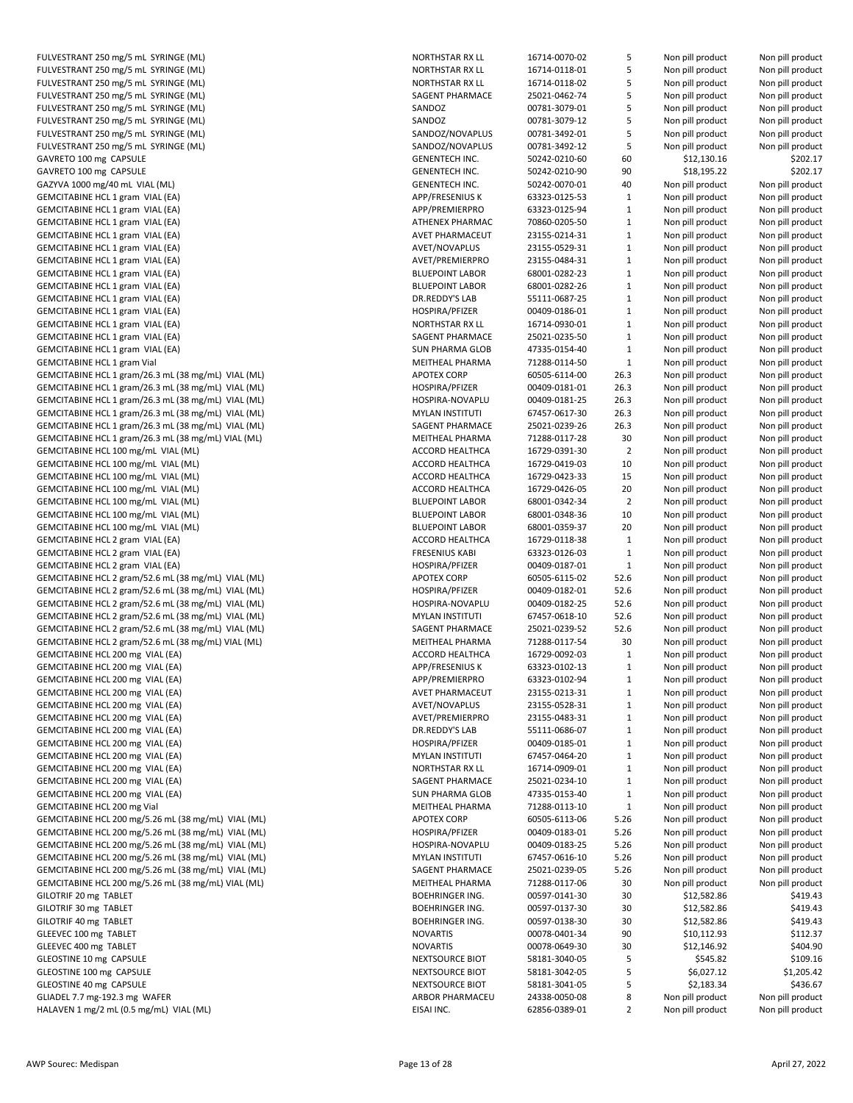| FULVESTRANT 250 mg/5 mL SYRINGE (ML)                | <b>NOR</b>       |
|-----------------------------------------------------|------------------|
| FULVESTRANT 250 mg/5 mL SYRINGE (ML)                | <b>NOR</b>       |
|                                                     |                  |
| FULVESTRANT 250 mg/5 mL SYRINGE (ML)                | <b>NOR</b>       |
| FULVESTRANT 250 mg/5 mL SYRINGE (ML)                | SAGI             |
| FULVESTRANT 250 mg/5 mL SYRINGE (ML)                | SANI             |
| FULVESTRANT 250 mg/5 mL SYRINGE (ML)                | SANI             |
| FULVESTRANT 250 mg/5 mL SYRINGE (ML)                | SANI             |
| FULVESTRANT 250 mg/5 mL SYRINGE (ML)                | SANI             |
|                                                     |                  |
| GAVRETO 100 mg CAPSULE                              | <b>GEN</b>       |
| GAVRETO 100 mg CAPSULE                              | <b>GEN</b>       |
| GAZYVA 1000 mg/40 mL VIAL (ML)                      | GEN              |
| GEMCITABINE HCL 1 gram VIAL (EA)                    | APP/             |
| GEMCITABINE HCL 1 gram VIAL (EA)                    | APP/             |
|                                                     |                  |
| GEMCITABINE HCL 1 gram VIAL (EA)                    | <b>ATHI</b>      |
| GEMCITABINE HCL 1 gram VIAL (EA)                    | AVE <sup>-</sup> |
| GEMCITABINE HCL 1 gram VIAL (EA)                    | AVE <sup>-</sup> |
| GEMCITABINE HCL 1 gram VIAL (EA)                    | AVE <sup>-</sup> |
| GEMCITABINE HCL 1 gram VIAL (EA)                    | <b>BLUE</b>      |
| GEMCITABINE HCL 1 gram VIAL (EA)                    | <b>BLUE</b>      |
|                                                     |                  |
| GEMCITABINE HCL 1 gram VIAL (EA)                    | DR.R             |
| GEMCITABINE HCL 1 gram VIAL (EA)                    | HOS              |
| GEMCITABINE HCL 1 gram VIAL (EA)                    | <b>NOR</b>       |
| GEMCITABINE HCL 1 gram VIAL (EA)                    | SAGI             |
| GEMCITABINE HCL 1 gram VIAL (EA)                    | <b>SUN</b>       |
|                                                     |                  |
| <b>GEMCITABINE HCL 1 gram Vial</b>                  | <b>MEI</b>       |
| GEMCITABINE HCL 1 gram/26.3 mL (38 mg/mL) VIAL (ML) | APO <sup>®</sup> |
| GEMCITABINE HCL 1 gram/26.3 mL (38 mg/mL) VIAL (ML) | HOS              |
| GEMCITABINE HCL 1 gram/26.3 mL (38 mg/mL) VIAL (ML) | HOS              |
| GEMCITABINE HCL 1 gram/26.3 mL (38 mg/mL) VIAL (ML) | MYL              |
| GEMCITABINE HCL 1 gram/26.3 mL (38 mg/mL) VIAL (ML) | SAGI             |
|                                                     |                  |
| GEMCITABINE HCL 1 gram/26.3 mL (38 mg/mL) VIAL (ML) | MEI <sub>1</sub> |
| GEMCITABINE HCL 100 mg/mL VIAL (ML)                 | <b>ACC</b>       |
| GEMCITABINE HCL 100 mg/mL VIAL (ML)                 | <b>ACC</b>       |
| GEMCITABINE HCL 100 mg/mL VIAL (ML)                 | <b>ACC</b>       |
| GEMCITABINE HCL 100 mg/mL VIAL (ML)                 | <b>ACC</b>       |
|                                                     |                  |
| GEMCITABINE HCL 100 mg/mL VIAL (ML)                 | <b>BLUE</b>      |
| GEMCITABINE HCL 100 mg/mL VIAL (ML)                 | <b>BLUE</b>      |
| GEMCITABINE HCL 100 mg/mL VIAL (ML)                 | <b>BLUE</b>      |
| GEMCITABINE HCL 2 gram VIAL (EA)                    | <b>ACC</b>       |
| GEMCITABINE HCL 2 gram VIAL (EA)                    | <b>FRES</b>      |
| GEMCITABINE HCL 2 gram VIAL (EA)                    | HOS              |
|                                                     | APO <sup>®</sup> |
| GEMCITABINE HCL 2 gram/52.6 mL (38 mg/mL) VIAL (ML) |                  |
| GEMCITABINE HCL 2 gram/52.6 mL (38 mg/mL) VIAL (ML) | HOS              |
| GEMCITABINE HCL 2 gram/52.6 mL (38 mg/mL) VIAL (ML) | <b>HOS</b>       |
| GEMCITABINE HCL 2 gram/52.6 mL (38 mg/mL) VIAL (ML) | MYL              |
| GEMCITABINE HCL 2 gram/52.6 mL (38 mg/mL) VIAL (ML) | SAGI             |
| GEMCITABINE HCL 2 gram/52.6 mL (38 mg/mL) VIAL (ML) | <b>MEI</b>       |
|                                                     |                  |
| GEMCITABINE HCL 200 mg VIAL (EA)                    | <b>ACC</b>       |
| GEMCITABINE HCL 200 mg VIAL (EA)                    | APP,             |
| GEMCITABINE HCL 200 mg VIAL (EA)                    | APP/             |
| GEMCITABINE HCL 200 mg VIAL (EA)                    | AVE <sup>-</sup> |
| GEMCITABINE HCL 200 mg VIAL (EA)                    | AVE <sup>-</sup> |
|                                                     | AVE <sup>-</sup> |
| GEMCITABINE HCL 200 mg VIAL (EA)                    |                  |
| GEMCITABINE HCL 200 mg VIAL (EA)                    | DR.F             |
| GEMCITABINE HCL 200 mg VIAL (EA)                    | HOS              |
| GEMCITABINE HCL 200 mg VIAL (EA)                    | MYL              |
| GEMCITABINE HCL 200 mg VIAL (EA)                    | <b>NOR</b>       |
| GEMCITABINE HCL 200 mg VIAL (EA)                    | SAGI             |
|                                                     |                  |
| GEMCITABINE HCL 200 mg VIAL (EA)                    | SUN              |
| GEMCITABINE HCL 200 mg Vial                         | <b>MEI</b>       |
| GEMCITABINE HCL 200 mg/5.26 mL (38 mg/mL) VIAL (ML) | APO <sup>®</sup> |
| GEMCITABINE HCL 200 mg/5.26 mL (38 mg/mL) VIAL (ML) | <b>HOS</b>       |
| GEMCITABINE HCL 200 mg/5.26 mL (38 mg/mL) VIAL (ML) | <b>HOS</b>       |
| GEMCITABINE HCL 200 mg/5.26 mL (38 mg/mL) VIAL (ML) | MYL              |
|                                                     |                  |
| GEMCITABINE HCL 200 mg/5.26 mL (38 mg/mL) VIAL (ML) | SAGI             |
| GEMCITABINE HCL 200 mg/5.26 mL (38 mg/mL) VIAL (ML) | <b>MEI</b>       |
| GILOTRIF 20 mg TABLET                               | <b>BOEI</b>      |
| GILOTRIF 30 mg TABLET                               | <b>BOE</b>       |
| GILOTRIF 40 mg TABLET                               | <b>BOEI</b>      |
|                                                     | <b>NOV</b>       |
| GLEEVEC 100 mg TABLET                               |                  |
| GLEEVEC 400 mg TABLET                               | <b>NOV</b>       |
| GLEOSTINE 10 mg CAPSULE                             | NEX <sup>-</sup> |
| GLEOSTINE 100 mg CAPSULE                            | NEX <sup>-</sup> |
| GLEOSTINE 40 mg CAPSULE                             | NEX <sup>-</sup> |
| GLIADEL 7.7 mg-192.3 mg WAFER                       | ARB              |
|                                                     |                  |
| HALAVEN 1 mg/2 mL (0.5 mg/mL) VIAL (ML)             | EISA             |

| FULVESTRANT 250 mg/5 mL SYRINGE (ML)                | NORTHSTAR RX LL        | 16714-0070-02 | 5              | Non pill product | Non pill product                     |
|-----------------------------------------------------|------------------------|---------------|----------------|------------------|--------------------------------------|
| FULVESTRANT 250 mg/5 mL SYRINGE (ML)                | NORTHSTAR RX LL        | 16714-0118-01 | 5              | Non pill product | Non pill product                     |
| FULVESTRANT 250 mg/5 mL SYRINGE (ML)                | NORTHSTAR RX LL        | 16714-0118-02 | 5              | Non pill product | Non pill product                     |
| FULVESTRANT 250 mg/5 mL SYRINGE (ML)                | SAGENT PHARMACE        | 25021-0462-74 | 5              | Non pill product | Non pill product                     |
| FULVESTRANT 250 mg/5 mL SYRINGE (ML)                | SANDOZ                 | 00781-3079-01 | 5              | Non pill product | Non pill product                     |
| FULVESTRANT 250 mg/5 mL SYRINGE (ML)                | SANDOZ                 | 00781-3079-12 | 5              | Non pill product | Non pill product                     |
| FULVESTRANT 250 mg/5 mL SYRINGE (ML)                | SANDOZ/NOVAPLUS        | 00781-3492-01 | 5              | Non pill product | Non pill product                     |
| FULVESTRANT 250 mg/5 mL SYRINGE (ML)                | SANDOZ/NOVAPLUS        | 00781-3492-12 | 5              | Non pill product | Non pill product                     |
| GAVRETO 100 mg CAPSULE                              | <b>GENENTECH INC.</b>  | 50242-0210-60 | 60             | \$12,130.16      | \$202.17                             |
| GAVRETO 100 mg CAPSULE                              | <b>GENENTECH INC.</b>  | 50242-0210-90 | 90             | \$18,195.22      | \$202.17                             |
| GAZYVA 1000 mg/40 mL VIAL (ML)                      | <b>GENENTECH INC.</b>  | 50242-0070-01 | 40             | Non pill product | Non pill product                     |
| GEMCITABINE HCL 1 gram VIAL (EA)                    | <b>APP/FRESENIUS K</b> | 63323-0125-53 | $\mathbf{1}$   | Non pill product | Non pill product                     |
| GEMCITABINE HCL 1 gram VIAL (EA)                    | APP/PREMIERPRO         | 63323-0125-94 | $\mathbf{1}$   | Non pill product | Non pill product                     |
| GEMCITABINE HCL 1 gram VIAL (EA)                    | ATHENEX PHARMAC        | 70860-0205-50 | $\mathbf{1}$   | Non pill product | Non pill product                     |
| GEMCITABINE HCL 1 gram VIAL (EA)                    | <b>AVET PHARMACEUT</b> | 23155-0214-31 | $\mathbf{1}$   | Non pill product | Non pill product                     |
| GEMCITABINE HCL 1 gram VIAL (EA)                    | AVET/NOVAPLUS          | 23155-0529-31 | $\mathbf{1}$   | Non pill product | Non pill product                     |
| GEMCITABINE HCL 1 gram VIAL (EA)                    | AVET/PREMIERPRO        | 23155-0484-31 | $\mathbf{1}$   | Non pill product | Non pill product                     |
| GEMCITABINE HCL 1 gram VIAL (EA)                    | <b>BLUEPOINT LABOR</b> | 68001-0282-23 | $\mathbf{1}$   | Non pill product | Non pill product                     |
| GEMCITABINE HCL 1 gram VIAL (EA)                    | <b>BLUEPOINT LABOR</b> | 68001-0282-26 | $\mathbf{1}$   | Non pill product | Non pill product                     |
| GEMCITABINE HCL 1 gram VIAL (EA)                    | DR.REDDY'S LAB         | 55111-0687-25 | $\mathbf{1}$   | Non pill product | Non pill product                     |
| GEMCITABINE HCL 1 gram VIAL (EA)                    | HOSPIRA/PFIZER         | 00409-0186-01 | $\mathbf{1}$   | Non pill product | Non pill product                     |
| GEMCITABINE HCL 1 gram VIAL (EA)                    | NORTHSTAR RX LL        | 16714-0930-01 | $\mathbf{1}$   | Non pill product | Non pill product                     |
| GEMCITABINE HCL 1 gram VIAL (EA)                    | SAGENT PHARMACE        | 25021-0235-50 | $\mathbf{1}$   | Non pill product | Non pill product                     |
| GEMCITABINE HCL 1 gram VIAL (EA)                    | <b>SUN PHARMA GLOB</b> | 47335-0154-40 | $\mathbf{1}$   | Non pill product | Non pill product                     |
|                                                     |                        | 71288-0114-50 |                |                  |                                      |
| <b>GEMCITABINE HCL 1 gram Vial</b>                  | MEITHEAL PHARMA        |               | $\mathbf{1}$   | Non pill product | Non pill product                     |
| GEMCITABINE HCL 1 gram/26.3 mL (38 mg/mL) VIAL (ML) | <b>APOTEX CORP</b>     | 60505-6114-00 | 26.3           | Non pill product | Non pill product                     |
| GEMCITABINE HCL 1 gram/26.3 mL (38 mg/mL) VIAL (ML) | HOSPIRA/PFIZER         | 00409-0181-01 | 26.3           | Non pill product | Non pill product                     |
| GEMCITABINE HCL 1 gram/26.3 mL (38 mg/mL) VIAL (ML) | HOSPIRA-NOVAPLU        | 00409-0181-25 | 26.3           | Non pill product | Non pill product                     |
| GEMCITABINE HCL 1 gram/26.3 mL (38 mg/mL) VIAL (ML) | <b>MYLAN INSTITUTI</b> | 67457-0617-30 | 26.3           | Non pill product | Non pill product                     |
| GEMCITABINE HCL 1 gram/26.3 mL (38 mg/mL) VIAL (ML) | SAGENT PHARMACE        | 25021-0239-26 | 26.3           | Non pill product | Non pill product                     |
| GEMCITABINE HCL 1 gram/26.3 mL (38 mg/mL) VIAL (ML) | <b>MEITHEAL PHARMA</b> | 71288-0117-28 | 30             | Non pill product | Non pill product                     |
| GEMCITABINE HCL 100 mg/mL VIAL (ML)                 | ACCORD HEALTHCA        | 16729-0391-30 | 2              | Non pill product | Non pill product                     |
| GEMCITABINE HCL 100 mg/mL VIAL (ML)                 | ACCORD HEALTHCA        | 16729-0419-03 | 10             | Non pill product | Non pill product                     |
| GEMCITABINE HCL 100 mg/mL VIAL (ML)                 | ACCORD HEALTHCA        | 16729-0423-33 | 15             | Non pill product | Non pill product                     |
| GEMCITABINE HCL 100 mg/mL VIAL (ML)                 | ACCORD HEALTHCA        | 16729-0426-05 | 20             | Non pill product | Non pill product                     |
| GEMCITABINE HCL 100 mg/mL VIAL (ML)                 | <b>BLUEPOINT LABOR</b> | 68001-0342-34 | $\overline{2}$ | Non pill product | Non pill product                     |
| GEMCITABINE HCL 100 mg/mL VIAL (ML)                 | <b>BLUEPOINT LABOR</b> | 68001-0348-36 | 10             | Non pill product | Non pill product                     |
| GEMCITABINE HCL 100 mg/mL VIAL (ML)                 | <b>BLUEPOINT LABOR</b> | 68001-0359-37 | 20             | Non pill product | Non pill product                     |
| GEMCITABINE HCL 2 gram VIAL (EA)                    | ACCORD HEALTHCA        | 16729-0118-38 | $\mathbf{1}$   | Non pill product | Non pill product                     |
| GEMCITABINE HCL 2 gram VIAL (EA)                    | <b>FRESENIUS KABI</b>  | 63323-0126-03 | $\mathbf{1}$   | Non pill product | Non pill product                     |
| GEMCITABINE HCL 2 gram VIAL (EA)                    | HOSPIRA/PFIZER         | 00409-0187-01 | 1              | Non pill product | Non pill product                     |
| GEMCITABINE HCL 2 gram/52.6 mL (38 mg/mL) VIAL (ML) | <b>APOTEX CORP</b>     | 60505-6115-02 | 52.6           | Non pill product | Non pill product                     |
| GEMCITABINE HCL 2 gram/52.6 mL (38 mg/mL) VIAL (ML) | HOSPIRA/PFIZER         | 00409-0182-01 | 52.6           | Non pill product | Non pill product                     |
| GEMCITABINE HCL 2 gram/52.6 mL (38 mg/mL) VIAL (ML) | HOSPIRA-NOVAPLU        | 00409-0182-25 | 52.6           | Non pill product | Non pill product                     |
| GEMCITABINE HCL 2 gram/52.6 mL (38 mg/mL) VIAL (ML) | <b>MYLAN INSTITUTI</b> | 67457-0618-10 | 52.6           | Non pill product | Non pill product                     |
| GEMCITABINE HCL 2 gram/52.6 mL (38 mg/mL) VIAL (ML) | SAGENT PHARMACE        | 25021-0239-52 | 52.6           | Non pill product | Non pill product                     |
| GEMCITABINE HCL 2 gram/52.6 mL (38 mg/mL) VIAL (ML) | <b>MEITHEAL PHARMA</b> | 71288-0117-54 | 30             | Non pill product | Non pill product                     |
| GEMCITABINE HCL 200 mg VIAL (EA)                    | ACCORD HEALTHCA        | 16729-0092-03 | $\mathbf{1}$   | Non pill product | Non pill product                     |
| GEMCITABINE HCL 200 mg VIAL (EA)                    | <b>APP/FRESENIUS K</b> | 63323-0102-13 | $\mathbf{1}$   | Non pill product | Non pill product                     |
| GEMCITABINE HCL 200 mg VIAL (EA)                    | APP/PREMIERPRO         | 63323-0102-94 | $\mathbf{1}$   | Non pill product | Non pill product                     |
| GEMCITABINE HCL 200 mg VIAL (EA)                    | AVET PHARMACEUT        | 23155-0213-31 | 1              | Non pill product | Non pill product                     |
| GEMCITABINE HCL 200 mg VIAL (EA)                    | <b>AVET/NOVAPLUS</b>   | 23155-0528-31 | 1              | Non pill product | Non pill product                     |
| GEMCITABINE HCL 200 mg VIAL (EA)                    | AVET/PREMIERPRO        | 23155-0483-31 | 1              | Non pill product | Non pill product                     |
| GEMCITABINE HCL 200 mg VIAL (EA)                    | DR.REDDY'S LAB         | 55111-0686-07 | 1              | Non pill product | Non pill product                     |
| GEMCITABINE HCL 200 mg VIAL (EA)                    | HOSPIRA/PFIZER         | 00409-0185-01 | $\mathbf{1}$   | Non pill product | Non pill product                     |
| GEMCITABINE HCL 200 mg VIAL (EA)                    | <b>MYLAN INSTITUTI</b> | 67457-0464-20 | 1              | Non pill product | Non pill product                     |
| GEMCITABINE HCL 200 mg VIAL (EA)                    | NORTHSTAR RX LL        | 16714-0909-01 | 1              | Non pill product | Non pill product                     |
| GEMCITABINE HCL 200 mg VIAL (EA)                    | SAGENT PHARMACE        | 25021-0234-10 | 1              | Non pill product | Non pill product                     |
|                                                     |                        |               |                | Non pill product |                                      |
| GEMCITABINE HCL 200 mg VIAL (EA)                    | <b>SUN PHARMA GLOB</b> | 47335-0153-40 | $\mathbf{1}$   |                  | Non pill product<br>Non pill product |
| <b>GEMCITABINE HCL 200 mg Vial</b>                  | MEITHEAL PHARMA        | 71288-0113-10 | $\mathbf{1}$   | Non pill product |                                      |
| GEMCITABINE HCL 200 mg/5.26 mL (38 mg/mL) VIAL (ML) | <b>APOTEX CORP</b>     | 60505-6113-06 | 5.26           | Non pill product | Non pill product                     |
| GEMCITABINE HCL 200 mg/5.26 mL (38 mg/mL) VIAL (ML) | HOSPIRA/PFIZER         | 00409-0183-01 | 5.26           | Non pill product | Non pill product                     |
| GEMCITABINE HCL 200 mg/5.26 mL (38 mg/mL) VIAL (ML) | HOSPIRA-NOVAPLU        | 00409-0183-25 | 5.26           | Non pill product | Non pill product                     |
| GEMCITABINE HCL 200 mg/5.26 mL (38 mg/mL) VIAL (ML) | <b>MYLAN INSTITUTI</b> | 67457-0616-10 | 5.26           | Non pill product | Non pill product                     |
| GEMCITABINE HCL 200 mg/5.26 mL (38 mg/mL) VIAL (ML) | SAGENT PHARMACE        | 25021-0239-05 | 5.26           | Non pill product | Non pill product                     |
| GEMCITABINE HCL 200 mg/5.26 mL (38 mg/mL) VIAL (ML) | MEITHEAL PHARMA        | 71288-0117-06 | 30             | Non pill product | Non pill product                     |
| GILOTRIF 20 mg TABLET                               | <b>BOEHRINGER ING.</b> | 00597-0141-30 | 30             | \$12,582.86      | \$419.43                             |
| GILOTRIF 30 mg TABLET                               | <b>BOEHRINGER ING.</b> | 00597-0137-30 | 30             | \$12,582.86      | \$419.43                             |
| GILOTRIF 40 mg TABLET                               | <b>BOEHRINGER ING.</b> | 00597-0138-30 | 30             | \$12,582.86      | \$419.43                             |
| GLEEVEC 100 mg TABLET                               | <b>NOVARTIS</b>        | 00078-0401-34 | 90             | \$10,112.93      | \$112.37                             |
| GLEEVEC 400 mg TABLET                               | <b>NOVARTIS</b>        | 00078-0649-30 | 30             | \$12,146.92      | \$404.90                             |
| GLEOSTINE 10 mg CAPSULE                             | NEXTSOURCE BIOT        | 58181-3040-05 | 5              | \$545.82         | \$109.16                             |
| GLEOSTINE 100 mg CAPSULE                            | NEXTSOURCE BIOT        | 58181-3042-05 | 5              | \$6,027.12       | \$1,205.42                           |
| GLEOSTINE 40 mg CAPSULE                             | NEXTSOURCE BIOT        | 58181-3041-05 | 5              | \$2,183.34       | \$436.67                             |
| GLIADEL 7.7 mg-192.3 mg WAFER                       | ARBOR PHARMACEU        | 24338-0050-08 | 8              | Non pill product | Non pill product                     |
| HALAVEN 1 mg/2 mL (0.5 mg/mL) VIAL (ML)             | EISAI INC.             | 62856-0389-01 | $\overline{2}$ | Non pill product | Non pill product                     |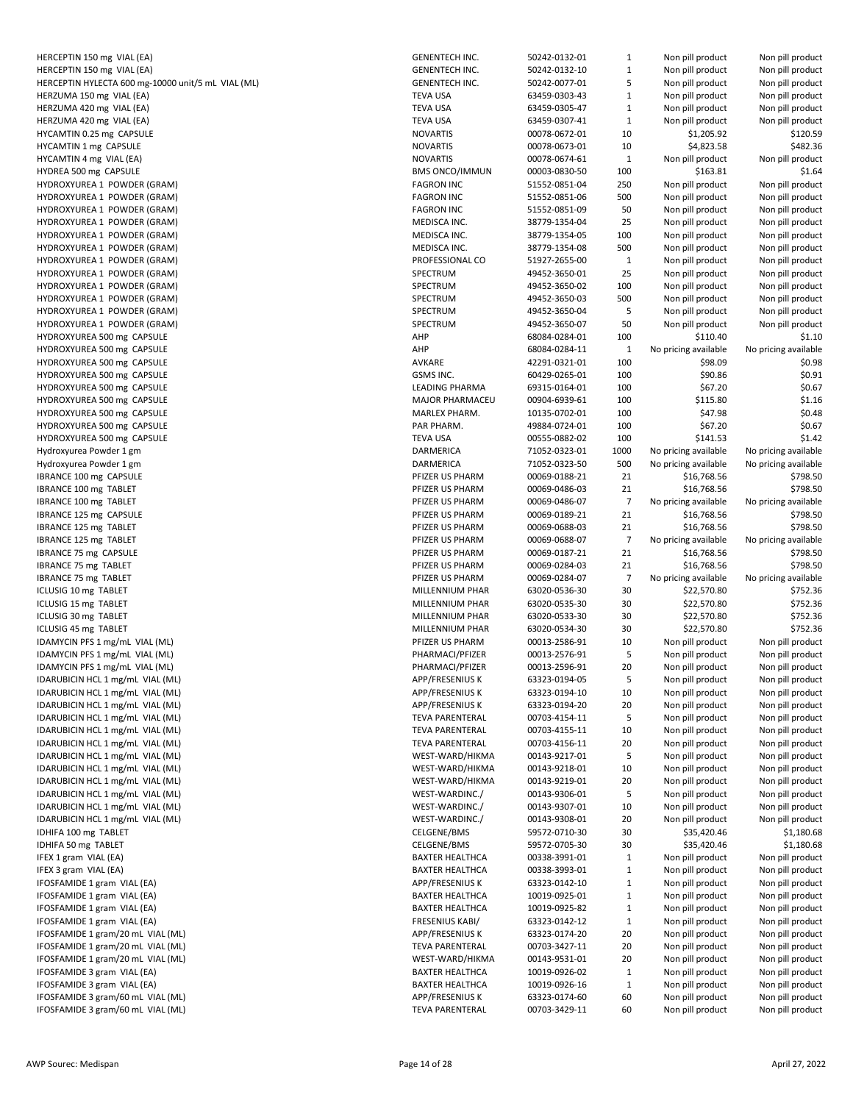| HERCEPTIN 150 mg VIAL (EA)                                           |
|----------------------------------------------------------------------|
| HERCEPTIN 150 mg VIAL (EA)                                           |
| HERCEPTIN HYLECTA 600 mg-10000 unit/5 mL VIA                         |
| HERZUMA 150 mg VIAL (EA)                                             |
| HERZUMA 420 mg VIAL (EA)                                             |
| HERZUMA 420 mg VIAL (EA)                                             |
| HYCAMTIN 0.25 mg CAPSULE<br>HYCAMTIN 1 mg CAPSULE                    |
| HYCAMTIN 4 mg VIAL (EA)                                              |
| HYDREA 500 mg CAPSULE                                                |
| HYDROXYUREA 1 POWDER (GRAM)                                          |
| HYDROXYUREA 1 POWDER (GRAM)                                          |
| HYDROXYUREA 1 POWDER (GRAM)                                          |
| HYDROXYUREA 1 POWDER (GRAM)                                          |
| HYDROXYUREA 1 POWDER (GRAM)                                          |
| HYDROXYUREA 1 POWDER (GRAM)                                          |
| HYDROXYUREA 1 POWDER (GRAM)                                          |
| HYDROXYUREA 1 POWDER (GRAM)<br>HYDROXYUREA 1 POWDER (GRAM)           |
| HYDROXYUREA 1 POWDER (GRAM)                                          |
| HYDROXYUREA 1 POWDER (GRAM)                                          |
| HYDROXYUREA 1 POWDER (GRAM)                                          |
| HYDROXYUREA 500 mg CAPSULE                                           |
| HYDROXYUREA 500 mg CAPSULE                                           |
| HYDROXYUREA 500 mg CAPSULE                                           |
| HYDROXYUREA 500 mg CAPSULE                                           |
| HYDROXYUREA 500 mg CAPSULE                                           |
| HYDROXYUREA 500 mg CAPSULE<br>HYDROXYUREA 500 mg CAPSULE             |
| HYDROXYUREA 500 mg CAPSULE                                           |
| HYDROXYUREA 500 mg CAPSULE                                           |
| Hydroxyurea Powder 1 gm                                              |
| Hydroxyurea Powder 1 gm                                              |
| IBRANCE 100 mg CAPSULE                                               |
| <b>IBRANCE 100 mg TABLET</b>                                         |
| IBRANCE 100 mg TABLET                                                |
| IBRANCE 125 mg CAPSULE                                               |
| <b>IBRANCE 125 mg TABLET</b><br>IBRANCE 125 mg TABLET                |
| <b>IBRANCE 75 mg CAPSULE</b>                                         |
| <b>IBRANCE 75 mg TABLET</b>                                          |
| <b>IBRANCE 75 mg TABLET</b>                                          |
| ICLUSIG 10 mg TABLET                                                 |
| ICLUSIG 15 mg TABLET                                                 |
| ICLUSIG 30 mg TABLET                                                 |
| ICLUSIG 45 mg TABLET<br>IDAMYCIN PFS 1 mg/mL VIAL (ML)               |
| IDAMYCIN PFS 1 mg/mL VIAL (ML)                                       |
| IDAMYCIN PFS 1 mg/mL VIAL (ML)                                       |
| IDARUBICIN HCL 1 mg/mL VIAL (ML)                                     |
| IDARUBICIN HCL 1 mg/mL VIAL (ML)                                     |
| IDARUBICIN HCL 1 mg/mL VIAL (ML)                                     |
| IDARUBICIN HCL 1 mg/mL VIAL (ML)                                     |
| IDARUBICIN HCL 1 mg/mL VIAL (ML)<br>IDARUBICIN HCL 1 mg/mL VIAL (ML) |
| IDARUBICIN HCL 1 mg/mL VIAL (ML)                                     |
| IDARUBICIN HCL 1 mg/mL VIAL (ML)                                     |
| IDARUBICIN HCL 1 mg/mL VIAL (ML)                                     |
| IDARUBICIN HCL 1 mg/mL VIAL (ML)                                     |
| IDARUBICIN HCL 1 mg/mL VIAL (ML)                                     |
| IDARUBICIN HCL 1 mg/mL VIAL (ML)                                     |
| IDHIFA 100 mg TABLET                                                 |
| IDHIFA 50 mg TABLET                                                  |
| IFEX 1 gram VIAL (EA)<br>IFEX 3 gram VIAL (EA)                       |
| IFOSFAMIDE 1 gram VIAL (EA)                                          |
| IFOSFAMIDE 1 gram VIAL (EA)                                          |
| IFOSFAMIDE 1 gram VIAL (EA)                                          |
| IFOSFAMIDE 1 gram VIAL (EA)                                          |
| IFOSFAMIDE 1 gram/20 mL VIAL (ML)                                    |
| IFOSFAMIDE 1 gram/20 mL VIAL (ML)                                    |
| IFOSFAMIDE 1 gram/20 mL VIAL (ML)<br>IFOSFAMIDE 3 gram VIAL (EA)     |
| IFOSFAMIDE 3 gram VIAL (EA)                                          |
| IFOSFAMIDE 3 gram/60 mL VIAL (ML)                                    |
| IFOSFAMIDE 3 gram/60 mL VIAL (ML)                                    |

| HERCEPTIN 150 mg VIAL (EA)                                                                      | <b>GENENTECH INC.</b>  | 50242-0132-01 | 1            | Non pill product     | Non pill product     |
|-------------------------------------------------------------------------------------------------|------------------------|---------------|--------------|----------------------|----------------------|
| HERCEPTIN 150 mg VIAL (EA)                                                                      | <b>GENENTECH INC.</b>  | 50242-0132-10 | $\mathbf{1}$ | Non pill product     | Non pill product     |
| HERCEPTIN HYLECTA 600 mg-10000 unit/5 mL VIAL (ML)                                              | <b>GENENTECH INC.</b>  | 50242-0077-01 | 5            | Non pill product     |                      |
|                                                                                                 |                        |               |              |                      | Non pill product     |
| HERZUMA 150 mg VIAL (EA)                                                                        | <b>TEVA USA</b>        | 63459-0303-43 | $\mathbf 1$  | Non pill product     | Non pill product     |
| HERZUMA 420 mg VIAL (EA)                                                                        | <b>TEVA USA</b>        | 63459-0305-47 | $\mathbf{1}$ | Non pill product     | Non pill product     |
|                                                                                                 |                        |               |              |                      |                      |
| HERZUMA 420 mg VIAL (EA)                                                                        | <b>TEVA USA</b>        | 63459-0307-41 | $\mathbf 1$  | Non pill product     | Non pill product     |
| HYCAMTIN 0.25 mg CAPSULE                                                                        | <b>NOVARTIS</b>        | 00078-0672-01 | 10           | \$1,205.92           | \$120.59             |
| HYCAMTIN 1 mg CAPSULE                                                                           | <b>NOVARTIS</b>        | 00078-0673-01 | 10           | \$4,823.58           | \$482.36             |
|                                                                                                 |                        |               |              |                      |                      |
| HYCAMTIN 4 mg VIAL (EA)                                                                         | <b>NOVARTIS</b>        | 00078-0674-61 | $\mathbf 1$  | Non pill product     | Non pill product     |
| HYDREA 500 mg CAPSULE                                                                           | <b>BMS ONCO/IMMUN</b>  | 00003-0830-50 | 100          | \$163.81             | \$1.64               |
| HYDROXYUREA 1 POWDER (GRAM)                                                                     | <b>FAGRON INC</b>      | 51552-0851-04 | 250          |                      |                      |
|                                                                                                 |                        |               |              | Non pill product     | Non pill product     |
| HYDROXYUREA 1 POWDER (GRAM)                                                                     | <b>FAGRON INC</b>      | 51552-0851-06 | 500          | Non pill product     | Non pill product     |
| HYDROXYUREA 1 POWDER (GRAM)                                                                     | <b>FAGRON INC</b>      | 51552-0851-09 | 50           | Non pill product     | Non pill product     |
|                                                                                                 |                        |               |              |                      |                      |
| HYDROXYUREA 1 POWDER (GRAM)                                                                     | MEDISCA INC.           | 38779-1354-04 | 25           | Non pill product     | Non pill product     |
| HYDROXYUREA 1 POWDER (GRAM)                                                                     | MEDISCA INC.           | 38779-1354-05 | 100          | Non pill product     | Non pill product     |
| HYDROXYUREA 1 POWDER (GRAM)                                                                     | MEDISCA INC.           | 38779-1354-08 | 500          | Non pill product     | Non pill product     |
|                                                                                                 |                        |               |              |                      |                      |
| HYDROXYUREA 1 POWDER (GRAM)                                                                     | PROFESSIONAL CO        | 51927-2655-00 | 1            | Non pill product     | Non pill product     |
| HYDROXYUREA 1 POWDER (GRAM)                                                                     | SPECTRUM               | 49452-3650-01 | 25           | Non pill product     | Non pill product     |
| HYDROXYUREA 1 POWDER (GRAM)                                                                     | SPECTRUM               | 49452-3650-02 | 100          | Non pill product     | Non pill product     |
|                                                                                                 |                        |               |              |                      |                      |
| HYDROXYUREA 1 POWDER (GRAM)                                                                     | SPECTRUM               | 49452-3650-03 | 500          | Non pill product     | Non pill product     |
| HYDROXYUREA 1 POWDER (GRAM)                                                                     | SPECTRUM               | 49452-3650-04 | 5            | Non pill product     | Non pill product     |
| HYDROXYUREA 1 POWDER (GRAM)                                                                     | SPECTRUM               | 49452-3650-07 | 50           | Non pill product     | Non pill product     |
|                                                                                                 |                        |               |              |                      |                      |
| HYDROXYUREA 500 mg CAPSULE                                                                      | AHP                    | 68084-0284-01 | 100          | \$110.40             | \$1.10               |
| HYDROXYUREA 500 mg CAPSULE                                                                      | AHP                    | 68084-0284-11 | 1            | No pricing available | No pricing available |
|                                                                                                 |                        |               |              |                      |                      |
| HYDROXYUREA 500 mg CAPSULE                                                                      | AVKARE                 | 42291-0321-01 | 100          | \$98.09              | \$0.98               |
| HYDROXYUREA 500 mg CAPSULE                                                                      | GSMS INC.              | 60429-0265-01 | 100          | \$90.86              | \$0.91               |
| HYDROXYUREA 500 mg CAPSULE                                                                      | LEADING PHARMA         | 69315-0164-01 | 100          | \$67.20              | \$0.67               |
|                                                                                                 |                        |               |              |                      |                      |
| HYDROXYUREA 500 mg CAPSULE                                                                      | MAJOR PHARMACEU        | 00904-6939-61 | 100          | \$115.80             | \$1.16               |
| HYDROXYUREA 500 mg CAPSULE                                                                      | MARLEX PHARM.          | 10135-0702-01 | 100          | \$47.98              | \$0.48               |
|                                                                                                 | PAR PHARM.             |               | 100          | \$67.20              | \$0.67               |
| HYDROXYUREA 500 mg CAPSULE                                                                      |                        | 49884-0724-01 |              |                      |                      |
| HYDROXYUREA 500 mg CAPSULE                                                                      | <b>TEVA USA</b>        | 00555-0882-02 | 100          | \$141.53             | \$1.42               |
| Hydroxyurea Powder 1 gm                                                                         | <b>DARMERICA</b>       | 71052-0323-01 | 1000         | No pricing available | No pricing available |
|                                                                                                 |                        |               |              |                      |                      |
| Hydroxyurea Powder 1 gm                                                                         | DARMERICA              | 71052-0323-50 | 500          | No pricing available | No pricing available |
| BRANCE 100 mg CAPSULE                                                                           | PFIZER US PHARM        | 00069-0188-21 | 21           | \$16,768.56          | \$798.50             |
| <b>IBRANCE 100 mg TABLET</b>                                                                    | PFIZER US PHARM        | 00069-0486-03 | 21           | \$16,768.56          | \$798.50             |
|                                                                                                 |                        |               |              |                      |                      |
| <b>IBRANCE 100 mg TABLET</b>                                                                    | PFIZER US PHARM        | 00069-0486-07 | 7            | No pricing available | No pricing available |
| BRANCE 125 mg CAPSULE                                                                           | PFIZER US PHARM        | 00069-0189-21 | 21           | \$16,768.56          | \$798.50             |
| IBRANCE 125 mg TABLET                                                                           | PFIZER US PHARM        | 00069-0688-03 | 21           | \$16,768.56          | \$798.50             |
|                                                                                                 |                        |               |              |                      |                      |
| <b>IBRANCE 125 mg TABLET</b>                                                                    | PFIZER US PHARM        | 00069-0688-07 | 7            | No pricing available | No pricing available |
| <b>BRANCE 75 mg CAPSULE</b>                                                                     | PFIZER US PHARM        | 00069-0187-21 | 21           | \$16,768.56          | \$798.50             |
|                                                                                                 | PFIZER US PHARM        | 00069-0284-03 | 21           | \$16,768.56          | \$798.50             |
| <b>IBRANCE 75 mg TABLET</b>                                                                     |                        |               |              |                      |                      |
| <b>IBRANCE 75 mg TABLET</b>                                                                     | PFIZER US PHARM        | 00069-0284-07 | 7            | No pricing available | No pricing available |
| ICLUSIG 10 mg TABLET                                                                            | MILLENNIUM PHAR        | 63020-0536-30 | 30           | \$22,570.80          | \$752.36             |
|                                                                                                 |                        |               |              |                      |                      |
| ICLUSIG 15 mg TABLET                                                                            | MILLENNIUM PHAR        | 63020-0535-30 | 30           | \$22,570.80          | \$752.36             |
| ICLUSIG 30 mg TABLET                                                                            | MILLENNIUM PHAR        | 63020-0533-30 | 30           | \$22,570.80          | \$752.36             |
| ICLUSIG 45 mg TABLET                                                                            | MILLENNIUM PHAR        | 63020-0534-30 | 30           | \$22,570.80          | \$752.36             |
|                                                                                                 |                        |               |              |                      |                      |
| IDAMYCIN PFS 1 mg/mL VIAL (ML)                                                                  | PFIZER US PHARM        | 00013-2586-91 | 10           | Non pill product     | Non pill product     |
| IDAMYCIN PFS 1 mg/mL VIAL (ML)                                                                  | PHARMACI/PFIZER        | 00013-2576-91 | 5            | Non pill product     | Non pill product     |
| IDAMYCIN PFS 1 mg/mL VIAL (ML)                                                                  | PHARMACI/PFIZER        | 00013-2596-91 | 20           | Non pill product     | Non pill product     |
|                                                                                                 |                        |               |              |                      |                      |
| IDARUBICIN HCL 1 mg/mL VIAL (ML)                                                                | APP/FRESENIUS K        | 63323-0194-05 | 5            | Non pill product     | Non pill product     |
| IDARUBICIN HCL 1 mg/mL VIAL (ML)                                                                | APP/FRESENIUS K        | 63323-0194-10 | 10           | Non pill product     | Non pill product     |
| IDARUBICIN HCL 1 mg/mL VIAL (ML)                                                                | APP/FRESENIUS K        | 63323-0194-20 | 20           | Non pill product     | Non pill product     |
|                                                                                                 |                        |               |              |                      |                      |
| IDARUBICIN HCL 1 mg/mL VIAL (ML)                                                                | <b>TEVA PARENTERAL</b> | 00703-4154-11 | 5            | Non pill product     | Non pill product     |
| IDARUBICIN HCL 1 mg/mL VIAL (ML)                                                                | <b>TEVA PARENTERAL</b> | 00703-4155-11 | 10           | Non pill product     | Non pill product     |
| IDARUBICIN HCL 1 mg/mL VIAL (ML)                                                                | <b>TEVA PARENTERAL</b> |               | 20           | Non pill product     | Non pill product     |
|                                                                                                 |                        | 00703-4156-11 |              |                      |                      |
| IDARUBICIN HCL 1 mg/mL VIAL (ML)                                                                | WEST-WARD/HIKMA        | 00143-9217-01 | 5            | Non pill product     | Non pill product     |
| IDARUBICIN HCL 1 mg/mL VIAL (ML)                                                                | WEST-WARD/HIKMA        | 00143-9218-01 | 10           | Non pill product     | Non pill product     |
|                                                                                                 | WEST-WARD/HIKMA        | 00143-9219-01 |              |                      | Non pill product     |
| IDARUBICIN HCL 1 mg/mL VIAL (ML)                                                                |                        |               | 20           | Non pill product     |                      |
| IDARUBICIN HCL 1 mg/mL VIAL (ML)                                                                | WEST-WARDINC./         | 00143-9306-01 | 5            | Non pill product     | Non pill product     |
| IDARUBICIN HCL 1 mg/mL VIAL (ML)                                                                | WEST-WARDINC./         | 00143-9307-01 | 10           | Non pill product     | Non pill product     |
|                                                                                                 |                        |               |              |                      |                      |
| IDARUBICIN HCL 1 mg/mL VIAL (ML)                                                                | WEST-WARDINC./         | 00143-9308-01 | 20           | Non pill product     | Non pill product     |
| IDHIFA 100 mg TABLET                                                                            | CELGENE/BMS            | 59572-0710-30 | 30           | \$35,420.46          | \$1,180.68           |
| IDHIFA 50 mg TABLET                                                                             | CELGENE/BMS            | 59572-0705-30 | 30           | \$35,420.46          | \$1,180.68           |
|                                                                                                 |                        |               |              |                      |                      |
| IFEX 1 gram VIAL (EA)                                                                           | <b>BAXTER HEALTHCA</b> | 00338-3991-01 | $\mathbf{1}$ | Non pill product     | Non pill product     |
| IFEX 3 gram VIAL (EA)                                                                           | <b>BAXTER HEALTHCA</b> | 00338-3993-01 | $\mathbf{1}$ | Non pill product     | Non pill product     |
| IFOSFAMIDE 1 gram VIAL (EA)                                                                     | APP/FRESENIUS K        | 63323-0142-10 | $\mathbf{1}$ | Non pill product     | Non pill product     |
|                                                                                                 |                        |               |              |                      |                      |
| IFOSFAMIDE 1 gram VIAL (EA)                                                                     |                        | 10019-0925-01 | $\mathbf{1}$ | Non pill product     | Non pill product     |
|                                                                                                 | <b>BAXTER HEALTHCA</b> |               |              | Non pill product     | Non pill product     |
| IFOSFAMIDE 1 gram VIAL (EA)                                                                     | <b>BAXTER HEALTHCA</b> | 10019-0925-82 | $\mathbf{1}$ |                      |                      |
|                                                                                                 |                        |               |              |                      |                      |
|                                                                                                 | <b>FRESENIUS KABI/</b> | 63323-0142-12 | $\mathbf{1}$ | Non pill product     | Non pill product     |
| IFOSFAMIDE 1 gram VIAL (EA)<br>IFOSFAMIDE 1 gram/20 mL VIAL (ML)                                | APP/FRESENIUS K        | 63323-0174-20 | 20           | Non pill product     | Non pill product     |
|                                                                                                 | <b>TEVA PARENTERAL</b> | 00703-3427-11 | 20           | Non pill product     | Non pill product     |
| IFOSFAMIDE 1 gram/20 mL VIAL (ML)                                                               |                        |               |              |                      |                      |
|                                                                                                 | WEST-WARD/HIKMA        | 00143-9531-01 | 20           | Non pill product     | Non pill product     |
|                                                                                                 | <b>BAXTER HEALTHCA</b> | 10019-0926-02 | $1\,$        | Non pill product     | Non pill product     |
| IFOSFAMIDE 1 gram/20 mL VIAL (ML)<br>IFOSFAMIDE 3 gram VIAL (EA)<br>IFOSFAMIDE 3 gram VIAL (EA) | <b>BAXTER HEALTHCA</b> | 10019-0926-16 | $1\,$        | Non pill product     | Non pill product     |
|                                                                                                 |                        |               |              |                      |                      |
| IFOSFAMIDE 3 gram/60 mL VIAL (ML)                                                               | APP/FRESENIUS K        | 63323-0174-60 | 60           | Non pill product     | Non pill product     |
| IFOSFAMIDE 3 gram/60 mL VIAL (ML)                                                               | <b>TEVA PARENTERAL</b> | 00703-3429-11 | 60           | Non pill product     | Non pill product     |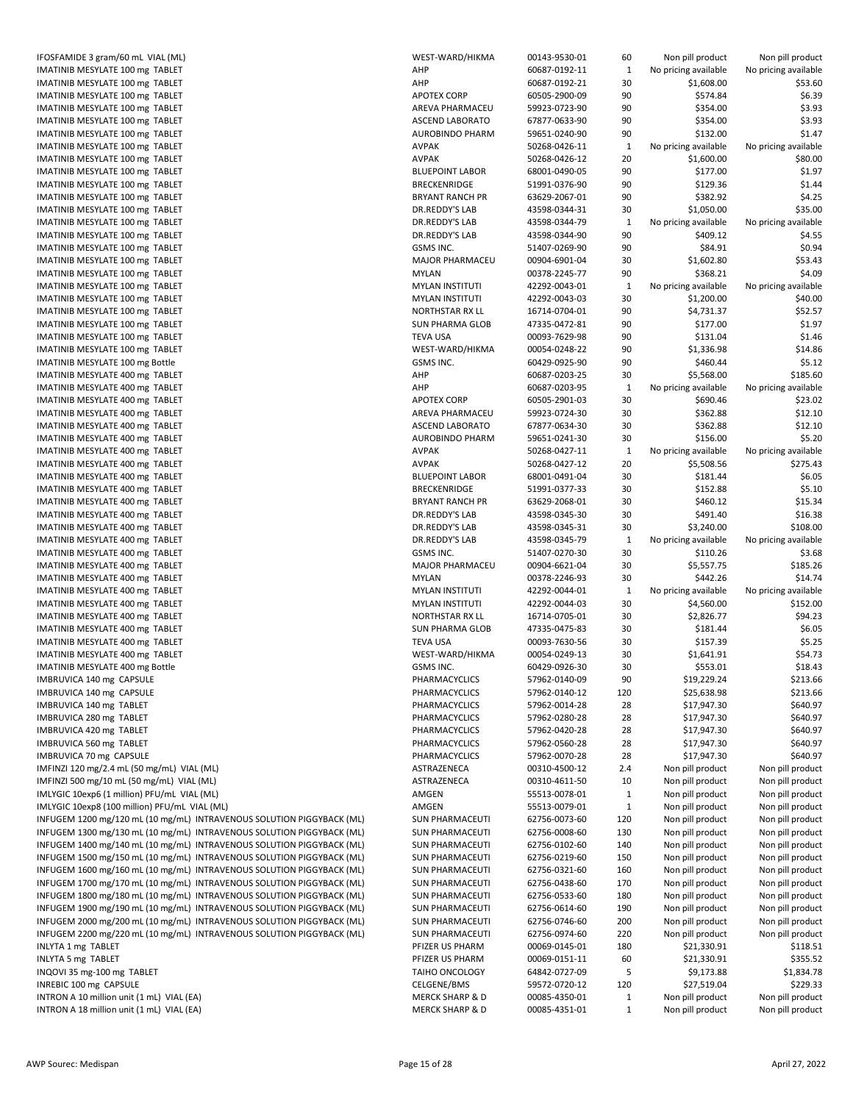| IFOSFAMIDE 3 gram/60 mL VIAL (ML)                                                                                                              |
|------------------------------------------------------------------------------------------------------------------------------------------------|
| IMATINIB MESYLATE 100 mg TABLET                                                                                                                |
| IMATINIB MESYLATE 100 mg TABLET                                                                                                                |
| IMATINIB MESYLATE 100 mg TABLET                                                                                                                |
| IMATINIB MESYLATE 100 mg TABLET                                                                                                                |
| IMATINIB MESYLATE 100 mg TABLET                                                                                                                |
| IMATINIB MESYLATE 100 mg TABLET                                                                                                                |
| IMATINIB MESYLATE 100 mg TABLET                                                                                                                |
| IMATINIB MESYLATE 100 mg TABLET                                                                                                                |
| IMATINIB MESYLATE 100 mg TABLET                                                                                                                |
| IMATINIB MESYLATE 100 mg TABLET                                                                                                                |
| IMATINIB MESYLATE 100 mg TABLET                                                                                                                |
| IMATINIB MESYLATE 100 mg TABLET                                                                                                                |
| IMATINIB MESYLATE 100 mg TABLET                                                                                                                |
| IMATINIB MESYLATE 100 mg TABLET                                                                                                                |
| IMATINIB MESYLATE 100 mg TABLET                                                                                                                |
| IMATINIB MESYLATE 100 mg TABLET                                                                                                                |
| IMATINIB MESYLATE 100 mg TABLET                                                                                                                |
| IMATINIB MESYLATE 100 mg TABLET<br>IMATINIB MESYLATE 100 mg TABLET                                                                             |
| IMATINIB MESYLATE 100 mg TABLET                                                                                                                |
| IMATINIB MESYLATE 100 mg TABLET                                                                                                                |
| IMATINIB MESYLATE 100 mg TABLET                                                                                                                |
| IMATINIB MESYLATE 100 mg TABLET                                                                                                                |
| IMATINIB MESYLATE 100 mg Bottle                                                                                                                |
| IMATINIB MESYLATE 400 mg TABLET                                                                                                                |
| IMATINIB MESYLATE 400 mg TABLET                                                                                                                |
| IMATINIB MESYLATE 400 mg TABLET                                                                                                                |
| IMATINIB MESYLATE 400 mg TABLET                                                                                                                |
| IMATINIB MESYLATE 400 mg TABLET                                                                                                                |
| IMATINIB MESYLATE 400 mg TABLET                                                                                                                |
| IMATINIB MESYLATE 400 mg TABLET                                                                                                                |
| IMATINIB MESYLATE 400 mg TABLET                                                                                                                |
| IMATINIB MESYLATE 400 mg TABLET                                                                                                                |
| IMATINIB MESYLATE 400 mg TABLET                                                                                                                |
| IMATINIB MESYLATE 400 mg TABLET                                                                                                                |
| IMATINIB MESYLATE 400 mg TABLET                                                                                                                |
| IMATINIB MESYLATE 400 mg TABLET                                                                                                                |
| IMATINIB MESYLATE 400 mg TABLET                                                                                                                |
| IMATINIB MESYLATE 400 mg TABLET                                                                                                                |
| IMATINIB MESYLATE 400 mg TABLET                                                                                                                |
| IMATINIB MESYLATE 400 mg TABLET<br>IMATINIB MESYLATE 400 mg TABLET                                                                             |
| IMATINIB MESYLATE 400 mg TABLET                                                                                                                |
| IMATINIB MESYLATE 400 mg TABLET                                                                                                                |
| IMATINIB MESYLATE 400 mg TABLET                                                                                                                |
| IMATINIB MESYLATE 400 mg TABLET                                                                                                                |
| IMATINIB MESYLATE 400 mg TABLET                                                                                                                |
| IMATINIB MESYLATE 400 mg Bottle                                                                                                                |
| IMBRUVICA 140 mg CAPSULE                                                                                                                       |
| IMBRUVICA 140 mg CAPSULE                                                                                                                       |
| IMBRUVICA 140 mg TABLET                                                                                                                        |
| IMBRUVICA 280 mg TABLET                                                                                                                        |
| IMBRUVICA 420 mg TABLET                                                                                                                        |
| IMBRUVICA 560 mg TABLET                                                                                                                        |
| IMBRUVICA 70 mg CAPSULE                                                                                                                        |
| IMFINZI 120 mg/2.4 mL (50 mg/mL) VIAL (ML)                                                                                                     |
| IMFINZI 500 mg/10 mL (50 mg/mL) VIAL (ML)                                                                                                      |
| IMLYGIC 10exp6 (1 million) PFU/mL VIAL (ML)                                                                                                    |
| IMLYGIC 10exp8 (100 million) PFU/mL VIAL (ML)                                                                                                  |
| INFUGEM 1200 mg/120 mL (10 mg/mL) INTRAVENOUS SOLUTION PIGGYBACK (ML)                                                                          |
| INFUGEM 1300 mg/130 mL (10 mg/mL) INTRAVENOUS SOLUTION PIGGYBACK (ML)                                                                          |
| INFUGEM 1400 mg/140 mL (10 mg/mL) INTRAVENOUS SOLUTION PIGGYBACK (ML)                                                                          |
| INFUGEM 1500 mg/150 mL (10 mg/mL) INTRAVENOUS SOLUTION PIGGYBACK (ML)                                                                          |
| INFUGEM 1600 mg/160 mL (10 mg/mL) INTRAVENOUS SOLUTION PIGGYBACK (ML)                                                                          |
| INFUGEM 1700 mg/170 mL (10 mg/mL) INTRAVENOUS SOLUTION PIGGYBACK (ML)<br>INFUGEM 1800 mg/180 mL (10 mg/mL) INTRAVENOUS SOLUTION PIGGYBACK (ML) |
| INFUGEM 1900 mg/190 mL (10 mg/mL) INTRAVENOUS SOLUTION PIGGYBACK (ML)                                                                          |
| INFUGEM 2000 mg/200 mL (10 mg/mL) INTRAVENOUS SOLUTION PIGGYBACK (ML)                                                                          |
| INFUGEM 2200 mg/220 mL (10 mg/mL) INTRAVENOUS SOLUTION PIGGYBACK (ML)                                                                          |
| <b>INLYTA 1 mg TABLET</b>                                                                                                                      |
| <b>INLYTA 5 mg TABLET</b>                                                                                                                      |
| INQOVI 35 mg-100 mg TABLET                                                                                                                     |
| INREBIC 100 mg CAPSULE                                                                                                                         |
| INTRON A 10 million unit (1 mL) VIAL (EA)                                                                                                      |
| INTRON A 18 million unit (1 mL) VIAL (EA)                                                                                                      |

| IFOSFAMIDE 3 gram/60 mL VIAL (ML)                                                      | WEST-WARD/HIKMA                                          | 00143-9530-01                  | 60                           | Non pill product                     | Non pill product                     |
|----------------------------------------------------------------------------------------|----------------------------------------------------------|--------------------------------|------------------------------|--------------------------------------|--------------------------------------|
| IMATINIB MESYLATE 100 mg TABLET                                                        | AHP                                                      | 60687-0192-11                  | 1                            | No pricing available                 | No pricing available                 |
| IMATINIB MESYLATE 100 mg TABLET                                                        | AHP                                                      | 60687-0192-21                  | 30                           | \$1,608.00                           | \$53.60                              |
|                                                                                        |                                                          |                                |                              |                                      |                                      |
| IMATINIB MESYLATE 100 mg TABLET                                                        | <b>APOTEX CORP</b>                                       | 60505-2900-09                  | 90                           | \$574.84                             | \$6.39                               |
| IMATINIB MESYLATE 100 mg TABLET                                                        | AREVA PHARMACEU                                          | 59923-0723-90                  | 90                           | \$354.00                             | \$3.93                               |
| IMATINIB MESYLATE 100 mg TABLET                                                        | <b>ASCEND LABORATO</b>                                   | 67877-0633-90                  | 90                           | \$354.00                             | \$3.93                               |
| IMATINIB MESYLATE 100 mg TABLET                                                        | <b>AUROBINDO PHARM</b>                                   | 59651-0240-90                  | 90                           | \$132.00                             | \$1.47                               |
| IMATINIB MESYLATE 100 mg TABLET                                                        | <b>AVPAK</b>                                             | 50268-0426-11                  | $\mathbf{1}$                 | No pricing available                 | No pricing available                 |
| IMATINIB MESYLATE 100 mg TABLET                                                        | <b>AVPAK</b>                                             | 50268-0426-12                  | 20                           | \$1,600.00                           | \$80.00                              |
|                                                                                        |                                                          |                                |                              |                                      |                                      |
| IMATINIB MESYLATE 100 mg TABLET                                                        | <b>BLUEPOINT LABOR</b>                                   | 68001-0490-05                  | 90                           | \$177.00                             | \$1.97                               |
| IMATINIB MESYLATE 100 mg TABLET                                                        | <b>BRECKENRIDGE</b>                                      | 51991-0376-90                  | 90                           | \$129.36                             | \$1.44                               |
| IMATINIB MESYLATE 100 mg TABLET                                                        | <b>BRYANT RANCH PR</b>                                   | 63629-2067-01                  | 90                           | \$382.92                             | \$4.25                               |
| IMATINIB MESYLATE 100 mg TABLET                                                        | DR.REDDY'S LAB                                           | 43598-0344-31                  | 30                           | \$1,050.00                           | \$35.00                              |
| IMATINIB MESYLATE 100 mg TABLET                                                        | DR.REDDY'S LAB                                           | 43598-0344-79                  | 1                            | No pricing available                 | No pricing available                 |
|                                                                                        |                                                          |                                |                              |                                      |                                      |
| IMATINIB MESYLATE 100 mg TABLET                                                        | DR.REDDY'S LAB                                           | 43598-0344-90                  | 90                           | \$409.12                             | \$4.55                               |
| IMATINIB MESYLATE 100 mg TABLET                                                        | GSMS INC.                                                | 51407-0269-90                  | 90                           | \$84.91                              | \$0.94                               |
| IMATINIB MESYLATE 100 mg TABLET                                                        | <b>MAJOR PHARMACEU</b>                                   | 00904-6901-04                  | 30                           | \$1,602.80                           | \$53.43                              |
| IMATINIB MESYLATE 100 mg TABLET                                                        | <b>MYLAN</b>                                             | 00378-2245-77                  | 90                           | \$368.21                             | \$4.09                               |
| IMATINIB MESYLATE 100 mg TABLET                                                        | <b>MYLAN INSTITUTI</b>                                   | 42292-0043-01                  | 1                            | No pricing available                 | No pricing available                 |
| IMATINIB MESYLATE 100 mg TABLET                                                        | <b>MYLAN INSTITUTI</b>                                   | 42292-0043-03                  | 30                           | \$1,200.00                           | \$40.00                              |
|                                                                                        |                                                          |                                |                              |                                      |                                      |
| IMATINIB MESYLATE 100 mg TABLET                                                        | NORTHSTAR RX LL                                          | 16714-0704-01                  | 90                           | \$4,731.37                           | \$52.57                              |
| IMATINIB MESYLATE 100 mg TABLET                                                        | <b>SUN PHARMA GLOB</b>                                   | 47335-0472-81                  | 90                           | \$177.00                             | \$1.97                               |
| IMATINIB MESYLATE 100 mg TABLET                                                        | <b>TEVA USA</b>                                          | 00093-7629-98                  | 90                           | \$131.04                             | \$1.46                               |
| IMATINIB MESYLATE 100 mg TABLET                                                        | WEST-WARD/HIKMA                                          | 00054-0248-22                  | 90                           | \$1,336.98                           | \$14.86                              |
| IMATINIB MESYLATE 100 mg Bottle                                                        | GSMS INC.                                                | 60429-0925-90                  | 90                           | \$460.44                             | \$5.12                               |
|                                                                                        |                                                          |                                |                              |                                      |                                      |
| IMATINIB MESYLATE 400 mg TABLET                                                        | AHP                                                      | 60687-0203-25                  | 30                           | \$5,568.00                           | \$185.60                             |
| IMATINIB MESYLATE 400 mg TABLET                                                        | AHP                                                      | 60687-0203-95                  | 1                            | No pricing available                 | No pricing available                 |
| IMATINIB MESYLATE 400 mg TABLET                                                        | <b>APOTEX CORP</b>                                       | 60505-2901-03                  | 30                           | \$690.46                             | \$23.02                              |
| IMATINIB MESYLATE 400 mg TABLET                                                        | AREVA PHARMACEU                                          | 59923-0724-30                  | 30                           | \$362.88                             | \$12.10                              |
| IMATINIB MESYLATE 400 mg TABLET                                                        | <b>ASCEND LABORATO</b>                                   | 67877-0634-30                  | 30                           | \$362.88                             | \$12.10                              |
|                                                                                        |                                                          |                                |                              |                                      |                                      |
| IMATINIB MESYLATE 400 mg TABLET                                                        | <b>AUROBINDO PHARM</b>                                   | 59651-0241-30                  | 30                           | \$156.00                             | \$5.20                               |
| IMATINIB MESYLATE 400 mg TABLET                                                        | AVPAK                                                    | 50268-0427-11                  | $\mathbf{1}$                 | No pricing available                 | No pricing available                 |
| IMATINIB MESYLATE 400 mg TABLET                                                        | <b>AVPAK</b>                                             | 50268-0427-12                  | 20                           | \$5,508.56                           | \$275.43                             |
| IMATINIB MESYLATE 400 mg TABLET                                                        | <b>BLUEPOINT LABOR</b>                                   | 68001-0491-04                  | 30                           | \$181.44                             | \$6.05                               |
| IMATINIB MESYLATE 400 mg TABLET                                                        | BRECKENRIDGE                                             | 51991-0377-33                  | 30                           | \$152.88                             | \$5.10                               |
| IMATINIB MESYLATE 400 mg TABLET                                                        | <b>BRYANT RANCH PR</b>                                   | 63629-2068-01                  | 30                           | \$460.12                             | \$15.34                              |
|                                                                                        |                                                          |                                |                              |                                      |                                      |
| IMATINIB MESYLATE 400 mg TABLET                                                        | DR.REDDY'S LAB                                           | 43598-0345-30                  | 30                           | \$491.40                             | \$16.38                              |
| IMATINIB MESYLATE 400 mg TABLET                                                        | DR.REDDY'S LAB                                           | 43598-0345-31                  | 30                           | \$3,240.00                           | \$108.00                             |
| IMATINIB MESYLATE 400 mg TABLET                                                        | DR.REDDY'S LAB                                           | 43598-0345-79                  | $\mathbf{1}$                 | No pricing available                 | No pricing available                 |
| IMATINIB MESYLATE 400 mg TABLET                                                        | GSMS INC.                                                | 51407-0270-30                  | 30                           | \$110.26                             | \$3.68                               |
| IMATINIB MESYLATE 400 mg TABLET                                                        | MAJOR PHARMACEU                                          | 00904-6621-04                  | 30                           | \$5,557.75                           | \$185.26                             |
|                                                                                        |                                                          |                                |                              |                                      | \$14.74                              |
| IMATINIB MESYLATE 400 mg TABLET                                                        | <b>MYLAN</b>                                             | 00378-2246-93                  | 30                           | \$442.26                             |                                      |
| IMATINIB MESYLATE 400 mg TABLET                                                        | <b>MYLAN INSTITUTI</b>                                   | 42292-0044-01                  | $\mathbf{1}$                 | No pricing available                 | No pricing available                 |
| IMATINIB MESYLATE 400 mg TABLET                                                        | <b>MYLAN INSTITUTI</b>                                   | 42292-0044-03                  | 30                           | \$4,560.00                           | \$152.00                             |
| IMATINIB MESYLATE 400 mg TABLET                                                        | NORTHSTAR RX LL                                          | 16714-0705-01                  | 30                           | \$2,826.77                           | \$94.23                              |
| IMATINIB MESYLATE 400 mg TABLET                                                        | <b>SUN PHARMA GLOB</b>                                   | 47335-0475-83                  | 30                           | \$181.44                             | \$6.05                               |
| IMATINIB MESYLATE 400 mg TABLET                                                        | <b>TEVA USA</b>                                          | 00093-7630-56                  | 30                           | \$157.39                             | \$5.25                               |
|                                                                                        |                                                          |                                |                              |                                      |                                      |
| IMATINIB MESYLATE 400 mg TABLET                                                        | WEST-WARD/HIKMA                                          | 00054-0249-13                  | 30                           | \$1,641.91                           | \$54.73                              |
| IMATINIB MESYLATE 400 mg Bottle                                                        | GSMS INC.                                                | 60429-0926-30                  | 30                           | \$553.01                             | \$18.43                              |
| IMBRUVICA 140 mg CAPSULE                                                               | PHARMACYCLICS                                            | 57962-0140-09                  | 90                           | \$19,229.24                          | \$213.66                             |
| IMBRUVICA 140 mg CAPSULE                                                               | PHARMACYCLICS                                            | 57962-0140-12                  | 120                          | \$25,638.98                          | \$213.66                             |
| IMBRUVICA 140 mg TABLET                                                                | PHARMACYCLICS                                            | 57962-0014-28                  | 28                           | \$17,947.30                          | \$640.97                             |
|                                                                                        |                                                          |                                |                              |                                      |                                      |
| IMBRUVICA 280 mg TABLET                                                                | PHARMACYCLICS                                            | 57962-0280-28                  | 28                           | \$17,947.30                          | \$640.97                             |
| IMBRUVICA 420 mg TABLET                                                                | PHARMACYCLICS                                            | 57962-0420-28                  | 28                           | \$17,947.30                          | \$640.97                             |
| IMBRUVICA 560 mg TABLET                                                                | PHARMACYCLICS                                            | 57962-0560-28                  | 28                           | \$17,947.30                          | \$640.97                             |
| IMBRUVICA 70 mg CAPSULE                                                                | PHARMACYCLICS                                            | 57962-0070-28                  | 28                           | \$17,947.30                          | \$640.97                             |
| IMFINZI 120 mg/2.4 mL (50 mg/mL) VIAL (ML)                                             | ASTRAZENECA                                              | 00310-4500-12                  | 2.4                          | Non pill product                     | Non pill product                     |
| IMFINZI 500 mg/10 mL (50 mg/mL) VIAL (ML)                                              | ASTRAZENECA                                              | 00310-4611-50                  | 10                           | Non pill product                     | Non pill product                     |
|                                                                                        |                                                          |                                |                              |                                      |                                      |
| IMLYGIC 10exp6 (1 million) PFU/mL VIAL (ML)                                            | AMGEN                                                    | 55513-0078-01                  | 1                            | Non pill product                     | Non pill product                     |
| IMLYGIC 10exp8 (100 million) PFU/mL VIAL (ML)                                          | AMGEN                                                    | 55513-0079-01                  | $\mathbf{1}$                 | Non pill product                     | Non pill product                     |
| INFUGEM 1200 mg/120 mL (10 mg/mL) INTRAVENOUS SOLUTION PIGGYBACK (ML)                  | <b>SUN PHARMACEUTI</b>                                   | 62756-0073-60                  | 120                          | Non pill product                     | Non pill product                     |
| INFUGEM 1300 mg/130 mL (10 mg/mL) INTRAVENOUS SOLUTION PIGGYBACK (ML)                  | <b>SUN PHARMACEUTI</b>                                   | 62756-0008-60                  | 130                          | Non pill product                     | Non pill product                     |
| INFUGEM 1400 mg/140 mL (10 mg/mL) INTRAVENOUS SOLUTION PIGGYBACK (ML)                  | <b>SUN PHARMACEUTI</b>                                   | 62756-0102-60                  | 140                          | Non pill product                     | Non pill product                     |
|                                                                                        |                                                          |                                |                              |                                      |                                      |
| INFUGEM 1500 mg/150 mL (10 mg/mL) INTRAVENOUS SOLUTION PIGGYBACK (ML)                  | SUN PHARMACEUTI                                          | 62756-0219-60                  | 150                          | Non pill product                     | Non pill product                     |
| INFUGEM 1600 mg/160 mL (10 mg/mL) INTRAVENOUS SOLUTION PIGGYBACK (ML)                  | <b>SUN PHARMACEUTI</b>                                   | 62756-0321-60                  | 160                          | Non pill product                     | Non pill product                     |
| INFUGEM 1700 mg/170 mL (10 mg/mL) INTRAVENOUS SOLUTION PIGGYBACK (ML)                  | <b>SUN PHARMACEUTI</b>                                   | 62756-0438-60                  | 170                          | Non pill product                     | Non pill product                     |
| INFUGEM 1800 mg/180 mL (10 mg/mL) INTRAVENOUS SOLUTION PIGGYBACK (ML)                  | <b>SUN PHARMACEUTI</b>                                   | 62756-0533-60                  | 180                          | Non pill product                     | Non pill product                     |
| INFUGEM 1900 mg/190 mL (10 mg/mL) INTRAVENOUS SOLUTION PIGGYBACK (ML)                  | SUN PHARMACEUTI                                          | 62756-0614-60                  | 190                          | Non pill product                     | Non pill product                     |
| INFUGEM 2000 mg/200 mL (10 mg/mL) INTRAVENOUS SOLUTION PIGGYBACK (ML)                  |                                                          |                                |                              |                                      |                                      |
|                                                                                        |                                                          |                                |                              |                                      |                                      |
|                                                                                        | <b>SUN PHARMACEUTI</b>                                   | 62756-0746-60                  | 200                          | Non pill product                     | Non pill product                     |
| INFUGEM 2200 mg/220 mL (10 mg/mL) INTRAVENOUS SOLUTION PIGGYBACK (ML)                  | <b>SUN PHARMACEUTI</b>                                   | 62756-0974-60                  | 220                          | Non pill product                     | Non pill product                     |
| <b>INLYTA 1 mg TABLET</b>                                                              | PFIZER US PHARM                                          | 00069-0145-01                  | 180                          | \$21,330.91                          | \$118.51                             |
| INLYTA 5 mg TABLET                                                                     | PFIZER US PHARM                                          | 00069-0151-11                  | 60                           | \$21,330.91                          | \$355.52                             |
| INQOVI 35 mg-100 mg TABLET                                                             | TAIHO ONCOLOGY                                           | 64842-0727-09                  | 5                            | \$9,173.88                           | \$1,834.78                           |
|                                                                                        |                                                          |                                |                              |                                      |                                      |
| INREBIC 100 mg CAPSULE                                                                 | CELGENE/BMS                                              | 59572-0720-12                  | 120                          | \$27,519.04                          | \$229.33                             |
| INTRON A 10 million unit (1 mL) VIAL (EA)<br>INTRON A 18 million unit (1 mL) VIAL (EA) | <b>MERCK SHARP &amp; D</b><br><b>MERCK SHARP &amp; D</b> | 00085-4350-01<br>00085-4351-01 | $\mathbf{1}$<br>$\mathbf{1}$ | Non pill product<br>Non pill product | Non pill product<br>Non pill product |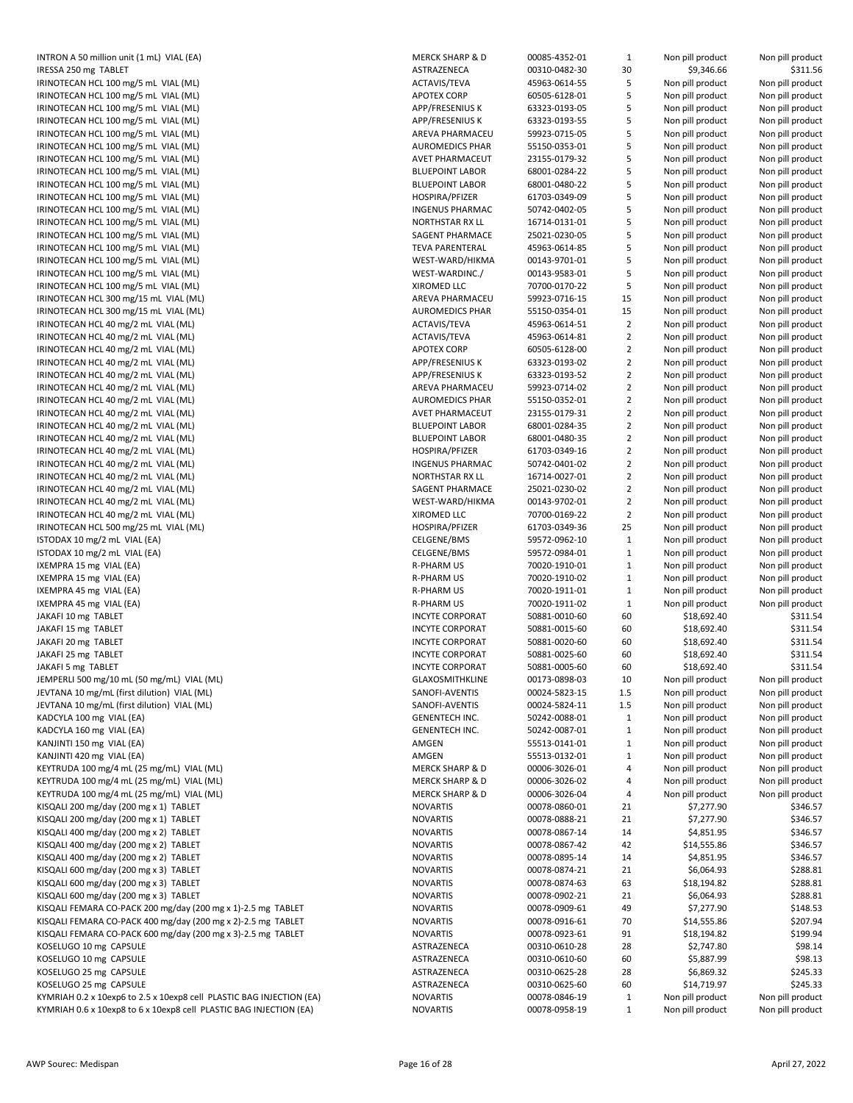| IRESSA 250 mg TABLET<br>IRINOTECAN HCL 100 mg/5 mL VIAL (ML)<br>IRINOTECAN HCL 100 mg/5 mL VIAL (ML)<br>IRINOTECAN HCL 100 mg/5 mL VIAL (ML)<br>IRINOTECAN HCL 100 mg/5 mL VIAL (ML)<br>IRINOTECAN HCL 100 mg/5 mL VIAL (ML)<br>IRINOTECAN HCL 100 mg/5 mL VIAL (ML)<br>IRINOTECAN HCL 100 mg/5 mL VIAL (ML)<br>IRINOTECAN HCL 100 mg/5 mL VIAL (ML)<br>IRINOTECAN HCL 100 mg/5 mL VIAL (ML)<br>IRINOTECAN HCL 100 mg/5 mL VIAL (ML)<br>IRINOTECAN HCL 100 mg/5 mL VIAL (ML)<br>IRINOTECAN HCL 100 mg/5 mL VIAL (ML)<br>IRINOTECAN HCL 100 mg/5 mL VIAL (ML)<br>IRINOTECAN HCL 100 mg/5 mL VIAL (ML)<br>IRINOTECAN HCL 100 mg/5 mL VIAL (ML)<br>IRINOTECAN HCL 100 mg/5 mL VIAL (ML)<br>IRINOTECAN HCL 100 mg/5 mL VIAL (ML)<br>IRINOTECAN HCL 300 mg/15 mL VIAL (ML)<br>IRINOTECAN HCL 300 mg/15 mL VIAL (ML)<br>IRINOTECAN HCL 40 mg/2 mL VIAL (ML)<br>IRINOTECAN HCL 40 mg/2 mL VIAL (ML)<br>IRINOTECAN HCL 40 mg/2 mL VIAL (ML)<br>IRINOTECAN HCL 40 mg/2 mL VIAL (ML)<br>IRINOTECAN HCL 40 mg/2 mL VIAL (ML)<br>IRINOTECAN HCL 40 mg/2 mL VIAL (ML)<br>IRINOTECAN HCL 40 mg/2 mL VIAL (ML)<br>IRINOTECAN HCL 40 mg/2 mL VIAL (ML)<br>IRINOTECAN HCL 40 mg/2 mL VIAL (ML)<br>IRINOTECAN HCL 40 mg/2 mL VIAL (ML)<br>IRINOTECAN HCL 40 mg/2 mL VIAL (ML)<br>IRINOTECAN HCL 40 mg/2 mL VIAL (ML)<br>IRINOTECAN HCL 40 mg/2 mL VIAL (ML)<br>IRINOTECAN HCL 40 mg/2 mL VIAL (ML)<br>IRINOTECAN HCL 40 mg/2 mL VIAL (ML)<br>IRINOTECAN HCL 40 mg/2 mL VIAL (ML)<br>IRINOTECAN HCL 500 mg/25 mL VIAL (ML)<br>ISTODAX 10 mg/2 mL VIAL (EA)<br>ISTODAX 10 mg/2 mL VIAL (EA)<br>IXEMPRA 15 mg VIAL (EA)<br>IXEMPRA 15 mg VIAL (EA)<br>IXEMPRA 45 mg VIAL (EA)<br>IXEMPRA 45 mg VIAL (EA)<br>JAKAFI 10 mg TABLET<br>JAKAFI 15 mg TABLET<br>JAKAFI 20 mg TABLET<br>JAKAFI 25 mg TABLET<br>JAKAFI 5 mg TABLET<br>JEMPERLI 500 mg/10 mL (50 mg/mL) VIAL (ML)<br>JEVTANA 10 mg/mL (first dilution) VIAL (ML)<br>JEVTANA 10 mg/mL (first dilution) VIAL (ML)<br>KADCYLA 100 mg VIAL (EA)<br>KADCYLA 160 mg VIAL (EA)<br>KANJINTI 150 mg VIAL (EA)<br>KANJINTI 420 mg VIAL (EA)<br>KEYTRUDA 100 mg/4 mL (25 mg/mL) VIAL (ML)<br>KEYTRUDA 100 mg/4 mL (25 mg/mL) VIAL (ML)<br>KEYTRUDA 100 mg/4 mL (25 mg/mL) VIAL (ML)<br>KISQALI 200 mg/day (200 mg x 1) TABLET<br>KISQALI 200 mg/day (200 mg x 1) TABLET<br>KISQALI 400 mg/day (200 mg x 2) TABLET<br>KISQALI 400 mg/day (200 mg x 2) TABLET<br>KISQALI 400 mg/day (200 mg x 2) TABLET<br>KISQALI 600 mg/day (200 mg x 3) TABLET<br>KISQALI 600 mg/day (200 mg x 3) TABLET<br>KISQALI 600 mg/day (200 mg x 3) TABLET<br>KISQALI FEMARA CO-PACK 200 mg/day (200 mg x 1)-2.5 mg T/<br>KISQALI FEMARA CO-PACK 400 mg/day (200 mg x 2)-2.5 mg T/<br>KISQALI FEMARA CO-PACK 600 mg/day (200 mg x 3)-2.5 mg TA<br>KOSELUGO 10 mg CAPSULE<br>KOSELUGO 10 mg CAPSULE<br>KOSELUGO 25 mg CAPSULE<br>KOSELUGO 25 mg CAPSULE<br>KYMRIAH 0.2 x 10exp6 to 2.5 x 10exp8 cell PLASTIC BAG INJEC |  |
|-----------------------------------------------------------------------------------------------------------------------------------------------------------------------------------------------------------------------------------------------------------------------------------------------------------------------------------------------------------------------------------------------------------------------------------------------------------------------------------------------------------------------------------------------------------------------------------------------------------------------------------------------------------------------------------------------------------------------------------------------------------------------------------------------------------------------------------------------------------------------------------------------------------------------------------------------------------------------------------------------------------------------------------------------------------------------------------------------------------------------------------------------------------------------------------------------------------------------------------------------------------------------------------------------------------------------------------------------------------------------------------------------------------------------------------------------------------------------------------------------------------------------------------------------------------------------------------------------------------------------------------------------------------------------------------------------------------------------------------------------------------------------------------------------------------------------------------------------------------------------------------------------------------------------------------------------------------------------------------------------------------------------------------------------------------------------------------------------------------------------------------------------------------------------------------------------------------------------------------------------------------------------------------------------------------------------------------------------------------------------------------------------------------------------------------------------------------------------------------------------------------------------------------------------------------------------------------------------------------------------------------------------------------------------------------------------------------------------------------------------------------------------------------------------------------------------------------------------------------------------------------------------------------------------|--|
|                                                                                                                                                                                                                                                                                                                                                                                                                                                                                                                                                                                                                                                                                                                                                                                                                                                                                                                                                                                                                                                                                                                                                                                                                                                                                                                                                                                                                                                                                                                                                                                                                                                                                                                                                                                                                                                                                                                                                                                                                                                                                                                                                                                                                                                                                                                                                                                                                                                                                                                                                                                                                                                                                                                                                                                                                                                                                                                       |  |
|                                                                                                                                                                                                                                                                                                                                                                                                                                                                                                                                                                                                                                                                                                                                                                                                                                                                                                                                                                                                                                                                                                                                                                                                                                                                                                                                                                                                                                                                                                                                                                                                                                                                                                                                                                                                                                                                                                                                                                                                                                                                                                                                                                                                                                                                                                                                                                                                                                                                                                                                                                                                                                                                                                                                                                                                                                                                                                                       |  |
|                                                                                                                                                                                                                                                                                                                                                                                                                                                                                                                                                                                                                                                                                                                                                                                                                                                                                                                                                                                                                                                                                                                                                                                                                                                                                                                                                                                                                                                                                                                                                                                                                                                                                                                                                                                                                                                                                                                                                                                                                                                                                                                                                                                                                                                                                                                                                                                                                                                                                                                                                                                                                                                                                                                                                                                                                                                                                                                       |  |
|                                                                                                                                                                                                                                                                                                                                                                                                                                                                                                                                                                                                                                                                                                                                                                                                                                                                                                                                                                                                                                                                                                                                                                                                                                                                                                                                                                                                                                                                                                                                                                                                                                                                                                                                                                                                                                                                                                                                                                                                                                                                                                                                                                                                                                                                                                                                                                                                                                                                                                                                                                                                                                                                                                                                                                                                                                                                                                                       |  |
|                                                                                                                                                                                                                                                                                                                                                                                                                                                                                                                                                                                                                                                                                                                                                                                                                                                                                                                                                                                                                                                                                                                                                                                                                                                                                                                                                                                                                                                                                                                                                                                                                                                                                                                                                                                                                                                                                                                                                                                                                                                                                                                                                                                                                                                                                                                                                                                                                                                                                                                                                                                                                                                                                                                                                                                                                                                                                                                       |  |
|                                                                                                                                                                                                                                                                                                                                                                                                                                                                                                                                                                                                                                                                                                                                                                                                                                                                                                                                                                                                                                                                                                                                                                                                                                                                                                                                                                                                                                                                                                                                                                                                                                                                                                                                                                                                                                                                                                                                                                                                                                                                                                                                                                                                                                                                                                                                                                                                                                                                                                                                                                                                                                                                                                                                                                                                                                                                                                                       |  |
|                                                                                                                                                                                                                                                                                                                                                                                                                                                                                                                                                                                                                                                                                                                                                                                                                                                                                                                                                                                                                                                                                                                                                                                                                                                                                                                                                                                                                                                                                                                                                                                                                                                                                                                                                                                                                                                                                                                                                                                                                                                                                                                                                                                                                                                                                                                                                                                                                                                                                                                                                                                                                                                                                                                                                                                                                                                                                                                       |  |
|                                                                                                                                                                                                                                                                                                                                                                                                                                                                                                                                                                                                                                                                                                                                                                                                                                                                                                                                                                                                                                                                                                                                                                                                                                                                                                                                                                                                                                                                                                                                                                                                                                                                                                                                                                                                                                                                                                                                                                                                                                                                                                                                                                                                                                                                                                                                                                                                                                                                                                                                                                                                                                                                                                                                                                                                                                                                                                                       |  |
|                                                                                                                                                                                                                                                                                                                                                                                                                                                                                                                                                                                                                                                                                                                                                                                                                                                                                                                                                                                                                                                                                                                                                                                                                                                                                                                                                                                                                                                                                                                                                                                                                                                                                                                                                                                                                                                                                                                                                                                                                                                                                                                                                                                                                                                                                                                                                                                                                                                                                                                                                                                                                                                                                                                                                                                                                                                                                                                       |  |
|                                                                                                                                                                                                                                                                                                                                                                                                                                                                                                                                                                                                                                                                                                                                                                                                                                                                                                                                                                                                                                                                                                                                                                                                                                                                                                                                                                                                                                                                                                                                                                                                                                                                                                                                                                                                                                                                                                                                                                                                                                                                                                                                                                                                                                                                                                                                                                                                                                                                                                                                                                                                                                                                                                                                                                                                                                                                                                                       |  |
|                                                                                                                                                                                                                                                                                                                                                                                                                                                                                                                                                                                                                                                                                                                                                                                                                                                                                                                                                                                                                                                                                                                                                                                                                                                                                                                                                                                                                                                                                                                                                                                                                                                                                                                                                                                                                                                                                                                                                                                                                                                                                                                                                                                                                                                                                                                                                                                                                                                                                                                                                                                                                                                                                                                                                                                                                                                                                                                       |  |
|                                                                                                                                                                                                                                                                                                                                                                                                                                                                                                                                                                                                                                                                                                                                                                                                                                                                                                                                                                                                                                                                                                                                                                                                                                                                                                                                                                                                                                                                                                                                                                                                                                                                                                                                                                                                                                                                                                                                                                                                                                                                                                                                                                                                                                                                                                                                                                                                                                                                                                                                                                                                                                                                                                                                                                                                                                                                                                                       |  |
|                                                                                                                                                                                                                                                                                                                                                                                                                                                                                                                                                                                                                                                                                                                                                                                                                                                                                                                                                                                                                                                                                                                                                                                                                                                                                                                                                                                                                                                                                                                                                                                                                                                                                                                                                                                                                                                                                                                                                                                                                                                                                                                                                                                                                                                                                                                                                                                                                                                                                                                                                                                                                                                                                                                                                                                                                                                                                                                       |  |
|                                                                                                                                                                                                                                                                                                                                                                                                                                                                                                                                                                                                                                                                                                                                                                                                                                                                                                                                                                                                                                                                                                                                                                                                                                                                                                                                                                                                                                                                                                                                                                                                                                                                                                                                                                                                                                                                                                                                                                                                                                                                                                                                                                                                                                                                                                                                                                                                                                                                                                                                                                                                                                                                                                                                                                                                                                                                                                                       |  |
|                                                                                                                                                                                                                                                                                                                                                                                                                                                                                                                                                                                                                                                                                                                                                                                                                                                                                                                                                                                                                                                                                                                                                                                                                                                                                                                                                                                                                                                                                                                                                                                                                                                                                                                                                                                                                                                                                                                                                                                                                                                                                                                                                                                                                                                                                                                                                                                                                                                                                                                                                                                                                                                                                                                                                                                                                                                                                                                       |  |
|                                                                                                                                                                                                                                                                                                                                                                                                                                                                                                                                                                                                                                                                                                                                                                                                                                                                                                                                                                                                                                                                                                                                                                                                                                                                                                                                                                                                                                                                                                                                                                                                                                                                                                                                                                                                                                                                                                                                                                                                                                                                                                                                                                                                                                                                                                                                                                                                                                                                                                                                                                                                                                                                                                                                                                                                                                                                                                                       |  |
|                                                                                                                                                                                                                                                                                                                                                                                                                                                                                                                                                                                                                                                                                                                                                                                                                                                                                                                                                                                                                                                                                                                                                                                                                                                                                                                                                                                                                                                                                                                                                                                                                                                                                                                                                                                                                                                                                                                                                                                                                                                                                                                                                                                                                                                                                                                                                                                                                                                                                                                                                                                                                                                                                                                                                                                                                                                                                                                       |  |
|                                                                                                                                                                                                                                                                                                                                                                                                                                                                                                                                                                                                                                                                                                                                                                                                                                                                                                                                                                                                                                                                                                                                                                                                                                                                                                                                                                                                                                                                                                                                                                                                                                                                                                                                                                                                                                                                                                                                                                                                                                                                                                                                                                                                                                                                                                                                                                                                                                                                                                                                                                                                                                                                                                                                                                                                                                                                                                                       |  |
|                                                                                                                                                                                                                                                                                                                                                                                                                                                                                                                                                                                                                                                                                                                                                                                                                                                                                                                                                                                                                                                                                                                                                                                                                                                                                                                                                                                                                                                                                                                                                                                                                                                                                                                                                                                                                                                                                                                                                                                                                                                                                                                                                                                                                                                                                                                                                                                                                                                                                                                                                                                                                                                                                                                                                                                                                                                                                                                       |  |
|                                                                                                                                                                                                                                                                                                                                                                                                                                                                                                                                                                                                                                                                                                                                                                                                                                                                                                                                                                                                                                                                                                                                                                                                                                                                                                                                                                                                                                                                                                                                                                                                                                                                                                                                                                                                                                                                                                                                                                                                                                                                                                                                                                                                                                                                                                                                                                                                                                                                                                                                                                                                                                                                                                                                                                                                                                                                                                                       |  |
|                                                                                                                                                                                                                                                                                                                                                                                                                                                                                                                                                                                                                                                                                                                                                                                                                                                                                                                                                                                                                                                                                                                                                                                                                                                                                                                                                                                                                                                                                                                                                                                                                                                                                                                                                                                                                                                                                                                                                                                                                                                                                                                                                                                                                                                                                                                                                                                                                                                                                                                                                                                                                                                                                                                                                                                                                                                                                                                       |  |
|                                                                                                                                                                                                                                                                                                                                                                                                                                                                                                                                                                                                                                                                                                                                                                                                                                                                                                                                                                                                                                                                                                                                                                                                                                                                                                                                                                                                                                                                                                                                                                                                                                                                                                                                                                                                                                                                                                                                                                                                                                                                                                                                                                                                                                                                                                                                                                                                                                                                                                                                                                                                                                                                                                                                                                                                                                                                                                                       |  |
|                                                                                                                                                                                                                                                                                                                                                                                                                                                                                                                                                                                                                                                                                                                                                                                                                                                                                                                                                                                                                                                                                                                                                                                                                                                                                                                                                                                                                                                                                                                                                                                                                                                                                                                                                                                                                                                                                                                                                                                                                                                                                                                                                                                                                                                                                                                                                                                                                                                                                                                                                                                                                                                                                                                                                                                                                                                                                                                       |  |
|                                                                                                                                                                                                                                                                                                                                                                                                                                                                                                                                                                                                                                                                                                                                                                                                                                                                                                                                                                                                                                                                                                                                                                                                                                                                                                                                                                                                                                                                                                                                                                                                                                                                                                                                                                                                                                                                                                                                                                                                                                                                                                                                                                                                                                                                                                                                                                                                                                                                                                                                                                                                                                                                                                                                                                                                                                                                                                                       |  |
|                                                                                                                                                                                                                                                                                                                                                                                                                                                                                                                                                                                                                                                                                                                                                                                                                                                                                                                                                                                                                                                                                                                                                                                                                                                                                                                                                                                                                                                                                                                                                                                                                                                                                                                                                                                                                                                                                                                                                                                                                                                                                                                                                                                                                                                                                                                                                                                                                                                                                                                                                                                                                                                                                                                                                                                                                                                                                                                       |  |
|                                                                                                                                                                                                                                                                                                                                                                                                                                                                                                                                                                                                                                                                                                                                                                                                                                                                                                                                                                                                                                                                                                                                                                                                                                                                                                                                                                                                                                                                                                                                                                                                                                                                                                                                                                                                                                                                                                                                                                                                                                                                                                                                                                                                                                                                                                                                                                                                                                                                                                                                                                                                                                                                                                                                                                                                                                                                                                                       |  |
|                                                                                                                                                                                                                                                                                                                                                                                                                                                                                                                                                                                                                                                                                                                                                                                                                                                                                                                                                                                                                                                                                                                                                                                                                                                                                                                                                                                                                                                                                                                                                                                                                                                                                                                                                                                                                                                                                                                                                                                                                                                                                                                                                                                                                                                                                                                                                                                                                                                                                                                                                                                                                                                                                                                                                                                                                                                                                                                       |  |
|                                                                                                                                                                                                                                                                                                                                                                                                                                                                                                                                                                                                                                                                                                                                                                                                                                                                                                                                                                                                                                                                                                                                                                                                                                                                                                                                                                                                                                                                                                                                                                                                                                                                                                                                                                                                                                                                                                                                                                                                                                                                                                                                                                                                                                                                                                                                                                                                                                                                                                                                                                                                                                                                                                                                                                                                                                                                                                                       |  |
|                                                                                                                                                                                                                                                                                                                                                                                                                                                                                                                                                                                                                                                                                                                                                                                                                                                                                                                                                                                                                                                                                                                                                                                                                                                                                                                                                                                                                                                                                                                                                                                                                                                                                                                                                                                                                                                                                                                                                                                                                                                                                                                                                                                                                                                                                                                                                                                                                                                                                                                                                                                                                                                                                                                                                                                                                                                                                                                       |  |
|                                                                                                                                                                                                                                                                                                                                                                                                                                                                                                                                                                                                                                                                                                                                                                                                                                                                                                                                                                                                                                                                                                                                                                                                                                                                                                                                                                                                                                                                                                                                                                                                                                                                                                                                                                                                                                                                                                                                                                                                                                                                                                                                                                                                                                                                                                                                                                                                                                                                                                                                                                                                                                                                                                                                                                                                                                                                                                                       |  |
|                                                                                                                                                                                                                                                                                                                                                                                                                                                                                                                                                                                                                                                                                                                                                                                                                                                                                                                                                                                                                                                                                                                                                                                                                                                                                                                                                                                                                                                                                                                                                                                                                                                                                                                                                                                                                                                                                                                                                                                                                                                                                                                                                                                                                                                                                                                                                                                                                                                                                                                                                                                                                                                                                                                                                                                                                                                                                                                       |  |
|                                                                                                                                                                                                                                                                                                                                                                                                                                                                                                                                                                                                                                                                                                                                                                                                                                                                                                                                                                                                                                                                                                                                                                                                                                                                                                                                                                                                                                                                                                                                                                                                                                                                                                                                                                                                                                                                                                                                                                                                                                                                                                                                                                                                                                                                                                                                                                                                                                                                                                                                                                                                                                                                                                                                                                                                                                                                                                                       |  |
|                                                                                                                                                                                                                                                                                                                                                                                                                                                                                                                                                                                                                                                                                                                                                                                                                                                                                                                                                                                                                                                                                                                                                                                                                                                                                                                                                                                                                                                                                                                                                                                                                                                                                                                                                                                                                                                                                                                                                                                                                                                                                                                                                                                                                                                                                                                                                                                                                                                                                                                                                                                                                                                                                                                                                                                                                                                                                                                       |  |
|                                                                                                                                                                                                                                                                                                                                                                                                                                                                                                                                                                                                                                                                                                                                                                                                                                                                                                                                                                                                                                                                                                                                                                                                                                                                                                                                                                                                                                                                                                                                                                                                                                                                                                                                                                                                                                                                                                                                                                                                                                                                                                                                                                                                                                                                                                                                                                                                                                                                                                                                                                                                                                                                                                                                                                                                                                                                                                                       |  |
|                                                                                                                                                                                                                                                                                                                                                                                                                                                                                                                                                                                                                                                                                                                                                                                                                                                                                                                                                                                                                                                                                                                                                                                                                                                                                                                                                                                                                                                                                                                                                                                                                                                                                                                                                                                                                                                                                                                                                                                                                                                                                                                                                                                                                                                                                                                                                                                                                                                                                                                                                                                                                                                                                                                                                                                                                                                                                                                       |  |
|                                                                                                                                                                                                                                                                                                                                                                                                                                                                                                                                                                                                                                                                                                                                                                                                                                                                                                                                                                                                                                                                                                                                                                                                                                                                                                                                                                                                                                                                                                                                                                                                                                                                                                                                                                                                                                                                                                                                                                                                                                                                                                                                                                                                                                                                                                                                                                                                                                                                                                                                                                                                                                                                                                                                                                                                                                                                                                                       |  |
|                                                                                                                                                                                                                                                                                                                                                                                                                                                                                                                                                                                                                                                                                                                                                                                                                                                                                                                                                                                                                                                                                                                                                                                                                                                                                                                                                                                                                                                                                                                                                                                                                                                                                                                                                                                                                                                                                                                                                                                                                                                                                                                                                                                                                                                                                                                                                                                                                                                                                                                                                                                                                                                                                                                                                                                                                                                                                                                       |  |
|                                                                                                                                                                                                                                                                                                                                                                                                                                                                                                                                                                                                                                                                                                                                                                                                                                                                                                                                                                                                                                                                                                                                                                                                                                                                                                                                                                                                                                                                                                                                                                                                                                                                                                                                                                                                                                                                                                                                                                                                                                                                                                                                                                                                                                                                                                                                                                                                                                                                                                                                                                                                                                                                                                                                                                                                                                                                                                                       |  |
|                                                                                                                                                                                                                                                                                                                                                                                                                                                                                                                                                                                                                                                                                                                                                                                                                                                                                                                                                                                                                                                                                                                                                                                                                                                                                                                                                                                                                                                                                                                                                                                                                                                                                                                                                                                                                                                                                                                                                                                                                                                                                                                                                                                                                                                                                                                                                                                                                                                                                                                                                                                                                                                                                                                                                                                                                                                                                                                       |  |
|                                                                                                                                                                                                                                                                                                                                                                                                                                                                                                                                                                                                                                                                                                                                                                                                                                                                                                                                                                                                                                                                                                                                                                                                                                                                                                                                                                                                                                                                                                                                                                                                                                                                                                                                                                                                                                                                                                                                                                                                                                                                                                                                                                                                                                                                                                                                                                                                                                                                                                                                                                                                                                                                                                                                                                                                                                                                                                                       |  |
|                                                                                                                                                                                                                                                                                                                                                                                                                                                                                                                                                                                                                                                                                                                                                                                                                                                                                                                                                                                                                                                                                                                                                                                                                                                                                                                                                                                                                                                                                                                                                                                                                                                                                                                                                                                                                                                                                                                                                                                                                                                                                                                                                                                                                                                                                                                                                                                                                                                                                                                                                                                                                                                                                                                                                                                                                                                                                                                       |  |
|                                                                                                                                                                                                                                                                                                                                                                                                                                                                                                                                                                                                                                                                                                                                                                                                                                                                                                                                                                                                                                                                                                                                                                                                                                                                                                                                                                                                                                                                                                                                                                                                                                                                                                                                                                                                                                                                                                                                                                                                                                                                                                                                                                                                                                                                                                                                                                                                                                                                                                                                                                                                                                                                                                                                                                                                                                                                                                                       |  |
|                                                                                                                                                                                                                                                                                                                                                                                                                                                                                                                                                                                                                                                                                                                                                                                                                                                                                                                                                                                                                                                                                                                                                                                                                                                                                                                                                                                                                                                                                                                                                                                                                                                                                                                                                                                                                                                                                                                                                                                                                                                                                                                                                                                                                                                                                                                                                                                                                                                                                                                                                                                                                                                                                                                                                                                                                                                                                                                       |  |
|                                                                                                                                                                                                                                                                                                                                                                                                                                                                                                                                                                                                                                                                                                                                                                                                                                                                                                                                                                                                                                                                                                                                                                                                                                                                                                                                                                                                                                                                                                                                                                                                                                                                                                                                                                                                                                                                                                                                                                                                                                                                                                                                                                                                                                                                                                                                                                                                                                                                                                                                                                                                                                                                                                                                                                                                                                                                                                                       |  |
|                                                                                                                                                                                                                                                                                                                                                                                                                                                                                                                                                                                                                                                                                                                                                                                                                                                                                                                                                                                                                                                                                                                                                                                                                                                                                                                                                                                                                                                                                                                                                                                                                                                                                                                                                                                                                                                                                                                                                                                                                                                                                                                                                                                                                                                                                                                                                                                                                                                                                                                                                                                                                                                                                                                                                                                                                                                                                                                       |  |
|                                                                                                                                                                                                                                                                                                                                                                                                                                                                                                                                                                                                                                                                                                                                                                                                                                                                                                                                                                                                                                                                                                                                                                                                                                                                                                                                                                                                                                                                                                                                                                                                                                                                                                                                                                                                                                                                                                                                                                                                                                                                                                                                                                                                                                                                                                                                                                                                                                                                                                                                                                                                                                                                                                                                                                                                                                                                                                                       |  |
|                                                                                                                                                                                                                                                                                                                                                                                                                                                                                                                                                                                                                                                                                                                                                                                                                                                                                                                                                                                                                                                                                                                                                                                                                                                                                                                                                                                                                                                                                                                                                                                                                                                                                                                                                                                                                                                                                                                                                                                                                                                                                                                                                                                                                                                                                                                                                                                                                                                                                                                                                                                                                                                                                                                                                                                                                                                                                                                       |  |
|                                                                                                                                                                                                                                                                                                                                                                                                                                                                                                                                                                                                                                                                                                                                                                                                                                                                                                                                                                                                                                                                                                                                                                                                                                                                                                                                                                                                                                                                                                                                                                                                                                                                                                                                                                                                                                                                                                                                                                                                                                                                                                                                                                                                                                                                                                                                                                                                                                                                                                                                                                                                                                                                                                                                                                                                                                                                                                                       |  |
|                                                                                                                                                                                                                                                                                                                                                                                                                                                                                                                                                                                                                                                                                                                                                                                                                                                                                                                                                                                                                                                                                                                                                                                                                                                                                                                                                                                                                                                                                                                                                                                                                                                                                                                                                                                                                                                                                                                                                                                                                                                                                                                                                                                                                                                                                                                                                                                                                                                                                                                                                                                                                                                                                                                                                                                                                                                                                                                       |  |
|                                                                                                                                                                                                                                                                                                                                                                                                                                                                                                                                                                                                                                                                                                                                                                                                                                                                                                                                                                                                                                                                                                                                                                                                                                                                                                                                                                                                                                                                                                                                                                                                                                                                                                                                                                                                                                                                                                                                                                                                                                                                                                                                                                                                                                                                                                                                                                                                                                                                                                                                                                                                                                                                                                                                                                                                                                                                                                                       |  |
|                                                                                                                                                                                                                                                                                                                                                                                                                                                                                                                                                                                                                                                                                                                                                                                                                                                                                                                                                                                                                                                                                                                                                                                                                                                                                                                                                                                                                                                                                                                                                                                                                                                                                                                                                                                                                                                                                                                                                                                                                                                                                                                                                                                                                                                                                                                                                                                                                                                                                                                                                                                                                                                                                                                                                                                                                                                                                                                       |  |
|                                                                                                                                                                                                                                                                                                                                                                                                                                                                                                                                                                                                                                                                                                                                                                                                                                                                                                                                                                                                                                                                                                                                                                                                                                                                                                                                                                                                                                                                                                                                                                                                                                                                                                                                                                                                                                                                                                                                                                                                                                                                                                                                                                                                                                                                                                                                                                                                                                                                                                                                                                                                                                                                                                                                                                                                                                                                                                                       |  |
|                                                                                                                                                                                                                                                                                                                                                                                                                                                                                                                                                                                                                                                                                                                                                                                                                                                                                                                                                                                                                                                                                                                                                                                                                                                                                                                                                                                                                                                                                                                                                                                                                                                                                                                                                                                                                                                                                                                                                                                                                                                                                                                                                                                                                                                                                                                                                                                                                                                                                                                                                                                                                                                                                                                                                                                                                                                                                                                       |  |
|                                                                                                                                                                                                                                                                                                                                                                                                                                                                                                                                                                                                                                                                                                                                                                                                                                                                                                                                                                                                                                                                                                                                                                                                                                                                                                                                                                                                                                                                                                                                                                                                                                                                                                                                                                                                                                                                                                                                                                                                                                                                                                                                                                                                                                                                                                                                                                                                                                                                                                                                                                                                                                                                                                                                                                                                                                                                                                                       |  |
|                                                                                                                                                                                                                                                                                                                                                                                                                                                                                                                                                                                                                                                                                                                                                                                                                                                                                                                                                                                                                                                                                                                                                                                                                                                                                                                                                                                                                                                                                                                                                                                                                                                                                                                                                                                                                                                                                                                                                                                                                                                                                                                                                                                                                                                                                                                                                                                                                                                                                                                                                                                                                                                                                                                                                                                                                                                                                                                       |  |
|                                                                                                                                                                                                                                                                                                                                                                                                                                                                                                                                                                                                                                                                                                                                                                                                                                                                                                                                                                                                                                                                                                                                                                                                                                                                                                                                                                                                                                                                                                                                                                                                                                                                                                                                                                                                                                                                                                                                                                                                                                                                                                                                                                                                                                                                                                                                                                                                                                                                                                                                                                                                                                                                                                                                                                                                                                                                                                                       |  |
|                                                                                                                                                                                                                                                                                                                                                                                                                                                                                                                                                                                                                                                                                                                                                                                                                                                                                                                                                                                                                                                                                                                                                                                                                                                                                                                                                                                                                                                                                                                                                                                                                                                                                                                                                                                                                                                                                                                                                                                                                                                                                                                                                                                                                                                                                                                                                                                                                                                                                                                                                                                                                                                                                                                                                                                                                                                                                                                       |  |
|                                                                                                                                                                                                                                                                                                                                                                                                                                                                                                                                                                                                                                                                                                                                                                                                                                                                                                                                                                                                                                                                                                                                                                                                                                                                                                                                                                                                                                                                                                                                                                                                                                                                                                                                                                                                                                                                                                                                                                                                                                                                                                                                                                                                                                                                                                                                                                                                                                                                                                                                                                                                                                                                                                                                                                                                                                                                                                                       |  |
|                                                                                                                                                                                                                                                                                                                                                                                                                                                                                                                                                                                                                                                                                                                                                                                                                                                                                                                                                                                                                                                                                                                                                                                                                                                                                                                                                                                                                                                                                                                                                                                                                                                                                                                                                                                                                                                                                                                                                                                                                                                                                                                                                                                                                                                                                                                                                                                                                                                                                                                                                                                                                                                                                                                                                                                                                                                                                                                       |  |
|                                                                                                                                                                                                                                                                                                                                                                                                                                                                                                                                                                                                                                                                                                                                                                                                                                                                                                                                                                                                                                                                                                                                                                                                                                                                                                                                                                                                                                                                                                                                                                                                                                                                                                                                                                                                                                                                                                                                                                                                                                                                                                                                                                                                                                                                                                                                                                                                                                                                                                                                                                                                                                                                                                                                                                                                                                                                                                                       |  |
|                                                                                                                                                                                                                                                                                                                                                                                                                                                                                                                                                                                                                                                                                                                                                                                                                                                                                                                                                                                                                                                                                                                                                                                                                                                                                                                                                                                                                                                                                                                                                                                                                                                                                                                                                                                                                                                                                                                                                                                                                                                                                                                                                                                                                                                                                                                                                                                                                                                                                                                                                                                                                                                                                                                                                                                                                                                                                                                       |  |
|                                                                                                                                                                                                                                                                                                                                                                                                                                                                                                                                                                                                                                                                                                                                                                                                                                                                                                                                                                                                                                                                                                                                                                                                                                                                                                                                                                                                                                                                                                                                                                                                                                                                                                                                                                                                                                                                                                                                                                                                                                                                                                                                                                                                                                                                                                                                                                                                                                                                                                                                                                                                                                                                                                                                                                                                                                                                                                                       |  |
|                                                                                                                                                                                                                                                                                                                                                                                                                                                                                                                                                                                                                                                                                                                                                                                                                                                                                                                                                                                                                                                                                                                                                                                                                                                                                                                                                                                                                                                                                                                                                                                                                                                                                                                                                                                                                                                                                                                                                                                                                                                                                                                                                                                                                                                                                                                                                                                                                                                                                                                                                                                                                                                                                                                                                                                                                                                                                                                       |  |
|                                                                                                                                                                                                                                                                                                                                                                                                                                                                                                                                                                                                                                                                                                                                                                                                                                                                                                                                                                                                                                                                                                                                                                                                                                                                                                                                                                                                                                                                                                                                                                                                                                                                                                                                                                                                                                                                                                                                                                                                                                                                                                                                                                                                                                                                                                                                                                                                                                                                                                                                                                                                                                                                                                                                                                                                                                                                                                                       |  |
|                                                                                                                                                                                                                                                                                                                                                                                                                                                                                                                                                                                                                                                                                                                                                                                                                                                                                                                                                                                                                                                                                                                                                                                                                                                                                                                                                                                                                                                                                                                                                                                                                                                                                                                                                                                                                                                                                                                                                                                                                                                                                                                                                                                                                                                                                                                                                                                                                                                                                                                                                                                                                                                                                                                                                                                                                                                                                                                       |  |
|                                                                                                                                                                                                                                                                                                                                                                                                                                                                                                                                                                                                                                                                                                                                                                                                                                                                                                                                                                                                                                                                                                                                                                                                                                                                                                                                                                                                                                                                                                                                                                                                                                                                                                                                                                                                                                                                                                                                                                                                                                                                                                                                                                                                                                                                                                                                                                                                                                                                                                                                                                                                                                                                                                                                                                                                                                                                                                                       |  |
|                                                                                                                                                                                                                                                                                                                                                                                                                                                                                                                                                                                                                                                                                                                                                                                                                                                                                                                                                                                                                                                                                                                                                                                                                                                                                                                                                                                                                                                                                                                                                                                                                                                                                                                                                                                                                                                                                                                                                                                                                                                                                                                                                                                                                                                                                                                                                                                                                                                                                                                                                                                                                                                                                                                                                                                                                                                                                                                       |  |
|                                                                                                                                                                                                                                                                                                                                                                                                                                                                                                                                                                                                                                                                                                                                                                                                                                                                                                                                                                                                                                                                                                                                                                                                                                                                                                                                                                                                                                                                                                                                                                                                                                                                                                                                                                                                                                                                                                                                                                                                                                                                                                                                                                                                                                                                                                                                                                                                                                                                                                                                                                                                                                                                                                                                                                                                                                                                                                                       |  |
| KYMRIAH 0.6 x 10exp8 to 6 x 10exp8 cell PLASTIC BAG INJECTI                                                                                                                                                                                                                                                                                                                                                                                                                                                                                                                                                                                                                                                                                                                                                                                                                                                                                                                                                                                                                                                                                                                                                                                                                                                                                                                                                                                                                                                                                                                                                                                                                                                                                                                                                                                                                                                                                                                                                                                                                                                                                                                                                                                                                                                                                                                                                                                                                                                                                                                                                                                                                                                                                                                                                                                                                                                           |  |

|                                    |                                                                                                                                                                                                                                                                                                                                                                                                                                                                                                                                                                                                                                                                                                                                                                                                                                                                                                                                                                                                                                                                                                                                                       |                                                                                                                                                                                                                                                                                                                                                                                                                                                                                                                                                                                                                                                                                                                                                                                                                                                                                                                                                    |                                                                                                                                                                                                                                                                                                                                                                                                                                                                                                                                                          | Non pill product                                                                                                                                                                                                                                                                                                                                                                                                                                                                                                                                                                                                                                                                                                                                                                                                                                                                                                                                                                                                                                  |
|------------------------------------|-------------------------------------------------------------------------------------------------------------------------------------------------------------------------------------------------------------------------------------------------------------------------------------------------------------------------------------------------------------------------------------------------------------------------------------------------------------------------------------------------------------------------------------------------------------------------------------------------------------------------------------------------------------------------------------------------------------------------------------------------------------------------------------------------------------------------------------------------------------------------------------------------------------------------------------------------------------------------------------------------------------------------------------------------------------------------------------------------------------------------------------------------------|----------------------------------------------------------------------------------------------------------------------------------------------------------------------------------------------------------------------------------------------------------------------------------------------------------------------------------------------------------------------------------------------------------------------------------------------------------------------------------------------------------------------------------------------------------------------------------------------------------------------------------------------------------------------------------------------------------------------------------------------------------------------------------------------------------------------------------------------------------------------------------------------------------------------------------------------------|----------------------------------------------------------------------------------------------------------------------------------------------------------------------------------------------------------------------------------------------------------------------------------------------------------------------------------------------------------------------------------------------------------------------------------------------------------------------------------------------------------------------------------------------------------|---------------------------------------------------------------------------------------------------------------------------------------------------------------------------------------------------------------------------------------------------------------------------------------------------------------------------------------------------------------------------------------------------------------------------------------------------------------------------------------------------------------------------------------------------------------------------------------------------------------------------------------------------------------------------------------------------------------------------------------------------------------------------------------------------------------------------------------------------------------------------------------------------------------------------------------------------------------------------------------------------------------------------------------------------|
| ASTRAZENECA                        | 00310-0482-30                                                                                                                                                                                                                                                                                                                                                                                                                                                                                                                                                                                                                                                                                                                                                                                                                                                                                                                                                                                                                                                                                                                                         |                                                                                                                                                                                                                                                                                                                                                                                                                                                                                                                                                                                                                                                                                                                                                                                                                                                                                                                                                    | \$9,346.66                                                                                                                                                                                                                                                                                                                                                                                                                                                                                                                                               | \$311.56                                                                                                                                                                                                                                                                                                                                                                                                                                                                                                                                                                                                                                                                                                                                                                                                                                                                                                                                                                                                                                          |
|                                    |                                                                                                                                                                                                                                                                                                                                                                                                                                                                                                                                                                                                                                                                                                                                                                                                                                                                                                                                                                                                                                                                                                                                                       |                                                                                                                                                                                                                                                                                                                                                                                                                                                                                                                                                                                                                                                                                                                                                                                                                                                                                                                                                    |                                                                                                                                                                                                                                                                                                                                                                                                                                                                                                                                                          | Non pill product                                                                                                                                                                                                                                                                                                                                                                                                                                                                                                                                                                                                                                                                                                                                                                                                                                                                                                                                                                                                                                  |
|                                    |                                                                                                                                                                                                                                                                                                                                                                                                                                                                                                                                                                                                                                                                                                                                                                                                                                                                                                                                                                                                                                                                                                                                                       |                                                                                                                                                                                                                                                                                                                                                                                                                                                                                                                                                                                                                                                                                                                                                                                                                                                                                                                                                    |                                                                                                                                                                                                                                                                                                                                                                                                                                                                                                                                                          | Non pill product                                                                                                                                                                                                                                                                                                                                                                                                                                                                                                                                                                                                                                                                                                                                                                                                                                                                                                                                                                                                                                  |
|                                    |                                                                                                                                                                                                                                                                                                                                                                                                                                                                                                                                                                                                                                                                                                                                                                                                                                                                                                                                                                                                                                                                                                                                                       |                                                                                                                                                                                                                                                                                                                                                                                                                                                                                                                                                                                                                                                                                                                                                                                                                                                                                                                                                    |                                                                                                                                                                                                                                                                                                                                                                                                                                                                                                                                                          | Non pill product                                                                                                                                                                                                                                                                                                                                                                                                                                                                                                                                                                                                                                                                                                                                                                                                                                                                                                                                                                                                                                  |
|                                    |                                                                                                                                                                                                                                                                                                                                                                                                                                                                                                                                                                                                                                                                                                                                                                                                                                                                                                                                                                                                                                                                                                                                                       |                                                                                                                                                                                                                                                                                                                                                                                                                                                                                                                                                                                                                                                                                                                                                                                                                                                                                                                                                    |                                                                                                                                                                                                                                                                                                                                                                                                                                                                                                                                                          |                                                                                                                                                                                                                                                                                                                                                                                                                                                                                                                                                                                                                                                                                                                                                                                                                                                                                                                                                                                                                                                   |
|                                    |                                                                                                                                                                                                                                                                                                                                                                                                                                                                                                                                                                                                                                                                                                                                                                                                                                                                                                                                                                                                                                                                                                                                                       |                                                                                                                                                                                                                                                                                                                                                                                                                                                                                                                                                                                                                                                                                                                                                                                                                                                                                                                                                    |                                                                                                                                                                                                                                                                                                                                                                                                                                                                                                                                                          | Non pill product                                                                                                                                                                                                                                                                                                                                                                                                                                                                                                                                                                                                                                                                                                                                                                                                                                                                                                                                                                                                                                  |
|                                    |                                                                                                                                                                                                                                                                                                                                                                                                                                                                                                                                                                                                                                                                                                                                                                                                                                                                                                                                                                                                                                                                                                                                                       |                                                                                                                                                                                                                                                                                                                                                                                                                                                                                                                                                                                                                                                                                                                                                                                                                                                                                                                                                    |                                                                                                                                                                                                                                                                                                                                                                                                                                                                                                                                                          | Non pill product                                                                                                                                                                                                                                                                                                                                                                                                                                                                                                                                                                                                                                                                                                                                                                                                                                                                                                                                                                                                                                  |
| <b>AUROMEDICS PHAR</b>             | 55150-0353-01                                                                                                                                                                                                                                                                                                                                                                                                                                                                                                                                                                                                                                                                                                                                                                                                                                                                                                                                                                                                                                                                                                                                         |                                                                                                                                                                                                                                                                                                                                                                                                                                                                                                                                                                                                                                                                                                                                                                                                                                                                                                                                                    | Non pill product                                                                                                                                                                                                                                                                                                                                                                                                                                                                                                                                         | Non pill product                                                                                                                                                                                                                                                                                                                                                                                                                                                                                                                                                                                                                                                                                                                                                                                                                                                                                                                                                                                                                                  |
| <b>AVET PHARMACEUT</b>             | 23155-0179-32                                                                                                                                                                                                                                                                                                                                                                                                                                                                                                                                                                                                                                                                                                                                                                                                                                                                                                                                                                                                                                                                                                                                         | 5                                                                                                                                                                                                                                                                                                                                                                                                                                                                                                                                                                                                                                                                                                                                                                                                                                                                                                                                                  | Non pill product                                                                                                                                                                                                                                                                                                                                                                                                                                                                                                                                         | Non pill product                                                                                                                                                                                                                                                                                                                                                                                                                                                                                                                                                                                                                                                                                                                                                                                                                                                                                                                                                                                                                                  |
|                                    |                                                                                                                                                                                                                                                                                                                                                                                                                                                                                                                                                                                                                                                                                                                                                                                                                                                                                                                                                                                                                                                                                                                                                       |                                                                                                                                                                                                                                                                                                                                                                                                                                                                                                                                                                                                                                                                                                                                                                                                                                                                                                                                                    |                                                                                                                                                                                                                                                                                                                                                                                                                                                                                                                                                          | Non pill product                                                                                                                                                                                                                                                                                                                                                                                                                                                                                                                                                                                                                                                                                                                                                                                                                                                                                                                                                                                                                                  |
|                                    |                                                                                                                                                                                                                                                                                                                                                                                                                                                                                                                                                                                                                                                                                                                                                                                                                                                                                                                                                                                                                                                                                                                                                       |                                                                                                                                                                                                                                                                                                                                                                                                                                                                                                                                                                                                                                                                                                                                                                                                                                                                                                                                                    |                                                                                                                                                                                                                                                                                                                                                                                                                                                                                                                                                          | Non pill product                                                                                                                                                                                                                                                                                                                                                                                                                                                                                                                                                                                                                                                                                                                                                                                                                                                                                                                                                                                                                                  |
|                                    |                                                                                                                                                                                                                                                                                                                                                                                                                                                                                                                                                                                                                                                                                                                                                                                                                                                                                                                                                                                                                                                                                                                                                       |                                                                                                                                                                                                                                                                                                                                                                                                                                                                                                                                                                                                                                                                                                                                                                                                                                                                                                                                                    |                                                                                                                                                                                                                                                                                                                                                                                                                                                                                                                                                          |                                                                                                                                                                                                                                                                                                                                                                                                                                                                                                                                                                                                                                                                                                                                                                                                                                                                                                                                                                                                                                                   |
|                                    |                                                                                                                                                                                                                                                                                                                                                                                                                                                                                                                                                                                                                                                                                                                                                                                                                                                                                                                                                                                                                                                                                                                                                       |                                                                                                                                                                                                                                                                                                                                                                                                                                                                                                                                                                                                                                                                                                                                                                                                                                                                                                                                                    |                                                                                                                                                                                                                                                                                                                                                                                                                                                                                                                                                          | Non pill product                                                                                                                                                                                                                                                                                                                                                                                                                                                                                                                                                                                                                                                                                                                                                                                                                                                                                                                                                                                                                                  |
|                                    |                                                                                                                                                                                                                                                                                                                                                                                                                                                                                                                                                                                                                                                                                                                                                                                                                                                                                                                                                                                                                                                                                                                                                       |                                                                                                                                                                                                                                                                                                                                                                                                                                                                                                                                                                                                                                                                                                                                                                                                                                                                                                                                                    |                                                                                                                                                                                                                                                                                                                                                                                                                                                                                                                                                          | Non pill product                                                                                                                                                                                                                                                                                                                                                                                                                                                                                                                                                                                                                                                                                                                                                                                                                                                                                                                                                                                                                                  |
|                                    |                                                                                                                                                                                                                                                                                                                                                                                                                                                                                                                                                                                                                                                                                                                                                                                                                                                                                                                                                                                                                                                                                                                                                       |                                                                                                                                                                                                                                                                                                                                                                                                                                                                                                                                                                                                                                                                                                                                                                                                                                                                                                                                                    | Non pill product                                                                                                                                                                                                                                                                                                                                                                                                                                                                                                                                         | Non pill product                                                                                                                                                                                                                                                                                                                                                                                                                                                                                                                                                                                                                                                                                                                                                                                                                                                                                                                                                                                                                                  |
| <b>SAGENT PHARMACE</b>             | 25021-0230-05                                                                                                                                                                                                                                                                                                                                                                                                                                                                                                                                                                                                                                                                                                                                                                                                                                                                                                                                                                                                                                                                                                                                         | 5                                                                                                                                                                                                                                                                                                                                                                                                                                                                                                                                                                                                                                                                                                                                                                                                                                                                                                                                                  | Non pill product                                                                                                                                                                                                                                                                                                                                                                                                                                                                                                                                         | Non pill product                                                                                                                                                                                                                                                                                                                                                                                                                                                                                                                                                                                                                                                                                                                                                                                                                                                                                                                                                                                                                                  |
|                                    |                                                                                                                                                                                                                                                                                                                                                                                                                                                                                                                                                                                                                                                                                                                                                                                                                                                                                                                                                                                                                                                                                                                                                       |                                                                                                                                                                                                                                                                                                                                                                                                                                                                                                                                                                                                                                                                                                                                                                                                                                                                                                                                                    |                                                                                                                                                                                                                                                                                                                                                                                                                                                                                                                                                          | Non pill product                                                                                                                                                                                                                                                                                                                                                                                                                                                                                                                                                                                                                                                                                                                                                                                                                                                                                                                                                                                                                                  |
|                                    |                                                                                                                                                                                                                                                                                                                                                                                                                                                                                                                                                                                                                                                                                                                                                                                                                                                                                                                                                                                                                                                                                                                                                       |                                                                                                                                                                                                                                                                                                                                                                                                                                                                                                                                                                                                                                                                                                                                                                                                                                                                                                                                                    |                                                                                                                                                                                                                                                                                                                                                                                                                                                                                                                                                          | Non pill product                                                                                                                                                                                                                                                                                                                                                                                                                                                                                                                                                                                                                                                                                                                                                                                                                                                                                                                                                                                                                                  |
|                                    |                                                                                                                                                                                                                                                                                                                                                                                                                                                                                                                                                                                                                                                                                                                                                                                                                                                                                                                                                                                                                                                                                                                                                       |                                                                                                                                                                                                                                                                                                                                                                                                                                                                                                                                                                                                                                                                                                                                                                                                                                                                                                                                                    |                                                                                                                                                                                                                                                                                                                                                                                                                                                                                                                                                          | Non pill product                                                                                                                                                                                                                                                                                                                                                                                                                                                                                                                                                                                                                                                                                                                                                                                                                                                                                                                                                                                                                                  |
|                                    |                                                                                                                                                                                                                                                                                                                                                                                                                                                                                                                                                                                                                                                                                                                                                                                                                                                                                                                                                                                                                                                                                                                                                       |                                                                                                                                                                                                                                                                                                                                                                                                                                                                                                                                                                                                                                                                                                                                                                                                                                                                                                                                                    |                                                                                                                                                                                                                                                                                                                                                                                                                                                                                                                                                          |                                                                                                                                                                                                                                                                                                                                                                                                                                                                                                                                                                                                                                                                                                                                                                                                                                                                                                                                                                                                                                                   |
|                                    |                                                                                                                                                                                                                                                                                                                                                                                                                                                                                                                                                                                                                                                                                                                                                                                                                                                                                                                                                                                                                                                                                                                                                       |                                                                                                                                                                                                                                                                                                                                                                                                                                                                                                                                                                                                                                                                                                                                                                                                                                                                                                                                                    |                                                                                                                                                                                                                                                                                                                                                                                                                                                                                                                                                          | Non pill product                                                                                                                                                                                                                                                                                                                                                                                                                                                                                                                                                                                                                                                                                                                                                                                                                                                                                                                                                                                                                                  |
|                                    |                                                                                                                                                                                                                                                                                                                                                                                                                                                                                                                                                                                                                                                                                                                                                                                                                                                                                                                                                                                                                                                                                                                                                       |                                                                                                                                                                                                                                                                                                                                                                                                                                                                                                                                                                                                                                                                                                                                                                                                                                                                                                                                                    |                                                                                                                                                                                                                                                                                                                                                                                                                                                                                                                                                          | Non pill product                                                                                                                                                                                                                                                                                                                                                                                                                                                                                                                                                                                                                                                                                                                                                                                                                                                                                                                                                                                                                                  |
| <b>AUROMEDICS PHAR</b>             | 55150-0354-01                                                                                                                                                                                                                                                                                                                                                                                                                                                                                                                                                                                                                                                                                                                                                                                                                                                                                                                                                                                                                                                                                                                                         | 15                                                                                                                                                                                                                                                                                                                                                                                                                                                                                                                                                                                                                                                                                                                                                                                                                                                                                                                                                 | Non pill product                                                                                                                                                                                                                                                                                                                                                                                                                                                                                                                                         | Non pill product                                                                                                                                                                                                                                                                                                                                                                                                                                                                                                                                                                                                                                                                                                                                                                                                                                                                                                                                                                                                                                  |
|                                    |                                                                                                                                                                                                                                                                                                                                                                                                                                                                                                                                                                                                                                                                                                                                                                                                                                                                                                                                                                                                                                                                                                                                                       |                                                                                                                                                                                                                                                                                                                                                                                                                                                                                                                                                                                                                                                                                                                                                                                                                                                                                                                                                    |                                                                                                                                                                                                                                                                                                                                                                                                                                                                                                                                                          | Non pill product                                                                                                                                                                                                                                                                                                                                                                                                                                                                                                                                                                                                                                                                                                                                                                                                                                                                                                                                                                                                                                  |
|                                    |                                                                                                                                                                                                                                                                                                                                                                                                                                                                                                                                                                                                                                                                                                                                                                                                                                                                                                                                                                                                                                                                                                                                                       |                                                                                                                                                                                                                                                                                                                                                                                                                                                                                                                                                                                                                                                                                                                                                                                                                                                                                                                                                    |                                                                                                                                                                                                                                                                                                                                                                                                                                                                                                                                                          | Non pill product                                                                                                                                                                                                                                                                                                                                                                                                                                                                                                                                                                                                                                                                                                                                                                                                                                                                                                                                                                                                                                  |
|                                    |                                                                                                                                                                                                                                                                                                                                                                                                                                                                                                                                                                                                                                                                                                                                                                                                                                                                                                                                                                                                                                                                                                                                                       |                                                                                                                                                                                                                                                                                                                                                                                                                                                                                                                                                                                                                                                                                                                                                                                                                                                                                                                                                    |                                                                                                                                                                                                                                                                                                                                                                                                                                                                                                                                                          | Non pill product                                                                                                                                                                                                                                                                                                                                                                                                                                                                                                                                                                                                                                                                                                                                                                                                                                                                                                                                                                                                                                  |
|                                    |                                                                                                                                                                                                                                                                                                                                                                                                                                                                                                                                                                                                                                                                                                                                                                                                                                                                                                                                                                                                                                                                                                                                                       |                                                                                                                                                                                                                                                                                                                                                                                                                                                                                                                                                                                                                                                                                                                                                                                                                                                                                                                                                    |                                                                                                                                                                                                                                                                                                                                                                                                                                                                                                                                                          |                                                                                                                                                                                                                                                                                                                                                                                                                                                                                                                                                                                                                                                                                                                                                                                                                                                                                                                                                                                                                                                   |
|                                    |                                                                                                                                                                                                                                                                                                                                                                                                                                                                                                                                                                                                                                                                                                                                                                                                                                                                                                                                                                                                                                                                                                                                                       |                                                                                                                                                                                                                                                                                                                                                                                                                                                                                                                                                                                                                                                                                                                                                                                                                                                                                                                                                    |                                                                                                                                                                                                                                                                                                                                                                                                                                                                                                                                                          | Non pill product                                                                                                                                                                                                                                                                                                                                                                                                                                                                                                                                                                                                                                                                                                                                                                                                                                                                                                                                                                                                                                  |
|                                    |                                                                                                                                                                                                                                                                                                                                                                                                                                                                                                                                                                                                                                                                                                                                                                                                                                                                                                                                                                                                                                                                                                                                                       |                                                                                                                                                                                                                                                                                                                                                                                                                                                                                                                                                                                                                                                                                                                                                                                                                                                                                                                                                    |                                                                                                                                                                                                                                                                                                                                                                                                                                                                                                                                                          | Non pill product                                                                                                                                                                                                                                                                                                                                                                                                                                                                                                                                                                                                                                                                                                                                                                                                                                                                                                                                                                                                                                  |
| AREVA PHARMACEU                    | 59923-0714-02                                                                                                                                                                                                                                                                                                                                                                                                                                                                                                                                                                                                                                                                                                                                                                                                                                                                                                                                                                                                                                                                                                                                         | $\overline{2}$                                                                                                                                                                                                                                                                                                                                                                                                                                                                                                                                                                                                                                                                                                                                                                                                                                                                                                                                     | Non pill product                                                                                                                                                                                                                                                                                                                                                                                                                                                                                                                                         | Non pill product                                                                                                                                                                                                                                                                                                                                                                                                                                                                                                                                                                                                                                                                                                                                                                                                                                                                                                                                                                                                                                  |
|                                    |                                                                                                                                                                                                                                                                                                                                                                                                                                                                                                                                                                                                                                                                                                                                                                                                                                                                                                                                                                                                                                                                                                                                                       |                                                                                                                                                                                                                                                                                                                                                                                                                                                                                                                                                                                                                                                                                                                                                                                                                                                                                                                                                    |                                                                                                                                                                                                                                                                                                                                                                                                                                                                                                                                                          | Non pill product                                                                                                                                                                                                                                                                                                                                                                                                                                                                                                                                                                                                                                                                                                                                                                                                                                                                                                                                                                                                                                  |
|                                    |                                                                                                                                                                                                                                                                                                                                                                                                                                                                                                                                                                                                                                                                                                                                                                                                                                                                                                                                                                                                                                                                                                                                                       |                                                                                                                                                                                                                                                                                                                                                                                                                                                                                                                                                                                                                                                                                                                                                                                                                                                                                                                                                    |                                                                                                                                                                                                                                                                                                                                                                                                                                                                                                                                                          | Non pill product                                                                                                                                                                                                                                                                                                                                                                                                                                                                                                                                                                                                                                                                                                                                                                                                                                                                                                                                                                                                                                  |
|                                    |                                                                                                                                                                                                                                                                                                                                                                                                                                                                                                                                                                                                                                                                                                                                                                                                                                                                                                                                                                                                                                                                                                                                                       |                                                                                                                                                                                                                                                                                                                                                                                                                                                                                                                                                                                                                                                                                                                                                                                                                                                                                                                                                    |                                                                                                                                                                                                                                                                                                                                                                                                                                                                                                                                                          | Non pill product                                                                                                                                                                                                                                                                                                                                                                                                                                                                                                                                                                                                                                                                                                                                                                                                                                                                                                                                                                                                                                  |
|                                    |                                                                                                                                                                                                                                                                                                                                                                                                                                                                                                                                                                                                                                                                                                                                                                                                                                                                                                                                                                                                                                                                                                                                                       |                                                                                                                                                                                                                                                                                                                                                                                                                                                                                                                                                                                                                                                                                                                                                                                                                                                                                                                                                    |                                                                                                                                                                                                                                                                                                                                                                                                                                                                                                                                                          |                                                                                                                                                                                                                                                                                                                                                                                                                                                                                                                                                                                                                                                                                                                                                                                                                                                                                                                                                                                                                                                   |
|                                    |                                                                                                                                                                                                                                                                                                                                                                                                                                                                                                                                                                                                                                                                                                                                                                                                                                                                                                                                                                                                                                                                                                                                                       |                                                                                                                                                                                                                                                                                                                                                                                                                                                                                                                                                                                                                                                                                                                                                                                                                                                                                                                                                    |                                                                                                                                                                                                                                                                                                                                                                                                                                                                                                                                                          | Non pill product                                                                                                                                                                                                                                                                                                                                                                                                                                                                                                                                                                                                                                                                                                                                                                                                                                                                                                                                                                                                                                  |
|                                    |                                                                                                                                                                                                                                                                                                                                                                                                                                                                                                                                                                                                                                                                                                                                                                                                                                                                                                                                                                                                                                                                                                                                                       |                                                                                                                                                                                                                                                                                                                                                                                                                                                                                                                                                                                                                                                                                                                                                                                                                                                                                                                                                    |                                                                                                                                                                                                                                                                                                                                                                                                                                                                                                                                                          | Non pill product                                                                                                                                                                                                                                                                                                                                                                                                                                                                                                                                                                                                                                                                                                                                                                                                                                                                                                                                                                                                                                  |
| <b>INGENUS PHARMAC</b>             | 50742-0401-02                                                                                                                                                                                                                                                                                                                                                                                                                                                                                                                                                                                                                                                                                                                                                                                                                                                                                                                                                                                                                                                                                                                                         | $\overline{2}$                                                                                                                                                                                                                                                                                                                                                                                                                                                                                                                                                                                                                                                                                                                                                                                                                                                                                                                                     | Non pill product                                                                                                                                                                                                                                                                                                                                                                                                                                                                                                                                         | Non pill product                                                                                                                                                                                                                                                                                                                                                                                                                                                                                                                                                                                                                                                                                                                                                                                                                                                                                                                                                                                                                                  |
|                                    |                                                                                                                                                                                                                                                                                                                                                                                                                                                                                                                                                                                                                                                                                                                                                                                                                                                                                                                                                                                                                                                                                                                                                       |                                                                                                                                                                                                                                                                                                                                                                                                                                                                                                                                                                                                                                                                                                                                                                                                                                                                                                                                                    |                                                                                                                                                                                                                                                                                                                                                                                                                                                                                                                                                          | Non pill product                                                                                                                                                                                                                                                                                                                                                                                                                                                                                                                                                                                                                                                                                                                                                                                                                                                                                                                                                                                                                                  |
|                                    |                                                                                                                                                                                                                                                                                                                                                                                                                                                                                                                                                                                                                                                                                                                                                                                                                                                                                                                                                                                                                                                                                                                                                       |                                                                                                                                                                                                                                                                                                                                                                                                                                                                                                                                                                                                                                                                                                                                                                                                                                                                                                                                                    |                                                                                                                                                                                                                                                                                                                                                                                                                                                                                                                                                          | Non pill product                                                                                                                                                                                                                                                                                                                                                                                                                                                                                                                                                                                                                                                                                                                                                                                                                                                                                                                                                                                                                                  |
|                                    |                                                                                                                                                                                                                                                                                                                                                                                                                                                                                                                                                                                                                                                                                                                                                                                                                                                                                                                                                                                                                                                                                                                                                       |                                                                                                                                                                                                                                                                                                                                                                                                                                                                                                                                                                                                                                                                                                                                                                                                                                                                                                                                                    |                                                                                                                                                                                                                                                                                                                                                                                                                                                                                                                                                          | Non pill product                                                                                                                                                                                                                                                                                                                                                                                                                                                                                                                                                                                                                                                                                                                                                                                                                                                                                                                                                                                                                                  |
|                                    |                                                                                                                                                                                                                                                                                                                                                                                                                                                                                                                                                                                                                                                                                                                                                                                                                                                                                                                                                                                                                                                                                                                                                       |                                                                                                                                                                                                                                                                                                                                                                                                                                                                                                                                                                                                                                                                                                                                                                                                                                                                                                                                                    |                                                                                                                                                                                                                                                                                                                                                                                                                                                                                                                                                          |                                                                                                                                                                                                                                                                                                                                                                                                                                                                                                                                                                                                                                                                                                                                                                                                                                                                                                                                                                                                                                                   |
|                                    |                                                                                                                                                                                                                                                                                                                                                                                                                                                                                                                                                                                                                                                                                                                                                                                                                                                                                                                                                                                                                                                                                                                                                       |                                                                                                                                                                                                                                                                                                                                                                                                                                                                                                                                                                                                                                                                                                                                                                                                                                                                                                                                                    |                                                                                                                                                                                                                                                                                                                                                                                                                                                                                                                                                          | Non pill product                                                                                                                                                                                                                                                                                                                                                                                                                                                                                                                                                                                                                                                                                                                                                                                                                                                                                                                                                                                                                                  |
|                                    |                                                                                                                                                                                                                                                                                                                                                                                                                                                                                                                                                                                                                                                                                                                                                                                                                                                                                                                                                                                                                                                                                                                                                       |                                                                                                                                                                                                                                                                                                                                                                                                                                                                                                                                                                                                                                                                                                                                                                                                                                                                                                                                                    |                                                                                                                                                                                                                                                                                                                                                                                                                                                                                                                                                          | Non pill product                                                                                                                                                                                                                                                                                                                                                                                                                                                                                                                                                                                                                                                                                                                                                                                                                                                                                                                                                                                                                                  |
|                                    | 59572-0962-10                                                                                                                                                                                                                                                                                                                                                                                                                                                                                                                                                                                                                                                                                                                                                                                                                                                                                                                                                                                                                                                                                                                                         |                                                                                                                                                                                                                                                                                                                                                                                                                                                                                                                                                                                                                                                                                                                                                                                                                                                                                                                                                    | Non pill product                                                                                                                                                                                                                                                                                                                                                                                                                                                                                                                                         | Non pill product                                                                                                                                                                                                                                                                                                                                                                                                                                                                                                                                                                                                                                                                                                                                                                                                                                                                                                                                                                                                                                  |
| CELGENE/BMS                        | 59572-0984-01                                                                                                                                                                                                                                                                                                                                                                                                                                                                                                                                                                                                                                                                                                                                                                                                                                                                                                                                                                                                                                                                                                                                         | $\mathbf{1}$                                                                                                                                                                                                                                                                                                                                                                                                                                                                                                                                                                                                                                                                                                                                                                                                                                                                                                                                       | Non pill product                                                                                                                                                                                                                                                                                                                                                                                                                                                                                                                                         | Non pill product                                                                                                                                                                                                                                                                                                                                                                                                                                                                                                                                                                                                                                                                                                                                                                                                                                                                                                                                                                                                                                  |
|                                    |                                                                                                                                                                                                                                                                                                                                                                                                                                                                                                                                                                                                                                                                                                                                                                                                                                                                                                                                                                                                                                                                                                                                                       |                                                                                                                                                                                                                                                                                                                                                                                                                                                                                                                                                                                                                                                                                                                                                                                                                                                                                                                                                    |                                                                                                                                                                                                                                                                                                                                                                                                                                                                                                                                                          | Non pill product                                                                                                                                                                                                                                                                                                                                                                                                                                                                                                                                                                                                                                                                                                                                                                                                                                                                                                                                                                                                                                  |
|                                    |                                                                                                                                                                                                                                                                                                                                                                                                                                                                                                                                                                                                                                                                                                                                                                                                                                                                                                                                                                                                                                                                                                                                                       |                                                                                                                                                                                                                                                                                                                                                                                                                                                                                                                                                                                                                                                                                                                                                                                                                                                                                                                                                    |                                                                                                                                                                                                                                                                                                                                                                                                                                                                                                                                                          | Non pill product                                                                                                                                                                                                                                                                                                                                                                                                                                                                                                                                                                                                                                                                                                                                                                                                                                                                                                                                                                                                                                  |
|                                    |                                                                                                                                                                                                                                                                                                                                                                                                                                                                                                                                                                                                                                                                                                                                                                                                                                                                                                                                                                                                                                                                                                                                                       |                                                                                                                                                                                                                                                                                                                                                                                                                                                                                                                                                                                                                                                                                                                                                                                                                                                                                                                                                    |                                                                                                                                                                                                                                                                                                                                                                                                                                                                                                                                                          | Non pill product                                                                                                                                                                                                                                                                                                                                                                                                                                                                                                                                                                                                                                                                                                                                                                                                                                                                                                                                                                                                                                  |
|                                    |                                                                                                                                                                                                                                                                                                                                                                                                                                                                                                                                                                                                                                                                                                                                                                                                                                                                                                                                                                                                                                                                                                                                                       |                                                                                                                                                                                                                                                                                                                                                                                                                                                                                                                                                                                                                                                                                                                                                                                                                                                                                                                                                    |                                                                                                                                                                                                                                                                                                                                                                                                                                                                                                                                                          |                                                                                                                                                                                                                                                                                                                                                                                                                                                                                                                                                                                                                                                                                                                                                                                                                                                                                                                                                                                                                                                   |
|                                    |                                                                                                                                                                                                                                                                                                                                                                                                                                                                                                                                                                                                                                                                                                                                                                                                                                                                                                                                                                                                                                                                                                                                                       |                                                                                                                                                                                                                                                                                                                                                                                                                                                                                                                                                                                                                                                                                                                                                                                                                                                                                                                                                    |                                                                                                                                                                                                                                                                                                                                                                                                                                                                                                                                                          | Non pill product                                                                                                                                                                                                                                                                                                                                                                                                                                                                                                                                                                                                                                                                                                                                                                                                                                                                                                                                                                                                                                  |
|                                    |                                                                                                                                                                                                                                                                                                                                                                                                                                                                                                                                                                                                                                                                                                                                                                                                                                                                                                                                                                                                                                                                                                                                                       |                                                                                                                                                                                                                                                                                                                                                                                                                                                                                                                                                                                                                                                                                                                                                                                                                                                                                                                                                    |                                                                                                                                                                                                                                                                                                                                                                                                                                                                                                                                                          | \$311.54                                                                                                                                                                                                                                                                                                                                                                                                                                                                                                                                                                                                                                                                                                                                                                                                                                                                                                                                                                                                                                          |
| <b>INCYTE CORPORAT</b>             | 50881-0015-60                                                                                                                                                                                                                                                                                                                                                                                                                                                                                                                                                                                                                                                                                                                                                                                                                                                                                                                                                                                                                                                                                                                                         | 60                                                                                                                                                                                                                                                                                                                                                                                                                                                                                                                                                                                                                                                                                                                                                                                                                                                                                                                                                 | \$18,692.40                                                                                                                                                                                                                                                                                                                                                                                                                                                                                                                                              | \$311.54                                                                                                                                                                                                                                                                                                                                                                                                                                                                                                                                                                                                                                                                                                                                                                                                                                                                                                                                                                                                                                          |
|                                    |                                                                                                                                                                                                                                                                                                                                                                                                                                                                                                                                                                                                                                                                                                                                                                                                                                                                                                                                                                                                                                                                                                                                                       |                                                                                                                                                                                                                                                                                                                                                                                                                                                                                                                                                                                                                                                                                                                                                                                                                                                                                                                                                    |                                                                                                                                                                                                                                                                                                                                                                                                                                                                                                                                                          | \$311.54                                                                                                                                                                                                                                                                                                                                                                                                                                                                                                                                                                                                                                                                                                                                                                                                                                                                                                                                                                                                                                          |
|                                    |                                                                                                                                                                                                                                                                                                                                                                                                                                                                                                                                                                                                                                                                                                                                                                                                                                                                                                                                                                                                                                                                                                                                                       |                                                                                                                                                                                                                                                                                                                                                                                                                                                                                                                                                                                                                                                                                                                                                                                                                                                                                                                                                    |                                                                                                                                                                                                                                                                                                                                                                                                                                                                                                                                                          | \$311.54                                                                                                                                                                                                                                                                                                                                                                                                                                                                                                                                                                                                                                                                                                                                                                                                                                                                                                                                                                                                                                          |
|                                    |                                                                                                                                                                                                                                                                                                                                                                                                                                                                                                                                                                                                                                                                                                                                                                                                                                                                                                                                                                                                                                                                                                                                                       |                                                                                                                                                                                                                                                                                                                                                                                                                                                                                                                                                                                                                                                                                                                                                                                                                                                                                                                                                    |                                                                                                                                                                                                                                                                                                                                                                                                                                                                                                                                                          | \$311.54                                                                                                                                                                                                                                                                                                                                                                                                                                                                                                                                                                                                                                                                                                                                                                                                                                                                                                                                                                                                                                          |
|                                    |                                                                                                                                                                                                                                                                                                                                                                                                                                                                                                                                                                                                                                                                                                                                                                                                                                                                                                                                                                                                                                                                                                                                                       |                                                                                                                                                                                                                                                                                                                                                                                                                                                                                                                                                                                                                                                                                                                                                                                                                                                                                                                                                    |                                                                                                                                                                                                                                                                                                                                                                                                                                                                                                                                                          |                                                                                                                                                                                                                                                                                                                                                                                                                                                                                                                                                                                                                                                                                                                                                                                                                                                                                                                                                                                                                                                   |
|                                    |                                                                                                                                                                                                                                                                                                                                                                                                                                                                                                                                                                                                                                                                                                                                                                                                                                                                                                                                                                                                                                                                                                                                                       |                                                                                                                                                                                                                                                                                                                                                                                                                                                                                                                                                                                                                                                                                                                                                                                                                                                                                                                                                    |                                                                                                                                                                                                                                                                                                                                                                                                                                                                                                                                                          | Non pill product                                                                                                                                                                                                                                                                                                                                                                                                                                                                                                                                                                                                                                                                                                                                                                                                                                                                                                                                                                                                                                  |
|                                    |                                                                                                                                                                                                                                                                                                                                                                                                                                                                                                                                                                                                                                                                                                                                                                                                                                                                                                                                                                                                                                                                                                                                                       |                                                                                                                                                                                                                                                                                                                                                                                                                                                                                                                                                                                                                                                                                                                                                                                                                                                                                                                                                    |                                                                                                                                                                                                                                                                                                                                                                                                                                                                                                                                                          | Non pill product                                                                                                                                                                                                                                                                                                                                                                                                                                                                                                                                                                                                                                                                                                                                                                                                                                                                                                                                                                                                                                  |
| SANOFI-AVENTIS                     |                                                                                                                                                                                                                                                                                                                                                                                                                                                                                                                                                                                                                                                                                                                                                                                                                                                                                                                                                                                                                                                                                                                                                       | 1.5                                                                                                                                                                                                                                                                                                                                                                                                                                                                                                                                                                                                                                                                                                                                                                                                                                                                                                                                                | Non pill product                                                                                                                                                                                                                                                                                                                                                                                                                                                                                                                                         | Non pill product                                                                                                                                                                                                                                                                                                                                                                                                                                                                                                                                                                                                                                                                                                                                                                                                                                                                                                                                                                                                                                  |
| <b>GENENTECH INC.</b>              | 50242-0088-01                                                                                                                                                                                                                                                                                                                                                                                                                                                                                                                                                                                                                                                                                                                                                                                                                                                                                                                                                                                                                                                                                                                                         | $\mathbf 1$                                                                                                                                                                                                                                                                                                                                                                                                                                                                                                                                                                                                                                                                                                                                                                                                                                                                                                                                        | Non pill product                                                                                                                                                                                                                                                                                                                                                                                                                                                                                                                                         | Non pill product                                                                                                                                                                                                                                                                                                                                                                                                                                                                                                                                                                                                                                                                                                                                                                                                                                                                                                                                                                                                                                  |
|                                    |                                                                                                                                                                                                                                                                                                                                                                                                                                                                                                                                                                                                                                                                                                                                                                                                                                                                                                                                                                                                                                                                                                                                                       |                                                                                                                                                                                                                                                                                                                                                                                                                                                                                                                                                                                                                                                                                                                                                                                                                                                                                                                                                    |                                                                                                                                                                                                                                                                                                                                                                                                                                                                                                                                                          | Non pill product                                                                                                                                                                                                                                                                                                                                                                                                                                                                                                                                                                                                                                                                                                                                                                                                                                                                                                                                                                                                                                  |
|                                    |                                                                                                                                                                                                                                                                                                                                                                                                                                                                                                                                                                                                                                                                                                                                                                                                                                                                                                                                                                                                                                                                                                                                                       |                                                                                                                                                                                                                                                                                                                                                                                                                                                                                                                                                                                                                                                                                                                                                                                                                                                                                                                                                    |                                                                                                                                                                                                                                                                                                                                                                                                                                                                                                                                                          | Non pill product                                                                                                                                                                                                                                                                                                                                                                                                                                                                                                                                                                                                                                                                                                                                                                                                                                                                                                                                                                                                                                  |
|                                    |                                                                                                                                                                                                                                                                                                                                                                                                                                                                                                                                                                                                                                                                                                                                                                                                                                                                                                                                                                                                                                                                                                                                                       |                                                                                                                                                                                                                                                                                                                                                                                                                                                                                                                                                                                                                                                                                                                                                                                                                                                                                                                                                    |                                                                                                                                                                                                                                                                                                                                                                                                                                                                                                                                                          |                                                                                                                                                                                                                                                                                                                                                                                                                                                                                                                                                                                                                                                                                                                                                                                                                                                                                                                                                                                                                                                   |
|                                    |                                                                                                                                                                                                                                                                                                                                                                                                                                                                                                                                                                                                                                                                                                                                                                                                                                                                                                                                                                                                                                                                                                                                                       |                                                                                                                                                                                                                                                                                                                                                                                                                                                                                                                                                                                                                                                                                                                                                                                                                                                                                                                                                    |                                                                                                                                                                                                                                                                                                                                                                                                                                                                                                                                                          | Non pill product                                                                                                                                                                                                                                                                                                                                                                                                                                                                                                                                                                                                                                                                                                                                                                                                                                                                                                                                                                                                                                  |
|                                    |                                                                                                                                                                                                                                                                                                                                                                                                                                                                                                                                                                                                                                                                                                                                                                                                                                                                                                                                                                                                                                                                                                                                                       |                                                                                                                                                                                                                                                                                                                                                                                                                                                                                                                                                                                                                                                                                                                                                                                                                                                                                                                                                    |                                                                                                                                                                                                                                                                                                                                                                                                                                                                                                                                                          | Non pill product                                                                                                                                                                                                                                                                                                                                                                                                                                                                                                                                                                                                                                                                                                                                                                                                                                                                                                                                                                                                                                  |
| <b>MERCK SHARP &amp; D</b>         | 00006-3026-02                                                                                                                                                                                                                                                                                                                                                                                                                                                                                                                                                                                                                                                                                                                                                                                                                                                                                                                                                                                                                                                                                                                                         | 4                                                                                                                                                                                                                                                                                                                                                                                                                                                                                                                                                                                                                                                                                                                                                                                                                                                                                                                                                  | Non pill product                                                                                                                                                                                                                                                                                                                                                                                                                                                                                                                                         | Non pill product                                                                                                                                                                                                                                                                                                                                                                                                                                                                                                                                                                                                                                                                                                                                                                                                                                                                                                                                                                                                                                  |
| <b>MERCK SHARP &amp; D</b>         | 00006-3026-04                                                                                                                                                                                                                                                                                                                                                                                                                                                                                                                                                                                                                                                                                                                                                                                                                                                                                                                                                                                                                                                                                                                                         | 4                                                                                                                                                                                                                                                                                                                                                                                                                                                                                                                                                                                                                                                                                                                                                                                                                                                                                                                                                  | Non pill product                                                                                                                                                                                                                                                                                                                                                                                                                                                                                                                                         | Non pill product                                                                                                                                                                                                                                                                                                                                                                                                                                                                                                                                                                                                                                                                                                                                                                                                                                                                                                                                                                                                                                  |
|                                    |                                                                                                                                                                                                                                                                                                                                                                                                                                                                                                                                                                                                                                                                                                                                                                                                                                                                                                                                                                                                                                                                                                                                                       |                                                                                                                                                                                                                                                                                                                                                                                                                                                                                                                                                                                                                                                                                                                                                                                                                                                                                                                                                    |                                                                                                                                                                                                                                                                                                                                                                                                                                                                                                                                                          | \$346.57                                                                                                                                                                                                                                                                                                                                                                                                                                                                                                                                                                                                                                                                                                                                                                                                                                                                                                                                                                                                                                          |
|                                    |                                                                                                                                                                                                                                                                                                                                                                                                                                                                                                                                                                                                                                                                                                                                                                                                                                                                                                                                                                                                                                                                                                                                                       |                                                                                                                                                                                                                                                                                                                                                                                                                                                                                                                                                                                                                                                                                                                                                                                                                                                                                                                                                    |                                                                                                                                                                                                                                                                                                                                                                                                                                                                                                                                                          | \$346.57                                                                                                                                                                                                                                                                                                                                                                                                                                                                                                                                                                                                                                                                                                                                                                                                                                                                                                                                                                                                                                          |
|                                    |                                                                                                                                                                                                                                                                                                                                                                                                                                                                                                                                                                                                                                                                                                                                                                                                                                                                                                                                                                                                                                                                                                                                                       |                                                                                                                                                                                                                                                                                                                                                                                                                                                                                                                                                                                                                                                                                                                                                                                                                                                                                                                                                    |                                                                                                                                                                                                                                                                                                                                                                                                                                                                                                                                                          |                                                                                                                                                                                                                                                                                                                                                                                                                                                                                                                                                                                                                                                                                                                                                                                                                                                                                                                                                                                                                                                   |
|                                    |                                                                                                                                                                                                                                                                                                                                                                                                                                                                                                                                                                                                                                                                                                                                                                                                                                                                                                                                                                                                                                                                                                                                                       |                                                                                                                                                                                                                                                                                                                                                                                                                                                                                                                                                                                                                                                                                                                                                                                                                                                                                                                                                    |                                                                                                                                                                                                                                                                                                                                                                                                                                                                                                                                                          | \$346.57                                                                                                                                                                                                                                                                                                                                                                                                                                                                                                                                                                                                                                                                                                                                                                                                                                                                                                                                                                                                                                          |
|                                    |                                                                                                                                                                                                                                                                                                                                                                                                                                                                                                                                                                                                                                                                                                                                                                                                                                                                                                                                                                                                                                                                                                                                                       |                                                                                                                                                                                                                                                                                                                                                                                                                                                                                                                                                                                                                                                                                                                                                                                                                                                                                                                                                    |                                                                                                                                                                                                                                                                                                                                                                                                                                                                                                                                                          | \$346.57                                                                                                                                                                                                                                                                                                                                                                                                                                                                                                                                                                                                                                                                                                                                                                                                                                                                                                                                                                                                                                          |
| <b>NOVARTIS</b>                    | 00078-0895-14                                                                                                                                                                                                                                                                                                                                                                                                                                                                                                                                                                                                                                                                                                                                                                                                                                                                                                                                                                                                                                                                                                                                         | 14                                                                                                                                                                                                                                                                                                                                                                                                                                                                                                                                                                                                                                                                                                                                                                                                                                                                                                                                                 | \$4,851.95                                                                                                                                                                                                                                                                                                                                                                                                                                                                                                                                               | \$346.57                                                                                                                                                                                                                                                                                                                                                                                                                                                                                                                                                                                                                                                                                                                                                                                                                                                                                                                                                                                                                                          |
| <b>NOVARTIS</b>                    | 00078-0874-21                                                                                                                                                                                                                                                                                                                                                                                                                                                                                                                                                                                                                                                                                                                                                                                                                                                                                                                                                                                                                                                                                                                                         | 21                                                                                                                                                                                                                                                                                                                                                                                                                                                                                                                                                                                                                                                                                                                                                                                                                                                                                                                                                 | \$6,064.93                                                                                                                                                                                                                                                                                                                                                                                                                                                                                                                                               | \$288.81                                                                                                                                                                                                                                                                                                                                                                                                                                                                                                                                                                                                                                                                                                                                                                                                                                                                                                                                                                                                                                          |
|                                    |                                                                                                                                                                                                                                                                                                                                                                                                                                                                                                                                                                                                                                                                                                                                                                                                                                                                                                                                                                                                                                                                                                                                                       |                                                                                                                                                                                                                                                                                                                                                                                                                                                                                                                                                                                                                                                                                                                                                                                                                                                                                                                                                    |                                                                                                                                                                                                                                                                                                                                                                                                                                                                                                                                                          | \$288.81                                                                                                                                                                                                                                                                                                                                                                                                                                                                                                                                                                                                                                                                                                                                                                                                                                                                                                                                                                                                                                          |
|                                    |                                                                                                                                                                                                                                                                                                                                                                                                                                                                                                                                                                                                                                                                                                                                                                                                                                                                                                                                                                                                                                                                                                                                                       |                                                                                                                                                                                                                                                                                                                                                                                                                                                                                                                                                                                                                                                                                                                                                                                                                                                                                                                                                    |                                                                                                                                                                                                                                                                                                                                                                                                                                                                                                                                                          | \$288.81                                                                                                                                                                                                                                                                                                                                                                                                                                                                                                                                                                                                                                                                                                                                                                                                                                                                                                                                                                                                                                          |
|                                    |                                                                                                                                                                                                                                                                                                                                                                                                                                                                                                                                                                                                                                                                                                                                                                                                                                                                                                                                                                                                                                                                                                                                                       |                                                                                                                                                                                                                                                                                                                                                                                                                                                                                                                                                                                                                                                                                                                                                                                                                                                                                                                                                    |                                                                                                                                                                                                                                                                                                                                                                                                                                                                                                                                                          |                                                                                                                                                                                                                                                                                                                                                                                                                                                                                                                                                                                                                                                                                                                                                                                                                                                                                                                                                                                                                                                   |
|                                    |                                                                                                                                                                                                                                                                                                                                                                                                                                                                                                                                                                                                                                                                                                                                                                                                                                                                                                                                                                                                                                                                                                                                                       |                                                                                                                                                                                                                                                                                                                                                                                                                                                                                                                                                                                                                                                                                                                                                                                                                                                                                                                                                    |                                                                                                                                                                                                                                                                                                                                                                                                                                                                                                                                                          | \$148.53                                                                                                                                                                                                                                                                                                                                                                                                                                                                                                                                                                                                                                                                                                                                                                                                                                                                                                                                                                                                                                          |
|                                    |                                                                                                                                                                                                                                                                                                                                                                                                                                                                                                                                                                                                                                                                                                                                                                                                                                                                                                                                                                                                                                                                                                                                                       |                                                                                                                                                                                                                                                                                                                                                                                                                                                                                                                                                                                                                                                                                                                                                                                                                                                                                                                                                    |                                                                                                                                                                                                                                                                                                                                                                                                                                                                                                                                                          | \$207.94                                                                                                                                                                                                                                                                                                                                                                                                                                                                                                                                                                                                                                                                                                                                                                                                                                                                                                                                                                                                                                          |
|                                    |                                                                                                                                                                                                                                                                                                                                                                                                                                                                                                                                                                                                                                                                                                                                                                                                                                                                                                                                                                                                                                                                                                                                                       |                                                                                                                                                                                                                                                                                                                                                                                                                                                                                                                                                                                                                                                                                                                                                                                                                                                                                                                                                    |                                                                                                                                                                                                                                                                                                                                                                                                                                                                                                                                                          | \$199.94                                                                                                                                                                                                                                                                                                                                                                                                                                                                                                                                                                                                                                                                                                                                                                                                                                                                                                                                                                                                                                          |
| <b>NOVARTIS</b>                    |                                                                                                                                                                                                                                                                                                                                                                                                                                                                                                                                                                                                                                                                                                                                                                                                                                                                                                                                                                                                                                                                                                                                                       |                                                                                                                                                                                                                                                                                                                                                                                                                                                                                                                                                                                                                                                                                                                                                                                                                                                                                                                                                    |                                                                                                                                                                                                                                                                                                                                                                                                                                                                                                                                                          |                                                                                                                                                                                                                                                                                                                                                                                                                                                                                                                                                                                                                                                                                                                                                                                                                                                                                                                                                                                                                                                   |
| ASTRAZENECA                        | 00310-0610-28                                                                                                                                                                                                                                                                                                                                                                                                                                                                                                                                                                                                                                                                                                                                                                                                                                                                                                                                                                                                                                                                                                                                         | 28                                                                                                                                                                                                                                                                                                                                                                                                                                                                                                                                                                                                                                                                                                                                                                                                                                                                                                                                                 | \$2,747.80                                                                                                                                                                                                                                                                                                                                                                                                                                                                                                                                               | \$98.14                                                                                                                                                                                                                                                                                                                                                                                                                                                                                                                                                                                                                                                                                                                                                                                                                                                                                                                                                                                                                                           |
| ASTRAZENECA                        | 00310-0610-60                                                                                                                                                                                                                                                                                                                                                                                                                                                                                                                                                                                                                                                                                                                                                                                                                                                                                                                                                                                                                                                                                                                                         | 60                                                                                                                                                                                                                                                                                                                                                                                                                                                                                                                                                                                                                                                                                                                                                                                                                                                                                                                                                 | \$5,887.99                                                                                                                                                                                                                                                                                                                                                                                                                                                                                                                                               | \$98.13                                                                                                                                                                                                                                                                                                                                                                                                                                                                                                                                                                                                                                                                                                                                                                                                                                                                                                                                                                                                                                           |
|                                    |                                                                                                                                                                                                                                                                                                                                                                                                                                                                                                                                                                                                                                                                                                                                                                                                                                                                                                                                                                                                                                                                                                                                                       |                                                                                                                                                                                                                                                                                                                                                                                                                                                                                                                                                                                                                                                                                                                                                                                                                                                                                                                                                    |                                                                                                                                                                                                                                                                                                                                                                                                                                                                                                                                                          |                                                                                                                                                                                                                                                                                                                                                                                                                                                                                                                                                                                                                                                                                                                                                                                                                                                                                                                                                                                                                                                   |
| ASTRAZENECA                        | 00310-0625-28                                                                                                                                                                                                                                                                                                                                                                                                                                                                                                                                                                                                                                                                                                                                                                                                                                                                                                                                                                                                                                                                                                                                         | 28                                                                                                                                                                                                                                                                                                                                                                                                                                                                                                                                                                                                                                                                                                                                                                                                                                                                                                                                                 | \$6,869.32                                                                                                                                                                                                                                                                                                                                                                                                                                                                                                                                               | \$245.33                                                                                                                                                                                                                                                                                                                                                                                                                                                                                                                                                                                                                                                                                                                                                                                                                                                                                                                                                                                                                                          |
| ASTRAZENECA                        | 00310-0625-60                                                                                                                                                                                                                                                                                                                                                                                                                                                                                                                                                                                                                                                                                                                                                                                                                                                                                                                                                                                                                                                                                                                                         | 60                                                                                                                                                                                                                                                                                                                                                                                                                                                                                                                                                                                                                                                                                                                                                                                                                                                                                                                                                 | \$14,719.97                                                                                                                                                                                                                                                                                                                                                                                                                                                                                                                                              | \$245.33                                                                                                                                                                                                                                                                                                                                                                                                                                                                                                                                                                                                                                                                                                                                                                                                                                                                                                                                                                                                                                          |
| <b>NOVARTIS</b><br><b>NOVARTIS</b> | 00078-0846-19<br>00078-0958-19                                                                                                                                                                                                                                                                                                                                                                                                                                                                                                                                                                                                                                                                                                                                                                                                                                                                                                                                                                                                                                                                                                                        | 1<br>$\mathbf{1}$                                                                                                                                                                                                                                                                                                                                                                                                                                                                                                                                                                                                                                                                                                                                                                                                                                                                                                                                  | Non pill product<br>Non pill product                                                                                                                                                                                                                                                                                                                                                                                                                                                                                                                     | Non pill product<br>Non pill product                                                                                                                                                                                                                                                                                                                                                                                                                                                                                                                                                                                                                                                                                                                                                                                                                                                                                                                                                                                                              |
|                                    | <b>MERCK SHARP &amp; D</b><br>ACTAVIS/TEVA<br><b>APOTEX CORP</b><br>APP/FRESENIUS K<br>APP/FRESENIUS K<br>AREVA PHARMACEU<br><b>BLUEPOINT LABOR</b><br><b>BLUEPOINT LABOR</b><br>HOSPIRA/PFIZER<br><b>INGENUS PHARMAC</b><br>NORTHSTAR RX LL<br><b>TEVA PARENTERAL</b><br>WEST-WARD/HIKMA<br>WEST-WARDINC./<br>XIROMED LLC<br>AREVA PHARMACEU<br>ACTAVIS/TEVA<br>ACTAVIS/TEVA<br><b>APOTEX CORP</b><br>APP/FRESENIUS K<br>APP/FRESENIUS K<br><b>AUROMEDICS PHAR</b><br><b>AVET PHARMACEUT</b><br><b>BLUEPOINT LABOR</b><br><b>BLUEPOINT LABOR</b><br>HOSPIRA/PFIZER<br>NORTHSTAR RX LL<br>SAGENT PHARMACE<br>WEST-WARD/HIKMA<br>XIROMED LLC<br>HOSPIRA/PFIZER<br>CELGENE/BMS<br><b>R-PHARM US</b><br><b>R-PHARM US</b><br><b>R-PHARM US</b><br><b>R-PHARM US</b><br><b>INCYTE CORPORAT</b><br><b>INCYTE CORPORAT</b><br><b>INCYTE CORPORAT</b><br><b>INCYTE CORPORAT</b><br><b>GLAXOSMITHKLINE</b><br>SANOFI-AVENTIS<br><b>GENENTECH INC.</b><br>AMGEN<br>AMGEN<br><b>MERCK SHARP &amp; D</b><br><b>NOVARTIS</b><br><b>NOVARTIS</b><br><b>NOVARTIS</b><br><b>NOVARTIS</b><br><b>NOVARTIS</b><br><b>NOVARTIS</b><br><b>NOVARTIS</b><br><b>NOVARTIS</b> | 00085-4352-01<br>45963-0614-55<br>60505-6128-01<br>63323-0193-05<br>63323-0193-55<br>59923-0715-05<br>68001-0284-22<br>68001-0480-22<br>61703-0349-09<br>50742-0402-05<br>16714-0131-01<br>45963-0614-85<br>00143-9701-01<br>00143-9583-01<br>70700-0170-22<br>59923-0716-15<br>45963-0614-51<br>45963-0614-81<br>60505-6128-00<br>63323-0193-02<br>63323-0193-52<br>55150-0352-01<br>23155-0179-31<br>68001-0284-35<br>68001-0480-35<br>61703-0349-16<br>16714-0027-01<br>25021-0230-02<br>00143-9702-01<br>70700-0169-22<br>61703-0349-36<br>70020-1910-01<br>70020-1910-02<br>70020-1911-01<br>70020-1911-02<br>50881-0010-60<br>50881-0020-60<br>50881-0025-60<br>50881-0005-60<br>00173-0898-03<br>00024-5823-15<br>00024-5824-11<br>50242-0087-01<br>55513-0141-01<br>55513-0132-01<br>00006-3026-01<br>00078-0860-01<br>00078-0888-21<br>00078-0867-14<br>00078-0867-42<br>00078-0874-63<br>00078-0902-21<br>00078-0909-61<br>00078-0916-61 | $\mathbf{1}$<br>30<br>5<br>5<br>5<br>5<br>5<br>5<br>5<br>5<br>5<br>5<br>5<br>5<br>5<br>5<br>5<br>15<br>$\mathbf 2$<br>$\overline{2}$<br>$\overline{2}$<br>$\overline{2}$<br>$\overline{2}$<br>$\mathbf 2$<br>$\overline{2}$<br>$\overline{2}$<br>$\overline{2}$<br>$\overline{2}$<br>$\overline{2}$<br>$\overline{2}$<br>$\overline{2}$<br>$\overline{2}$<br>25<br>$\mathbf{1}$<br>$\mathbf{1}$<br>$\mathbf{1}$<br>$\mathbf{1}$<br>$\mathbf{1}$<br>60<br>60<br>60<br>60<br>10<br>1.5<br>1<br>1<br>1<br>4<br>21<br>21<br>14<br>42<br>63<br>21<br>49<br>70 | Non pill product<br>Non pill product<br>Non pill product<br>Non pill product<br>Non pill product<br>Non pill product<br>Non pill product<br>Non pill product<br>Non pill product<br>Non pill product<br>Non pill product<br>Non pill product<br>Non pill product<br>Non pill product<br>Non pill product<br>Non pill product<br>Non pill product<br>Non pill product<br>Non pill product<br>Non pill product<br>Non pill product<br>Non pill product<br>Non pill product<br>Non pill product<br>Non pill product<br>Non pill product<br>Non pill product<br>Non pill product<br>Non pill product<br>Non pill product<br>Non pill product<br>Non pill product<br>Non pill product<br>Non pill product<br>\$18,692.40<br>\$18,692.40<br>\$18,692.40<br>\$18,692.40<br>Non pill product<br>Non pill product<br>Non pill product<br>Non pill product<br>Non pill product<br>Non pill product<br>\$7,277.90<br>\$7,277.90<br>\$4,851.95<br>\$14,555.86<br>\$18,194.82<br>\$6,064.93<br>\$7,277.90<br>\$14,555.86<br>00078-0923-61<br>91<br>\$18,194.82 |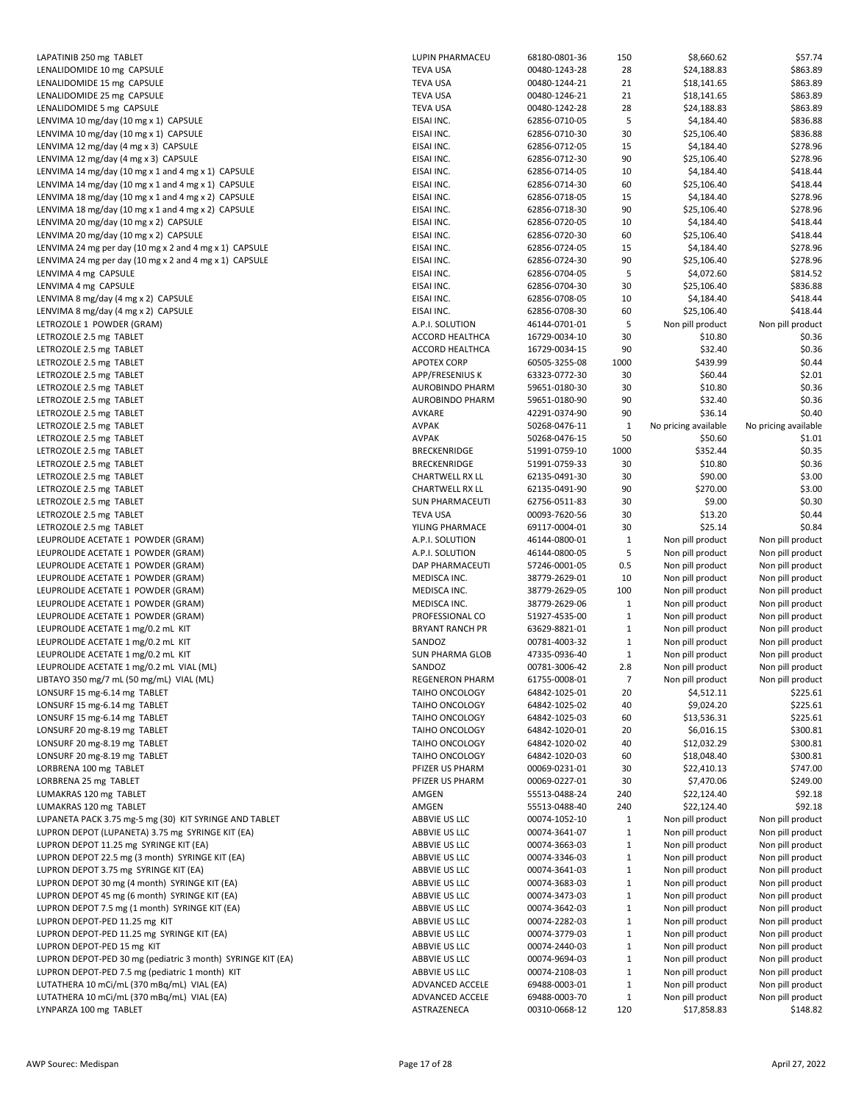| LAPATINIB 250 mg TABLET                                                        | <b>LUPINP</b>                      |  |
|--------------------------------------------------------------------------------|------------------------------------|--|
| LENALIDOMIDE 10 mg CAPSULE                                                     | TEVA US                            |  |
| LENALIDOMIDE 15 mg CAPSULE                                                     | <b>TEVAUS</b>                      |  |
| LENALIDOMIDE 25 mg CAPSULE                                                     | TEVA US                            |  |
| LENALIDOMIDE 5 mg CAPSULE                                                      | TEVA US                            |  |
| LENVIMA 10 mg/day (10 mg x 1) CAPSULE                                          | <b>EISAI IN</b>                    |  |
| LENVIMA 10 mg/day (10 mg x 1) CAPSULE                                          | <b>EISAI IN</b>                    |  |
| LENVIMA 12 mg/day (4 mg x 3) CAPSULE                                           | EISAI IN                           |  |
| LENVIMA 12 mg/day (4 mg x 3) CAPSULE                                           | <b>EISAI IN</b>                    |  |
| LENVIMA 14 mg/day (10 mg x 1 and 4 mg x 1) CAPSULE                             | <b>EISAI IN</b>                    |  |
| LENVIMA 14 mg/day (10 mg x 1 and 4 mg x 1) CAPSULE                             | <b>EISAI IN</b>                    |  |
| LENVIMA 18 mg/day (10 mg x 1 and 4 mg x 2) CAPSULE                             | <b>EISAI IN</b>                    |  |
| LENVIMA 18 mg/day (10 mg x 1 and 4 mg x 2) CAPSULE                             | <b>EISAI IN</b>                    |  |
| LENVIMA 20 mg/day (10 mg x 2) CAPSULE                                          | <b>EISAI IN</b>                    |  |
| LENVIMA 20 mg/day (10 mg x 2) CAPSULE                                          | <b>EISAI IN</b>                    |  |
| LENVIMA 24 mg per day (10 mg x 2 and 4 mg x 1) CAPSULE                         | <b>EISAI IN</b><br><b>EISAI IN</b> |  |
| LENVIMA 24 mg per day (10 mg x 2 and 4 mg x 1) CAPSULE<br>LENVIMA 4 mg CAPSULE | <b>EISAI IN</b>                    |  |
| LENVIMA 4 mg CAPSULE                                                           | <b>EISAI IN</b>                    |  |
| LENVIMA 8 mg/day (4 mg x 2) CAPSULE                                            | <b>EISAI IN</b>                    |  |
| LENVIMA 8 mg/day (4 mg x 2) CAPSULE                                            | <b>EISAI IN</b>                    |  |
| LETROZOLE 1 POWDER (GRAM)                                                      | A.P.I. SC                          |  |
| LETROZOLE 2.5 mg TABLET                                                        | <b>ACCORD</b>                      |  |
| LETROZOLE 2.5 mg TABLET                                                        | <b>ACCORD</b>                      |  |
| LETROZOLE 2.5 mg TABLET                                                        | <b>APOTEX</b>                      |  |
| LETROZOLE 2.5 mg TABLET                                                        | APP/FRI                            |  |
| LETROZOLE 2.5 mg TABLET                                                        | <b>AUROBI</b>                      |  |
| LETROZOLE 2.5 mg TABLET                                                        | <b>AUROBI</b>                      |  |
| LETROZOLE 2.5 mg TABLET                                                        | <b>AVKARE</b>                      |  |
| LETROZOLE 2.5 mg TABLET                                                        | AVPAK                              |  |
| LETROZOLE 2.5 mg TABLET                                                        | AVPAK                              |  |
| LETROZOLE 2.5 mg TABLET                                                        | <b>BRECKEI</b>                     |  |
| LETROZOLE 2.5 mg TABLET                                                        | <b>BRECKE</b>                      |  |
| LETROZOLE 2.5 mg TABLET<br>LETROZOLE 2.5 mg TABLET                             | <b>CHARTV</b><br><b>CHARTV</b>     |  |
| LETROZOLE 2.5 mg TABLET                                                        | <b>SUN PH</b>                      |  |
| LETROZOLE 2.5 mg TABLET                                                        | TEVA US                            |  |
| LETROZOLE 2.5 mg TABLET                                                        | YILING F                           |  |
| LEUPROLIDE ACETATE 1 POWDER (GRAM)                                             | A.P.I. SC                          |  |
| LEUPROLIDE ACETATE 1 POWDER (GRAM)                                             | A.P.I. SC                          |  |
| LEUPROLIDE ACETATE 1 POWDER (GRAM)                                             | DAP PH                             |  |
| LEUPROLIDE ACETATE 1 POWDER (GRAM)                                             | <b>MEDISC</b>                      |  |
| LEUPROLIDE ACETATE 1 POWDER (GRAM)                                             | <b>MEDISC</b>                      |  |
| LEUPROLIDE ACETATE 1 POWDER (GRAM)                                             | <b>MEDISC</b>                      |  |
| LEUPROLIDE ACETATE 1 POWDER (GRAM)                                             | PROFES:                            |  |
| LEUPROLIDE ACETATE 1 mg/0.2 mL KIT                                             | <b>BRYANT</b>                      |  |
| LEUPROLIDE ACETATE 1 mg/0.2 mL KIT                                             | SANDOZ                             |  |
| LEUPROLIDE ACETATE 1 mg/0.2 mL KIT                                             | <b>SUN PH</b>                      |  |
| LEUPROLIDE ACETATE 1 mg/0.2 mL VIAL (ML)                                       | SANDOZ                             |  |
| LIBTAYO 350 mg/7 mL (50 mg/mL) VIAL (ML)                                       | <b>REGENE</b>                      |  |
| LONSURF 15 mg-6.14 mg TABLET                                                   | <b>TAIHO C</b>                     |  |
| LONSURF 15 mg-6.14 mg TABLET                                                   | TAIHO C                            |  |
| LONSURF 15 mg-6.14 mg TABLET                                                   | <b>TAIHO C</b>                     |  |
| LONSURF 20 mg-8.19 mg TABLET                                                   | <b>TAIHO C</b>                     |  |
| LONSURF 20 mg-8.19 mg TABLET<br>LONSURF 20 mg-8.19 mg TABLET                   | <b>TAIHO C</b>                     |  |
| LORBRENA 100 mg TABLET                                                         | TAIHO C<br><b>PFIZER U</b>         |  |
| LORBRENA 25 mg TABLET                                                          | <b>PFIZER U</b>                    |  |
| LUMAKRAS 120 mg TABLET                                                         | AMGEN                              |  |
| LUMAKRAS 120 mg TABLET                                                         | AMGEN                              |  |
| LUPANETA PACK 3.75 mg-5 mg (30) KIT SYRINGE AND TABLET                         | ABBVIE                             |  |
| LUPRON DEPOT (LUPANETA) 3.75 mg SYRINGE KIT (EA)                               | ABBVIE                             |  |
| LUPRON DEPOT 11.25 mg SYRINGE KIT (EA)                                         | ABBVIE                             |  |
| LUPRON DEPOT 22.5 mg (3 month) SYRINGE KIT (EA)                                | ABBVIE                             |  |
| LUPRON DEPOT 3.75 mg SYRINGE KIT (EA)                                          | ABBVIE                             |  |
| LUPRON DEPOT 30 mg (4 month) SYRINGE KIT (EA)                                  | ABBVIE                             |  |
| LUPRON DEPOT 45 mg (6 month) SYRINGE KIT (EA)                                  | ABBVIE                             |  |
| LUPRON DEPOT 7.5 mg (1 month) SYRINGE KIT (EA)                                 | ABBVIE                             |  |
| LUPRON DEPOT-PED 11.25 mg KIT                                                  | ABBVIE                             |  |
| LUPRON DEPOT-PED 11.25 mg SYRINGE KIT (EA)                                     | ABBVIE                             |  |
| LUPRON DEPOT-PED 15 mg KIT                                                     | ABBVIE                             |  |
| LUPRON DEPOT-PED 30 mg (pediatric 3 month) SYRINGE KIT (EA)                    | ABBVIE                             |  |
| LUPRON DEPOT-PED 7.5 mg (pediatric 1 month) KIT                                | ABBVIE                             |  |
| LUTATHERA 10 mCi/mL (370 mBq/mL) VIAL (EA)                                     | <b>ADVAN</b>                       |  |
| LUTATHERA 10 mCi/mL (370 mBq/mL) VIAL (EA)                                     | <b>ADVAN</b>                       |  |
| LYNPARZA 100 mg TABLET                                                         | <b>ASTRAZ</b>                      |  |

| LAPATINIB 250 mg TABLET                                     | LUPIN PHARMACEU        | 68180-0801-36 | 150          | \$8,660.62           | \$57.74              |
|-------------------------------------------------------------|------------------------|---------------|--------------|----------------------|----------------------|
| LENALIDOMIDE 10 mg CAPSULE                                  | <b>TEVA USA</b>        | 00480-1243-28 | 28           | \$24,188.83          | \$863.89             |
| LENALIDOMIDE 15 mg CAPSULE                                  | <b>TEVA USA</b>        | 00480-1244-21 | 21           | \$18,141.65          | \$863.89             |
|                                                             | <b>TEVA USA</b>        |               |              | \$18,141.65          |                      |
| LENALIDOMIDE 25 mg CAPSULE                                  |                        | 00480-1246-21 | 21           |                      | \$863.89             |
| LENALIDOMIDE 5 mg CAPSULE                                   | <b>TEVA USA</b>        | 00480-1242-28 | 28           | \$24,188.83          | \$863.89             |
| LENVIMA 10 mg/day (10 mg x 1) CAPSULE                       | EISAI INC.             | 62856-0710-05 | 5            | \$4,184.40           | \$836.88             |
| LENVIMA 10 mg/day (10 mg x 1) CAPSULE                       | EISAI INC.             | 62856-0710-30 | 30           | \$25,106.40          | \$836.88             |
| LENVIMA 12 mg/day (4 mg x 3) CAPSULE                        | EISAI INC.             | 62856-0712-05 | 15           | \$4,184.40           | \$278.96             |
| LENVIMA 12 mg/day (4 mg x 3) CAPSULE                        | EISAI INC.             | 62856-0712-30 | 90           | \$25,106.40          | \$278.96             |
| LENVIMA 14 mg/day (10 mg x 1 and 4 mg x 1) CAPSULE          | EISAI INC.             | 62856-0714-05 | 10           | \$4,184.40           | \$418.44             |
| LENVIMA 14 mg/day (10 mg x 1 and 4 mg x 1) CAPSULE          | EISAI INC.             | 62856-0714-30 | 60           | \$25,106.40          | \$418.44             |
| LENVIMA 18 mg/day (10 mg x 1 and 4 mg x 2) CAPSULE          | EISAI INC.             | 62856-0718-05 | 15           | \$4,184.40           | \$278.96             |
| LENVIMA 18 mg/day (10 mg x 1 and 4 mg x 2) CAPSULE          | EISAI INC.             | 62856-0718-30 | 90           | \$25,106.40          | \$278.96             |
| LENVIMA 20 mg/day (10 mg x 2) CAPSULE                       | EISAI INC.             | 62856-0720-05 | 10           | \$4,184.40           | \$418.44             |
| LENVIMA 20 mg/day (10 mg x 2) CAPSULE                       | EISAI INC.             | 62856-0720-30 | 60           | \$25,106.40          | \$418.44             |
| LENVIMA 24 mg per day (10 mg x 2 and 4 mg x 1) CAPSULE      | EISAI INC.             | 62856-0724-05 | 15           | \$4,184.40           | \$278.96             |
| LENVIMA 24 mg per day (10 mg x 2 and 4 mg x 1) CAPSULE      | EISAI INC.             | 62856-0724-30 | 90           | \$25,106.40          | \$278.96             |
| LENVIMA 4 mg CAPSULE                                        | EISAI INC.             | 62856-0704-05 | 5            | \$4,072.60           | \$814.52             |
| LENVIMA 4 mg CAPSULE                                        | EISAI INC.             | 62856-0704-30 | 30           | \$25,106.40          | \$836.88             |
|                                                             |                        |               |              |                      |                      |
| LENVIMA 8 mg/day (4 mg x 2) CAPSULE                         | EISAI INC.             | 62856-0708-05 | 10           | \$4,184.40           | \$418.44             |
| LENVIMA 8 mg/day (4 mg x 2) CAPSULE                         | EISAI INC.             | 62856-0708-30 | 60           | \$25,106.40          | \$418.44             |
| LETROZOLE 1 POWDER (GRAM)                                   | A.P.I. SOLUTION        | 46144-0701-01 | 5            | Non pill product     | Non pill product     |
| LETROZOLE 2.5 mg TABLET                                     | <b>ACCORD HEALTHCA</b> | 16729-0034-10 | 30           | \$10.80              | \$0.36               |
| LETROZOLE 2.5 mg TABLET                                     | <b>ACCORD HEALTHCA</b> | 16729-0034-15 | 90           | \$32.40              | \$0.36               |
| LETROZOLE 2.5 mg TABLET                                     | <b>APOTEX CORP</b>     | 60505-3255-08 | 1000         | \$439.99             | \$0.44               |
| LETROZOLE 2.5 mg TABLET                                     | APP/FRESENIUS K        | 63323-0772-30 | 30           | \$60.44              | \$2.01               |
| LETROZOLE 2.5 mg TABLET                                     | AUROBINDO PHARM        | 59651-0180-30 | 30           | \$10.80              | \$0.36               |
| LETROZOLE 2.5 mg TABLET                                     | <b>AUROBINDO PHARM</b> | 59651-0180-90 | 90           | \$32.40              | \$0.36               |
| LETROZOLE 2.5 mg TABLET                                     | AVKARE                 | 42291-0374-90 | 90           | \$36.14              | \$0.40               |
| LETROZOLE 2.5 mg TABLET                                     | <b>AVPAK</b>           | 50268-0476-11 | $\mathbf{1}$ | No pricing available | No pricing available |
| LETROZOLE 2.5 mg TABLET                                     | <b>AVPAK</b>           | 50268-0476-15 | 50           | \$50.60              | \$1.01               |
| LETROZOLE 2.5 mg TABLET                                     | BRECKENRIDGE           | 51991-0759-10 | 1000         | \$352.44             | \$0.35               |
| LETROZOLE 2.5 mg TABLET                                     | BRECKENRIDGE           |               | 30           | \$10.80              | \$0.36               |
|                                                             |                        | 51991-0759-33 |              |                      |                      |
| LETROZOLE 2.5 mg TABLET                                     | <b>CHARTWELL RX LL</b> | 62135-0491-30 | 30           | \$90.00              | \$3.00               |
| LETROZOLE 2.5 mg TABLET                                     | <b>CHARTWELL RX LL</b> | 62135-0491-90 | 90           | \$270.00             | \$3.00               |
| LETROZOLE 2.5 mg TABLET                                     | <b>SUN PHARMACEUTI</b> | 62756-0511-83 | 30           | \$9.00               | \$0.30               |
| LETROZOLE 2.5 mg TABLET                                     | <b>TEVA USA</b>        | 00093-7620-56 | 30           | \$13.20              | \$0.44               |
| LETROZOLE 2.5 mg TABLET                                     | YILING PHARMACE        | 69117-0004-01 | 30           | \$25.14              | \$0.84               |
| LEUPROLIDE ACETATE 1  POWDER (GRAM)                         | A.P.I. SOLUTION        | 46144-0800-01 | $\mathbf{1}$ | Non pill product     | Non pill product     |
| LEUPROLIDE ACETATE 1 POWDER (GRAM)                          | A.P.I. SOLUTION        | 46144-0800-05 | 5            | Non pill product     | Non pill product     |
| LEUPROLIDE ACETATE 1 POWDER (GRAM)                          | DAP PHARMACEUTI        | 57246-0001-05 | 0.5          | Non pill product     | Non pill product     |
| LEUPROLIDE ACETATE 1 POWDER (GRAM)                          | MEDISCA INC.           | 38779-2629-01 | 10           | Non pill product     | Non pill product     |
| LEUPROLIDE ACETATE 1  POWDER (GRAM)                         | MEDISCA INC.           | 38779-2629-05 | 100          | Non pill product     | Non pill product     |
| LEUPROLIDE ACETATE 1 POWDER (GRAM)                          | MEDISCA INC.           | 38779-2629-06 | $\mathbf{1}$ | Non pill product     | Non pill product     |
| LEUPROLIDE ACETATE 1 POWDER (GRAM)                          | PROFESSIONAL CO        | 51927-4535-00 | $\mathbf{1}$ | Non pill product     | Non pill product     |
| LEUPROLIDE ACETATE 1 mg/0.2 mL KIT                          | <b>BRYANT RANCH PR</b> | 63629-8821-01 | $\mathbf{1}$ | Non pill product     | Non pill product     |
| LEUPROLIDE ACETATE 1 mg/0.2 mL KIT                          | SANDOZ                 | 00781-4003-32 | $\mathbf{1}$ |                      |                      |
|                                                             |                        |               |              | Non pill product     | Non pill product     |
| LEUPROLIDE ACETATE 1 mg/0.2 mL KIT                          | <b>SUN PHARMA GLOB</b> | 47335-0936-40 | $\mathbf{1}$ | Non pill product     | Non pill product     |
| LEUPROLIDE ACETATE 1 mg/0.2 mL VIAL (ML)                    | SANDOZ                 | 00781-3006-42 | 2.8          | Non pill product     | Non pill product     |
| LIBTAYO 350 mg/7 mL (50 mg/mL) VIAL (ML)                    | REGENERON PHARM        | 61755-0008-01 | 7            | Non pill product     | Non pill product     |
| LONSURF 15 mg-6.14 mg TABLET                                | TAIHO ONCOLOGY         | 64842-1025-01 | 20           | \$4,512.11           | \$225.61             |
| LONSURF 15 mg-6.14 mg TABLET                                | TAIHO ONCOLOGY         | 64842-1025-02 | 40           | \$9,024.20           | \$225.61             |
| LONSURF 15 mg-6.14 mg TABLET                                | TAIHO ONCOLOGY         | 64842-1025-03 | 60           | \$13,536.31          | \$225.61             |
| LONSURF 20 mg-8.19 mg TABLET                                | TAIHO ONCOLOGY         | 64842-1020-01 | 20           | \$6,016.15           | \$300.81             |
| LONSURF 20 mg-8.19 mg TABLET                                | TAIHO ONCOLOGY         | 64842-1020-02 | 40           | \$12,032.29          | \$300.81             |
| LONSURF 20 mg-8.19 mg TABLET                                | TAIHO ONCOLOGY         | 64842-1020-03 | 60           | \$18,048.40          | \$300.81             |
| LORBRENA 100 mg TABLET                                      | PFIZER US PHARM        | 00069-0231-01 | 30           | \$22,410.13          | \$747.00             |
| LORBRENA 25 mg TABLET                                       | PFIZER US PHARM        | 00069-0227-01 | 30           | \$7,470.06           | \$249.00             |
| LUMAKRAS 120 mg TABLET                                      | AMGEN                  | 55513-0488-24 | 240          | \$22,124.40          | \$92.18              |
| LUMAKRAS 120 mg TABLET                                      | AMGEN                  | 55513-0488-40 | 240          | \$22,124.40          | \$92.18              |
| LUPANETA PACK 3.75 mg-5 mg (30) KIT SYRINGE AND TABLET      | ABBVIE US LLC          | 00074-1052-10 | $\mathbf{1}$ | Non pill product     | Non pill product     |
| LUPRON DEPOT (LUPANETA) 3.75 mg SYRINGE KIT (EA)            | ABBVIE US LLC          | 00074-3641-07 | $\mathbf{1}$ | Non pill product     | Non pill product     |
|                                                             | ABBVIE US LLC          |               |              |                      |                      |
| LUPRON DEPOT 11.25 mg SYRINGE KIT (EA)                      |                        | 00074-3663-03 | $\mathbf{1}$ | Non pill product     | Non pill product     |
| LUPRON DEPOT 22.5 mg (3 month) SYRINGE KIT (EA)             | ABBVIE US LLC          | 00074-3346-03 | $\mathbf{1}$ | Non pill product     | Non pill product     |
| LUPRON DEPOT 3.75 mg SYRINGE KIT (EA)                       | ABBVIE US LLC          | 00074-3641-03 | $\mathbf{1}$ | Non pill product     | Non pill product     |
| LUPRON DEPOT 30 mg (4 month) SYRINGE KIT (EA)               | ABBVIE US LLC          | 00074-3683-03 | $\mathbf{1}$ | Non pill product     | Non pill product     |
| LUPRON DEPOT 45 mg (6 month) SYRINGE KIT (EA)               | ABBVIE US LLC          | 00074-3473-03 | $\mathbf{1}$ | Non pill product     | Non pill product     |
| LUPRON DEPOT 7.5 mg (1 month) SYRINGE KIT (EA)              | ABBVIE US LLC          | 00074-3642-03 | $\mathbf{1}$ | Non pill product     | Non pill product     |
| LUPRON DEPOT-PED 11.25 mg KIT                               | ABBVIE US LLC          | 00074-2282-03 | $\mathbf{1}$ | Non pill product     | Non pill product     |
| LUPRON DEPOT-PED 11.25 mg SYRINGE KIT (EA)                  | ABBVIE US LLC          | 00074-3779-03 | $\mathbf{1}$ | Non pill product     | Non pill product     |
| LUPRON DEPOT-PED 15 mg KIT                                  | ABBVIE US LLC          | 00074-2440-03 | $\mathbf{1}$ | Non pill product     | Non pill product     |
| LUPRON DEPOT-PED 30 mg (pediatric 3 month) SYRINGE KIT (EA) | ABBVIE US LLC          | 00074-9694-03 | $\mathbf{1}$ | Non pill product     | Non pill product     |
| LUPRON DEPOT-PED 7.5 mg (pediatric 1 month) KIT             | ABBVIE US LLC          | 00074-2108-03 | $\mathbf{1}$ | Non pill product     | Non pill product     |
| LUTATHERA 10 mCi/mL (370 mBq/mL) VIAL (EA)                  | ADVANCED ACCELE        | 69488-0003-01 | $\mathbf{1}$ | Non pill product     | Non pill product     |
| LUTATHERA 10 mCi/mL (370 mBq/mL) VIAL (EA)                  | ADVANCED ACCELE        | 69488-0003-70 | $\mathbf{1}$ | Non pill product     | Non pill product     |
| LYNPARZA 100 mg TABLET                                      | ASTRAZENECA            | 00310-0668-12 | 120          | \$17,858.83          | \$148.82             |
|                                                             |                        |               |              |                      |                      |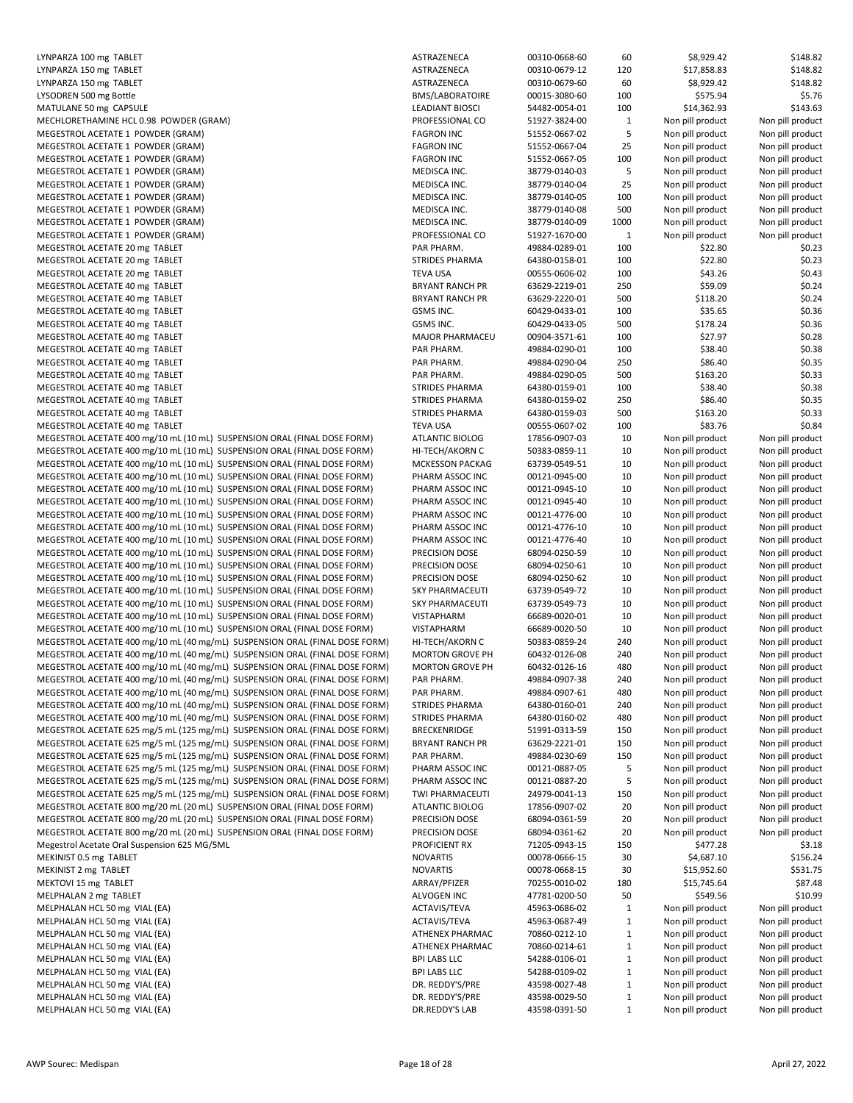| LYNPARZA 100 mg TABLET                                                       | ASTRAZENECA            | 00310-0668-60 | 60           | \$8,929.42       | \$148.82         |
|------------------------------------------------------------------------------|------------------------|---------------|--------------|------------------|------------------|
|                                                                              | ASTRAZENECA            |               | 120          |                  | \$148.82         |
| LYNPARZA 150 mg TABLET                                                       |                        | 00310-0679-12 |              | \$17,858.83      |                  |
| LYNPARZA 150 mg TABLET                                                       | ASTRAZENECA            | 00310-0679-60 | 60           | \$8,929.42       | \$148.82         |
| LYSODREN 500 mg Bottle                                                       | <b>BMS/LABORATOIRE</b> | 00015-3080-60 | 100          | \$575.94         | \$5.76           |
| MATULANE 50 mg CAPSULE                                                       | <b>LEADIANT BIOSCI</b> | 54482-0054-01 | 100          | \$14,362.93      | \$143.63         |
| MECHLORETHAMINE HCL 0.98 POWDER (GRAM)                                       | PROFESSIONAL CO        | 51927-3824-00 | 1            | Non pill product | Non pill product |
| MEGESTROL ACETATE 1 POWDER (GRAM)                                            | <b>FAGRON INC</b>      | 51552-0667-02 | 5            | Non pill product | Non pill product |
| MEGESTROL ACETATE 1 POWDER (GRAM)                                            | <b>FAGRON INC</b>      | 51552-0667-04 | 25           | Non pill product | Non pill product |
| MEGESTROL ACETATE 1 POWDER (GRAM)                                            | <b>FAGRON INC</b>      | 51552-0667-05 | 100          | Non pill product | Non pill product |
|                                                                              |                        |               |              |                  |                  |
| MEGESTROL ACETATE 1 POWDER (GRAM)                                            | MEDISCA INC.           | 38779-0140-03 | 5            | Non pill product | Non pill product |
| MEGESTROL ACETATE 1 POWDER (GRAM)                                            | MEDISCA INC.           | 38779-0140-04 | 25           | Non pill product | Non pill product |
| MEGESTROL ACETATE 1 POWDER (GRAM)                                            | MEDISCA INC.           | 38779-0140-05 | 100          | Non pill product | Non pill product |
| MEGESTROL ACETATE 1 POWDER (GRAM)                                            | MEDISCA INC.           | 38779-0140-08 | 500          | Non pill product | Non pill product |
| MEGESTROL ACETATE 1 POWDER (GRAM)                                            | MEDISCA INC.           | 38779-0140-09 | 1000         | Non pill product | Non pill product |
| MEGESTROL ACETATE 1 POWDER (GRAM)                                            | PROFESSIONAL CO        | 51927-1670-00 | $\mathbf{1}$ | Non pill product | Non pill product |
| MEGESTROL ACETATE 20 mg TABLET                                               | PAR PHARM.             | 49884-0289-01 | 100          | \$22.80          | \$0.23           |
|                                                                              |                        |               |              |                  |                  |
| MEGESTROL ACETATE 20 mg TABLET                                               | <b>STRIDES PHARMA</b>  | 64380-0158-01 | 100          | \$22.80          | \$0.23           |
| MEGESTROL ACETATE 20 mg TABLET                                               | <b>TEVA USA</b>        | 00555-0606-02 | 100          | \$43.26          | \$0.43           |
| MEGESTROL ACETATE 40 mg TABLET                                               | <b>BRYANT RANCH PR</b> | 63629-2219-01 | 250          | \$59.09          | \$0.24           |
| MEGESTROL ACETATE 40 mg TABLET                                               | <b>BRYANT RANCH PR</b> | 63629-2220-01 | 500          | \$118.20         | \$0.24           |
| MEGESTROL ACETATE 40 mg TABLET                                               | GSMS INC.              | 60429-0433-01 | 100          | \$35.65          | \$0.36           |
| MEGESTROL ACETATE 40 mg TABLET                                               | GSMS INC.              | 60429-0433-05 | 500          | \$178.24         | \$0.36           |
| MEGESTROL ACETATE 40 mg TABLET                                               | <b>MAJOR PHARMACEU</b> | 00904-3571-61 | 100          | \$27.97          | \$0.28           |
|                                                                              |                        |               |              |                  |                  |
| MEGESTROL ACETATE 40 mg TABLET                                               | PAR PHARM.             | 49884-0290-01 | 100          | \$38.40          | \$0.38           |
| MEGESTROL ACETATE 40 mg TABLET                                               | PAR PHARM.             | 49884-0290-04 | 250          | \$86.40          | \$0.35           |
| MEGESTROL ACETATE 40 mg TABLET                                               | PAR PHARM.             | 49884-0290-05 | 500          | \$163.20         | \$0.33           |
| MEGESTROL ACETATE 40 mg TABLET                                               | <b>STRIDES PHARMA</b>  | 64380-0159-01 | 100          | \$38.40          | \$0.38           |
| MEGESTROL ACETATE 40 mg TABLET                                               | <b>STRIDES PHARMA</b>  | 64380-0159-02 | 250          | \$86.40          | \$0.35           |
| MEGESTROL ACETATE 40 mg TABLET                                               | <b>STRIDES PHARMA</b>  | 64380-0159-03 | 500          | \$163.20         | \$0.33           |
| MEGESTROL ACETATE 40 mg TABLET                                               | <b>TEVA USA</b>        | 00555-0607-02 | 100          | \$83.76          | \$0.84           |
| MEGESTROL ACETATE 400 mg/10 mL (10 mL) SUSPENSION ORAL (FINAL DOSE FORM)     | ATLANTIC BIOLOG        | 17856-0907-03 |              | Non pill product | Non pill product |
|                                                                              |                        |               | 10           |                  |                  |
| MEGESTROL ACETATE 400 mg/10 mL (10 mL) SUSPENSION ORAL (FINAL DOSE FORM)     | HI-TECH/AKORN C        | 50383-0859-11 | 10           | Non pill product | Non pill product |
| MEGESTROL ACETATE 400 mg/10 mL (10 mL) SUSPENSION ORAL (FINAL DOSE FORM)     | <b>MCKESSON PACKAG</b> | 63739-0549-51 | 10           | Non pill product | Non pill product |
| MEGESTROL ACETATE 400 mg/10 mL (10 mL) SUSPENSION ORAL (FINAL DOSE FORM)     | PHARM ASSOC INC        | 00121-0945-00 | 10           | Non pill product | Non pill product |
| MEGESTROL ACETATE 400 mg/10 mL (10 mL) SUSPENSION ORAL (FINAL DOSE FORM)     | PHARM ASSOC INC        | 00121-0945-10 | 10           | Non pill product | Non pill product |
| MEGESTROL ACETATE 400 mg/10 mL (10 mL) SUSPENSION ORAL (FINAL DOSE FORM)     | PHARM ASSOC INC        | 00121-0945-40 | 10           | Non pill product | Non pill product |
| MEGESTROL ACETATE 400 mg/10 mL (10 mL) SUSPENSION ORAL (FINAL DOSE FORM)     | PHARM ASSOC INC        | 00121-4776-00 | 10           | Non pill product | Non pill product |
| MEGESTROL ACETATE 400 mg/10 mL (10 mL) SUSPENSION ORAL (FINAL DOSE FORM)     | PHARM ASSOC INC        | 00121-4776-10 | 10           | Non pill product | Non pill product |
| MEGESTROL ACETATE 400 mg/10 mL (10 mL) SUSPENSION ORAL (FINAL DOSE FORM)     | PHARM ASSOC INC        | 00121-4776-40 | 10           | Non pill product | Non pill product |
|                                                                              |                        |               |              |                  |                  |
| MEGESTROL ACETATE 400 mg/10 mL (10 mL) SUSPENSION ORAL (FINAL DOSE FORM)     | PRECISION DOSE         | 68094-0250-59 | 10           | Non pill product | Non pill product |
| MEGESTROL ACETATE 400 mg/10 mL (10 mL) SUSPENSION ORAL (FINAL DOSE FORM)     | PRECISION DOSE         | 68094-0250-61 | 10           | Non pill product | Non pill product |
| MEGESTROL ACETATE 400 mg/10 mL (10 mL) SUSPENSION ORAL (FINAL DOSE FORM)     | PRECISION DOSE         | 68094-0250-62 | 10           | Non pill product | Non pill product |
| MEGESTROL ACETATE 400 mg/10 mL (10 mL) SUSPENSION ORAL (FINAL DOSE FORM)     | <b>SKY PHARMACEUTI</b> | 63739-0549-72 | 10           | Non pill product | Non pill product |
| MEGESTROL ACETATE 400 mg/10 mL (10 mL) SUSPENSION ORAL (FINAL DOSE FORM)     | <b>SKY PHARMACEUTI</b> | 63739-0549-73 | 10           | Non pill product | Non pill product |
| MEGESTROL ACETATE 400 mg/10 mL (10 mL) SUSPENSION ORAL (FINAL DOSE FORM)     | VISTAPHARM             | 66689-0020-01 | 10           | Non pill product | Non pill product |
| MEGESTROL ACETATE 400 mg/10 mL (10 mL) SUSPENSION ORAL (FINAL DOSE FORM)     | VISTAPHARM             | 66689-0020-50 | 10           | Non pill product | Non pill product |
| MEGESTROL ACETATE 400 mg/10 mL (40 mg/mL) SUSPENSION ORAL (FINAL DOSE FORM)  | HI-TECH/AKORN C        | 50383-0859-24 | 240          | Non pill product | Non pill product |
| MEGESTROL ACETATE 400 mg/10 mL (40 mg/mL) SUSPENSION ORAL (FINAL DOSE FORM)  |                        |               |              |                  |                  |
|                                                                              | <b>MORTON GROVE PH</b> | 60432-0126-08 | 240          | Non pill product | Non pill product |
| MEGESTROL ACETATE 400 mg/10 mL (40 mg/mL) SUSPENSION ORAL (FINAL DOSE FORM)  | <b>MORTON GROVE PH</b> | 60432-0126-16 | 480          | Non pill product | Non pill product |
| MEGESTROL ACETATE 400 mg/10 mL (40 mg/mL)  SUSPENSION ORAL (FINAL DOSE FORM) | PAR PHARM.             | 49884-0907-38 | 240          | Non pill product | Non pill product |
| MEGESTROL ACETATE 400 mg/10 mL (40 mg/mL) SUSPENSION ORAL (FINAL DOSE FORM)  | PAR PHARM.             | 49884-0907-61 | 480          | Non pill product | Non pill product |
| MEGESTROL ACETATE 400 mg/10 mL (40 mg/mL) SUSPENSION ORAL (FINAL DOSE FORM)  | <b>STRIDES PHARMA</b>  | 64380-0160-01 | 240          | Non pill product | Non pill product |
| MEGESTROL ACETATE 400 mg/10 mL (40 mg/mL) SUSPENSION ORAL (FINAL DOSE FORM)  | STRIDES PHARMA         | 64380-0160-02 | 480          | Non pill product | Non pill product |
| MEGESTROL ACETATE 625 mg/5 mL (125 mg/mL) SUSPENSION ORAL (FINAL DOSE FORM)  | <b>BRECKENRIDGE</b>    | 51991-0313-59 | 150          | Non pill product | Non pill product |
| MEGESTROL ACETATE 625 mg/5 mL (125 mg/mL) SUSPENSION ORAL (FINAL DOSE FORM)  | <b>BRYANT RANCH PR</b> | 63629-2221-01 | 150          | Non pill product | Non pill product |
| MEGESTROL ACETATE 625 mg/5 mL (125 mg/mL) SUSPENSION ORAL (FINAL DOSE FORM)  |                        |               |              |                  |                  |
|                                                                              | PAR PHARM.             | 49884-0230-69 | 150          | Non pill product | Non pill product |
| MEGESTROL ACETATE 625 mg/5 mL (125 mg/mL) SUSPENSION ORAL (FINAL DOSE FORM)  | PHARM ASSOC INC        | 00121-0887-05 | 5            | Non pill product | Non pill product |
| MEGESTROL ACETATE 625 mg/5 mL (125 mg/mL) SUSPENSION ORAL (FINAL DOSE FORM)  | PHARM ASSOC INC        | 00121-0887-20 | 5            | Non pill product | Non pill product |
| MEGESTROL ACETATE 625 mg/5 mL (125 mg/mL) SUSPENSION ORAL (FINAL DOSE FORM)  | TWI PHARMACEUTI        | 24979-0041-13 | 150          | Non pill product | Non pill product |
| MEGESTROL ACETATE 800 mg/20 mL (20 mL) SUSPENSION ORAL (FINAL DOSE FORM)     | ATLANTIC BIOLOG        | 17856-0907-02 | 20           | Non pill product | Non pill product |
| MEGESTROL ACETATE 800 mg/20 mL (20 mL) SUSPENSION ORAL (FINAL DOSE FORM)     | PRECISION DOSE         | 68094-0361-59 | 20           | Non pill product | Non pill product |
| MEGESTROL ACETATE 800 mg/20 mL (20 mL) SUSPENSION ORAL (FINAL DOSE FORM)     | PRECISION DOSE         | 68094-0361-62 | 20           | Non pill product | Non pill product |
| Megestrol Acetate Oral Suspension 625 MG/5ML                                 | PROFICIENT RX          | 71205-0943-15 | 150          | \$477.28         | \$3.18           |
| MEKINIST 0.5 mg TABLET                                                       | <b>NOVARTIS</b>        | 00078-0666-15 | 30           | \$4,687.10       | \$156.24         |
|                                                                              |                        |               |              |                  |                  |
| MEKINIST 2 mg TABLET                                                         | <b>NOVARTIS</b>        | 00078-0668-15 | 30           | \$15,952.60      | \$531.75         |
| MEKTOVI 15 mg TABLET                                                         | ARRAY/PFIZER           | 70255-0010-02 | 180          | \$15,745.64      | \$87.48          |
| MELPHALAN 2 mg TABLET                                                        | ALVOGEN INC            | 47781-0200-50 | 50           | \$549.56         | \$10.99          |
| MELPHALAN HCL 50 mg VIAL (EA)                                                | ACTAVIS/TEVA           | 45963-0686-02 | $\mathbf{1}$ | Non pill product | Non pill product |
| MELPHALAN HCL 50 mg VIAL (EA)                                                | ACTAVIS/TEVA           | 45963-0687-49 | $\mathbf{1}$ | Non pill product | Non pill product |
| MELPHALAN HCL 50 mg VIAL (EA)                                                | ATHENEX PHARMAC        | 70860-0212-10 | $\mathbf{1}$ | Non pill product | Non pill product |
| MELPHALAN HCL 50 mg VIAL (EA)                                                | ATHENEX PHARMAC        | 70860-0214-61 | $\mathbf 1$  | Non pill product | Non pill product |
| MELPHALAN HCL 50 mg VIAL (EA)                                                | <b>BPI LABS LLC</b>    | 54288-0106-01 |              | Non pill product | Non pill product |
|                                                                              |                        |               | $\mathbf{1}$ |                  |                  |
| MELPHALAN HCL 50 mg VIAL (EA)                                                | <b>BPI LABS LLC</b>    | 54288-0109-02 | $\mathbf 1$  | Non pill product | Non pill product |
| MELPHALAN HCL 50 mg VIAL (EA)                                                | DR. REDDY'S/PRE        | 43598-0027-48 | $\mathbf{1}$ | Non pill product | Non pill product |
| MELPHALAN HCL 50 mg VIAL (EA)                                                | DR. REDDY'S/PRE        | 43598-0029-50 | $\mathbf{1}$ | Non pill product | Non pill product |
| MELPHALAN HCL 50 mg VIAL (EA)                                                | DR.REDDY'S LAB         | 43598-0391-50 | $\mathbf 1$  | Non pill product | Non pill product |
|                                                                              |                        |               |              |                  |                  |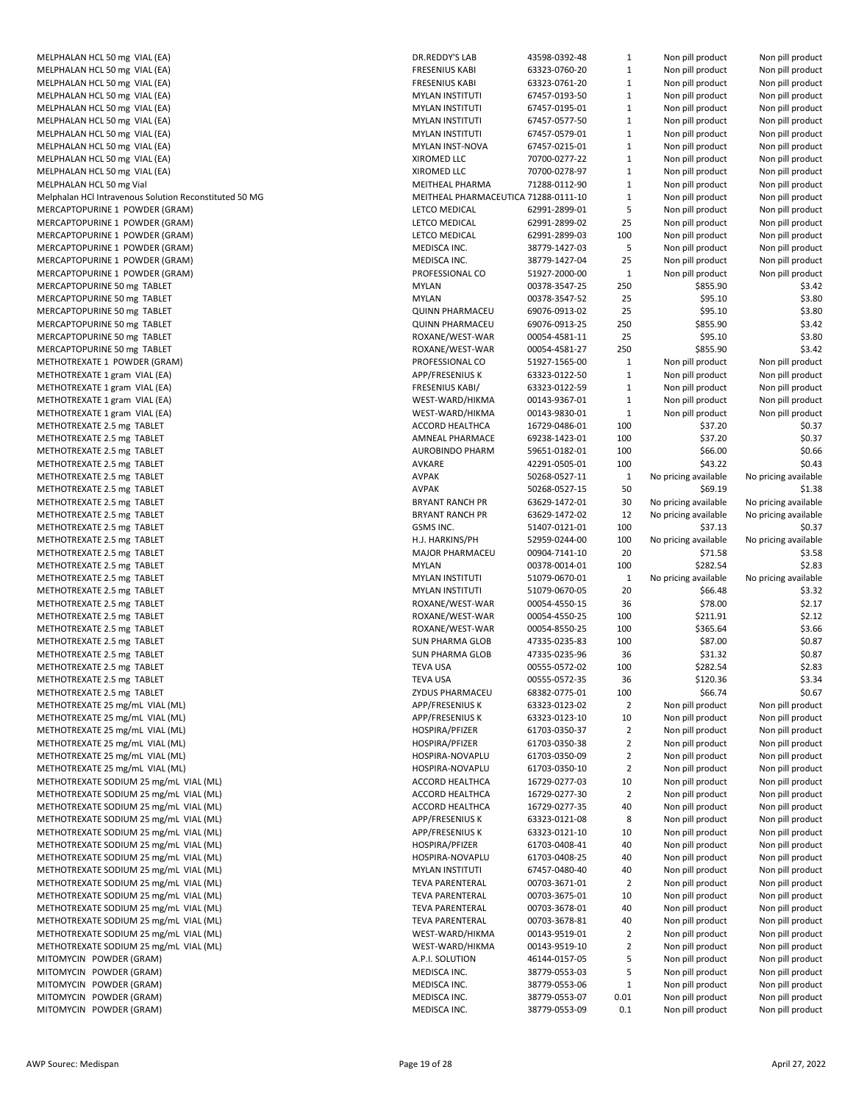| MELPHALAN HCL 50 mg VIAL (EA)                          | DF |
|--------------------------------------------------------|----|
| MELPHALAN HCL 50 mg VIAL (EA)                          | FF |
| MELPHALAN HCL 50 mg VIAL (EA)                          | FF |
| MELPHALAN HCL 50 mg VIAL (EA)                          | M  |
| MELPHALAN HCL 50 mg VIAL (EA)                          | M  |
| MELPHALAN HCL 50 mg VIAL (EA)                          | M  |
| MELPHALAN HCL 50 mg VIAL (EA)                          | M  |
| MELPHALAN HCL 50 mg VIAL (EA)                          | M  |
| MELPHALAN HCL 50 mg VIAL (EA)                          | ΧI |
| MELPHALAN HCL 50 mg VIAL (EA)                          | ΧI |
| MELPHALAN HCL 50 mg Vial                               | M  |
| Melphalan HCl Intravenous Solution Reconstituted 50 MG | M  |
| MERCAPTOPURINE 1 POWDER (GRAM)                         | LE |
| MERCAPTOPURINE 1 POWDER (GRAM)                         | LE |
| MERCAPTOPURINE 1 POWDER (GRAM)                         | LE |
|                                                        |    |
| MERCAPTOPURINE 1 POWDER (GRAM)                         | M  |
| MERCAPTOPURINE 1 POWDER (GRAM)                         | M  |
| MERCAPTOPURINE 1 POWDER (GRAM)                         | PF |
| MERCAPTOPURINE 50 mg TABLET                            | M  |
| MERCAPTOPURINE 50 mg TABLET                            | M  |
| MERCAPTOPURINE 50 mg TABLET                            | Q١ |
| MERCAPTOPURINE 50 mg TABLET                            | Q١ |
| MERCAPTOPURINE 50 mg TABLET                            | R0 |
| MERCAPTOPURINE 50 mg TABLET                            | R( |
| METHOTREXATE 1 POWDER (GRAM)                           | PF |
| METHOTREXATE 1 gram VIAL (EA)                          | AF |
| METHOTREXATE 1 gram VIAL (EA)                          | FR |
| METHOTREXATE 1 gram VIAL (EA)                          | W  |
| METHOTREXATE 1 gram VIAL (EA)                          | W  |
| METHOTREXATE 2.5 mg TABLET                             | A  |
| METHOTREXATE 2.5 mg TABLET                             | A١ |
| METHOTREXATE 2.5 mg TABLET                             | Al |
| METHOTREXATE 2.5 mg TABLET                             | Α١ |
| METHOTREXATE 2.5 mg TABLET                             | Α١ |
| METHOTREXATE 2.5 mg TABLET                             | Α١ |
| METHOTREXATE 2.5 mg TABLET                             | BF |
| METHOTREXATE 2.5 mg TABLET                             | BF |
| METHOTREXATE 2.5 mg TABLET                             | GS |
| METHOTREXATE 2.5 mg TABLET                             | Η. |
| METHOTREXATE 2.5 mg TABLET                             | M  |
| METHOTREXATE 2.5 mg TABLET                             | M  |
| METHOTREXATE 2.5 mg TABLET                             | M  |
| METHOTREXATE 2.5 mg TABLET                             | M  |
| METHOTREXATE 2.5 mg TABLET                             | R( |
| METHOTREXATE 2.5 mg TABLET                             | R( |
| METHOTREXATE 2.5 mg TABLET                             | R  |
| METHOTREXATE 2.5 mg TABLET                             | SL |
| METHOTREXATE 2.5 mg TABLET                             | SL |
| METHOTREXATE 2.5 mg TABLET                             | TE |
| METHOTREXATE 2.5 mg TABLET                             | TE |
| METHOTREXATE 2.5 mg TABLET                             | ZY |
| METHOTREXATE 25 mg/mL VIAL (ML)                        | AF |
| METHOTREXATE 25 mg/mL VIAL (ML)                        | AF |
| METHOTREXATE 25 mg/mL VIAL (ML)                        | H  |
| METHOTREXATE 25 mg/mL VIAL (ML)                        | H  |
|                                                        |    |
| METHOTREXATE 25 mg/mL VIAL (ML)                        | H  |
| METHOTREXATE 25 mg/mL VIAL (ML)                        | H  |
| METHOTREXATE SODIUM 25 mg/mL VIAL (ML)                 | A  |
| METHOTREXATE SODIUM 25 mg/mL VIAL (ML)                 | A  |
| METHOTREXATE SODIUM 25 mg/mL VIAL (ML)                 | A  |
| METHOTREXATE SODIUM 25 mg/mL VIAL (ML)                 | AF |
| METHOTREXATE SODIUM 25 mg/mL VIAL (ML)                 | AF |
| METHOTREXATE SODIUM 25 mg/mL VIAL (ML)                 | H  |
| METHOTREXATE SODIUM 25 mg/mL VIAL (ML)                 | H  |
| METHOTREXATE SODIUM 25 mg/mL VIAL (ML)                 | M  |
| METHOTREXATE SODIUM 25 mg/mL VIAL (ML)                 | TE |
| METHOTREXATE SODIUM 25 mg/mL VIAL (ML)                 | TE |
| METHOTREXATE SODIUM 25 mg/mL VIAL (ML)                 | TE |
| METHOTREXATE SODIUM 25 mg/mL VIAL (ML)                 | TE |
| METHOTREXATE SODIUM 25 mg/mL VIAL (ML)                 | W  |
| METHOTREXATE SODIUM 25 mg/mL VIAL (ML)                 | W  |
| MITOMYCIN POWDER (GRAM)                                | А. |
| MITOMYCIN POWDER (GRAM)                                | M  |
| MITOMYCIN POWDER (GRAM)                                | M  |
| MITOMYCIN POWDER (GRAM)                                | M  |
| MITOMYCIN POWDER (GRAM)                                | M  |

| MELPHALAN HCL 50 mg VIAL (EA)                                                      | DR.REDDY'S LAB                                          | 43598-0392-48                  | $\mathbf{1}$                     | Non pill product                     | Non pill product                     |
|------------------------------------------------------------------------------------|---------------------------------------------------------|--------------------------------|----------------------------------|--------------------------------------|--------------------------------------|
| MELPHALAN HCL 50 mg VIAL (EA)                                                      | <b>FRESENIUS KABI</b>                                   | 63323-0760-20                  | $\mathbf{1}$                     | Non pill product                     | Non pill product                     |
| MELPHALAN HCL 50 mg VIAL (EA)                                                      | <b>FRESENIUS KABI</b>                                   | 63323-0761-20                  | $\mathbf{1}$                     | Non pill product                     | Non pill product                     |
| MELPHALAN HCL 50 mg VIAL (EA)                                                      | <b>MYLAN INSTITUTI</b>                                  | 67457-0193-50                  | $\mathbf{1}$                     | Non pill product                     | Non pill product                     |
| MELPHALAN HCL 50 mg VIAL (EA)                                                      | <b>MYLAN INSTITUTI</b>                                  | 67457-0195-01                  | $\mathbf{1}$                     | Non pill product                     | Non pill product                     |
| MELPHALAN HCL 50 mg VIAL (EA)                                                      | <b>MYLAN INSTITUTI</b>                                  | 67457-0577-50                  | $\mathbf{1}$                     | Non pill product                     | Non pill product                     |
| MELPHALAN HCL 50 mg VIAL (EA)                                                      | <b>MYLAN INSTITUTI</b>                                  | 67457-0579-01                  | $\mathbf{1}$                     | Non pill product                     | Non pill product                     |
| MELPHALAN HCL 50 mg VIAL (EA)                                                      | MYLAN INST-NOVA                                         | 67457-0215-01                  | $\mathbf{1}$                     | Non pill product                     | Non pill product                     |
| MELPHALAN HCL 50 mg VIAL (EA)                                                      | XIROMED LLC                                             | 70700-0277-22                  | $\mathbf{1}$                     | Non pill product                     | Non pill product                     |
| MELPHALAN HCL 50 mg VIAL (EA)                                                      | XIROMED LLC                                             | 70700-0278-97                  | $\mathbf{1}$                     | Non pill product                     | Non pill product                     |
| MELPHALAN HCL 50 mg Vial<br>Melphalan HCl Intravenous Solution Reconstituted 50 MG | MEITHEAL PHARMA<br>MEITHEAL PHARMACEUTICA 71288-0111-10 | 71288-0112-90                  | $\mathbf{1}$<br>$\mathbf{1}$     | Non pill product                     | Non pill product                     |
| MERCAPTOPURINE 1 POWDER (GRAM)                                                     | LETCO MEDICAL                                           | 62991-2899-01                  | 5                                | Non pill product<br>Non pill product | Non pill product<br>Non pill product |
| MERCAPTOPURINE 1 POWDER (GRAM)                                                     | LETCO MEDICAL                                           | 62991-2899-02                  | 25                               | Non pill product                     | Non pill product                     |
| MERCAPTOPURINE 1 POWDER (GRAM)                                                     | LETCO MEDICAL                                           | 62991-2899-03                  | 100                              | Non pill product                     | Non pill product                     |
| MERCAPTOPURINE 1 POWDER (GRAM)                                                     | MEDISCA INC.                                            | 38779-1427-03                  | 5                                | Non pill product                     | Non pill product                     |
| MERCAPTOPURINE 1 POWDER (GRAM)                                                     | MEDISCA INC.                                            | 38779-1427-04                  | 25                               | Non pill product                     | Non pill product                     |
| MERCAPTOPURINE 1 POWDER (GRAM)                                                     | PROFESSIONAL CO                                         | 51927-2000-00                  | $\mathbf{1}$                     | Non pill product                     | Non pill product                     |
| MERCAPTOPURINE 50 mg TABLET                                                        | <b>MYLAN</b>                                            | 00378-3547-25                  | 250                              | \$855.90                             | \$3.42                               |
| MERCAPTOPURINE 50 mg TABLET                                                        | <b>MYLAN</b>                                            | 00378-3547-52                  | 25                               | \$95.10                              | \$3.80                               |
| MERCAPTOPURINE 50 mg TABLET                                                        | <b>QUINN PHARMACEU</b>                                  | 69076-0913-02                  | 25                               | \$95.10                              | \$3.80                               |
| MERCAPTOPURINE 50 mg TABLET                                                        | <b>QUINN PHARMACEU</b>                                  | 69076-0913-25                  | 250                              | \$855.90                             | \$3.42                               |
| MERCAPTOPURINE 50 mg TABLET                                                        | ROXANE/WEST-WAR                                         | 00054-4581-11                  | 25                               | \$95.10                              | \$3.80                               |
| MERCAPTOPURINE 50 mg TABLET                                                        | ROXANE/WEST-WAR                                         | 00054-4581-27                  | 250                              | \$855.90                             | \$3.42                               |
| METHOTREXATE 1 POWDER (GRAM)                                                       | PROFESSIONAL CO                                         | 51927-1565-00                  | $\mathbf{1}$                     | Non pill product                     | Non pill product                     |
| METHOTREXATE 1 gram VIAL (EA)                                                      | <b>APP/FRESENIUS K</b>                                  | 63323-0122-50                  | $\mathbf{1}$                     | Non pill product                     | Non pill product                     |
| METHOTREXATE 1 gram VIAL (EA)                                                      | <b>FRESENIUS KABI/</b>                                  | 63323-0122-59                  | $\mathbf{1}$                     | Non pill product                     | Non pill product                     |
| METHOTREXATE 1 gram VIAL (EA)                                                      | WEST-WARD/HIKMA                                         | 00143-9367-01                  | $\mathbf{1}$                     | Non pill product                     | Non pill product                     |
| METHOTREXATE 1 gram VIAL (EA)                                                      | WEST-WARD/HIKMA                                         | 00143-9830-01                  | $\mathbf{1}$                     | Non pill product                     | Non pill product                     |
| METHOTREXATE 2.5 mg TABLET                                                         | ACCORD HEALTHCA                                         | 16729-0486-01                  | 100                              | \$37.20                              | \$0.37                               |
| METHOTREXATE 2.5 mg TABLET                                                         | AMNEAL PHARMACE                                         | 69238-1423-01                  | 100                              | \$37.20                              | \$0.37                               |
| METHOTREXATE 2.5 mg TABLET                                                         | <b>AUROBINDO PHARM</b>                                  | 59651-0182-01                  | 100                              | \$66.00                              | \$0.66                               |
| METHOTREXATE 2.5 mg TABLET                                                         | AVKARE                                                  | 42291-0505-01                  | 100                              | \$43.22                              | \$0.43                               |
| METHOTREXATE 2.5 mg TABLET                                                         | <b>AVPAK</b>                                            | 50268-0527-11                  | $\mathbf{1}$                     | No pricing available                 | No pricing available                 |
| METHOTREXATE 2.5 mg TABLET                                                         | <b>AVPAK</b>                                            | 50268-0527-15                  | 50                               | \$69.19                              | \$1.38                               |
| METHOTREXATE 2.5 mg TABLET                                                         | <b>BRYANT RANCH PR</b>                                  | 63629-1472-01                  | 30                               | No pricing available                 | No pricing available                 |
| METHOTREXATE 2.5 mg TABLET                                                         | <b>BRYANT RANCH PR</b>                                  | 63629-1472-02                  | 12                               | No pricing available                 | No pricing available                 |
| METHOTREXATE 2.5 mg TABLET                                                         | GSMS INC.                                               | 51407-0121-01                  | 100                              | \$37.13                              | \$0.37                               |
| METHOTREXATE 2.5 mg TABLET                                                         | H.J. HARKINS/PH                                         | 52959-0244-00                  | 100                              | No pricing available                 | No pricing available                 |
| METHOTREXATE 2.5 mg TABLET                                                         | MAJOR PHARMACEU                                         | 00904-7141-10                  | 20                               | \$71.58                              | \$3.58                               |
| METHOTREXATE 2.5 mg TABLET                                                         | <b>MYLAN</b>                                            | 00378-0014-01                  | 100                              | \$282.54                             | \$2.83                               |
| METHOTREXATE 2.5 mg TABLET                                                         | <b>MYLAN INSTITUTI</b>                                  | 51079-0670-01                  | $\mathbf{1}$                     | No pricing available                 | No pricing available                 |
| METHOTREXATE 2.5 mg TABLET                                                         | <b>MYLAN INSTITUTI</b>                                  | 51079-0670-05                  | 20                               | \$66.48                              | \$3.32                               |
| METHOTREXATE 2.5 mg TABLET                                                         | ROXANE/WEST-WAR                                         | 00054-4550-15                  | 36                               | \$78.00                              | \$2.17                               |
| METHOTREXATE 2.5 mg TABLET                                                         | ROXANE/WEST-WAR                                         | 00054-4550-25                  | 100                              | \$211.91                             | \$2.12                               |
| METHOTREXATE 2.5 mg TABLET                                                         | ROXANE/WEST-WAR                                         | 00054-8550-25                  | 100                              | \$365.64                             | \$3.66                               |
| METHOTREXATE 2.5 mg TABLET                                                         | <b>SUN PHARMA GLOB</b>                                  | 47335-0235-83                  | 100                              | \$87.00                              | \$0.87                               |
| METHOTREXATE 2.5 mg TABLET                                                         | <b>SUN PHARMA GLOB</b>                                  | 47335-0235-96                  | 36                               | \$31.32                              | \$0.87                               |
| METHOTREXATE 2.5 mg TABLET                                                         | TEVA USA                                                | 00555-0572-02                  | 100                              | \$282.54                             | \$2.83                               |
| METHOTREXATE 2.5 mg TABLET                                                         | <b>TEVA USA</b>                                         | 00555-0572-35                  | 36                               | \$120.36                             | \$3.34                               |
| METHOTREXATE 2.5 mg TABLET                                                         | ZYDUS PHARMACEU                                         | 68382-0775-01                  | 100                              | \$66.74                              | \$0.67                               |
| METHOTREXATE 25 mg/mL VIAL (ML)                                                    | APP/FRESENIUS K                                         | 63323-0123-02<br>63323-0123-10 | 2                                | Non pill product                     | Non pill product                     |
| METHOTREXATE 25 mg/mL VIAL (ML)                                                    | APP/FRESENIUS K<br>HOSPIRA/PFIZER                       | 61703-0350-37                  | 10                               | Non pill product<br>Non pill product | Non pill product<br>Non pill product |
| METHOTREXATE 25 mg/mL VIAL (ML)<br>METHOTREXATE 25 mg/mL VIAL (ML)                 | HOSPIRA/PFIZER                                          | 61703-0350-38                  | $\overline{2}$<br>$\overline{2}$ | Non pill product                     | Non pill product                     |
| METHOTREXATE 25 mg/mL VIAL (ML)                                                    | HOSPIRA-NOVAPLU                                         | 61703-0350-09                  | $\overline{2}$                   | Non pill product                     | Non pill product                     |
| METHOTREXATE 25 mg/mL VIAL (ML)                                                    | HOSPIRA-NOVAPLU                                         | 61703-0350-10                  | $\overline{2}$                   | Non pill product                     | Non pill product                     |
| METHOTREXATE SODIUM 25 mg/mL VIAL (ML)                                             | ACCORD HEALTHCA                                         | 16729-0277-03                  | 10                               | Non pill product                     | Non pill product                     |
| METHOTREXATE SODIUM 25 mg/mL VIAL (ML)                                             | ACCORD HEALTHCA                                         | 16729-0277-30                  | 2                                | Non pill product                     | Non pill product                     |
| METHOTREXATE SODIUM 25 mg/mL VIAL (ML)                                             | ACCORD HEALTHCA                                         | 16729-0277-35                  | 40                               | Non pill product                     | Non pill product                     |
| METHOTREXATE SODIUM 25 mg/mL VIAL (ML)                                             | <b>APP/FRESENIUS K</b>                                  | 63323-0121-08                  | 8                                | Non pill product                     | Non pill product                     |
| METHOTREXATE SODIUM 25 mg/mL VIAL (ML)                                             | APP/FRESENIUS K                                         | 63323-0121-10                  | 10                               | Non pill product                     | Non pill product                     |
| METHOTREXATE SODIUM 25 mg/mL VIAL (ML)                                             | HOSPIRA/PFIZER                                          | 61703-0408-41                  | 40                               | Non pill product                     | Non pill product                     |
| METHOTREXATE SODIUM 25 mg/mL VIAL (ML)                                             | HOSPIRA-NOVAPLU                                         | 61703-0408-25                  | 40                               | Non pill product                     | Non pill product                     |
| METHOTREXATE SODIUM 25 mg/mL VIAL (ML)                                             | <b>MYLAN INSTITUTI</b>                                  | 67457-0480-40                  | 40                               | Non pill product                     | Non pill product                     |
| METHOTREXATE SODIUM 25 mg/mL VIAL (ML)                                             | <b>TEVA PARENTERAL</b>                                  | 00703-3671-01                  | 2                                | Non pill product                     | Non pill product                     |
| METHOTREXATE SODIUM 25 mg/mL VIAL (ML)                                             | <b>TEVA PARENTERAL</b>                                  | 00703-3675-01                  | 10                               | Non pill product                     | Non pill product                     |
| METHOTREXATE SODIUM 25 mg/mL VIAL (ML)                                             | <b>TEVA PARENTERAL</b>                                  | 00703-3678-01                  | 40                               | Non pill product                     | Non pill product                     |
| METHOTREXATE SODIUM 25 mg/mL VIAL (ML)                                             | <b>TEVA PARENTERAL</b>                                  | 00703-3678-81                  | 40                               | Non pill product                     | Non pill product                     |
| METHOTREXATE SODIUM 25 mg/mL VIAL (ML)                                             | WEST-WARD/HIKMA                                         | 00143-9519-01                  | $\overline{2}$                   | Non pill product                     | Non pill product                     |
| METHOTREXATE SODIUM 25 mg/mL VIAL (ML)                                             | WEST-WARD/HIKMA                                         | 00143-9519-10                  | $\overline{2}$                   | Non pill product                     | Non pill product                     |
| MITOMYCIN POWDER (GRAM)                                                            | A.P.I. SOLUTION                                         | 46144-0157-05                  | 5                                | Non pill product                     | Non pill product                     |
| MITOMYCIN POWDER (GRAM)                                                            | MEDISCA INC.                                            | 38779-0553-03                  | 5                                | Non pill product                     | Non pill product                     |
| MITOMYCIN POWDER (GRAM)                                                            | MEDISCA INC.                                            | 38779-0553-06                  | $\mathbf{1}$                     | Non pill product                     | Non pill product                     |
| MITOMYCIN POWDER (GRAM)                                                            | MEDISCA INC.                                            | 38779-0553-07                  | 0.01                             | Non pill product                     | Non pill product                     |
| MITOMYCIN POWDER (GRAM)                                                            | MEDISCA INC.                                            | 38779-0553-09                  | 0.1                              | Non pill product                     | Non pill product                     |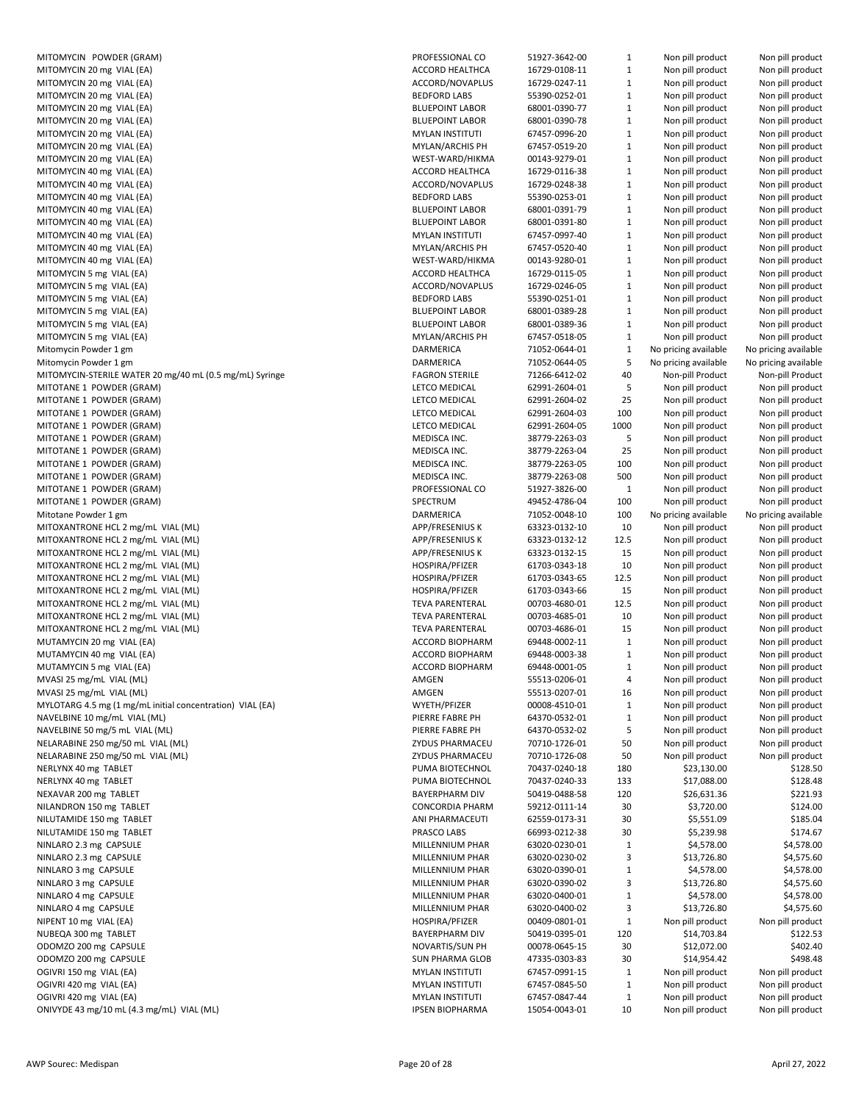| MITOMYCIN POWDER (GRAM)                                                                   | <b>PROFI</b>                      |
|-------------------------------------------------------------------------------------------|-----------------------------------|
| MITOMYCIN 20 mg VIAL (EA)                                                                 | ACCO                              |
| MITOMYCIN 20 mg VIAL (EA)                                                                 | <b>ACCO</b>                       |
| MITOMYCIN 20 mg VIAL (EA)<br>MITOMYCIN 20 mg VIAL (EA)                                    | BEDF <sub>0</sub><br><b>BLUEF</b> |
| MITOMYCIN 20 mg VIAL (EA)                                                                 | <b>BLUEF</b>                      |
| MITOMYCIN 20 mg VIAL (EA)                                                                 | <b>MYLA</b>                       |
| MITOMYCIN 20 mg VIAL (EA)                                                                 | <b>MYLA</b>                       |
| MITOMYCIN 20 mg VIAL (EA)<br>MITOMYCIN 40 mg VIAL (EA)                                    | WEST<br>ACCO                      |
| MITOMYCIN 40 mg VIAL (EA)                                                                 | ACCO                              |
| MITOMYCIN 40 mg VIAL (EA)                                                                 | BEDF <sub>0</sub>                 |
| MITOMYCIN 40 mg VIAL (EA)                                                                 | <b>BLUEF</b>                      |
| MITOMYCIN 40 mg VIAL (EA)                                                                 | <b>BLUEF</b>                      |
| MITOMYCIN 40 mg VIAL (EA)<br>MITOMYCIN 40 mg VIAL (EA)                                    | MYLA<br>MYLA                      |
| MITOMYCIN 40 mg VIAL (EA)                                                                 | WEST                              |
| MITOMYCIN 5 mg VIAL (EA)                                                                  | ACCO                              |
| MITOMYCIN 5 mg VIAL (EA)                                                                  | ACCO                              |
| MITOMYCIN 5 mg VIAL (EA)                                                                  | BEDF <sub>0</sub>                 |
| MITOMYCIN 5 mg VIAL (EA)<br>MITOMYCIN 5 mg VIAL (EA)                                      | <b>BLUEF</b><br><b>BLUEF</b>      |
| MITOMYCIN 5 mg VIAL (EA)                                                                  | <b>MYLA</b>                       |
| Mitomycin Powder 1 gm                                                                     | <b>DARN</b>                       |
| Mitomycin Powder 1 gm                                                                     | <b>DARN</b>                       |
| MITOMYCIN-STERILE WATER 20 mg/40 mL (0.5 mg/mL) Syringe                                   | <b>FAGR</b>                       |
| MITOTANE 1 POWDER (GRAM)                                                                  | LETCC<br>LETCC                    |
| MITOTANE 1 POWDER (GRAM)<br>MITOTANE 1 POWDER (GRAM)                                      | LETCC                             |
| MITOTANE 1 POWDER (GRAM)                                                                  | LETCC                             |
| MITOTANE 1 POWDER (GRAM)                                                                  | MEDI:                             |
| MITOTANE 1 POWDER (GRAM)                                                                  | MEDI:                             |
| MITOTANE 1 POWDER (GRAM)                                                                  | MEDI:                             |
| MITOTANE 1 POWDER (GRAM)<br>MITOTANE 1 POWDER (GRAM)                                      | MEDI:<br><b>PROFI</b>             |
| MITOTANE 1 POWDER (GRAM)                                                                  | <b>SPECT</b>                      |
| Mitotane Powder 1 gm                                                                      | DARN                              |
| MITOXANTRONE HCL 2 mg/mL VIAL (ML)                                                        | APP/F                             |
| MITOXANTRONE HCL 2 mg/mL VIAL (ML)                                                        | APP/F                             |
| MITOXANTRONE HCL 2 mg/mL VIAL (ML)<br>MITOXANTRONE HCL 2 mg/mL VIAL (ML)                  | APP/F<br><b>HOSP</b>              |
| MITOXANTRONE HCL 2 mg/mL VIAL (ML)                                                        | <b>HOSP</b>                       |
| MITOXANTRONE HCL 2 mg/mL VIAL (ML)                                                        | <b>HOSP</b>                       |
| MITOXANTRONE HCL 2 mg/mL VIAL (ML)                                                        | <b>TEVA</b>                       |
| MITOXANTRONE HCL 2 mg/mL VIAL (ML)                                                        | <b>TEVA</b>                       |
| MITOXANTRONE HCL 2 mg/mL VIAL (ML)<br>MUTAMYCIN 20 mg VIAL (EA)                           | TEVA<br>ACCO                      |
| MUTAMYCIN 40 mg VIAL (EA)                                                                 | ACCO                              |
| MUTAMYCIN 5 mg VIAL (EA)                                                                  | <b>ACCO</b>                       |
| MVASI 25 mg/mL VIAL (ML)                                                                  | AMGE                              |
| MVASI 25 mg/mL VIAL (ML)                                                                  | AMGE                              |
| MYLOTARG 4.5 mg (1 mg/mL initial concentration) VIAL (EA)<br>NAVELBINE 10 mg/mL VIAL (ML) | <b>WYET</b><br>PIERR              |
| NAVELBINE 50 mg/5 mL VIAL (ML)                                                            | PIERR                             |
| NELARABINE 250 mg/50 mL VIAL (ML)                                                         | ZYDU:                             |
| NELARABINE 250 mg/50 mL VIAL (ML)                                                         | ZYDU:                             |
| NERLYNX 40 mg TABLET                                                                      | <b>PUMA</b>                       |
| NERLYNX 40 mg TABLET<br>NEXAVAR 200 mg TABLET                                             | <b>PUMA</b><br><b>BAYER</b>       |
| NILANDRON 150 mg TABLET                                                                   | CONC                              |
| NILUTAMIDE 150 mg TABLET                                                                  | ANI PI                            |
| NILUTAMIDE 150 mg TABLET                                                                  | PRAS <sup>(</sup>                 |
| NINLARO 2.3 mg CAPSULE                                                                    | <b>MILLE</b>                      |
| NINLARO 2.3 mg CAPSULE                                                                    | <b>MILLE</b>                      |
| NINLARO 3 mg CAPSULE<br>NINLARO 3 mg CAPSULE                                              | MILLE<br>MILLE                    |
| NINLARO 4 mg CAPSULE                                                                      | <b>MILLE</b>                      |
| NINLARO 4 mg CAPSULE                                                                      | <b>MILLE</b>                      |
| NIPENT 10 mg VIAL (EA)                                                                    | <b>HOSP</b>                       |
| NUBEQA 300 mg TABLET                                                                      | <b>BAYER</b>                      |
| ODOMZO 200 mg CAPSULE<br>ODOMZO 200 mg CAPSULE                                            | <b>NOVA</b><br><b>SUN P</b>       |
| OGIVRI 150 mg VIAL (EA)                                                                   | MYLA                              |
| OGIVRI 420 mg VIAL (EA)                                                                   | <b>MYLA</b>                       |
| OGIVRI 420 mg VIAL (EA)                                                                   | <b>MYLA</b>                       |
| ONIVYDE 43 mg/10 mL (4.3 mg/mL) VIAL (ML)                                                 | <b>IPSEN</b>                      |

| MITOMYCIN POWDER (GRAM)                                   | PROFESSIONAL CO        | 51927-3642-00 | $\mathbf{1}$ | Non pill product     | Non pill product     |
|-----------------------------------------------------------|------------------------|---------------|--------------|----------------------|----------------------|
| MITOMYCIN 20 mg VIAL (EA)                                 | ACCORD HEALTHCA        | 16729-0108-11 | $\mathbf{1}$ | Non pill product     | Non pill product     |
| MITOMYCIN 20 mg VIAL (EA)                                 | ACCORD/NOVAPLUS        | 16729-0247-11 | 1            | Non pill product     | Non pill product     |
| MITOMYCIN 20 mg VIAL (EA)                                 | <b>BEDFORD LABS</b>    | 55390-0252-01 | $\mathbf{1}$ | Non pill product     | Non pill product     |
| MITOMYCIN 20 mg VIAL (EA)                                 | <b>BLUEPOINT LABOR</b> | 68001-0390-77 | 1            | Non pill product     | Non pill product     |
| MITOMYCIN 20 mg VIAL (EA)                                 | <b>BLUEPOINT LABOR</b> | 68001-0390-78 | $\mathbf{1}$ | Non pill product     | Non pill product     |
| MITOMYCIN 20 mg VIAL (EA)                                 | <b>MYLAN INSTITUTI</b> | 67457-0996-20 | $\mathbf{1}$ | Non pill product     | Non pill product     |
| MITOMYCIN 20 mg VIAL (EA)                                 | MYLAN/ARCHIS PH        | 67457-0519-20 | $\mathbf{1}$ | Non pill product     | Non pill product     |
| MITOMYCIN 20 mg VIAL (EA)                                 | WEST-WARD/HIKMA        | 00143-9279-01 | $\mathbf{1}$ | Non pill product     | Non pill product     |
| MITOMYCIN 40 mg VIAL (EA)                                 | ACCORD HEALTHCA        | 16729-0116-38 | $\mathbf{1}$ | Non pill product     | Non pill product     |
| MITOMYCIN 40 mg VIAL (EA)                                 | ACCORD/NOVAPLUS        | 16729-0248-38 | $\mathbf{1}$ | Non pill product     | Non pill product     |
|                                                           |                        |               |              |                      |                      |
| MITOMYCIN 40 mg VIAL (EA)                                 | <b>BEDFORD LABS</b>    | 55390-0253-01 | $\mathbf{1}$ | Non pill product     | Non pill product     |
| MITOMYCIN 40 mg VIAL (EA)                                 | <b>BLUEPOINT LABOR</b> | 68001-0391-79 | $\mathbf{1}$ | Non pill product     | Non pill product     |
| MITOMYCIN 40 mg VIAL (EA)                                 | <b>BLUEPOINT LABOR</b> | 68001-0391-80 | $\mathbf{1}$ | Non pill product     | Non pill product     |
| MITOMYCIN 40 mg VIAL (EA)                                 | <b>MYLAN INSTITUTI</b> | 67457-0997-40 | $\mathbf{1}$ | Non pill product     | Non pill product     |
| MITOMYCIN 40 mg VIAL (EA)                                 | MYLAN/ARCHIS PH        | 67457-0520-40 | $\mathbf{1}$ | Non pill product     | Non pill product     |
| MITOMYCIN 40 mg VIAL (EA)                                 | WEST-WARD/HIKMA        | 00143-9280-01 | 1            | Non pill product     | Non pill product     |
| MITOMYCIN 5 mg VIAL (EA)                                  | ACCORD HEALTHCA        | 16729-0115-05 | $\mathbf{1}$ | Non pill product     | Non pill product     |
| MITOMYCIN 5 mg VIAL (EA)                                  | ACCORD/NOVAPLUS        | 16729-0246-05 | $\mathbf{1}$ | Non pill product     | Non pill product     |
| MITOMYCIN 5 mg VIAL (EA)                                  | <b>BEDFORD LABS</b>    | 55390-0251-01 | $\mathbf{1}$ | Non pill product     | Non pill product     |
| MITOMYCIN 5 mg VIAL (EA)                                  | <b>BLUEPOINT LABOR</b> | 68001-0389-28 | $\mathbf{1}$ | Non pill product     | Non pill product     |
| MITOMYCIN 5 mg VIAL (EA)                                  | <b>BLUEPOINT LABOR</b> | 68001-0389-36 | $\mathbf{1}$ | Non pill product     | Non pill product     |
| MITOMYCIN 5 mg VIAL (EA)                                  | MYLAN/ARCHIS PH        | 67457-0518-05 | $\mathbf{1}$ | Non pill product     | Non pill product     |
| Mitomycin Powder 1 gm                                     | DARMERICA              | 71052-0644-01 | $\mathbf{1}$ | No pricing available | No pricing available |
|                                                           |                        |               | 5            |                      |                      |
| Mitomycin Powder 1 gm                                     | DARMERICA              | 71052-0644-05 |              | No pricing available | No pricing available |
| MITOMYCIN-STERILE WATER 20 mg/40 mL (0.5 mg/mL) Syringe   | <b>FAGRON STERILE</b>  | 71266-6412-02 | 40           | Non-pill Product     | Non-pill Product     |
| MITOTANE 1 POWDER (GRAM)                                  | LETCO MEDICAL          | 62991-2604-01 | 5            | Non pill product     | Non pill product     |
| MITOTANE 1 POWDER (GRAM)                                  | LETCO MEDICAL          | 62991-2604-02 | 25           | Non pill product     | Non pill product     |
| MITOTANE 1 POWDER (GRAM)                                  | LETCO MEDICAL          | 62991-2604-03 | 100          | Non pill product     | Non pill product     |
| MITOTANE 1 POWDER (GRAM)                                  | LETCO MEDICAL          | 62991-2604-05 | 1000         | Non pill product     | Non pill product     |
| MITOTANE 1 POWDER (GRAM)                                  | MEDISCA INC.           | 38779-2263-03 | 5            | Non pill product     | Non pill product     |
| MITOTANE 1 POWDER (GRAM)                                  | MEDISCA INC.           | 38779-2263-04 | 25           | Non pill product     | Non pill product     |
| MITOTANE 1 POWDER (GRAM)                                  | MEDISCA INC.           | 38779-2263-05 | 100          | Non pill product     | Non pill product     |
| MITOTANE 1 POWDER (GRAM)                                  | MEDISCA INC.           | 38779-2263-08 | 500          | Non pill product     | Non pill product     |
| MITOTANE 1 POWDER (GRAM)                                  | PROFESSIONAL CO        | 51927-3826-00 | $\mathbf{1}$ | Non pill product     | Non pill product     |
| MITOTANE 1 POWDER (GRAM)                                  | SPECTRUM               | 49452-4786-04 | 100          | Non pill product     | Non pill product     |
| Mitotane Powder 1 gm                                      | DARMERICA              | 71052-0048-10 | 100          | No pricing available | No pricing available |
| MITOXANTRONE HCL 2 mg/mL VIAL (ML)                        | APP/FRESENIUS K        | 63323-0132-10 | 10           |                      |                      |
|                                                           |                        |               |              | Non pill product     | Non pill product     |
| MITOXANTRONE HCL 2 mg/mL VIAL (ML)                        | APP/FRESENIUS K        | 63323-0132-12 | 12.5         | Non pill product     | Non pill product     |
| MITOXANTRONE HCL 2 mg/mL VIAL (ML)                        | APP/FRESENIUS K        | 63323-0132-15 | 15           | Non pill product     | Non pill product     |
| MITOXANTRONE HCL 2 mg/mL VIAL (ML)                        | HOSPIRA/PFIZER         | 61703-0343-18 | 10           | Non pill product     | Non pill product     |
| MITOXANTRONE HCL 2 mg/mL VIAL (ML)                        | HOSPIRA/PFIZER         | 61703-0343-65 | 12.5         | Non pill product     | Non pill product     |
| MITOXANTRONE HCL 2 mg/mL VIAL (ML)                        | HOSPIRA/PFIZER         | 61703-0343-66 | 15           | Non pill product     | Non pill product     |
| MITOXANTRONE HCL 2 mg/mL VIAL (ML)                        | <b>TEVA PARENTERAL</b> | 00703-4680-01 | 12.5         | Non pill product     | Non pill product     |
| MITOXANTRONE HCL 2 mg/mL VIAL (ML)                        | <b>TEVA PARENTERAL</b> | 00703-4685-01 | 10           | Non pill product     | Non pill product     |
| MITOXANTRONE HCL 2 mg/mL VIAL (ML)                        | <b>TEVA PARENTERAL</b> | 00703-4686-01 | 15           | Non pill product     | Non pill product     |
| MUTAMYCIN 20 mg VIAL (EA)                                 | ACCORD BIOPHARM        | 69448-0002-11 | $\mathbf{1}$ | Non pill product     | Non pill product     |
| MUTAMYCIN 40 mg VIAL (EA)                                 | ACCORD BIOPHARM        | 69448-0003-38 | $\mathbf 1$  | Non pill product     | Non pill product     |
| MUTAMYCIN 5 mg VIAL (EA)                                  | ACCORD BIOPHARM        | 69448-0001-05 | $\mathbf{1}$ | Non pill product     | Non pill product     |
| MVASI 25 mg/mL VIAL (ML)                                  | AMGEN                  | 55513-0206-01 | 4            | Non pill product     | Non pill product     |
| MVASI 25 mg/mL VIAL (ML)                                  | AMGEN                  | 55513-0207-01 | 16           | Non pill product     | Non pill product     |
| MYLOTARG 4.5 mg (1 mg/mL initial concentration) VIAL (EA) | WYETH/PFIZER           | 00008-4510-01 | $\mathbf{1}$ | Non pill product     | Non pill product     |
| NAVELBINE 10 mg/mL VIAL (ML)                              |                        |               |              | Non pill product     |                      |
|                                                           | PIERRE FABRE PH        | 64370-0532-01 | 1            |                      | Non pill product     |
| NAVELBINE 50 mg/5 mL VIAL (ML)                            | PIERRE FABRE PH        | 64370-0532-02 | 5            | Non pill product     | Non pill product     |
| NELARABINE 250 mg/50 mL VIAL (ML)                         | ZYDUS PHARMACEU        | 70710-1726-01 | 50           | Non pill product     | Non pill product     |
| NELARABINE 250 mg/50 mL VIAL (ML)                         | ZYDUS PHARMACEU        | 70710-1726-08 | 50           | Non pill product     | Non pill product     |
| NERLYNX 40 mg TABLET                                      | PUMA BIOTECHNOL        | 70437-0240-18 | 180          | \$23,130.00          | \$128.50             |
| NERLYNX 40 mg TABLET                                      | PUMA BIOTECHNOL        | 70437-0240-33 | 133          | \$17,088.00          | \$128.48             |
| NEXAVAR 200 mg TABLET                                     | BAYERPHARM DIV         | 50419-0488-58 | 120          | \$26,631.36          | \$221.93             |
| NILANDRON 150 mg TABLET                                   | <b>CONCORDIA PHARM</b> | 59212-0111-14 | 30           | \$3,720.00           | \$124.00             |
| NILUTAMIDE 150 mg TABLET                                  | ANI PHARMACEUTI        | 62559-0173-31 | 30           | \$5,551.09           | \$185.04             |
| NILUTAMIDE 150 mg TABLET                                  | PRASCO LABS            | 66993-0212-38 | 30           | \$5,239.98           | \$174.67             |
| NINLARO 2.3 mg CAPSULE                                    | MILLENNIUM PHAR        | 63020-0230-01 | $\mathbf{1}$ | \$4,578.00           | \$4,578.00           |
| NINLARO 2.3 mg CAPSULE                                    | MILLENNIUM PHAR        | 63020-0230-02 | 3            | \$13,726.80          | \$4,575.60           |
| NINLARO 3 mg CAPSULE                                      | MILLENNIUM PHAR        | 63020-0390-01 | $1\,$        | \$4,578.00           | \$4,578.00           |
| NINLARO 3 mg CAPSULE                                      |                        |               | 3            |                      | \$4,575.60           |
|                                                           | MILLENNIUM PHAR        | 63020-0390-02 |              | \$13,726.80          |                      |
| NINLARO 4 mg CAPSULE                                      | MILLENNIUM PHAR        | 63020-0400-01 | 1            | \$4,578.00           | \$4,578.00           |
| NINLARO 4 mg CAPSULE                                      | MILLENNIUM PHAR        | 63020-0400-02 | 3            | \$13,726.80          | \$4,575.60           |
| NIPENT 10 mg VIAL (EA)                                    | HOSPIRA/PFIZER         | 00409-0801-01 | 1            | Non pill product     | Non pill product     |
| NUBEQA 300 mg TABLET                                      | <b>BAYERPHARM DIV</b>  | 50419-0395-01 | 120          | \$14,703.84          | \$122.53             |
| ODOMZO 200 mg CAPSULE                                     | NOVARTIS/SUN PH        | 00078-0645-15 | 30           | \$12,072.00          | \$402.40             |
| ODOMZO 200 mg CAPSULE                                     | <b>SUN PHARMA GLOB</b> | 47335-0303-83 | 30           | \$14,954.42          | \$498.48             |
| OGIVRI 150 mg VIAL (EA)                                   | <b>MYLAN INSTITUTI</b> | 67457-0991-15 | $\mathbf{1}$ | Non pill product     | Non pill product     |
| OGIVRI 420 mg VIAL (EA)                                   | <b>MYLAN INSTITUTI</b> | 67457-0845-50 | 1            | Non pill product     | Non pill product     |
| OGIVRI 420 mg VIAL (EA)                                   | <b>MYLAN INSTITUTI</b> | 67457-0847-44 | $\mathbf{1}$ | Non pill product     | Non pill product     |
| ONIVYDE 43 mg/10 mL (4.3 mg/mL) VIAL (ML)                 | <b>IPSEN BIOPHARMA</b> | 15054-0043-01 | 10           | Non pill product     | Non pill product     |
|                                                           |                        |               |              |                      |                      |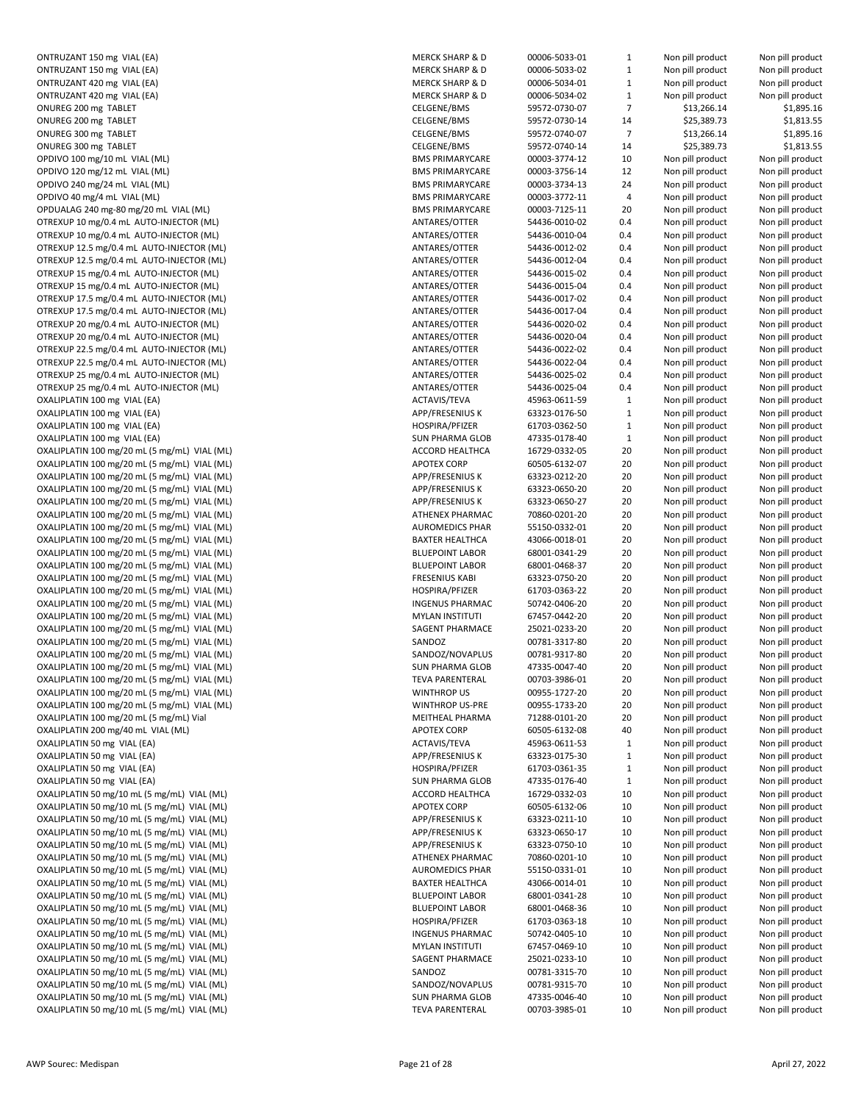| ONTRUZANT 150 mg VIAL (EA)                                  | <b>MERCK SHARP &amp; D</b> | 00006-5033-01        |
|-------------------------------------------------------------|----------------------------|----------------------|
| ONTRUZANT 150 mg VIAL (EA)                                  | <b>MERCK SHARP &amp; D</b> | 00006-5033-02        |
| ONTRUZANT 420 mg VIAL (EA)                                  | <b>MERCK SHARP &amp; D</b> | 00006-5034-01        |
| ONTRUZANT 420 mg VIAL (EA)                                  | <b>MERCK SHARP &amp; D</b> | 00006-5034-02        |
| ONUREG 200 mg TABLET                                        | CELGENE/BMS                | 59572-0730-07        |
| ONUREG 200 mg TABLET                                        | CELGENE/BMS                | 59572-0730-14        |
| ONUREG 300 mg TABLET                                        | CELGENE/BMS                | 59572-0740-07        |
| ONUREG 300 mg TABLET                                        | CELGENE/BMS                | 59572-0740-14        |
| OPDIVO 100 mg/10 mL VIAL (ML)                               | <b>BMS PRIMARYCARE</b>     | 00003-3774-12        |
| OPDIVO 120 mg/12 mL VIAL (ML)                               | <b>BMS PRIMARYCARE</b>     | 00003-3756-14        |
| OPDIVO 240 mg/24 mL VIAL (ML)                               | <b>BMS PRIMARYCARE</b>     | 00003-3734-13        |
| OPDIVO 40 mg/4 mL VIAL (ML)                                 | <b>BMS PRIMARYCARE</b>     | 00003-3772-11        |
| OPDUALAG 240 mg-80 mg/20 mL VIAL (ML)                       | <b>BMS PRIMARYCARE</b>     | 00003-7125-11        |
| OTREXUP 10 mg/0.4 mL AUTO-INJECTOR (ML)                     | ANTARES/OTTER              | 54436-0010-02        |
|                                                             | ANTARES/OTTER              | 54436-0010-04        |
| OTREXUP 10 mg/0.4 mL AUTO-INJECTOR (ML)                     |                            |                      |
| OTREXUP 12.5 mg/0.4 mL AUTO-INJECTOR (ML)                   | ANTARES/OTTER              | 54436-0012-02        |
| OTREXUP 12.5 mg/0.4 mL AUTO-INJECTOR (ML)                   | ANTARES/OTTER              | 54436-0012-04        |
| OTREXUP 15 mg/0.4 mL AUTO-INJECTOR (ML)                     | ANTARES/OTTER              | 54436-0015-02        |
| OTREXUP 15 mg/0.4 mL AUTO-INJECTOR (ML)                     | ANTARES/OTTER              | 54436-0015-04        |
| OTREXUP 17.5 mg/0.4 mL AUTO-INJECTOR (ML)                   | ANTARES/OTTER              | 54436-0017-02        |
| OTREXUP 17.5 mg/0.4 mL AUTO-INJECTOR (ML)                   | ANTARES/OTTER              | 54436-0017-04        |
| OTREXUP 20 mg/0.4 mL AUTO-INJECTOR (ML)                     | ANTARES/OTTER              | 54436-0020-02        |
| OTREXUP 20 mg/0.4 mL AUTO-INJECTOR (ML)                     | ANTARES/OTTER              | 54436-0020-04        |
| OTREXUP 22.5 mg/0.4 mL AUTO-INJECTOR (ML)                   | ANTARES/OTTER              | 54436-0022-02        |
| OTREXUP 22.5 mg/0.4 mL AUTO-INJECTOR (ML)                   | ANTARES/OTTER              | 54436-0022-04        |
| OTREXUP 25 mg/0.4 mL AUTO-INJECTOR (ML)                     | ANTARES/OTTER              | 54436-0025-02        |
| OTREXUP 25 mg/0.4 mL AUTO-INJECTOR (ML)                     | ANTARES/OTTER              | 54436-0025-04        |
| OXALIPLATIN 100 mg VIAL (EA)                                | <b>ACTAVIS/TEVA</b>        | 45963-0611-59        |
| OXALIPLATIN 100 mg VIAL (EA)                                | APP/FRESENIUS K            | 63323-0176-50        |
| OXALIPLATIN 100 mg VIAL (EA)                                | HOSPIRA/PFIZER             | 61703-0362-50        |
| OXALIPLATIN 100 mg VIAL (EA)                                | <b>SUN PHARMA GLOB</b>     | 47335-0178-40        |
| OXALIPLATIN 100 mg/20 mL (5 mg/mL) VIAL (ML)                | ACCORD HEALTHCA            | 16729-0332-05        |
| OXALIPLATIN 100 mg/20 mL (5 mg/mL) VIAL (ML)                | <b>APOTEX CORP</b>         | 60505-6132-07        |
| OXALIPLATIN 100 mg/20 mL (5 mg/mL) VIAL (ML)                | APP/FRESENIUS K            | 63323-0212-20        |
| OXALIPLATIN 100 mg/20 mL (5 mg/mL) VIAL (ML)                | APP/FRESENIUS K            | 63323-0650-20        |
| OXALIPLATIN 100 mg/20 mL (5 mg/mL) VIAL (ML)                | APP/FRESENIUS K            | 63323-0650-27        |
| OXALIPLATIN 100 mg/20 mL (5 mg/mL) VIAL (ML)                | ATHENEX PHARMAC            | 70860-0201-20        |
| OXALIPLATIN 100 mg/20 mL (5 mg/mL) VIAL (ML)                | <b>AUROMEDICS PHAR</b>     | 55150-0332-01        |
| OXALIPLATIN 100 mg/20 mL (5 mg/mL) VIAL (ML)                | <b>BAXTER HEALTHCA</b>     | 43066-0018-01        |
|                                                             | <b>BLUEPOINT LABOR</b>     | 68001-0341-29        |
| OXALIPLATIN 100 mg/20 mL (5 mg/mL) VIAL (ML)                |                            |                      |
| OXALIPLATIN 100 mg/20 mL (5 mg/mL) VIAL (ML)                | <b>BLUEPOINT LABOR</b>     | 68001-0468-37        |
| OXALIPLATIN 100 mg/20 mL (5 mg/mL) VIAL (ML)                | <b>FRESENIUS KABI</b>      | 63323-0750-20        |
| OXALIPLATIN 100 mg/20 mL (5 mg/mL) VIAL (ML)                | HOSPIRA/PFIZER             | 61703-0363-22        |
| OXALIPLATIN 100 mg/20 mL (5 mg/mL) VIAL (ML)                | <b>INGENUS PHARMAC</b>     | 50742-0406-20        |
| OXALIPLATIN 100 mg/20 mL (5 mg/mL) VIAL (ML)                | <b>MYLAN INSTITUTI</b>     | 67457-0442-20        |
| OXALIPLATIN 100 mg/20 mL (5 mg/mL) VIAL (ML)                | SAGENT PHARMACE            | 25021-0233-20        |
| OXALIPLATIN 100 mg/20 mL (5 mg/mL) VIAL (ML)                | SANDOZ                     | 00781-3317-80        |
| OXALIPLATIN 100 mg/20 mL (5 mg/mL) VIAL (ML)                | SANDOZ/NOVAPLUS            | 00781-9317-80        |
| OXALIPLATIN 100 mg/20 mL (5 mg/mL) VIAL (ML)                | <b>SUN PHARMA GLOB</b>     | 47335-0047-40        |
| OXALIPLATIN 100 mg/20 mL (5 mg/mL) VIAL (ML)                | <b>TEVA PARENTERAL</b>     | 00703-3986-01        |
| OXALIPLATIN 100 mg/20 mL (5 mg/mL) VIAL (ML)                | WINTHROP US                | 00955-1727-20        |
| OXALIPLATIN 100 mg/20 mL (5 mg/mL) VIAL (ML)                | <b>WINTHROP US-PRE</b>     | 00955-1733-20        |
| OXALIPLATIN 100 mg/20 mL (5 mg/mL) Vial                     | MEITHEAL PHARMA            | 71288-0101-20        |
| OXALIPLATIN 200 mg/40 mL VIAL (ML)                          | <b>APOTEX CORP</b>         | 60505-6132-08        |
| OXALIPLATIN 50 mg VIAL (EA)                                 | ACTAVIS/TEVA               | 45963-0611-53        |
| OXALIPLATIN 50 mg VIAL (EA)                                 | APP/FRESENIUS K            | 63323-0175-30        |
| OXALIPLATIN 50 mg VIAL (EA)                                 | HOSPIRA/PFIZER             | 61703-0361-35        |
| OXALIPLATIN 50 mg VIAL (EA)                                 | <b>SUN PHARMA GLOB</b>     | 47335-0176-40        |
| OXALIPLATIN 50 mg/10 mL (5 mg/mL) VIAL (ML)                 | ACCORD HEALTHCA            | 16729-0332-03        |
| OXALIPLATIN 50 mg/10 mL (5 mg/mL) VIAL (ML)                 | <b>APOTEX CORP</b>         | 60505-6132-06        |
|                                                             |                            |                      |
| OXALIPLATIN 50 mg/10 mL (5 mg/mL) VIAL (ML)                 | APP/FRESENIUS K            | 63323-0211-10        |
| OXALIPLATIN 50 mg/10 mL (5 mg/mL) VIAL (ML)                 | APP/FRESENIUS K            | 63323-0650-17        |
| OXALIPLATIN 50 mg/10 mL (5 mg/mL) VIAL (ML)                 | APP/FRESENIUS K            | 63323-0750-10        |
| OXALIPLATIN 50 mg/10 mL (5 mg/mL) VIAL (ML)                 | ATHENEX PHARMAC            | 70860-0201-10        |
| OXALIPLATIN 50 mg/10 mL (5 mg/mL) VIAL (ML)                 | <b>AUROMEDICS PHAR</b>     | 55150-0331-01        |
| OXALIPLATIN 50 mg/10 mL (5 mg/mL) VIAL (ML)                 | <b>BAXTER HEALTHCA</b>     | 43066-0014-01        |
| OXALIPLATIN 50 mg/10 mL (5 mg/mL) VIAL (ML)                 | <b>BLUEPOINT LABOR</b>     | 68001-0341-28        |
| OXALIPLATIN 50 mg/10 mL (5 mg/mL) VIAL (ML)                 | <b>BLUEPOINT LABOR</b>     | 68001-0468-36        |
| OXALIPLATIN 50 mg/10 mL (5 mg/mL) VIAL (ML)                 | HOSPIRA/PFIZER             | 61703-0363-18        |
| OXALIPLATIN 50 mg/10 mL (5 mg/mL) VIAL (ML)                 | <b>INGENUS PHARMAC</b>     | 50742-0405-10        |
| OXALIPLATIN 50 mg/10 mL (5 mg/mL) VIAL (ML)                 | <b>MYLAN INSTITUTI</b>     | 67457-0469-10        |
| OXALIPLATIN 50 mg/10 mL (5 mg/mL) VIAL (ML)                 | SAGENT PHARMACE            | 25021-0233-10        |
| OXALIPLATIN 50 mg/10 mL (5 mg/mL) VIAL (ML)                 | SANDOZ                     | 00781-3315-70        |
| OXALIPLATIN 50 mg/10 mL (5 mg/mL) VIAL (ML)                 | SANDOZ/NOVAPLUS            | 00781-9315-70        |
| OXALIPLATIN 50 mg/10 mL (5 mg/mL) VIAL (ML)                 | <b>SUN PHARMA GLOB</b>     | 47335-0046-40        |
| $QV$ <sub>ALI</sub> DI ATIN EQ mg/10 mL (E mg/mL) VIAL (ML) | TEVA DADENTEDAL            | <b>00702 2095 01</b> |

| ONTRUZANT 150 mg VIAL (EA)<br>ONTRUZANT 150 mg VIAL (EA)                                   | <b>MERCK SHARP &amp; D</b>                       | 00006-5033-01                  | 1              | Non pill product                     | Non pill product                     |
|--------------------------------------------------------------------------------------------|--------------------------------------------------|--------------------------------|----------------|--------------------------------------|--------------------------------------|
|                                                                                            | <b>MERCK SHARP &amp; D</b>                       | 00006-5033-02                  | $\mathbf{1}$   |                                      |                                      |
|                                                                                            |                                                  |                                |                | Non pill product                     | Non pill product                     |
| ONTRUZANT 420 mg VIAL (EA)                                                                 | <b>MERCK SHARP &amp; D</b>                       | 00006-5034-01                  | $\mathbf{1}$   | Non pill product                     | Non pill product                     |
| ONTRUZANT 420 mg VIAL (EA)                                                                 | <b>MERCK SHARP &amp; D</b>                       | 00006-5034-02                  | $\mathbf 1$    | Non pill product                     | Non pill product                     |
| ONUREG 200 mg TABLET                                                                       | CELGENE/BMS                                      | 59572-0730-07                  | $\overline{7}$ | \$13,266.14                          | \$1,895.16                           |
| ONUREG 200 mg TABLET                                                                       | <b>CELGENE/BMS</b>                               | 59572-0730-14                  | 14             | \$25,389.73                          | \$1,813.55                           |
| ONUREG 300 mg TABLET                                                                       | CELGENE/BMS                                      | 59572-0740-07                  | $\overline{7}$ | \$13,266.14                          | \$1,895.16                           |
| ONUREG 300 mg TABLET                                                                       | CELGENE/BMS                                      | 59572-0740-14                  | 14             | \$25,389.73                          | \$1,813.55                           |
| OPDIVO 100 mg/10 mL VIAL (ML)                                                              | <b>BMS PRIMARYCARE</b>                           | 00003-3774-12                  | 10             | Non pill product                     | Non pill product                     |
| OPDIVO 120 mg/12 mL VIAL (ML)                                                              | <b>BMS PRIMARYCARE</b>                           | 00003-3756-14                  | 12             | Non pill product                     | Non pill product                     |
| OPDIVO 240 mg/24 mL VIAL (ML)                                                              | <b>BMS PRIMARYCARE</b>                           | 00003-3734-13                  | 24             | Non pill product                     | Non pill product                     |
| OPDIVO 40 mg/4 mL VIAL (ML)                                                                | <b>BMS PRIMARYCARE</b>                           | 00003-3772-11                  | 4              | Non pill product                     | Non pill product                     |
|                                                                                            |                                                  |                                |                |                                      |                                      |
| OPDUALAG 240 mg-80 mg/20 mL VIAL (ML)                                                      | <b>BMS PRIMARYCARE</b>                           | 00003-7125-11                  | 20             | Non pill product                     | Non pill product                     |
| OTREXUP 10 mg/0.4 mL AUTO-INJECTOR (ML)                                                    | ANTARES/OTTER                                    | 54436-0010-02                  | 0.4            | Non pill product                     | Non pill product                     |
| OTREXUP 10 mg/0.4 mL AUTO-INJECTOR (ML)                                                    | ANTARES/OTTER                                    | 54436-0010-04                  | 0.4            | Non pill product                     | Non pill product                     |
| OTREXUP 12.5 mg/0.4 mL AUTO-INJECTOR (ML)                                                  | ANTARES/OTTER                                    | 54436-0012-02                  | 0.4            | Non pill product                     | Non pill product                     |
| OTREXUP 12.5 mg/0.4 mL AUTO-INJECTOR (ML)                                                  | ANTARES/OTTER                                    | 54436-0012-04                  | 0.4            | Non pill product                     | Non pill product                     |
| OTREXUP 15 mg/0.4 mL AUTO-INJECTOR (ML)                                                    | ANTARES/OTTER                                    | 54436-0015-02                  | 0.4            | Non pill product                     | Non pill product                     |
| OTREXUP 15 mg/0.4 mL AUTO-INJECTOR (ML)                                                    | ANTARES/OTTER                                    | 54436-0015-04                  | 0.4            | Non pill product                     | Non pill product                     |
| OTREXUP 17.5 mg/0.4 mL AUTO-INJECTOR (ML)                                                  | ANTARES/OTTER                                    | 54436-0017-02                  | 0.4            | Non pill product                     | Non pill product                     |
| OTREXUP 17.5 mg/0.4 mL AUTO-INJECTOR (ML)                                                  | ANTARES/OTTER                                    | 54436-0017-04                  | 0.4            | Non pill product                     | Non pill product                     |
| OTREXUP 20 mg/0.4 mL AUTO-INJECTOR (ML)                                                    | ANTARES/OTTER                                    | 54436-0020-02                  | 0.4            | Non pill product                     | Non pill product                     |
|                                                                                            |                                                  |                                |                |                                      |                                      |
| OTREXUP 20 mg/0.4 mL AUTO-INJECTOR (ML)                                                    | ANTARES/OTTER                                    | 54436-0020-04                  | 0.4            | Non pill product                     | Non pill product                     |
| OTREXUP 22.5 mg/0.4 mL AUTO-INJECTOR (ML)                                                  | ANTARES/OTTER                                    | 54436-0022-02                  | 0.4            | Non pill product                     | Non pill product                     |
| OTREXUP 22.5 mg/0.4 mL AUTO-INJECTOR (ML)                                                  | ANTARES/OTTER                                    | 54436-0022-04                  | 0.4            | Non pill product                     | Non pill product                     |
| OTREXUP 25 mg/0.4 mL AUTO-INJECTOR (ML)                                                    | ANTARES/OTTER                                    | 54436-0025-02                  | 0.4            | Non pill product                     | Non pill product                     |
| OTREXUP 25 mg/0.4 mL AUTO-INJECTOR (ML)                                                    | ANTARES/OTTER                                    | 54436-0025-04                  | 0.4            | Non pill product                     | Non pill product                     |
| OXALIPLATIN 100 mg VIAL (EA)                                                               | <b>ACTAVIS/TEVA</b>                              | 45963-0611-59                  | $\mathbf{1}$   | Non pill product                     | Non pill product                     |
| OXALIPLATIN 100 mg VIAL (EA)                                                               | APP/FRESENIUS K                                  | 63323-0176-50                  | $\mathbf 1$    | Non pill product                     | Non pill product                     |
| OXALIPLATIN 100 mg VIAL (EA)                                                               | HOSPIRA/PFIZER                                   | 61703-0362-50                  | $\mathbf{1}$   | Non pill product                     | Non pill product                     |
| OXALIPLATIN 100 mg VIAL (EA)                                                               | <b>SUN PHARMA GLOB</b>                           | 47335-0178-40                  | $\mathbf{1}$   | Non pill product                     | Non pill product                     |
|                                                                                            |                                                  |                                |                |                                      |                                      |
| OXALIPLATIN 100 mg/20 mL (5 mg/mL) VIAL (ML)                                               | ACCORD HEALTHCA                                  | 16729-0332-05                  | 20             | Non pill product                     | Non pill product                     |
| OXALIPLATIN 100 mg/20 mL (5 mg/mL) VIAL (ML)                                               | <b>APOTEX CORP</b>                               | 60505-6132-07                  | 20             | Non pill product                     | Non pill product                     |
| OXALIPLATIN 100 mg/20 mL (5 mg/mL) VIAL (ML)                                               | APP/FRESENIUS K                                  | 63323-0212-20                  | 20             | Non pill product                     | Non pill product                     |
| OXALIPLATIN 100 mg/20 mL (5 mg/mL) VIAL (ML)                                               | APP/FRESENIUS K                                  | 63323-0650-20                  | 20             | Non pill product                     | Non pill product                     |
| OXALIPLATIN 100 mg/20 mL (5 mg/mL) VIAL (ML)                                               | APP/FRESENIUS K                                  | 63323-0650-27                  | 20             | Non pill product                     | Non pill product                     |
| OXALIPLATIN 100 mg/20 mL (5 mg/mL) VIAL (ML)                                               | ATHENEX PHARMAC                                  | 70860-0201-20                  | 20             | Non pill product                     | Non pill product                     |
| OXALIPLATIN 100 mg/20 mL (5 mg/mL) VIAL (ML)                                               | <b>AUROMEDICS PHAR</b>                           | 55150-0332-01                  | 20             | Non pill product                     | Non pill product                     |
| OXALIPLATIN 100 mg/20 mL (5 mg/mL) VIAL (ML)                                               | <b>BAXTER HEALTHCA</b>                           | 43066-0018-01                  | 20             | Non pill product                     | Non pill product                     |
| OXALIPLATIN 100 mg/20 mL (5 mg/mL) VIAL (ML)                                               | <b>BLUEPOINT LABOR</b>                           | 68001-0341-29                  | 20             | Non pill product                     | Non pill product                     |
| OXALIPLATIN 100 mg/20 mL (5 mg/mL) VIAL (ML)                                               | <b>BLUEPOINT LABOR</b>                           | 68001-0468-37                  | 20             | Non pill product                     | Non pill product                     |
| OXALIPLATIN 100 mg/20 mL (5 mg/mL) VIAL (ML)                                               | <b>FRESENIUS KABI</b>                            | 63323-0750-20                  | 20             | Non pill product                     | Non pill product                     |
|                                                                                            |                                                  |                                |                |                                      |                                      |
| OXALIPLATIN 100 mg/20 mL (5 mg/mL) VIAL (ML)                                               | HOSPIRA/PFIZER                                   | 61703-0363-22                  | 20             | Non pill product                     | Non pill product                     |
| OXALIPLATIN 100 mg/20 mL (5 mg/mL) VIAL (ML)                                               | <b>INGENUS PHARMAC</b>                           | 50742-0406-20                  | 20             | Non pill product                     | Non pill product                     |
| OXALIPLATIN 100 mg/20 mL (5 mg/mL) VIAL (ML)                                               | <b>MYLAN INSTITUTI</b>                           | 67457-0442-20                  | 20             | Non pill product                     | Non pill product                     |
| OXALIPLATIN 100 mg/20 mL (5 mg/mL) VIAL (ML)                                               | SAGENT PHARMACE                                  | 25021-0233-20                  |                |                                      |                                      |
|                                                                                            |                                                  |                                | 20             | Non pill product                     | Non pill product                     |
| OXALIPLATIN 100 mg/20 mL (5 mg/mL) VIAL (ML)                                               | SANDOZ                                           | 00781-3317-80                  | 20             | Non pill product                     | Non pill product                     |
| OXALIPLATIN 100 mg/20 mL (5 mg/mL) VIAL (ML)                                               | SANDOZ/NOVAPLUS                                  | 00781-9317-80                  | 20             | Non pill product                     | Non pill product                     |
|                                                                                            |                                                  |                                |                |                                      |                                      |
| OXALIPLATIN 100 mg/20 mL (5 mg/mL) VIAL (ML)                                               | <b>SUN PHARMA GLOB</b>                           | 47335-0047-40                  | 20             | Non pill product                     | Non pill product                     |
| OXALIPLATIN 100 mg/20 mL (5 mg/mL) VIAL (ML)                                               | <b>TEVA PARENTERAL</b>                           | 00703-3986-01                  | 20             | Non pill product                     | Non pill product                     |
| OXALIPLATIN 100 mg/20 mL (5 mg/mL) VIAL (ML)                                               | <b>WINTHROP US</b>                               | 00955-1727-20                  | 20             | Non pill product                     | Non pill product                     |
| OXALIPLATIN 100 mg/20 mL (5 mg/mL) VIAL (ML)                                               | <b>WINTHROP US-PRE</b>                           | 00955-1733-20                  | 20             | Non pill product                     | Non pill product                     |
| OXALIPLATIN 100 mg/20 mL (5 mg/mL) Vial                                                    | MEITHEAL PHARMA                                  | 71288-0101-20                  | 20             | Non pill product                     | Non pill product                     |
| OXALIPLATIN 200 mg/40 mL VIAL (ML)                                                         | <b>APOTEX CORP</b>                               | 60505-6132-08                  | 40             | Non pill product                     | Non pill product                     |
| OXALIPLATIN 50 mg VIAL (EA)                                                                | ACTAVIS/TEVA                                     | 45963-0611-53                  | $\mathbf{1}$   | Non pill product                     | Non pill product                     |
| OXALIPLATIN 50 mg VIAL (EA)                                                                | APP/FRESENIUS K                                  | 63323-0175-30                  | $\mathbf{1}$   | Non pill product                     | Non pill product                     |
| OXALIPLATIN 50 mg VIAL (EA)                                                                | HOSPIRA/PFIZER                                   | 61703-0361-35                  | $\mathbf{1}$   | Non pill product                     | Non pill product                     |
|                                                                                            |                                                  |                                |                |                                      |                                      |
| OXALIPLATIN 50 mg VIAL (EA)                                                                | <b>SUN PHARMA GLOB</b>                           | 47335-0176-40                  | $\mathbf{1}$   | Non pill product                     | Non pill product                     |
| OXALIPLATIN 50 mg/10 mL (5 mg/mL) VIAL (ML)                                                | ACCORD HEALTHCA                                  | 16729-0332-03                  | 10             | Non pill product                     | Non pill product                     |
| OXALIPLATIN 50 mg/10 mL (5 mg/mL) VIAL (ML)                                                | <b>APOTEX CORP</b>                               | 60505-6132-06                  | 10             | Non pill product                     | Non pill product                     |
| OXALIPLATIN 50 mg/10 mL (5 mg/mL) VIAL (ML)                                                | APP/FRESENIUS K                                  | 63323-0211-10                  | 10             | Non pill product                     | Non pill product                     |
| OXALIPLATIN 50 mg/10 mL (5 mg/mL) VIAL (ML)                                                | APP/FRESENIUS K                                  | 63323-0650-17                  | 10             | Non pill product                     | Non pill product                     |
| OXALIPLATIN 50 mg/10 mL (5 mg/mL) VIAL (ML)                                                | APP/FRESENIUS K                                  | 63323-0750-10                  | 10             | Non pill product                     | Non pill product                     |
| OXALIPLATIN 50 mg/10 mL (5 mg/mL) VIAL (ML)                                                | ATHENEX PHARMAC                                  | 70860-0201-10                  | 10             | Non pill product                     | Non pill product                     |
| OXALIPLATIN 50 mg/10 mL (5 mg/mL) VIAL (ML)                                                | <b>AUROMEDICS PHAR</b>                           | 55150-0331-01                  | 10             | Non pill product                     | Non pill product                     |
| OXALIPLATIN 50 mg/10 mL (5 mg/mL) VIAL (ML)                                                | <b>BAXTER HEALTHCA</b>                           | 43066-0014-01                  | 10             | Non pill product                     | Non pill product                     |
| OXALIPLATIN 50 mg/10 mL (5 mg/mL) VIAL (ML)                                                | <b>BLUEPOINT LABOR</b>                           | 68001-0341-28                  | 10             | Non pill product                     | Non pill product                     |
| OXALIPLATIN 50 mg/10 mL (5 mg/mL) VIAL (ML)                                                | <b>BLUEPOINT LABOR</b>                           | 68001-0468-36                  | 10             | Non pill product                     | Non pill product                     |
|                                                                                            |                                                  |                                |                |                                      |                                      |
| OXALIPLATIN 50 mg/10 mL (5 mg/mL) VIAL (ML)                                                | HOSPIRA/PFIZER                                   | 61703-0363-18                  | 10             | Non pill product                     | Non pill product                     |
| OXALIPLATIN 50 mg/10 mL (5 mg/mL) VIAL (ML)                                                | <b>INGENUS PHARMAC</b>                           | 50742-0405-10                  | 10             | Non pill product                     | Non pill product                     |
| OXALIPLATIN 50 mg/10 mL (5 mg/mL) VIAL (ML)                                                | <b>MYLAN INSTITUTI</b>                           | 67457-0469-10                  | 10             | Non pill product                     | Non pill product                     |
| OXALIPLATIN 50 mg/10 mL (5 mg/mL) VIAL (ML)                                                | SAGENT PHARMACE                                  | 25021-0233-10                  | 10             | Non pill product                     | Non pill product                     |
| OXALIPLATIN 50 mg/10 mL (5 mg/mL) VIAL (ML)                                                | SANDOZ                                           | 00781-3315-70                  | 10             | Non pill product                     | Non pill product                     |
| OXALIPLATIN 50 mg/10 mL (5 mg/mL) VIAL (ML)                                                | SANDOZ/NOVAPLUS                                  | 00781-9315-70                  | 10             | Non pill product                     | Non pill product                     |
| OXALIPLATIN 50 mg/10 mL (5 mg/mL) VIAL (ML)<br>OXALIPLATIN 50 mg/10 mL (5 mg/mL) VIAL (ML) | <b>SUN PHARMA GLOB</b><br><b>TEVA PARENTERAL</b> | 47335-0046-40<br>00703-3985-01 | 10<br>10       | Non pill product<br>Non pill product | Non pill product<br>Non pill product |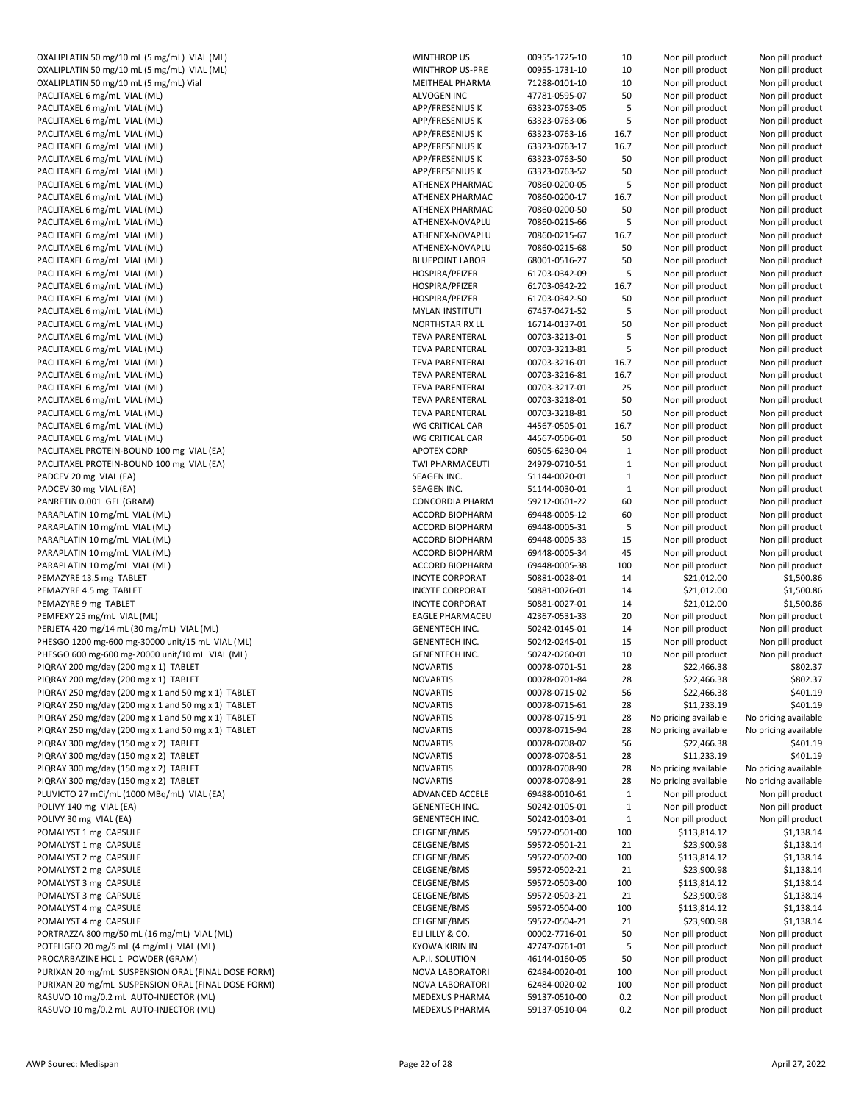| OXALIPLATIN 50 mg/10 mL (5 mg/mL) VIAL (ML)         | WII        |
|-----------------------------------------------------|------------|
|                                                     |            |
| OXALIPLATIN 50 mg/10 mL (5 mg/mL) VIAL (ML)         | WII        |
| OXALIPLATIN 50 mg/10 mL (5 mg/mL) Vial              | ME         |
| PACLITAXEL 6 mg/mL VIAL (ML)                        | AL۱        |
| PACLITAXEL 6 mg/mL VIAL (ML)                        | API        |
| PACLITAXEL 6 mg/mL VIAL (ML)                        | API        |
| PACLITAXEL 6 mg/mL VIAL (ML)                        | API        |
| PACLITAXEL 6 mg/mL VIAL (ML)                        | API        |
| PACLITAXEL 6 mg/mL VIAL (ML)                        | API        |
| PACLITAXEL 6 mg/mL VIAL (ML)                        | API        |
| PACLITAXEL 6 mg/mL VIAL (ML)                        | ATI        |
| PACLITAXEL 6 mg/mL VIAL (ML)                        | ATI        |
|                                                     | <b>ATI</b> |
| PACLITAXEL 6 mg/mL VIAL (ML)                        |            |
| PACLITAXEL 6 mg/mL VIAL (ML)                        | ATI        |
| PACLITAXEL 6 mg/mL VIAL (ML)                        | ATI        |
| PACLITAXEL 6 mg/mL VIAL (ML)                        | ATI        |
| PACLITAXEL 6 mg/mL VIAL (ML)                        | <b>BLL</b> |
| PACLITAXEL 6 mg/mL VIAL (ML)                        | HO         |
| PACLITAXEL 6 mg/mL VIAL (ML)                        | HO         |
| PACLITAXEL 6 mg/mL VIAL (ML)                        | HO         |
| PACLITAXEL 6 mg/mL VIAL (ML)                        | MY         |
| PACLITAXEL 6 mg/mL VIAL (ML)                        | NO         |
| PACLITAXEL 6 mg/mL VIAL (ML)                        | TE۱        |
|                                                     |            |
| PACLITAXEL 6 mg/mL VIAL (ML)                        | TE۱        |
| PACLITAXEL 6 mg/mL VIAL (ML)                        | TE۱        |
| PACLITAXEL 6 mg/mL VIAL (ML)                        | TE۱        |
| PACLITAXEL 6 mg/mL VIAL (ML)                        | TE۱        |
| PACLITAXEL 6 mg/mL VIAL (ML)                        | TE۱        |
| PACLITAXEL 6 mg/mL VIAL (ML)                        | TE۱        |
| PACLITAXEL 6 mg/mL VIAL (ML)                        | W          |
| PACLITAXEL 6 mg/mL VIAL (ML)                        | WG         |
| PACLITAXEL PROTEIN-BOUND 100 mg VIAL (EA)           | AP(        |
|                                                     |            |
| PACLITAXEL PROTEIN-BOUND 100 mg VIAL (EA)           | TW         |
| PADCEV 20 mg VIAL (EA)                              | SE/        |
| PADCEV 30 mg VIAL (EA)                              | SE/        |
| PANRETIN 0.001 GEL (GRAM)                           | CO         |
| PARAPLATIN 10 mg/mL VIAL (ML)                       | AC         |
| PARAPLATIN 10 mg/mL VIAL (ML)                       | AC         |
| PARAPLATIN 10 mg/mL VIAL (ML)                       | AC         |
| PARAPLATIN 10 mg/mL VIAL (ML)                       | AC         |
| PARAPLATIN 10 mg/mL VIAL (ML)                       | AC         |
| PEMAZYRE 13.5 mg TABLET                             | INC        |
| PEMAZYRE 4.5 mg TABLET                              | INC        |
|                                                     |            |
| PEMAZYRE 9 mg TABLET                                | INC        |
| PEMFEXY 25 mg/mL VIAL (ML)                          | EA         |
| PERJETA 420 mg/14 mL (30 mg/mL) VIAL (ML)           | GEI        |
| PHESGO 1200 mg-600 mg-30000 unit/15 mL VIAL (ML)    | GEI        |
| PHESGO 600 mg-600 mg-20000 unit/10 mL VIAL (ML)     | GEI        |
| PIQRAY 200 mg/day (200 mg x 1) TABLET               | <b>NO</b>  |
| PIQRAY 200 mg/day (200 mg x 1) TABLET               | NO         |
| PIQRAY 250 mg/day (200 mg x 1 and 50 mg x 1) TABLET | NO         |
|                                                     | NO         |
| PIQRAY 250 mg/day (200 mg x 1 and 50 mg x 1) TABLET |            |
| PIQRAY 250 mg/day (200 mg x 1 and 50 mg x 1) TABLET | NO         |
| PIQRAY 250 mg/day (200 mg x 1 and 50 mg x 1) TABLET | NO         |
| PIQRAY 300 mg/day (150 mg x 2) TABLET               | NO         |
| PIQRAY 300 mg/day (150 mg x 2) TABLET               | NO         |
| PIQRAY 300 mg/day (150 mg x 2) TABLET               | NO         |
| PIQRAY 300 mg/day (150 mg x 2) TABLET               | NO         |
| PLUVICTO 27 mCi/mL (1000 MBq/mL) VIAL (EA)          | AD'        |
| POLIVY 140 mg VIAL (EA)                             | GEI        |
| POLIVY 30 mg VIAL (EA)                              | GEI        |
| POMALYST 1 mg CAPSULE                               | <b>CEL</b> |
|                                                     |            |
| POMALYST 1 mg CAPSULE                               | <b>CEL</b> |
| POMALYST 2 mg CAPSULE                               | <b>CEL</b> |
| POMALYST 2 mg CAPSULE                               | <b>CEL</b> |
| POMALYST 3 mg CAPSULE                               | <b>CEL</b> |
| POMALYST 3 mg CAPSULE                               | <b>CEL</b> |
| POMALYST 4 mg CAPSULE                               | <b>CEL</b> |
| POMALYST 4 mg CAPSULE                               | <b>CEL</b> |
| PORTRAZZA 800 mg/50 mL (16 mg/mL) VIAL (ML)         | ELI        |
|                                                     |            |
| POTELIGEO 20 mg/5 mL (4 mg/mL) VIAL (ML)            | KY0        |
| PROCARBAZINE HCL 1 POWDER (GRAM)                    | A.P        |
| PURIXAN 20 mg/mL SUSPENSION ORAL (FINAL DOSE FORM)  | NO         |
| PURIXAN 20 mg/mL SUSPENSION ORAL (FINAL DOSE FORM)  | NO         |
| RASUVO 10 mg/0.2 mL AUTO-INJECTOR (ML)              | ME         |
| RASUVO 10 mg/0.2 mL AUTO-INJECTOR (ML)              | ME         |
|                                                     |            |

| OXALIPLATIN 50 mg/10 mL (5 mg/mL) VIAL (ML)         | <b>WINTHROP US</b>     | 00955-1725-10 | 10           | Non pill product     | Non pill product     |
|-----------------------------------------------------|------------------------|---------------|--------------|----------------------|----------------------|
| OXALIPLATIN 50 mg/10 mL (5 mg/mL) VIAL (ML)         | <b>WINTHROP US-PRE</b> | 00955-1731-10 | 10           | Non pill product     | Non pill product     |
| OXALIPLATIN 50 mg/10 mL (5 mg/mL) Vial              | MEITHEAL PHARMA        | 71288-0101-10 | 10           | Non pill product     | Non pill product     |
| PACLITAXEL 6 mg/mL VIAL (ML)                        | <b>ALVOGEN INC</b>     | 47781-0595-07 | 50           | Non pill product     | Non pill product     |
| PACLITAXEL 6 mg/mL VIAL (ML)                        | APP/FRESENIUS K        | 63323-0763-05 | 5            | Non pill product     | Non pill product     |
| PACLITAXEL 6 mg/mL VIAL (ML)                        | APP/FRESENIUS K        | 63323-0763-06 | 5            | Non pill product     | Non pill product     |
| PACLITAXEL 6 mg/mL VIAL (ML)                        | APP/FRESENIUS K        | 63323-0763-16 | 16.7         | Non pill product     | Non pill product     |
| PACLITAXEL 6 mg/mL VIAL (ML)                        | APP/FRESENIUS K        | 63323-0763-17 | 16.7         | Non pill product     | Non pill product     |
|                                                     |                        |               |              |                      |                      |
| PACLITAXEL 6 mg/mL VIAL (ML)                        | APP/FRESENIUS K        | 63323-0763-50 | 50           | Non pill product     | Non pill product     |
| PACLITAXEL 6 mg/mL VIAL (ML)                        | APP/FRESENIUS K        | 63323-0763-52 | 50           | Non pill product     | Non pill product     |
| PACLITAXEL 6 mg/mL VIAL (ML)                        | ATHENEX PHARMAC        | 70860-0200-05 | 5            | Non pill product     | Non pill product     |
| PACLITAXEL 6 mg/mL VIAL (ML)                        | ATHENEX PHARMAC        | 70860-0200-17 | 16.7         | Non pill product     | Non pill product     |
| PACLITAXEL 6 mg/mL VIAL (ML)                        | ATHENEX PHARMAC        | 70860-0200-50 | 50           | Non pill product     | Non pill product     |
| PACLITAXEL 6 mg/mL VIAL (ML)                        | ATHENEX-NOVAPLU        | 70860-0215-66 | 5            | Non pill product     | Non pill product     |
| PACLITAXEL 6 mg/mL VIAL (ML)                        | ATHENEX-NOVAPLU        | 70860-0215-67 | 16.7         | Non pill product     | Non pill product     |
| PACLITAXEL 6 mg/mL VIAL (ML)                        | ATHENEX-NOVAPLU        | 70860-0215-68 | 50           | Non pill product     | Non pill product     |
| PACLITAXEL 6 mg/mL VIAL (ML)                        | <b>BLUEPOINT LABOR</b> | 68001-0516-27 | 50           | Non pill product     | Non pill product     |
| PACLITAXEL 6 mg/mL VIAL (ML)                        | HOSPIRA/PFIZER         | 61703-0342-09 | 5            | Non pill product     | Non pill product     |
|                                                     |                        |               |              |                      |                      |
| PACLITAXEL 6 mg/mL VIAL (ML)                        | HOSPIRA/PFIZER         | 61703-0342-22 | 16.7         | Non pill product     | Non pill product     |
| PACLITAXEL 6 mg/mL VIAL (ML)                        | HOSPIRA/PFIZER         | 61703-0342-50 | 50           | Non pill product     | Non pill product     |
| PACLITAXEL 6 mg/mL VIAL (ML)                        | <b>MYLAN INSTITUTI</b> | 67457-0471-52 | 5            | Non pill product     | Non pill product     |
| PACLITAXEL 6 mg/mL VIAL (ML)                        | NORTHSTAR RX LL        | 16714-0137-01 | 50           | Non pill product     | Non pill product     |
| PACLITAXEL 6 mg/mL VIAL (ML)                        | <b>TEVA PARENTERAL</b> | 00703-3213-01 | 5            | Non pill product     | Non pill product     |
| PACLITAXEL 6 mg/mL VIAL (ML)                        | <b>TEVA PARENTERAL</b> | 00703-3213-81 | 5            | Non pill product     | Non pill product     |
| PACLITAXEL 6 mg/mL VIAL (ML)                        | <b>TEVA PARENTERAL</b> | 00703-3216-01 | 16.7         | Non pill product     | Non pill product     |
| PACLITAXEL 6 mg/mL VIAL (ML)                        | <b>TEVA PARENTERAL</b> | 00703-3216-81 | 16.7         | Non pill product     | Non pill product     |
| PACLITAXEL 6 mg/mL VIAL (ML)                        | <b>TEVA PARENTERAL</b> | 00703-3217-01 | 25           | Non pill product     |                      |
|                                                     |                        |               |              |                      | Non pill product     |
| PACLITAXEL 6 mg/mL VIAL (ML)                        | <b>TEVA PARENTERAL</b> | 00703-3218-01 | 50           | Non pill product     | Non pill product     |
| PACLITAXEL 6 mg/mL VIAL (ML)                        | <b>TEVA PARENTERAL</b> | 00703-3218-81 | 50           | Non pill product     | Non pill product     |
| PACLITAXEL 6 mg/mL VIAL (ML)                        | WG CRITICAL CAR        | 44567-0505-01 | 16.7         | Non pill product     | Non pill product     |
| PACLITAXEL 6 mg/mL VIAL (ML)                        | WG CRITICAL CAR        | 44567-0506-01 | 50           | Non pill product     | Non pill product     |
| PACLITAXEL PROTEIN-BOUND 100 mg VIAL (EA)           | <b>APOTEX CORP</b>     | 60505-6230-04 | $\mathbf{1}$ | Non pill product     | Non pill product     |
| PACLITAXEL PROTEIN-BOUND 100 mg VIAL (EA)           | <b>TWI PHARMACEUTI</b> | 24979-0710-51 | $\mathbf{1}$ | Non pill product     | Non pill product     |
| PADCEV 20 mg VIAL (EA)                              | SEAGEN INC.            | 51144-0020-01 | $\mathbf{1}$ | Non pill product     | Non pill product     |
| PADCEV 30 mg VIAL (EA)                              | SEAGEN INC.            | 51144-0030-01 | $\mathbf{1}$ | Non pill product     | Non pill product     |
|                                                     |                        |               |              |                      |                      |
| PANRETIN 0.001 GEL (GRAM)                           | <b>CONCORDIA PHARM</b> | 59212-0601-22 | 60           | Non pill product     | Non pill product     |
| PARAPLATIN 10 mg/mL VIAL (ML)                       | ACCORD BIOPHARM        | 69448-0005-12 | 60           | Non pill product     | Non pill product     |
| PARAPLATIN 10 mg/mL VIAL (ML)                       | ACCORD BIOPHARM        | 69448-0005-31 | 5            | Non pill product     | Non pill product     |
| PARAPLATIN 10 mg/mL VIAL (ML)                       | ACCORD BIOPHARM        | 69448-0005-33 | 15           | Non pill product     | Non pill product     |
| PARAPLATIN 10 mg/mL VIAL (ML)                       | ACCORD BIOPHARM        | 69448-0005-34 | 45           | Non pill product     | Non pill product     |
| PARAPLATIN 10 mg/mL VIAL (ML)                       | ACCORD BIOPHARM        | 69448-0005-38 | 100          | Non pill product     | Non pill product     |
| PEMAZYRE 13.5 mg TABLET                             | <b>INCYTE CORPORAT</b> | 50881-0028-01 | 14           | \$21,012.00          | \$1,500.86           |
| PEMAZYRE 4.5 mg TABLET                              | <b>INCYTE CORPORAT</b> | 50881-0026-01 | 14           | \$21,012.00          | \$1,500.86           |
| PEMAZYRE 9 mg TABLET                                | <b>INCYTE CORPORAT</b> | 50881-0027-01 | 14           | \$21,012.00          | \$1,500.86           |
| PEMFEXY 25 mg/mL VIAL (ML)                          |                        |               |              |                      |                      |
|                                                     | <b>EAGLE PHARMACEU</b> | 42367-0531-33 | 20           | Non pill product     | Non pill product     |
| PERJETA 420 mg/14 mL (30 mg/mL) VIAL (ML)           | <b>GENENTECH INC.</b>  | 50242-0145-01 | 14           | Non pill product     | Non pill product     |
| PHESGO 1200 mg-600 mg-30000 unit/15 mL VIAL (ML)    | <b>GENENTECH INC.</b>  | 50242-0245-01 | 15           | Non pill product     | Non pill product     |
| PHESGO 600 mg-600 mg-20000 unit/10 mL VIAL (ML)     | <b>GENENTECH INC.</b>  | 50242-0260-01 | 10           | Non pill product     | Non pill product     |
| PIQRAY 200 mg/day (200 mg x 1) TABLET               | <b>NOVARTIS</b>        | 00078-0701-51 | 28           | \$22,466.38          | \$802.37             |
| PIQRAY 200 mg/day (200 mg x 1) TABLET               | <b>NOVARTIS</b>        | 00078-0701-84 | 28           | \$22,466.38          | \$802.37             |
| PIQRAY 250 mg/day (200 mg x 1 and 50 mg x 1) TABLET | <b>NOVARTIS</b>        | 00078-0715-02 | 56           | \$22,466.38          | \$401.19             |
| PIQRAY 250 mg/day (200 mg x 1 and 50 mg x 1) TABLET | <b>NOVARTIS</b>        | 00078-0715-61 | 28           | \$11,233.19          | \$401.19             |
| PIQRAY 250 mg/day (200 mg x 1 and 50 mg x 1) TABLET | <b>NOVARTIS</b>        | 00078-0715-91 | 28           | No pricing available | No pricing available |
|                                                     |                        |               |              |                      |                      |
| PIQRAY 250 mg/day (200 mg x 1 and 50 mg x 1) TABLET | <b>NOVARTIS</b>        | 00078-0715-94 | 28           | No pricing available | No pricing available |
| PIQRAY 300 mg/day (150 mg x 2) TABLET               | <b>NOVARTIS</b>        | 00078-0708-02 | 56           | \$22,466.38          | \$401.19             |
| PIQRAY 300 mg/day (150 mg x 2) TABLET               | <b>NOVARTIS</b>        | 00078-0708-51 | 28           | \$11,233.19          | \$401.19             |
| PIQRAY 300 mg/day (150 mg x 2) TABLET               | <b>NOVARTIS</b>        | 00078-0708-90 | 28           | No pricing available | No pricing available |
| PIQRAY 300 mg/day (150 mg x 2) TABLET               | <b>NOVARTIS</b>        | 00078-0708-91 | 28           | No pricing available | No pricing available |
| PLUVICTO 27 mCi/mL (1000 MBg/mL) VIAL (EA)          | ADVANCED ACCELE        | 69488-0010-61 | $\mathbf{1}$ | Non pill product     | Non pill product     |
| POLIVY 140 mg VIAL (EA)                             | <b>GENENTECH INC.</b>  | 50242-0105-01 | $\mathbf{1}$ | Non pill product     | Non pill product     |
| POLIVY 30 mg VIAL (EA)                              | <b>GENENTECH INC.</b>  | 50242-0103-01 | $\mathbf{1}$ | Non pill product     | Non pill product     |
| POMALYST 1 mg CAPSULE                               | CELGENE/BMS            | 59572-0501-00 |              | \$113,814.12         | \$1,138.14           |
|                                                     |                        |               | 100          |                      |                      |
| POMALYST 1 mg CAPSULE                               | CELGENE/BMS            | 59572-0501-21 | 21           | \$23,900.98          | \$1,138.14           |
| POMALYST 2 mg CAPSULE                               | CELGENE/BMS            | 59572-0502-00 | 100          | \$113,814.12         | \$1,138.14           |
| POMALYST 2 mg CAPSULE                               | CELGENE/BMS            | 59572-0502-21 | 21           | \$23,900.98          | \$1,138.14           |
| POMALYST 3 mg CAPSULE                               | CELGENE/BMS            | 59572-0503-00 | 100          | \$113,814.12         | \$1,138.14           |
| POMALYST 3 mg CAPSULE                               | CELGENE/BMS            | 59572-0503-21 | 21           | \$23,900.98          | \$1,138.14           |
| POMALYST 4 mg CAPSULE                               | CELGENE/BMS            | 59572-0504-00 | 100          | \$113,814.12         | \$1,138.14           |
| POMALYST 4 mg CAPSULE                               | CELGENE/BMS            | 59572-0504-21 | 21           | \$23,900.98          | \$1,138.14           |
| PORTRAZZA 800 mg/50 mL (16 mg/mL) VIAL (ML)         | ELI LILLY & CO.        | 00002-7716-01 | 50           | Non pill product     | Non pill product     |
|                                                     |                        |               |              |                      |                      |
| POTELIGEO 20 mg/5 mL (4 mg/mL) VIAL (ML)            | <b>KYOWA KIRIN IN</b>  | 42747-0761-01 | 5            | Non pill product     | Non pill product     |
| PROCARBAZINE HCL 1 POWDER (GRAM)                    | A.P.I. SOLUTION        | 46144-0160-05 | 50           | Non pill product     | Non pill product     |
| PURIXAN 20 mg/mL SUSPENSION ORAL (FINAL DOSE FORM)  | NOVA LABORATORI        | 62484-0020-01 | 100          | Non pill product     | Non pill product     |
| PURIXAN 20 mg/mL SUSPENSION ORAL (FINAL DOSE FORM)  | NOVA LABORATORI        | 62484-0020-02 | 100          | Non pill product     | Non pill product     |
| RASUVO 10 mg/0.2 mL AUTO-INJECTOR (ML)              | MEDEXUS PHARMA         | 59137-0510-00 | 0.2          | Non pill product     | Non pill product     |
| RASUVO 10 mg/0.2 mL AUTO-INJECTOR (ML)              | MEDEXUS PHARMA         | 59137-0510-04 | 0.2          | Non pill product     | Non pill product     |
|                                                     |                        |               |              |                      |                      |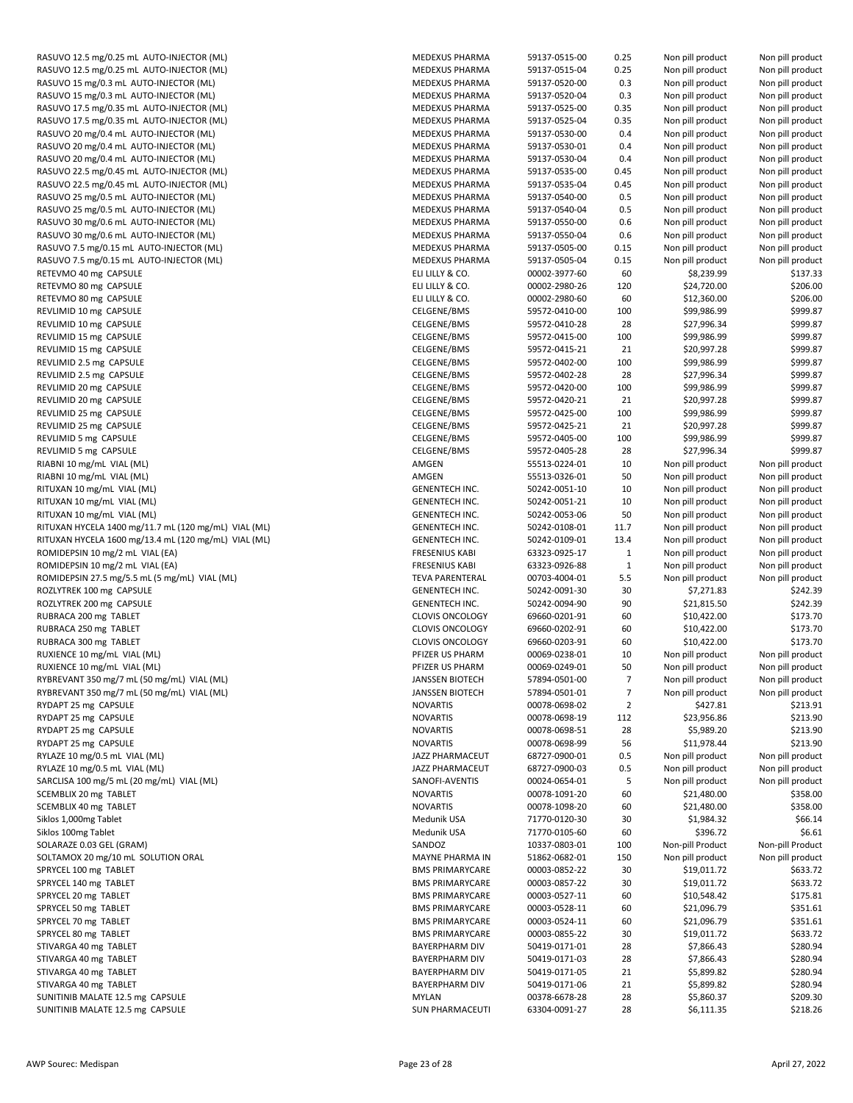| RASUVO 12.5 mg/0.25 mL AUTO-INJECTOR (ML)            | ME         |
|------------------------------------------------------|------------|
|                                                      |            |
| RASUVO 12.5 mg/0.25 mL AUTO-INJECTOR (ML)            | ME         |
| RASUVO 15 mg/0.3 mL AUTO-INJECTOR (ML)               | ME         |
| RASUVO 15 mg/0.3 mL AUTO-INJECTOR (ML)               | ME         |
| RASUVO 17.5 mg/0.35 mL AUTO-INJECTOR (ML)            | ME         |
| RASUVO 17.5 mg/0.35 mL AUTO-INJECTOR (ML)            | ME         |
|                                                      |            |
| RASUVO 20 mg/0.4 mL AUTO-INJECTOR (ML)               | ME         |
| RASUVO 20 mg/0.4 mL AUTO-INJECTOR (ML)               | ME         |
| RASUVO 20 mg/0.4 mL AUTO-INJECTOR (ML)               | ME         |
| RASUVO 22.5 mg/0.45 mL AUTO-INJECTOR (ML)            | ME         |
| RASUVO 22.5 mg/0.45 mL AUTO-INJECTOR (ML)            | ME         |
|                                                      |            |
| RASUVO 25 mg/0.5 mL AUTO-INJECTOR (ML)               | ME         |
| RASUVO 25 mg/0.5 mL AUTO-INJECTOR (ML)               | ME         |
| RASUVO 30 mg/0.6 mL AUTO-INJECTOR (ML)               | ME         |
| RASUVO 30 mg/0.6 mL AUTO-INJECTOR (ML)               | ME         |
| RASUVO 7.5 mg/0.15 mL AUTO-INJECTOR (ML)             | ME         |
|                                                      |            |
| RASUVO 7.5 mg/0.15 mL AUTO-INJECTOR (ML)             | ME         |
| RETEVMO 40 mg CAPSULE                                | ELI        |
| RETEVMO 80 mg CAPSULE                                | ELI        |
| RETEVMO 80 mg CAPSULE                                | ELI        |
|                                                      | CEL        |
| REVLIMID 10 mg CAPSULE                               |            |
| REVLIMID 10 mg CAPSULE                               | <b>CEL</b> |
| REVLIMID 15 mg CAPSULE                               | <b>CEL</b> |
| REVLIMID 15 mg CAPSULE                               | <b>CEL</b> |
| REVLIMID 2.5 mg CAPSULE                              | <b>CEL</b> |
|                                                      |            |
| REVLIMID 2.5 mg CAPSULE                              | <b>CEL</b> |
| REVLIMID 20 mg CAPSULE                               | <b>CEL</b> |
| REVLIMID 20 mg CAPSULE                               | <b>CEL</b> |
| REVLIMID 25 mg CAPSULE                               | CEL        |
| REVLIMID 25 mg CAPSULE                               | <b>CEL</b> |
|                                                      |            |
| REVLIMID 5 mg CAPSULE                                | <b>CEL</b> |
| REVLIMID 5 mg CAPSULE                                | <b>CEL</b> |
| RIABNI 10 mg/mL VIAL (ML)                            | AM         |
| RIABNI 10 mg/mL VIAL (ML)                            | AM         |
|                                                      |            |
| RITUXAN 10 mg/mL VIAL (ML)                           | GEI        |
| RITUXAN 10 mg/mL VIAL (ML)                           | GEI        |
| RITUXAN 10 mg/mL VIAL (ML)                           | GEI        |
| RITUXAN HYCELA 1400 mg/11.7 mL (120 mg/mL) VIAL (ML) | GEI        |
| RITUXAN HYCELA 1600 mg/13.4 mL (120 mg/mL) VIAL (ML) | GEI        |
|                                                      |            |
| ROMIDEPSIN 10 mg/2 mL VIAL (EA)                      | FRE        |
| ROMIDEPSIN 10 mg/2 mL VIAL (EA)                      | FRE        |
| ROMIDEPSIN 27.5 mg/5.5 mL (5 mg/mL) VIAL (ML)        | TE۱        |
| ROZLYTREK 100 mg CAPSULE                             | GEI        |
|                                                      |            |
| ROZLYTREK 200 mg CAPSULE                             | GEI        |
| RUBRACA 200 mg TABLET                                | <b>CLC</b> |
| RUBRACA 250 mg TABLET                                | <b>CLC</b> |
| RUBRACA 300 mg TABLET                                | <b>CLC</b> |
| RUXIENCE 10 mg/mL VIAL (ML)                          | PFI.       |
|                                                      |            |
| RUXIENCE 10 mg/mL VIAL (ML)                          | PFI.       |
| RYBREVANT 350 mg/7 mL (50 mg/mL) VIAL (ML)           | JAN        |
| RYBREVANT 350 mg/7 mL (50 mg/mL) VIAL (ML)           | JA۱        |
| RYDAPT 25 mg CAPSULE                                 | <b>NO</b>  |
| RYDAPT 25 mg CAPSULE                                 | NO         |
|                                                      |            |
| RYDAPT 25 mg CAPSULE                                 | NO         |
| RYDAPT 25 mg CAPSULE                                 | NO         |
| RYLAZE 10 mg/0.5 mL VIAL (ML)                        | JAZ        |
| RYLAZE 10 mg/0.5 mL VIAL (ML)                        | JAZ        |
| SARCLISA 100 mg/5 mL (20 mg/mL) VIAL (ML)            | SAI        |
|                                                      |            |
| SCEMBLIX 20 mg TABLET                                | NO         |
| SCEMBLIX 40 mg TABLET                                | NO         |
| Siklos 1,000mg Tablet                                | Me         |
| Siklos 100mg Tablet                                  | Me         |
|                                                      |            |
| SOLARAZE 0.03 GEL (GRAM)                             | SAI        |
| SOLTAMOX 20 mg/10 mL SOLUTION ORAL                   | MΑ         |
| SPRYCEL 100 mg TABLET                                | BM         |
| SPRYCEL 140 mg TABLET                                | BM         |
| SPRYCEL 20 mg TABLET                                 | BM         |
|                                                      |            |
| SPRYCEL 50 mg TABLET                                 | BM         |
| SPRYCEL 70 mg TABLET                                 | BM         |
| SPRYCEL 80 mg TABLET                                 | <b>BM</b>  |
| STIVARGA 40 mg TABLET                                | BA'        |
|                                                      |            |
| STIVARGA 40 mg TABLET                                | BA'        |
| STIVARGA 40 mg TABLET                                | BA'        |
| STIVARGA 40 mg TABLET                                | BA'        |
| SUNITINIB MALATE 12.5 mg CAPSULE                     | MY         |
|                                                      |            |
| SUNITINIB MALATE 12.5 mg CAPSULE                     | SUI        |

| RASUVO 12.5 mg/0.25 mL AUTO-INJECTOR (ML)                            | MEDEXUS PHARMA                         | 59137-0515-00                  | 0.25        | Non pill product         | Non pill product     |
|----------------------------------------------------------------------|----------------------------------------|--------------------------------|-------------|--------------------------|----------------------|
| RASUVO 12.5 mg/0.25 mL AUTO-INJECTOR (ML)                            | MEDEXUS PHARMA                         | 59137-0515-04                  | 0.25        | Non pill product         | Non pill product     |
| RASUVO 15 mg/0.3 mL AUTO-INJECTOR (ML)                               | MEDEXUS PHARMA                         | 59137-0520-00                  | 0.3         | Non pill product         | Non pill product     |
| RASUVO 15 mg/0.3 mL AUTO-INJECTOR (ML)                               | <b>MEDEXUS PHARMA</b>                  | 59137-0520-04                  | 0.3         | Non pill product         | Non pill product     |
|                                                                      |                                        |                                |             |                          |                      |
| RASUVO 17.5 mg/0.35 mL AUTO-INJECTOR (ML)                            | MEDEXUS PHARMA                         | 59137-0525-00                  | 0.35        | Non pill product         | Non pill product     |
| RASUVO 17.5 mg/0.35 mL AUTO-INJECTOR (ML)                            | MEDEXUS PHARMA                         | 59137-0525-04                  | 0.35        | Non pill product         | Non pill product     |
| RASUVO 20 mg/0.4 mL AUTO-INJECTOR (ML)                               | <b>MEDEXUS PHARMA</b>                  | 59137-0530-00                  | 0.4         | Non pill product         | Non pill product     |
| RASUVO 20 mg/0.4 mL AUTO-INJECTOR (ML)                               | MEDEXUS PHARMA                         | 59137-0530-01                  | 0.4         | Non pill product         | Non pill product     |
| RASUVO 20 mg/0.4 mL AUTO-INJECTOR (ML)                               | MEDEXUS PHARMA                         | 59137-0530-04                  | 0.4         | Non pill product         | Non pill product     |
| RASUVO 22.5 mg/0.45 mL AUTO-INJECTOR (ML)                            | MEDEXUS PHARMA                         | 59137-0535-00                  | 0.45        | Non pill product         | Non pill product     |
| RASUVO 22.5 mg/0.45 mL AUTO-INJECTOR (ML)                            | MEDEXUS PHARMA                         | 59137-0535-04                  | 0.45        | Non pill product         | Non pill product     |
| RASUVO 25 mg/0.5 mL AUTO-INJECTOR (ML)                               | MEDEXUS PHARMA                         | 59137-0540-00                  | 0.5         | Non pill product         | Non pill product     |
| RASUVO 25 mg/0.5 mL AUTO-INJECTOR (ML)                               | <b>MEDEXUS PHARMA</b>                  | 59137-0540-04                  | 0.5         | Non pill product         | Non pill product     |
|                                                                      |                                        |                                |             |                          |                      |
| RASUVO 30 mg/0.6 mL AUTO-INJECTOR (ML)                               | MEDEXUS PHARMA                         | 59137-0550-00                  | 0.6         | Non pill product         | Non pill product     |
| RASUVO 30 mg/0.6 mL AUTO-INJECTOR (ML)                               | MEDEXUS PHARMA                         | 59137-0550-04                  | 0.6         | Non pill product         | Non pill product     |
| RASUVO 7.5 mg/0.15 mL AUTO-INJECTOR (ML)                             | MEDEXUS PHARMA                         | 59137-0505-00                  | 0.15        | Non pill product         | Non pill product     |
| RASUVO 7.5 mg/0.15 mL AUTO-INJECTOR (ML)                             | MEDEXUS PHARMA                         | 59137-0505-04                  | 0.15        | Non pill product         | Non pill product     |
| RETEVMO 40 mg CAPSULE                                                | ELI LILLY & CO.                        | 00002-3977-60                  | 60          | \$8,239.99               | \$137.33             |
| RETEVMO 80 mg CAPSULE                                                | ELI LILLY & CO.                        | 00002-2980-26                  | 120         | \$24,720.00              | \$206.00             |
| RETEVMO 80 mg CAPSULE                                                | ELI LILLY & CO.                        | 00002-2980-60                  | 60          | \$12,360.00              | \$206.00             |
|                                                                      |                                        |                                |             |                          |                      |
| REVLIMID 10 mg CAPSULE                                               | CELGENE/BMS                            | 59572-0410-00                  | 100         | \$99,986.99              | \$999.87             |
| REVLIMID 10 mg CAPSULE                                               | CELGENE/BMS                            | 59572-0410-28                  | 28          | \$27,996.34              | \$999.87             |
| REVLIMID 15 mg CAPSULE                                               | CELGENE/BMS                            | 59572-0415-00                  | 100         | \$99,986.99              | \$999.87             |
| REVLIMID 15 mg CAPSULE                                               | CELGENE/BMS                            | 59572-0415-21                  | 21          | \$20,997.28              | \$999.87             |
| REVLIMID 2.5 mg CAPSULE                                              | <b>CELGENE/BMS</b>                     | 59572-0402-00                  | 100         | \$99,986.99              | \$999.87             |
| REVLIMID 2.5 mg CAPSULE                                              | CELGENE/BMS                            | 59572-0402-28                  | 28          | \$27,996.34              | \$999.87             |
| REVLIMID 20 mg CAPSULE                                               | CELGENE/BMS                            | 59572-0420-00                  | 100         | \$99,986.99              | \$999.87             |
|                                                                      |                                        |                                |             |                          |                      |
| REVLIMID 20 mg CAPSULE                                               | CELGENE/BMS                            | 59572-0420-21                  | 21          | \$20,997.28              | \$999.87             |
| REVLIMID 25 mg CAPSULE                                               | CELGENE/BMS                            | 59572-0425-00                  | 100         | \$99,986.99              | \$999.87             |
| REVLIMID 25 mg CAPSULE                                               | CELGENE/BMS                            | 59572-0425-21                  | 21          | \$20,997.28              | \$999.87             |
| REVLIMID 5 mg CAPSULE                                                | CELGENE/BMS                            | 59572-0405-00                  | 100         | \$99,986.99              | \$999.87             |
| REVLIMID 5 mg CAPSULE                                                | CELGENE/BMS                            | 59572-0405-28                  | 28          | \$27,996.34              | \$999.87             |
| RIABNI 10 mg/mL VIAL (ML)                                            | AMGEN                                  | 55513-0224-01                  | 10          | Non pill product         | Non pill product     |
| RIABNI 10 mg/mL VIAL (ML)                                            | AMGEN                                  | 55513-0326-01                  | 50          | Non pill product         | Non pill product     |
|                                                                      |                                        |                                |             |                          |                      |
| RITUXAN 10 mg/mL VIAL (ML)                                           | <b>GENENTECH INC.</b>                  | 50242-0051-10                  | 10          | Non pill product         | Non pill product     |
| RITUXAN 10 mg/mL VIAL (ML)                                           | <b>GENENTECH INC.</b>                  | 50242-0051-21                  | 10          | Non pill product         | Non pill product     |
| RITUXAN 10 mg/mL VIAL (ML)                                           | <b>GENENTECH INC.</b>                  | 50242-0053-06                  | 50          | Non pill product         | Non pill product     |
| RITUXAN HYCELA 1400 mg/11.7 mL (120 mg/mL) VIAL (ML)                 | <b>GENENTECH INC.</b>                  | 50242-0108-01                  | 11.7        | Non pill product         | Non pill product     |
| RITUXAN HYCELA 1600 mg/13.4 mL (120 mg/mL) VIAL (ML)                 | <b>GENENTECH INC.</b>                  | 50242-0109-01                  | 13.4        | Non pill product         | Non pill product     |
| ROMIDEPSIN 10 mg/2 mL VIAL (EA)                                      | <b>FRESENIUS KABI</b>                  | 63323-0925-17                  | $\mathbf 1$ | Non pill product         | Non pill product     |
| ROMIDEPSIN 10 mg/2 mL VIAL (EA)                                      | <b>FRESENIUS KABI</b>                  | 63323-0926-88                  | $\mathbf 1$ | Non pill product         | Non pill product     |
| ROMIDEPSIN 27.5 mg/5.5 mL (5 mg/mL) VIAL (ML)                        | <b>TEVA PARENTERAL</b>                 | 00703-4004-01                  | 5.5         | Non pill product         | Non pill product     |
|                                                                      |                                        |                                |             |                          |                      |
| ROZLYTREK 100 mg CAPSULE                                             | <b>GENENTECH INC.</b>                  | 50242-0091-30                  | 30          | \$7,271.83               | \$242.39             |
| ROZLYTREK 200 mg CAPSULE                                             | <b>GENENTECH INC.</b>                  | 50242-0094-90                  | 90          | \$21,815.50              | \$242.39             |
| RUBRACA 200 mg TABLET                                                | <b>CLOVIS ONCOLOGY</b>                 | 69660-0201-91                  | 60          | \$10,422.00              | \$173.70             |
| RUBRACA 250 mg TABLET                                                | <b>CLOVIS ONCOLOGY</b>                 | 69660-0202-91                  | 60          | \$10,422.00              | \$173.70             |
| RUBRACA 300 mg TABLET                                                | <b>CLOVIS ONCOLOGY</b>                 | 69660-0203-91                  | 60          | \$10,422.00              | \$173.70             |
| RUXIENCE 10 mg/mL VIAL (ML)                                          | PFIZER US PHARM                        | 00069-0238-01                  | 10          | Non pill product         | Non pill product     |
| RUXIENCE 10 mg/mL VIAL (ML)                                          | PFIZER US PHARM                        | 00069-0249-01                  | 50          | Non pill product         | Non pill product     |
| RYBREVANT 350 mg/7 mL (50 mg/mL) VIAL (ML)                           |                                        |                                |             |                          |                      |
|                                                                      | JANSSEN BIOTECH                        | 5/894-0501-00                  | $\prime$    | Non pill product         | Non pill product     |
| RYBREVANT 350 mg/7 mL (50 mg/mL) VIAL (ML)                           | <b>JANSSEN BIOTECH</b>                 | 57894-0501-01                  | 7           | Non pill product         | Non pill product     |
| RYDAPT 25 mg CAPSULE                                                 | <b>NOVARTIS</b>                        | 00078-0698-02                  | 2           | \$427.81                 | \$213.91             |
| RYDAPT 25 mg CAPSULE                                                 | <b>NOVARTIS</b>                        | 00078-0698-19                  | 112         | \$23,956.86              | \$213.90             |
| RYDAPT 25 mg CAPSULE                                                 | <b>NOVARTIS</b>                        | 00078-0698-51                  | 28          | \$5,989.20               | \$213.90             |
| RYDAPT 25 mg CAPSULE                                                 | <b>NOVARTIS</b>                        | 00078-0698-99                  | 56          | \$11,978.44              | \$213.90             |
| RYLAZE 10 mg/0.5 mL VIAL (ML)                                        | <b>JAZZ PHARMACEUT</b>                 | 68727-0900-01                  | 0.5         | Non pill product         | Non pill product     |
| RYLAZE 10 mg/0.5 mL VIAL (ML)                                        | JAZZ PHARMACEUT                        | 68727-0900-03                  | 0.5         | Non pill product         | Non pill product     |
| SARCLISA 100 mg/5 mL (20 mg/mL) VIAL (ML)                            | SANOFI-AVENTIS                         | 00024-0654-01                  | 5           | Non pill product         | Non pill product     |
|                                                                      |                                        |                                |             |                          |                      |
| SCEMBLIX 20 mg TABLET                                                | <b>NOVARTIS</b>                        | 00078-1091-20                  | 60          | \$21,480.00              | \$358.00             |
| SCEMBLIX 40 mg TABLET                                                | <b>NOVARTIS</b>                        | 00078-1098-20                  | 60          | \$21,480.00              | \$358.00             |
| Siklos 1,000mg Tablet                                                | Medunik USA                            | 71770-0120-30                  | 30          | \$1,984.32               | \$66.14              |
| Siklos 100mg Tablet                                                  | Medunik USA                            | 71770-0105-60                  | 60          | \$396.72                 | \$6.61               |
| SOLARAZE 0.03 GEL (GRAM)                                             | SANDOZ                                 | 10337-0803-01                  | 100         | Non-pill Product         | Non-pill Product     |
| SOLTAMOX 20 mg/10 mL SOLUTION ORAL                                   | <b>MAYNE PHARMA IN</b>                 | 51862-0682-01                  | 150         | Non pill product         | Non pill product     |
| SPRYCEL 100 mg TABLET                                                | <b>BMS PRIMARYCARE</b>                 | 00003-0852-22                  | 30          | \$19,011.72              | \$633.72             |
| SPRYCEL 140 mg TABLET                                                | <b>BMS PRIMARYCARE</b>                 | 00003-0857-22                  | 30          | \$19,011.72              | \$633.72             |
|                                                                      |                                        |                                |             |                          |                      |
| SPRYCEL 20 mg TABLET                                                 | <b>BMS PRIMARYCARE</b>                 | 00003-0527-11                  | 60          | \$10,548.42              | \$175.81             |
| SPRYCEL 50 mg TABLET                                                 | <b>BMS PRIMARYCARE</b>                 | 00003-0528-11                  | 60          | \$21,096.79              | \$351.61             |
| SPRYCEL 70 mg TABLET                                                 | <b>BMS PRIMARYCARE</b>                 | 00003-0524-11                  | 60          | \$21,096.79              | \$351.61             |
| SPRYCEL 80 mg TABLET                                                 | <b>BMS PRIMARYCARE</b>                 | 00003-0855-22                  | 30          | \$19,011.72              | \$633.72             |
| STIVARGA 40 mg TABLET                                                | <b>BAYERPHARM DIV</b>                  | 50419-0171-01                  | 28          | \$7,866.43               | \$280.94             |
| STIVARGA 40 mg TABLET                                                | <b>BAYERPHARM DIV</b>                  | 50419-0171-03                  | 28          | \$7,866.43               | \$280.94             |
| STIVARGA 40 mg TABLET                                                | <b>BAYERPHARM DIV</b>                  | 50419-0171-05                  | 21          | \$5,899.82               | \$280.94             |
| STIVARGA 40 mg TABLET                                                | <b>BAYERPHARM DIV</b>                  |                                |             | \$5,899.82               | \$280.94             |
|                                                                      |                                        | 50419-0171-06                  | 21          |                          |                      |
|                                                                      |                                        |                                |             |                          |                      |
| SUNITINIB MALATE 12.5 mg CAPSULE<br>SUNITINIB MALATE 12.5 mg CAPSULE | <b>MYLAN</b><br><b>SUN PHARMACEUTI</b> | 00378-6678-28<br>63304-0091-27 | 28<br>28    | \$5,860.37<br>\$6,111.35 | \$209.30<br>\$218.26 |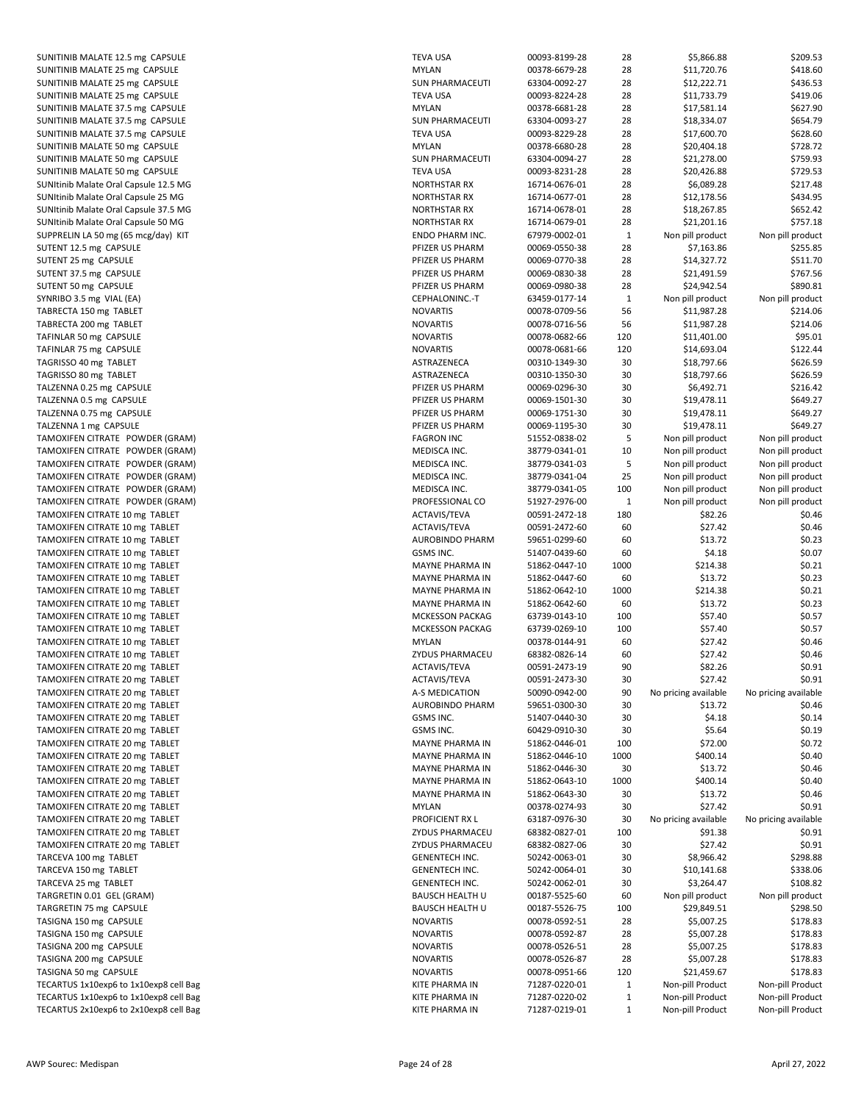SUNITINIB MALATE 12.5 mg CAPSULE TEVA USA 00093-8199-28 28 28 30093-8199-28 28 309.536.88 \$1,866.88 \$109.53 SUNITINIB MALATE 25 mg CAPSULE<br>SUNITINIB MALATE 25 mg CAPSULE SUNITINIB MALATE 25 mg CAPSULE SUNITINIB MALATE 25 mg CAPSULE TEVA USA 00093-8224-28 28 AT SUNITINIB MALATE 37.5 mg CAPSULE MYLAN 00378-6681-28 28 28 397.91.14 AM SUNITINIB MALATE 37.5 mg CAPSULE SUNITINIB MALATE 37.5 mg CAPSULE SUNITINIB MALATE 37.5 mg CAPSULE TEVA USA 00093-8229-28 28 2929-28 SUNITINIB MALATE 50 mg CAPSULE<br>SUNITINIB MALATE 50 mg CAPSULE SUNITINIB MALATE 50 mg CAPSULE SUNITINIB MALATE 50 mg CAPSULE TE SUNItinib Malate Oral Capsule 12.5 MG NORTHSTAR RX 16714-0088. SUNItinib Malate Oral Capsule 25 MG NORTHSTAR RX 16714-01 28 \$12,178.56 \$12,178.56 \$12,178.56 \$12,178.56 \$12,178.56 \$12,178.56 \$12,178.56 \$12,178.56 \$12,178.56 \$12,178.56 \$12,178.56 \$12,178.56 \$12,178.56 \$12,178.56 \$12,178 SUNItinib Malate Oral Capsule 37.5 MG NORTHSTAR RX 16714-078-01 28 \$18,267.85 \$652.426.427.85 \$652.427.85 \$652. SUNItinib Malate Oral Capsule 50 MG NORTHSTAR RX 16714-0087-01 28 \$21,201.16 \$757.18 \$757.18 \$757.18 \$757.18 \$757.18 \$757.18 \$757.18 \$757.18 \$757.19 \$757.18 \$757.19 \$757.19 \$757.19 \$757.19 \$757.19 \$757.19 \$757.19 \$757.19 \$ SUPPRELIN LA 50 mg (65 mcg/day) KIT SUTENT 12.5 mg CAPSULE PFIZER US PHARM 00069-0550-38 28 \$7,163.86 \$255.85 SUTENT 25 mg CAPSULE PFIZER US PHARM 0.00069-0770-38 28 28 29 39 39 39 39 39 39 30 31.72 \$14,327.72 \$511.70 \$14,327.72 \$511.70 \$14,327.72 \$511.70 \$14,327.72 \$14,327.72 \$14,327.72 \$14,327.72 \$14,327.72 \$14,327.72 \$14,327.72 SUTENT 37.5 mg CAPSULE PFIZER US PHARM 0.00069-0830-38 28 29 29 30069-091.59 \$767.59 \$767.59 \$767.59 \$767.56 \$767.56 \$767.56 \$767.56 \$767.56 \$767.56 \$767.56 \$767.56 \$767.56 \$767.56 \$767.56 \$767.56 \$767.56 \$767.56 \$767.56 \$ SUTENT 50 mg CAPSULE<br>SYNRIBO 3.5 mg VIAL (EA) 890.81 28 291.54 \$90.81 \$90.91 \$90.91 \$90.91 \$90.91 \$90.91 \$90.91 \$90.91 \$90.91 \$90.9 SYNRIBO 3.5 mg VIAL (EA) TABRECTA 150 mg TABLET<br>TABRECTA 200 mg TABLET NOVARTIS 00079-56 56 \$11,997.28 \$21,997.06 \$21,997.06 \$214.06 \$214.06 \$214.06 \$214.06 \$ TABRECTA 200 mg TABLET TAFINLAR 50 mg CAPSULE NOVARTIS 00078-0682-66 120 \$11,400 \$95.00 \$95.00 \$95.01.00 \$95.01.00 \$95.01.00 \$95.01.00 \$95.01.00 \$95.01.00 \$95.01.00 \$95.01.00 \$95.01.00 \$95.01.00 \$95.01.00 \$95.01.00 \$95.01.00 \$95.01.00 \$95.01.00 TAFINLAR 75 mg CAPSULE NOVARTIS 00078-0681-6681-6681-6681-66 120 \$122.44 \$122.44 \$122.44 \$122.44 \$122.44 \$122.44 TAGRISSO 40 mg TABLET ASTRAZENECA 00310-1349-30 30 \$19,797.66 \$626.59 \$19,797.66 \$626.59 \$19,797.66 \$626.59 TAGRISSO 80 mg TABLET ASTRAZENECA 00310-1350-30 30 mg TABLET TALZENNA 0.25 mg CAPSULE PFIZER US PHARM 0.25 and 2006. TALZENNA 0.5 mg CAPSULE **PHARM 00069-1501-30 and 2006**-27 and 27 and 27 and 27 and 27 and 27 and 27 and 27 and 27 TALZENNA 0.75 mg CAPSULE PFIZER US PHARM 0.75 mg CAPSULE TALZENNA 1 mg CAPSULE PHARM 00069-1195-30 30 30 41 51,478.11 \$649.11 \$649.11 \$649.11 \$649.11 \$649.11 \$649.11 \$649.11 \$649.11 \$649.11 \$649.11 \$649.11 \$649.11 \$649.11 \$649.11 \$649.11 \$649.11 \$649.11 \$649.11 \$649.11 \$649.11 \$ TAMOXIFEN CITRATE POWDER (GRAM) FAGRON INC 51552-0838-02 TAMOXIFEN CITRATE POWDER (GRAM) MEDISCA INC. 38779-0341-01 Non pill product Non pill product Non pill product N TAMOXIFEN CITRATE POWDER (GRAM) MEDISCA INC. 38779-0341-03 TAMOXIFEN CITRATE POWDER (GRAM) MEDISCA INC. 38779-0341-04 25779-0341-04 25779-04 25 Non pill product Non pill product Non pill product Non pill product Non pill product Non pill product Non pill product Non pill product N TAMOXIFEN CITRATE POWDER (GRAM) MEDISCA INC. 38779-0341-05 100 Non pill product N TAMOXIFEN CITRATE POWDER (GRAM) P TAMOXIFEN CITRATE 10 mg TABLET ACTAVIS/TEVA 00591-2472-1818 and 00591-2472-180 and 00591-2472-180 and 00591-26 TAMOXIFEN CITRATE 10 mg TABLET ACTAVIS/TEVA 00591-2472-60 60591-2472-60 60591-247 TAMOXIFEN CITRATE 10 mg TABLET<br>TAMOXIFEN CITRATE 10 mg TABLET AUROBINDO PHARM 59651-0299-60 60 60 60 60 60 60 70 60 70 70 70 70 70 70 70 70 7 TAMOXIFEN CITRATE 10 mg TABLET TAMOXIFEN CITRATE 10 mg TABLET MAYNE PHARMA IN 51862-0447-10 1000 \$214.38 \$0.21 TAMOXIFEN CITRATE 10 mg TABLET MAYNE PHARMA IN 51862-0447-60 60 \$13.72 \$13.72 \$13.72 \$13.72 \$13.72 \$0.23 \$13.72 \$13.72 \$13.72 \$13.72 \$13.72 \$13.72 \$13.72 \$13.72 \$13.72 \$13.72 \$13.72 \$13.72 \$13.72 \$13.72 \$13.72 \$13.72 \$13.7 TAMOXIFEN CITRATE 10 mg TABLET MAYNE PHARMA IN 51862-0642-0642-0642-10 1000 \$214.38 \$1.21 AM TAMOXIFEN CITRATE 10 mg TABLET TAMOXIFEN CITRATE 10 mg TABLET MCKESSON PACKAG 63739-0143-10 100 \$57.40 \$0.57 TAMOXIFEN CITRATE 10 mg TABLET MARIA PACKAG 63739-0269-0269-0269-0269-10 100 \$57.40 \$1.57.40 \$1.57.40 \$1.57.40 TAMOXIFEN CITRATE 10 mg TABLET TAMOXIFEN CITRATE 10 mg TABLET **FRAMEWORK AT ARMACEU 68382-0826-27.42 \$0.463** TAMOXIFEN CITRATE 20 mg TABLET ACTAVIS/TEVA 00591-2473-2014 TAMOXIFEN CITRATE 20 mg TABLET ACTAVIS/TEVA 00591-2473-30 and 27.42 \$0.91 and 27.42 \$0.91 \$1.4473.44 TAMOXIFEN CITRATE 20 mg TABLET A-S MEDICATION 50090-0944-0094-0094-0094-000 900 Pricing available No pricing available No pricing available No pricing available No pricing available No pricing available No pricing availabl TAMOXIFEN CITRATE 20 mg TABLET AURORIAL SANG FOR AURORIANS AND TABLET TAMOXIFEN CITRATE 20 mg TABLET **SALASH ASSASS INC. SA 2.1407-0440-30 S**. TAMOXIFEN CITRATE 20 mg TABLET **GSMS INC. 60429-0910-3029-0910-30429-0910-30** GS TAMOXIFEN CITRATE 20 mg TABLET TAMOXIFEN CITRATE 20 mg TABLET MAYNE PHARMA IN 51862-0446-10 1000 \$400.14 \$0.40 TAMOXIFEN CITRATE 20 mg TABLET TAMOXIFEN CITRATE 20 mg TABLET TAMOXIFEN CITRATE 20 mg TABLET TAMOXIFEN CITRATE 20 mg TABLET TAMOXIFEN CITRATE 20 mg TABLET TAMOXIFEN CITRATE 20 mg TABLET **PROFICIELT AVAILABLE AVAILABLE PROFICIEL** TAMOXIFEN CITRATE 20 mg TABLET TAMOXIFEN CITRATE 20 mg TABLET<br>TARCEVA 100 mg TABLET 68382-0828-0828-0828-0838-0928-06 30 \$3882-06 30 \$1.42 \$0.91 \$1.42 \$0.91 \$1.42 \$0.91 \$1 TARCEVA 100 mg TABLET TARCEVA 150 mg TABLET GENERATION AT A SANG HALAMATA AT A SANG GENERAL AT A SANG GENERAL AT A SANG GENERAL AT A SA TARCEVA 25 mg TABLET GENERATION AT A SA 25 A 25 A 24 A 34.47 \$108.824.47 \$108.824.47 \$108.824.47 \$108.827 \$108 TARGRETIN 0.01 GEL (GRAM) BAUSCH HEALTH U DEALTH U DEALTH U DEALTH U DEALTH U DEALTH I DEALTH I DEALTH I DEALTH I TARGRETIN 75 mg CAPSULE BAUSCH HEALTH U 00187-5526-7526-7526-8.525 100187-5526-8.5026-7526-7526-7526.5049.51 \$29 TASIGNA 150 mg CAPSULE<br>TASIGNA 150 mg CAPSULE NOVARTIS 00078-0592-51 28 \$5,007.25 \$178.834.84 \$178.83 TASIGNA 150 mg CAPSULE TASIGNA 200 mg CAPSULE NOVARTIS 00078-0526-51 28 \$5,007.25 \$178.836.836.836.836-51 28 \$178.836.836.83 TASIGNA 200 mg CAPSULE NOVARTIS 00078-0526-87 28 3007. TASIGNA 50 mg CAPSULE NOVARTIS 00078-0951-66 120 mg CAPSULE TECARTUS 1x10exp6 to 1x10exp8 cell Bag KITE PHARMA IN 71287-0220-0220-01220-01220-0220-01220-01220-0 TECARTUS 1x10exp6 to 1x10exp8 cell Bag KITE PHARMA IN 71287-0220-02 TECARTUS 2x10exp6 to 2x10exp8 cell Bag KITE PHARMA IN 71287-0219-01

| EVA USA                | 00093-8199-28 | 28           | \$5,866.88           | \$209.53             |
|------------------------|---------------|--------------|----------------------|----------------------|
| <b>IYLAN</b>           | 00378-6679-28 | 28           | \$11,720.76          | \$418.60             |
| JN PHARMACEUTI         | 63304-0092-27 | 28           | \$12,222.71          | \$436.53             |
| EVA USA                | 00093-8224-28 | 28           | \$11,733.79          | \$419.06             |
| <b>IYLAN</b>           | 00378-6681-28 | 28           | \$17,581.14          | \$627.90             |
| JN PHARMACEUTI         | 63304-0093-27 | 28           | \$18,334.07          | \$654.79             |
| EVA USA                | 00093-8229-28 | 28           | \$17,600.70          | \$628.60             |
| <b>IYLAN</b>           | 00378-6680-28 | 28           | \$20,404.18          | \$728.72             |
| JN PHARMACEUTI         | 63304-0094-27 | 28           | \$21,278.00          | \$759.93             |
| EVA USA                | 00093-8231-28 | 28           | \$20,426.88          | \$729.53             |
|                        |               | 28           |                      |                      |
| ORTHSTAR RX            | 16714-0676-01 |              | \$6,089.28           | \$217.48             |
| ORTHSTAR RX            | 16714-0677-01 | 28           | \$12,178.56          | \$434.95             |
| <b>ORTHSTAR RX</b>     | 16714-0678-01 | 28           | \$18,267.85          | \$652.42             |
| ORTHSTAR RX            | 16714-0679-01 | 28           | \$21,201.16          | \$757.18             |
| <b>NDO PHARM INC.</b>  | 67979-0002-01 | $\mathbf{1}$ | Non pill product     | Non pill product     |
| FIZER US PHARM         | 00069-0550-38 | 28           | \$7,163.86           | \$255.85             |
| FIZER US PHARM         | 00069-0770-38 | 28           | \$14,327.72          | \$511.70             |
| FIZER US PHARM         | 00069-0830-38 | 28           | \$21,491.59          | \$767.56             |
| FIZER US PHARM         | 00069-0980-38 | 28           | \$24,942.54          | \$890.81             |
| EPHALONINC.-T          | 63459-0177-14 | 1            | Non pill product     | Non pill product     |
| <b>OVARTIS</b>         | 00078-0709-56 | 56           | \$11,987.28          | \$214.06             |
| <b>OVARTIS</b>         | 00078-0716-56 | 56           | \$11,987.28          | \$214.06             |
| <b>OVARTIS</b>         | 00078-0682-66 | 120          | \$11,401.00          | \$95.01              |
| OVARTIS                | 00078-0681-66 | 120          | \$14,693.04          | \$122.44             |
|                        |               |              |                      |                      |
| STRAZENECA             | 00310-1349-30 | 30           | \$18,797.66          | \$626.59             |
| STRAZENECA             | 00310-1350-30 | 30           | \$18,797.66          | \$626.59             |
| <b>FIZER US PHARM</b>  | 00069-0296-30 | 30           | \$6,492.71           | \$216.42             |
| <b>FIZER US PHARM</b>  | 00069-1501-30 | 30           | \$19,478.11          | \$649.27             |
| <b>FIZER US PHARM</b>  | 00069-1751-30 | 30           | \$19,478.11          | \$649.27             |
| FIZER US PHARM         | 00069-1195-30 | 30           | \$19,478.11          | \$649.27             |
| <b>AGRON INC</b>       | 51552-0838-02 | 5            | Non pill product     | Non pill product     |
| IEDISCA INC.           | 38779-0341-01 | 10           | Non pill product     | Non pill product     |
| IEDISCA INC.           | 38779-0341-03 | 5            | Non pill product     | Non pill product     |
| IEDISCA INC.           | 38779-0341-04 | 25           | Non pill product     | Non pill product     |
| IEDISCA INC.           | 38779-0341-05 | 100          | Non pill product     | Non pill product     |
| ROFESSIONAL CO         | 51927-2976-00 | $\mathbf{1}$ | Non pill product     | Non pill product     |
| CTAVIS/TEVA            | 00591-2472-18 | 180          | \$82.26              | \$0.46               |
| CTAVIS/TEVA            |               |              |                      |                      |
|                        | 00591-2472-60 | 60           | \$27.42              | \$0.46               |
| UROBINDO PHARM         | 59651-0299-60 | 60           | \$13.72              | \$0.23               |
| SMS INC.               | 51407-0439-60 | 60           | \$4.18               | \$0.07               |
| IAYNE PHARMA IN        | 51862-0447-10 | 1000         | \$214.38             | \$0.21               |
| IAYNE PHARMA IN        | 51862-0447-60 | 60           | \$13.72              | \$0.23               |
| IAYNE PHARMA IN        | 51862-0642-10 | 1000         | \$214.38             | \$0.21               |
| IAYNE PHARMA IN        | 51862-0642-60 | 60           | \$13.72              | \$0.23               |
| <b>ICKESSON PACKAG</b> | 63739-0143-10 | 100          | \$57.40              | \$0.57               |
| <b>ICKESSON PACKAG</b> | 63739-0269-10 | 100          | \$57.40              | \$0.57               |
| <b>IYLAN</b>           | 00378-0144-91 | 60           | \$27.42              | \$0.46               |
| <b>/DUS PHARMACEU</b>  | 68382-0826-14 | 60           | \$27.42              | \$0.46               |
| CTAVIS/TEVA            | 00591-2473-19 | 90           | \$82.26              | \$0.91               |
| CTAVIS/TEVA            | 00591-2473-30 | 30           | \$27.42              | \$0.91               |
| <b>S MEDICATION</b>    | 50090-0942-00 | 90           | No pricing available | No pricing available |
|                        |               |              |                      |                      |
| UROBINDO PHARM         | 59651-0300-30 | 30           | \$13.72              | \$0.46               |
| SMS INC.               | 51407-0440-30 | 30           | \$4.18               | \$0.14               |
| SMS INC.               | 60429-0910-30 | 30           | \$5.64               | \$0.19               |
| IAYNE PHARMA IN        | 51862-0446-01 | 100          | \$72.00              | \$0.72               |
| IAYNE PHARMA IN        | 51862-0446-10 | 1000         | \$400.14             | \$0.40               |
| <b>JAYNE PHARMA IN</b> | 51862-0446-30 | 30           | \$13.72              | \$0.46               |
| IAYNE PHARMA IN        | 51862-0643-10 | 1000         | \$400.14             | \$0.40               |
| <b>JAYNE PHARMA IN</b> | 51862-0643-30 | 30           | \$13.72              | \$0.46               |
| <b>IYLAN</b>           | 00378-0274-93 | 30           | \$27.42              | \$0.91               |
| ROFICIENT RX L         | 63187-0976-30 | 30           | No pricing available | No pricing available |
| <b>/DUS PHARMACEU</b>  | 68382-0827-01 | 100          | \$91.38              | \$0.91               |
| <b>/DUS PHARMACEU</b>  | 68382-0827-06 | 30           | \$27.42              | \$0.91               |
| ENENTECH INC.          | 50242-0063-01 | 30           | \$8,966.42           | \$298.88             |
| ENENTECH INC.          | 50242-0064-01 | 30           | \$10,141.68          | \$338.06             |
|                        |               |              |                      |                      |
| ENENTECH INC.          | 50242-0062-01 | 30           | \$3,264.47           | \$108.82             |
| AUSCH HEALTH U         | 00187-5525-60 | 60           | Non pill product     | Non pill product     |
| AUSCH HEALTH U         | 00187-5526-75 | 100          | \$29,849.51          | \$298.50             |
| OVARTIS                | 00078-0592-51 | 28           | \$5,007.25           | \$178.83             |
| OVARTIS                | 00078-0592-87 | 28           | \$5,007.28           | \$178.83             |
| OVARTIS                | 00078-0526-51 | 28           | \$5,007.25           | \$178.83             |
| OVARTIS                | 00078-0526-87 | 28           | \$5,007.28           | \$178.83             |
| OVARTIS                | 00078-0951-66 | 120          | \$21,459.67          | \$178.83             |
| TE PHARMA IN           | 71287-0220-01 | 1            | Non-pill Product     | Non-pill Product     |
| TE PHARMA IN           | 71287-0220-02 | $\mathbf{1}$ | Non-pill Product     | Non-pill Product     |
| TE PHARMA IN           | 71287-0219-01 | $\mathbf{1}$ | Non-pill Product     | Non-pill Product     |
|                        |               |              |                      |                      |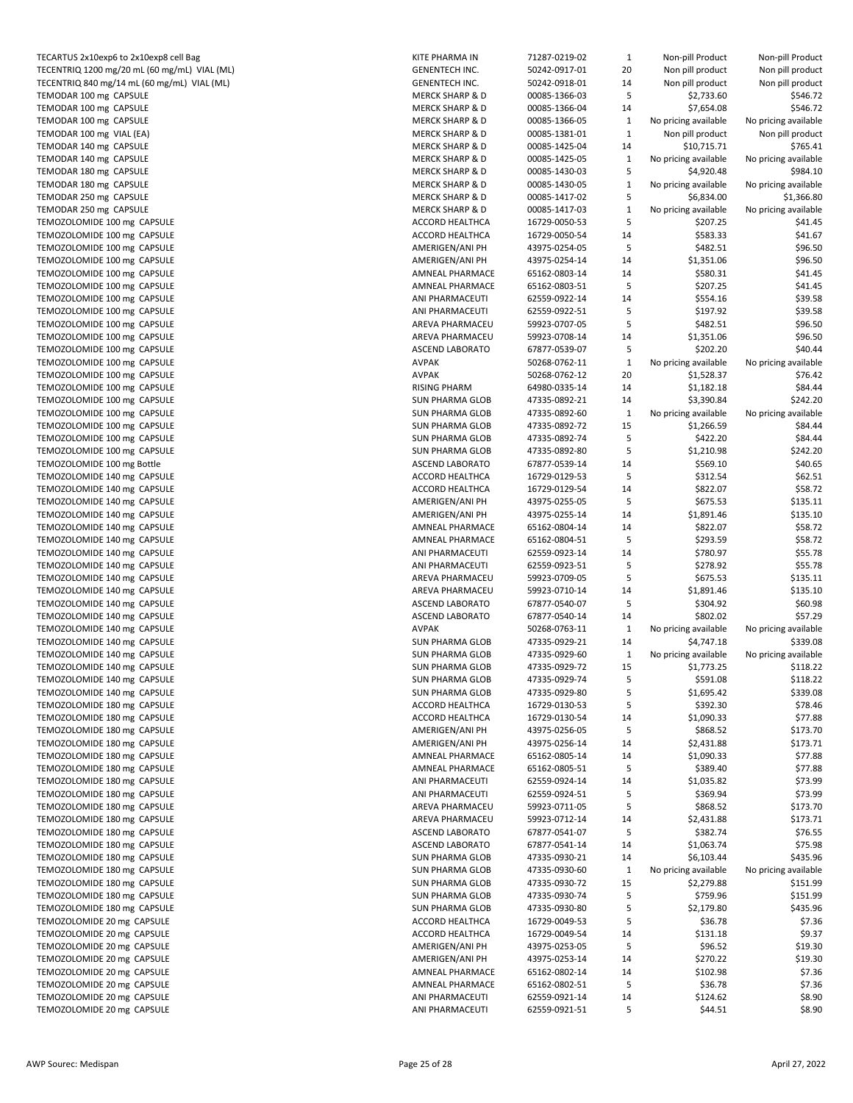| TECARTUS 2x10exp6 to 2x10exp8 cell Bag                     | KITE PHARMA IN                     | 71287-0219-02                  | $\mathbf{1}$ | Non-pill Product       | Non-pill Product     |
|------------------------------------------------------------|------------------------------------|--------------------------------|--------------|------------------------|----------------------|
| TECENTRIQ 1200 mg/20 mL (60 mg/mL) VIAL (ML)               | <b>GENENTECH INC.</b>              | 50242-0917-01                  | 20           | Non pill product       | Non pill product     |
| TECENTRIQ 840 mg/14 mL (60 mg/mL) VIAL (ML)                | <b>GENENTECH INC.</b>              | 50242-0918-01                  | 14           | Non pill product       | Non pill product     |
| TEMODAR 100 mg CAPSULE                                     | <b>MERCK SHARP &amp; D</b>         | 00085-1366-03                  | 5            | \$2,733.60             | \$546.72             |
| TEMODAR 100 mg CAPSULE                                     | <b>MERCK SHARP &amp; D</b>         | 00085-1366-04                  | 14           | \$7,654.08             | \$546.72             |
| TEMODAR 100 mg CAPSULE                                     | <b>MERCK SHARP &amp; D</b>         | 00085-1366-05                  | $\mathbf 1$  | No pricing available   | No pricing available |
| TEMODAR 100 mg VIAL (EA)                                   | <b>MERCK SHARP &amp; D</b>         | 00085-1381-01                  | $\mathbf{1}$ | Non pill product       | Non pill product     |
| TEMODAR 140 mg CAPSULE                                     | <b>MERCK SHARP &amp; D</b>         | 00085-1425-04                  | 14           | \$10,715.71            | \$765.41             |
| TEMODAR 140 mg CAPSULE                                     | <b>MERCK SHARP &amp; D</b>         | 00085-1425-05                  | $\mathbf{1}$ | No pricing available   | No pricing available |
| TEMODAR 180 mg CAPSULE                                     | <b>MERCK SHARP &amp; D</b>         | 00085-1430-03                  | 5            | \$4,920.48             | \$984.10             |
| TEMODAR 180 mg CAPSULE                                     | <b>MERCK SHARP &amp; D</b>         | 00085-1430-05                  | $\mathbf 1$  | No pricing available   | No pricing available |
| TEMODAR 250 mg CAPSULE                                     | <b>MERCK SHARP &amp; D</b>         | 00085-1417-02                  | 5            | \$6,834.00             | \$1,366.80           |
| TEMODAR 250 mg CAPSULE                                     | <b>MERCK SHARP &amp; D</b>         | 00085-1417-03                  | $\mathbf 1$  | No pricing available   | No pricing available |
| TEMOZOLOMIDE 100 mg CAPSULE                                | ACCORD HEALTHCA                    | 16729-0050-53                  | 5            | \$207.25               | \$41.45              |
| TEMOZOLOMIDE 100 mg CAPSULE                                | <b>ACCORD HEALTHCA</b>             | 16729-0050-54                  | 14           | \$583.33               | \$41.67              |
| TEMOZOLOMIDE 100 mg CAPSULE<br>TEMOZOLOMIDE 100 mg CAPSULE | AMERIGEN/ANI PH                    | 43975-0254-05                  | 5<br>14      | \$482.51               | \$96.50              |
| TEMOZOLOMIDE 100 mg CAPSULE                                | AMERIGEN/ANI PH<br>AMNEAL PHARMACE | 43975-0254-14<br>65162-0803-14 | 14           | \$1,351.06<br>\$580.31 | \$96.50<br>\$41.45   |
| TEMOZOLOMIDE 100 mg CAPSULE                                | AMNEAL PHARMACE                    |                                | 5            | \$207.25               | \$41.45              |
| TEMOZOLOMIDE 100 mg CAPSULE                                | ANI PHARMACEUTI                    | 65162-0803-51<br>62559-0922-14 | 14           | \$554.16               | \$39.58              |
| TEMOZOLOMIDE 100 mg CAPSULE                                | ANI PHARMACEUTI                    | 62559-0922-51                  | 5            | \$197.92               | \$39.58              |
| TEMOZOLOMIDE 100 mg CAPSULE                                | AREVA PHARMACEU                    | 59923-0707-05                  | 5            | \$482.51               | \$96.50              |
| TEMOZOLOMIDE 100 mg CAPSULE                                | AREVA PHARMACEU                    | 59923-0708-14                  | 14           | \$1,351.06             | \$96.50              |
| TEMOZOLOMIDE 100 mg CAPSULE                                | <b>ASCEND LABORATO</b>             | 67877-0539-07                  | 5            | \$202.20               | \$40.44              |
| TEMOZOLOMIDE 100 mg CAPSULE                                | <b>AVPAK</b>                       | 50268-0762-11                  | $\mathbf{1}$ | No pricing available   | No pricing available |
| TEMOZOLOMIDE 100 mg CAPSULE                                | <b>AVPAK</b>                       | 50268-0762-12                  | 20           | \$1,528.37             | \$76.42              |
| TEMOZOLOMIDE 100 mg CAPSULE                                | <b>RISING PHARM</b>                | 64980-0335-14                  | 14           | \$1,182.18             | \$84.44              |
| TEMOZOLOMIDE 100 mg CAPSULE                                | <b>SUN PHARMA GLOB</b>             | 47335-0892-21                  | 14           | \$3,390.84             | \$242.20             |
| TEMOZOLOMIDE 100 mg CAPSULE                                | <b>SUN PHARMA GLOB</b>             | 47335-0892-60                  | $\mathbf{1}$ | No pricing available   | No pricing available |
| TEMOZOLOMIDE 100 mg CAPSULE                                | <b>SUN PHARMA GLOB</b>             | 47335-0892-72                  | 15           | \$1,266.59             | \$84.44              |
| TEMOZOLOMIDE 100 mg CAPSULE                                | <b>SUN PHARMA GLOB</b>             | 47335-0892-74                  | 5            | \$422.20               | \$84.44              |
| TEMOZOLOMIDE 100 mg CAPSULE                                | <b>SUN PHARMA GLOB</b>             | 47335-0892-80                  | 5            | \$1,210.98             | \$242.20             |
| TEMOZOLOMIDE 100 mg Bottle                                 | <b>ASCEND LABORATO</b>             | 67877-0539-14                  | 14           | \$569.10               | \$40.65              |
| TEMOZOLOMIDE 140 mg CAPSULE                                | ACCORD HEALTHCA                    | 16729-0129-53                  | 5            | \$312.54               | \$62.51              |
| TEMOZOLOMIDE 140 mg CAPSULE                                | ACCORD HEALTHCA                    | 16729-0129-54                  | 14           | \$822.07               | \$58.72              |
| TEMOZOLOMIDE 140 mg CAPSULE                                | AMERIGEN/ANI PH                    | 43975-0255-05                  | 5            | \$675.53               | \$135.11             |
| TEMOZOLOMIDE 140 mg CAPSULE                                | AMERIGEN/ANI PH                    | 43975-0255-14                  | 14           | \$1,891.46             | \$135.10             |
| TEMOZOLOMIDE 140 mg CAPSULE                                | AMNEAL PHARMACE                    | 65162-0804-14                  | 14           | \$822.07               | \$58.72              |
| TEMOZOLOMIDE 140 mg CAPSULE                                | AMNEAL PHARMACE                    | 65162-0804-51                  | 5            | \$293.59               | \$58.72              |
| TEMOZOLOMIDE 140 mg CAPSULE                                | ANI PHARMACEUTI                    | 62559-0923-14                  | 14           | \$780.97               | \$55.78              |
| TEMOZOLOMIDE 140 mg CAPSULE                                | ANI PHARMACEUTI                    | 62559-0923-51                  | 5            | \$278.92               | \$55.78              |
| TEMOZOLOMIDE 140 mg CAPSULE                                | AREVA PHARMACEU                    | 59923-0709-05                  | 5            | \$675.53               | \$135.11             |
| TEMOZOLOMIDE 140 mg CAPSULE                                | AREVA PHARMACEU                    | 59923-0710-14                  | 14           | \$1,891.46             | \$135.10             |
| TEMOZOLOMIDE 140 mg CAPSULE                                | <b>ASCEND LABORATO</b>             | 67877-0540-07                  | 5            | \$304.92               | \$60.98              |
| TEMOZOLOMIDE 140 mg CAPSULE                                | ASCEND LABORATO                    | 67877-0540-14                  | 14           | \$802.02               | \$57.29              |
| TEMOZOLOMIDE 140 mg CAPSULE                                | <b>AVPAK</b>                       | 50268-0763-11                  | $\mathbf{1}$ | No pricing available   | No pricing available |
| TEMOZOLOMIDE 140 mg CAPSULE                                | <b>SUN PHARMA GLOB</b>             | 47335-0929-21                  | 14           | \$4,747.18             | \$339.08             |
| TEMOZOLOMIDE 140 mg CAPSULE                                | <b>SUN PHARMA GLOB</b>             | 47335-0929-60                  | $\mathbf{1}$ | No pricing available   | No pricing available |
| TEMOZOLOMIDE 140 mg CAPSULE                                | <b>SUN PHARMA GLOB</b>             | 47335-0929-72                  | 15           | \$1,773.25             | \$118.22             |
| TEMOZOLOMIDE 140 mg CAPSULE                                | <b>SUN PHARMA GLOB</b>             | 47335-0929-74                  | 5            | \$591.08               | \$118.22             |
| TEMOZOLOMIDE 140 mg CAPSULE                                | <b>SUN PHARMA GLOB</b>             | 47335-0929-80                  | 5            | \$1,695.42             | \$339.08             |
| TEMOZOLOMIDE 180 mg CAPSULE                                | ACCORD HEALTHCA                    | 16729-0130-53                  | 5            | \$392.30               | \$78.46              |
| TEMOZOLOMIDE 180 mg CAPSULE                                | ACCORD HEALTHCA                    | 16729-0130-54                  | 14           | \$1,090.33             | \$77.88              |
| TEMOZOLOMIDE 180 mg CAPSULE                                | AMERIGEN/ANI PH                    | 43975-0256-05                  | 5            | \$868.52               | \$173.70             |
| TEMOZOLOMIDE 180 mg CAPSULE                                | AMERIGEN/ANI PH                    | 43975-0256-14                  | 14           | \$2,431.88             | \$173.71             |
| TEMOZOLOMIDE 180 mg CAPSULE                                | AMNEAL PHARMACE                    | 65162-0805-14                  | 14           | \$1,090.33             | \$77.88              |
| TEMOZOLOMIDE 180 mg CAPSULE                                | AMNEAL PHARMACE                    | 65162-0805-51                  | 5            | \$389.40               | \$77.88              |
| TEMOZOLOMIDE 180 mg CAPSULE                                | ANI PHARMACEUTI                    | 62559-0924-14                  | 14           | \$1,035.82             | \$73.99              |
| TEMOZOLOMIDE 180 mg CAPSULE                                | ANI PHARMACEUTI                    | 62559-0924-51                  | 5            | \$369.94               | \$73.99              |
| TEMOZOLOMIDE 180 mg CAPSULE                                | AREVA PHARMACEU                    | 59923-0711-05                  | 5            | \$868.52               | \$173.70             |
| TEMOZOLOMIDE 180 mg CAPSULE                                | AREVA PHARMACEU                    | 59923-0712-14                  | 14           | \$2,431.88             | \$173.71             |
| TEMOZOLOMIDE 180 mg CAPSULE                                | ASCEND LABORATO                    | 67877-0541-07                  | 5            | \$382.74               | \$76.55              |
| TEMOZOLOMIDE 180 mg CAPSULE                                | <b>ASCEND LABORATO</b>             | 67877-0541-14                  | 14           | \$1,063.74             | \$75.98              |
| TEMOZOLOMIDE 180 mg CAPSULE                                | SUN PHARMA GLOB                    | 47335-0930-21                  | 14           | \$6,103.44             | \$435.96             |
| TEMOZOLOMIDE 180 mg CAPSULE                                | <b>SUN PHARMA GLOB</b>             | 47335-0930-60                  | $\mathbf 1$  | No pricing available   | No pricing available |
| TEMOZOLOMIDE 180 mg CAPSULE                                | <b>SUN PHARMA GLOB</b>             | 47335-0930-72                  | 15           | \$2,279.88             | \$151.99             |
| TEMOZOLOMIDE 180 mg CAPSULE                                | SUN PHARMA GLOB                    | 47335-0930-74                  | 5            | \$759.96               | \$151.99             |
| TEMOZOLOMIDE 180 mg CAPSULE                                | SUN PHARMA GLOB                    | 47335-0930-80                  | 5            | \$2,179.80             | \$435.96             |
| TEMOZOLOMIDE 20 mg CAPSULE                                 | ACCORD HEALTHCA                    | 16729-0049-53                  | 5            | \$36.78                | \$7.36               |
| TEMOZOLOMIDE 20 mg CAPSULE                                 | ACCORD HEALTHCA                    | 16729-0049-54                  | 14           | \$131.18               | \$9.37               |
| TEMOZOLOMIDE 20 mg CAPSULE                                 | AMERIGEN/ANI PH                    | 43975-0253-05                  | 5            | \$96.52                | \$19.30              |
| TEMOZOLOMIDE 20 mg CAPSULE                                 | AMERIGEN/ANI PH                    | 43975-0253-14                  | 14           | \$270.22               | \$19.30              |
| TEMOZOLOMIDE 20 mg CAPSULE                                 | AMNEAL PHARMACE                    | 65162-0802-14                  | 14           | \$102.98               | \$7.36               |
| TEMOZOLOMIDE 20 mg CAPSULE                                 | AMNEAL PHARMACE                    | 65162-0802-51                  | 5            | \$36.78                | \$7.36               |
| TEMOZOLOMIDE 20 mg CAPSULE                                 | ANI PHARMACEUTI<br>ANI PHARMACEUTI | 62559-0921-14<br>62559-0921-51 | 14<br>5      | \$124.62<br>\$44.51    | \$8.90<br>\$8.90     |
| TEMOZOLOMIDE 20 mg CAPSULE                                 |                                    |                                |              |                        |                      |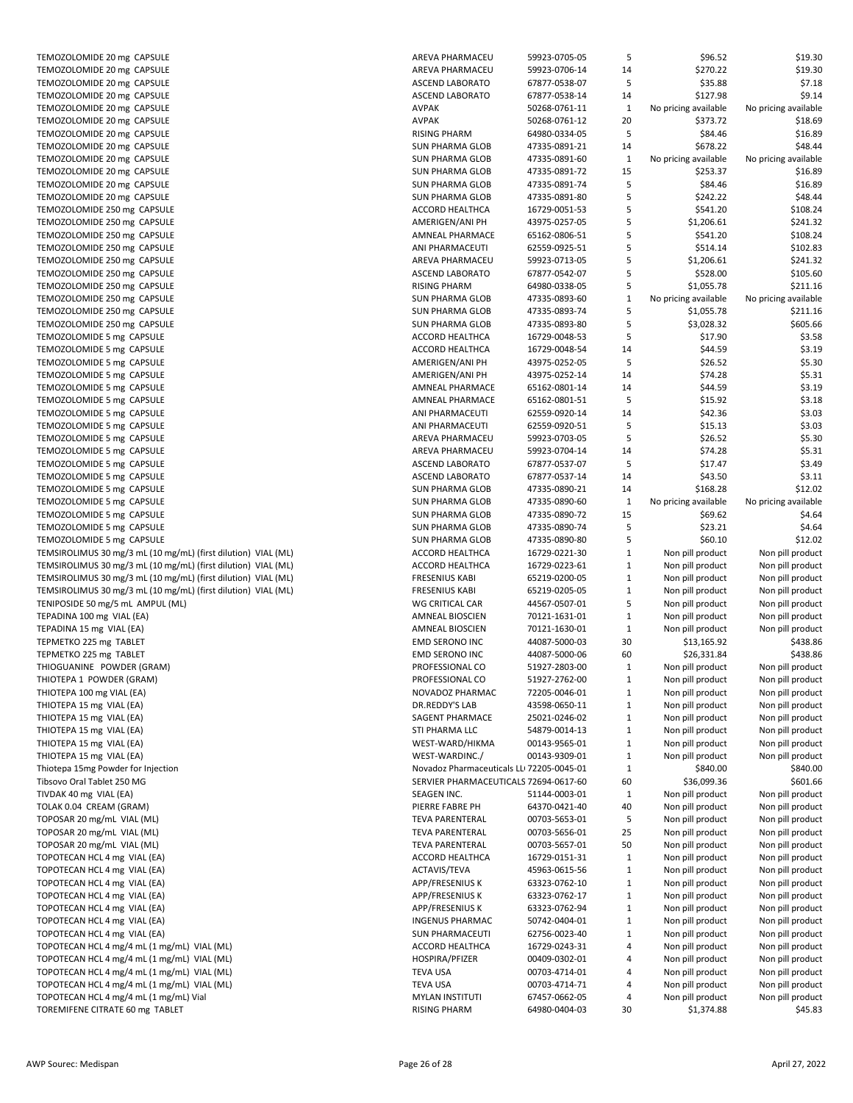| TEMOZOLOMIDE 20 mg CAPSULE                                                                                                           |
|--------------------------------------------------------------------------------------------------------------------------------------|
| TEMOZOLOMIDE 20 mg CAPSULE                                                                                                           |
| TEMOZOLOMIDE 20 mg CAPSULE                                                                                                           |
| TEMOZOLOMIDE 20 mg CAPSULE<br>TEMOZOLOMIDE 20 mg CAPSULE                                                                             |
| TEMOZOLOMIDE 20 mg CAPSULE                                                                                                           |
| TEMOZOLOMIDE 20 mg CAPSULE                                                                                                           |
| TEMOZOLOMIDE 20 mg CAPSULE                                                                                                           |
| TEMOZOLOMIDE 20 mg CAPSULE                                                                                                           |
| TEMOZOLOMIDE 20 mg CAPSULE                                                                                                           |
| TEMOZOLOMIDE 20 mg CAPSULE                                                                                                           |
| TEMOZOLOMIDE 20 mg CAPSULE                                                                                                           |
| TEMOZOLOMIDE 250 mg CAPSULE                                                                                                          |
| TEMOZOLOMIDE 250 mg CAPSULE<br>TEMOZOLOMIDE 250 mg CAPSULE                                                                           |
| TEMOZOLOMIDE 250 mg CAPSULE                                                                                                          |
| TEMOZOLOMIDE 250 mg CAPSULE                                                                                                          |
| TEMOZOLOMIDE 250 mg CAPSULE                                                                                                          |
| TEMOZOLOMIDE 250 mg CAPSULE                                                                                                          |
| TEMOZOLOMIDE 250 mg CAPSULE                                                                                                          |
| TEMOZOLOMIDE 250 mg CAPSULE                                                                                                          |
| TEMOZOLOMIDE 250 mg CAPSULE                                                                                                          |
| TEMOZOLOMIDE 5 mg CAPSULE                                                                                                            |
| TEMOZOLOMIDE 5 mg CAPSULE<br>TEMOZOLOMIDE 5 mg CAPSULE                                                                               |
| TEMOZOLOMIDE 5 mg CAPSULE                                                                                                            |
| TEMOZOLOMIDE 5 mg CAPSULE                                                                                                            |
| TEMOZOLOMIDE 5 mg CAPSULE                                                                                                            |
| TEMOZOLOMIDE 5 mg CAPSULE                                                                                                            |
| TEMOZOLOMIDE 5 mg CAPSULE                                                                                                            |
| TEMOZOLOMIDE 5 mg CAPSULE                                                                                                            |
| TEMOZOLOMIDE 5 mg CAPSULE                                                                                                            |
| TEMOZOLOMIDE 5 mg CAPSULE                                                                                                            |
| TEMOZOLOMIDE 5 mg CAPSULE<br>TEMOZOLOMIDE 5 mg CAPSULE                                                                               |
| TEMOZOLOMIDE 5 mg CAPSULE                                                                                                            |
| TEMOZOLOMIDE 5 mg CAPSULE                                                                                                            |
| TEMOZOLOMIDE 5 mg CAPSULE                                                                                                            |
| TEMOZOLOMIDE 5 mg CAPSULE                                                                                                            |
| TEMSIROLIMUS 30 mg/3 mL (10 mg/mL) (first dilution) VIAL (M                                                                          |
| TEMSIROLIMUS 30 mg/3 mL (10 mg/mL) (first dilution) VIAL (MI                                                                         |
| TEMSIROLIMUS 30 mg/3 mL (10 mg/mL) (first dilution) VIAL (M<br>TEMSIROLIMUS 30 mg/3 mL (10 mg/mL) (first dilution) VIAL (M           |
| TENIPOSIDE 50 mg/5 mL AMPUL (ML)                                                                                                     |
| TEPADINA 100 mg VIAL (EA)                                                                                                            |
|                                                                                                                                      |
| TEPADINA 15 mg VIAL (EA)                                                                                                             |
|                                                                                                                                      |
| TEPMETKO 225 mg TABLET<br>TEPMETKO 225 mg TABLET                                                                                     |
| THIOGUANINE POWDER (GRAM)                                                                                                            |
| THIOTEPA 1 POWDER (GRAM)                                                                                                             |
| THIOTEPA 100 mg VIAL (EA)                                                                                                            |
| THIOTEPA 15 mg VIAL (EA)                                                                                                             |
| THIOTEPA 15 mg VIAL (EA)                                                                                                             |
| THIOTEPA 15 mg VIAL (EA)                                                                                                             |
| THIOTEPA 15 mg VIAL (EA)<br>THIOTEPA 15 mg VIAL (EA)                                                                                 |
| Thiotepa 15mg Powder for Injection                                                                                                   |
| Tibsovo Oral Tablet 250 MG                                                                                                           |
| TIVDAK 40 mg VIAL (EA)                                                                                                               |
| TOLAK 0.04 CREAM (GRAM)                                                                                                              |
| TOPOSAR 20 mg/mL VIAL (ML)                                                                                                           |
| TOPOSAR 20 mg/mL VIAL (ML)                                                                                                           |
| TOPOSAR 20 mg/mL VIAL (ML)                                                                                                           |
| TOPOTECAN HCL 4 mg VIAL (EA)                                                                                                         |
| TOPOTECAN HCL 4 mg VIAL (EA)<br>TOPOTECAN HCL 4 mg VIAL (EA)                                                                         |
| TOPOTECAN HCL 4 mg VIAL (EA)                                                                                                         |
|                                                                                                                                      |
| TOPOTECAN HCL 4 mg VIAL (EA)<br>TOPOTECAN HCL 4 mg VIAL (EA)                                                                         |
| TOPOTECAN HCL 4 mg VIAL (EA)                                                                                                         |
|                                                                                                                                      |
| TOPOTECAN HCL 4 mg/4 mL (1 mg/mL) VIAL (ML)<br>TOPOTECAN HCL 4 mg/4 mL (1 mg/mL) VIAL (ML)                                           |
|                                                                                                                                      |
| TOPOTECAN HCL 4 mg/4 mL (1 mg/mL) VIAL (ML)<br>TOPOTECAN HCL 4 mg/4 mL (1 mg/mL) VIAL (ML)<br>TOPOTECAN HCL 4 mg/4 mL (1 mg/mL) Vial |

| TEMOZOLOMIDE 20 mg CAPSULE                                    | <b>AREVA PHARMACEU</b>                    | 59923-0705-05 | 5            | \$96.52              | \$19.30              |
|---------------------------------------------------------------|-------------------------------------------|---------------|--------------|----------------------|----------------------|
| TEMOZOLOMIDE 20 mg CAPSULE                                    | AREVA PHARMACEU                           | 59923-0706-14 | 14           | \$270.22             | \$19.30              |
| TEMOZOLOMIDE 20 mg CAPSULE                                    | ASCEND LABORATO                           | 67877-0538-07 | 5            | \$35.88              | \$7.18               |
| TEMOZOLOMIDE 20 mg CAPSULE                                    | <b>ASCEND LABORATO</b>                    | 67877-0538-14 | 14           | \$127.98             | \$9.14               |
| TEMOZOLOMIDE 20 mg CAPSULE                                    | <b>AVPAK</b>                              | 50268-0761-11 | $\mathbf{1}$ | No pricing available | No pricing available |
| TEMOZOLOMIDE 20 mg CAPSULE                                    | <b>AVPAK</b>                              | 50268-0761-12 | 20           | \$373.72             | \$18.69              |
| TEMOZOLOMIDE 20 mg CAPSULE                                    | <b>RISING PHARM</b>                       | 64980-0334-05 | 5            | \$84.46              | \$16.89              |
| TEMOZOLOMIDE 20 mg CAPSULE                                    | <b>SUN PHARMA GLOB</b>                    | 47335-0891-21 | 14           | \$678.22             | \$48.44              |
| TEMOZOLOMIDE 20 mg CAPSULE                                    | <b>SUN PHARMA GLOB</b>                    | 47335-0891-60 | $\mathbf{1}$ | No pricing available | No pricing available |
| TEMOZOLOMIDE 20 mg CAPSULE                                    | <b>SUN PHARMA GLOB</b>                    |               | 15           | \$253.37             | \$16.89              |
|                                                               |                                           | 47335-0891-72 |              |                      |                      |
| TEMOZOLOMIDE 20 mg CAPSULE                                    | <b>SUN PHARMA GLOB</b>                    | 47335-0891-74 | 5            | \$84.46              | \$16.89              |
| TEMOZOLOMIDE 20 mg CAPSULE                                    | <b>SUN PHARMA GLOB</b>                    | 47335-0891-80 | 5            | \$242.22             | \$48.44              |
| TEMOZOLOMIDE 250 mg CAPSULE                                   | ACCORD HEALTHCA                           | 16729-0051-53 | 5            | \$541.20             | \$108.24             |
| TEMOZOLOMIDE 250 mg CAPSULE                                   | AMERIGEN/ANI PH                           | 43975-0257-05 | 5            | \$1,206.61           | \$241.32             |
| TEMOZOLOMIDE 250 mg CAPSULE                                   | AMNEAL PHARMACE                           | 65162-0806-51 | 5            | \$541.20             | \$108.24             |
| TEMOZOLOMIDE 250 mg CAPSULE                                   | ANI PHARMACEUTI                           | 62559-0925-51 | 5            | \$514.14             | \$102.83             |
| TEMOZOLOMIDE 250 mg CAPSULE                                   | AREVA PHARMACEU                           | 59923-0713-05 | 5            | \$1,206.61           | \$241.32             |
| TEMOZOLOMIDE 250 mg CAPSULE                                   | ASCEND LABORATO                           | 67877-0542-07 | 5            | \$528.00             | \$105.60             |
| TEMOZOLOMIDE 250 mg CAPSULE                                   | <b>RISING PHARM</b>                       | 64980-0338-05 | 5            | \$1,055.78           | \$211.16             |
| TEMOZOLOMIDE 250 mg CAPSULE                                   | <b>SUN PHARMA GLOB</b>                    | 47335-0893-60 | $\mathbf 1$  | No pricing available | No pricing available |
| TEMOZOLOMIDE 250 mg CAPSULE                                   | <b>SUN PHARMA GLOB</b>                    | 47335-0893-74 | 5            | \$1,055.78           | \$211.16             |
| TEMOZOLOMIDE 250 mg CAPSULE                                   | <b>SUN PHARMA GLOB</b>                    | 47335-0893-80 | 5            | \$3,028.32           | \$605.66             |
| TEMOZOLOMIDE 5 mg CAPSULE                                     | ACCORD HEALTHCA                           | 16729-0048-53 | 5            | \$17.90              | \$3.58               |
| TEMOZOLOMIDE 5 mg CAPSULE                                     | ACCORD HEALTHCA                           |               |              | \$44.59              |                      |
|                                                               |                                           | 16729-0048-54 | 14           |                      | \$3.19               |
| TEMOZOLOMIDE 5 mg CAPSULE                                     | AMERIGEN/ANI PH                           | 43975-0252-05 | 5            | \$26.52              | \$5.30               |
| TEMOZOLOMIDE 5 mg CAPSULE                                     | AMERIGEN/ANI PH                           | 43975-0252-14 | 14           | \$74.28              | \$5.31               |
| TEMOZOLOMIDE 5 mg CAPSULE                                     | AMNEAL PHARMACE                           | 65162-0801-14 | 14           | \$44.59              | \$3.19               |
| TEMOZOLOMIDE 5 mg CAPSULE                                     | AMNEAL PHARMACE                           | 65162-0801-51 | 5            | \$15.92              | \$3.18               |
| TEMOZOLOMIDE 5 mg CAPSULE                                     | ANI PHARMACEUTI                           | 62559-0920-14 | 14           | \$42.36              | \$3.03               |
| TEMOZOLOMIDE 5 mg CAPSULE                                     | ANI PHARMACEUTI                           | 62559-0920-51 | 5            | \$15.13              | \$3.03               |
| TEMOZOLOMIDE 5 mg CAPSULE                                     | AREVA PHARMACEU                           | 59923-0703-05 | 5            | \$26.52              | \$5.30               |
| TEMOZOLOMIDE 5 mg CAPSULE                                     | AREVA PHARMACEU                           | 59923-0704-14 | 14           | \$74.28              | \$5.31               |
| TEMOZOLOMIDE 5 mg CAPSULE                                     | ASCEND LABORATO                           | 67877-0537-07 | 5            | \$17.47              | \$3.49               |
| TEMOZOLOMIDE 5 mg CAPSULE                                     | <b>ASCEND LABORATO</b>                    | 67877-0537-14 | 14           | \$43.50              | \$3.11               |
| TEMOZOLOMIDE 5 mg CAPSULE                                     | <b>SUN PHARMA GLOB</b>                    | 47335-0890-21 | 14           | \$168.28             | \$12.02              |
| TEMOZOLOMIDE 5 mg CAPSULE                                     | <b>SUN PHARMA GLOB</b>                    | 47335-0890-60 | $\mathbf{1}$ | No pricing available | No pricing available |
| TEMOZOLOMIDE 5 mg CAPSULE                                     | <b>SUN PHARMA GLOB</b>                    | 47335-0890-72 | 15           | \$69.62              | \$4.64               |
|                                                               |                                           |               | 5            | \$23.21              | \$4.64               |
| TEMOZOLOMIDE 5 mg CAPSULE                                     | <b>SUN PHARMA GLOB</b>                    | 47335-0890-74 |              |                      |                      |
| TEMOZOLOMIDE 5 mg CAPSULE                                     | <b>SUN PHARMA GLOB</b>                    | 47335-0890-80 | 5            | \$60.10              | \$12.02              |
| TEMSIROLIMUS 30 mg/3 mL (10 mg/mL) (first dilution) VIAL (ML) | ACCORD HEALTHCA                           | 16729-0221-30 | $\mathbf{1}$ | Non pill product     | Non pill product     |
| TEMSIROLIMUS 30 mg/3 mL (10 mg/mL) (first dilution) VIAL (ML) | ACCORD HEALTHCA                           | 16729-0223-61 | $\mathbf{1}$ | Non pill product     | Non pill product     |
| TEMSIROLIMUS 30 mg/3 mL (10 mg/mL) (first dilution) VIAL (ML) | <b>FRESENIUS KABI</b>                     | 65219-0200-05 | $\mathbf{1}$ | Non pill product     | Non pill product     |
| TEMSIROLIMUS 30 mg/3 mL (10 mg/mL) (first dilution) VIAL (ML) | <b>FRESENIUS KABI</b>                     | 65219-0205-05 | $\mathbf{1}$ | Non pill product     | Non pill product     |
| TENIPOSIDE 50 mg/5 mL AMPUL (ML)                              | WG CRITICAL CAR                           | 44567-0507-01 | 5            | Non pill product     | Non pill product     |
| TEPADINA 100 mg VIAL (EA)                                     | AMNEAL BIOSCIEN                           | 70121-1631-01 | $\mathbf{1}$ | Non pill product     | Non pill product     |
| TEPADINA 15 mg VIAL (EA)                                      | AMNEAL BIOSCIEN                           | 70121-1630-01 | $\mathbf{1}$ | Non pill product     | Non pill product     |
| TEPMETKO 225 mg TABLET                                        | EMD SERONO INC                            | 44087-5000-03 | 30           | \$13,165.92          | \$438.86             |
| TEPMETKO 225 mg TABLET                                        | EMD SERONO INC                            | 44087-5000-06 | 60           | \$26,331.84          | \$438.86             |
| THIOGUANINE POWDER (GRAM)                                     | PROFESSIONAL CO                           | 51927-2803-00 | $\mathbf{1}$ | Non pill product     | Non pill product     |
| THIOTEPA 1 POWDER (GRAM)                                      | PROFESSIONAL CO                           | 51927-2762-00 | $\mathbf{1}$ | Non pill product     | Non pill product     |
| THIOTEPA 100 mg VIAL (EA)                                     | NOVADOZ PHARMAC                           | 72205-0046-01 | $\mathbf{1}$ | Non pill product     | Non pill product     |
| THIOTEPA 15 mg VIAL (EA)                                      | DR.REDDY'S LAB                            | 43598-0650-11 | $\mathbf{1}$ | Non pill product     | Non pill product     |
|                                                               |                                           |               |              |                      |                      |
| THIOTEPA 15 mg VIAL (EA)                                      | SAGENT PHARMACE                           | 25021-0246-02 | $\mathbf{1}$ | Non pill product     | Non pill product     |
| THIOTEPA 15 mg VIAL (EA)                                      | STI PHARMA LLC                            | 54879-0014-13 | $\mathbf{1}$ | Non pill product     | Non pill product     |
| THIOTEPA 15 mg VIAL (EA)                                      | WEST-WARD/HIKMA                           | 00143-9565-01 | $\mathbf{1}$ | Non pill product     | Non pill product     |
| THIOTEPA 15 mg VIAL (EA)                                      | WEST-WARDINC./                            | 00143-9309-01 | $\mathbf{1}$ | Non pill product     | Non pill product     |
| Thiotepa 15mg Powder for Injection                            | Novadoz Pharmaceuticals LLI 72205-0045-01 |               | $\mathbf{1}$ | \$840.00             | \$840.00             |
| Tibsovo Oral Tablet 250 MG                                    | SERVIER PHARMACEUTICALS 72694-0617-60     |               | 60           | \$36,099.36          | \$601.66             |
| TIVDAK 40 mg VIAL (EA)                                        | SEAGEN INC.                               | 51144-0003-01 | $\mathbf{1}$ | Non pill product     | Non pill product     |
| TOLAK 0.04 CREAM (GRAM)                                       | PIERRE FABRE PH                           | 64370-0421-40 | 40           | Non pill product     | Non pill product     |
| TOPOSAR 20 mg/mL VIAL (ML)                                    | <b>TEVA PARENTERAL</b>                    | 00703-5653-01 | 5            | Non pill product     | Non pill product     |
| TOPOSAR 20 mg/mL VIAL (ML)                                    | <b>TEVA PARENTERAL</b>                    | 00703-5656-01 | 25           | Non pill product     | Non pill product     |
| TOPOSAR 20 mg/mL VIAL (ML)                                    | <b>TEVA PARENTERAL</b>                    | 00703-5657-01 | 50           | Non pill product     | Non pill product     |
| TOPOTECAN HCL 4 mg VIAL (EA)                                  | <b>ACCORD HEALTHCA</b>                    | 16729-0151-31 | $\mathbf{1}$ | Non pill product     | Non pill product     |
| TOPOTECAN HCL 4 mg VIAL (EA)                                  | ACTAVIS/TEVA                              | 45963-0615-56 | $\mathbf{1}$ | Non pill product     | Non pill product     |
| TOPOTECAN HCL 4 mg VIAL (EA)                                  | APP/FRESENIUS K                           | 63323-0762-10 | $\mathbf{1}$ | Non pill product     | Non pill product     |
|                                                               | APP/FRESENIUS K                           | 63323-0762-17 | $\mathbf{1}$ |                      |                      |
| TOPOTECAN HCL 4 mg VIAL (EA)                                  |                                           |               |              | Non pill product     | Non pill product     |
| TOPOTECAN HCL 4 mg VIAL (EA)                                  | APP/FRESENIUS K                           | 63323-0762-94 | $\mathbf{1}$ | Non pill product     | Non pill product     |
| TOPOTECAN HCL 4 mg VIAL (EA)                                  | <b>INGENUS PHARMAC</b>                    | 50742-0404-01 | $\mathbf{1}$ | Non pill product     | Non pill product     |
| TOPOTECAN HCL 4 mg VIAL (EA)                                  | <b>SUN PHARMACEUTI</b>                    | 62756-0023-40 | $\mathbf{1}$ | Non pill product     | Non pill product     |
| TOPOTECAN HCL 4 mg/4 mL (1 mg/mL) VIAL (ML)                   | ACCORD HEALTHCA                           | 16729-0243-31 | 4            | Non pill product     | Non pill product     |
| TOPOTECAN HCL 4 mg/4 mL (1 mg/mL) VIAL (ML)                   | HOSPIRA/PFIZER                            | 00409-0302-01 | 4            | Non pill product     | Non pill product     |
| TOPOTECAN HCL 4 mg/4 mL (1 mg/mL) VIAL (ML)                   | <b>TEVA USA</b>                           | 00703-4714-01 | 4            | Non pill product     | Non pill product     |
| TOPOTECAN HCL 4 mg/4 mL (1 mg/mL) VIAL (ML)                   | <b>TEVA USA</b>                           | 00703-4714-71 | 4            | Non pill product     | Non pill product     |
| TOPOTECAN HCL 4 mg/4 mL (1 mg/mL) Vial                        | <b>MYLAN INSTITUTI</b>                    | 67457-0662-05 | 4            | Non pill product     | Non pill product     |
| TOREMIFENE CITRATE 60 mg TABLET                               | <b>RISING PHARM</b>                       | 64980-0404-03 | 30           | \$1,374.88           | \$45.83              |
|                                                               |                                           |               |              |                      |                      |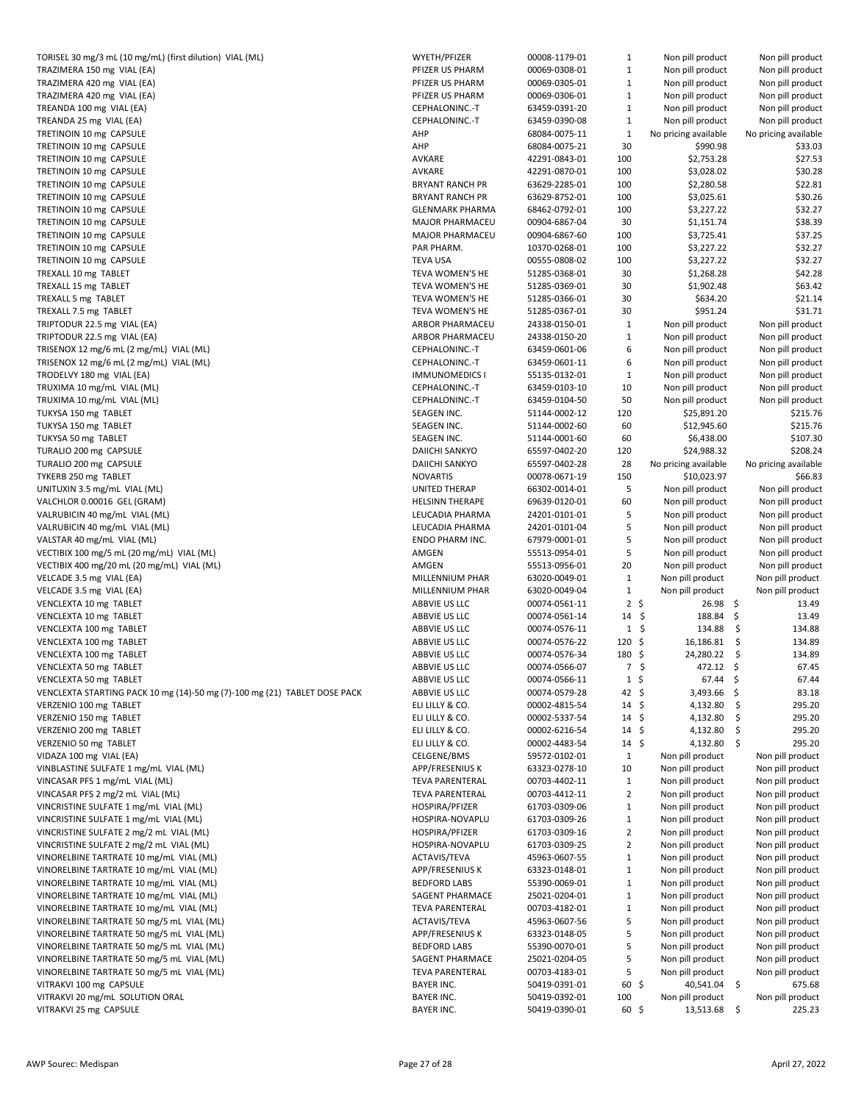| TORISEL 30 mg/3 mL (10 mg/mL) (first dilution) VIAL (ML)                  | WYETH/PFIZER           | 00008-1179-01 | 1                 | Non pill product            | Non pill product     |
|---------------------------------------------------------------------------|------------------------|---------------|-------------------|-----------------------------|----------------------|
| TRAZIMERA 150 mg VIAL (EA)                                                | PFIZER US PHARM        | 00069-0308-01 | $\mathbf{1}$      | Non pill product            | Non pill product     |
| TRAZIMERA 420 mg VIAL (EA)                                                | PFIZER US PHARM        | 00069-0305-01 | $\mathbf{1}$      | Non pill product            | Non pill product     |
| TRAZIMERA 420 mg VIAL (EA)                                                | PFIZER US PHARM        | 00069-0306-01 | $\mathbf{1}$      | Non pill product            | Non pill product     |
|                                                                           | CEPHALONINC .- T       | 63459-0391-20 | $\mathbf{1}$      |                             | Non pill product     |
| TREANDA 100 mg VIAL (EA)                                                  |                        |               |                   | Non pill product            |                      |
| TREANDA 25 mg VIAL (EA)                                                   | CEPHALONINC .- T       | 63459-0390-08 | $\mathbf{1}$      | Non pill product            | Non pill product     |
| TRETINOIN 10 mg CAPSULE                                                   | AHP                    | 68084-0075-11 | $\mathbf{1}$      | No pricing available        | No pricing available |
| TRETINOIN 10 mg CAPSULE                                                   | AHP                    | 68084-0075-21 | 30                | \$990.98                    | \$33.03              |
| TRETINOIN 10 mg CAPSULE                                                   | AVKARE                 | 42291-0843-01 | 100               | \$2,753.28                  | \$27.53              |
| TRETINOIN 10 mg CAPSULE                                                   | AVKARE                 | 42291-0870-01 | 100               | \$3,028.02                  | \$30.28              |
| TRETINOIN 10 mg CAPSULE                                                   | <b>BRYANT RANCH PR</b> | 63629-2285-01 | 100               | \$2,280.58                  | \$22.81              |
| TRETINOIN 10 mg CAPSULE                                                   | <b>BRYANT RANCH PR</b> | 63629-8752-01 | 100               | \$3,025.61                  | \$30.26              |
| TRETINOIN 10 mg CAPSULE                                                   | <b>GLENMARK PHARMA</b> | 68462-0792-01 | 100               | \$3,227.22                  | \$32.27              |
| TRETINOIN 10 mg CAPSULE                                                   | MAJOR PHARMACEU        | 00904-6867-04 | 30                | \$1,151.74                  | \$38.39              |
|                                                                           |                        |               |                   |                             |                      |
| TRETINOIN 10 mg CAPSULE                                                   | <b>MAJOR PHARMACEU</b> | 00904-6867-60 | 100               | \$3,725.41                  | \$37.25              |
| TRETINOIN 10 mg CAPSULE                                                   | PAR PHARM.             | 10370-0268-01 | 100               | \$3,227.22                  | \$32.27              |
| TRETINOIN 10 mg CAPSULE                                                   | <b>TEVA USA</b>        | 00555-0808-02 | 100               | \$3,227.22                  | \$32.27              |
| TREXALL 10 mg TABLET                                                      | TEVA WOMEN'S HE        | 51285-0368-01 | 30                | \$1,268.28                  | \$42.28              |
| TREXALL 15 mg TABLET                                                      | TEVA WOMEN'S HE        | 51285-0369-01 | 30                | \$1,902.48                  | \$63.42              |
| TREXALL 5 mg TABLET                                                       | TEVA WOMEN'S HE        | 51285-0366-01 | 30                | \$634.20                    | \$21.14              |
| TREXALL 7.5 mg TABLET                                                     | TEVA WOMEN'S HE        | 51285-0367-01 | 30                | \$951.24                    | \$31.71              |
| TRIPTODUR 22.5 mg VIAL (EA)                                               | ARBOR PHARMACEU        | 24338-0150-01 | $\mathbf{1}$      | Non pill product            | Non pill product     |
| TRIPTODUR 22.5 mg VIAL (EA)                                               | ARBOR PHARMACEU        |               |                   |                             |                      |
|                                                                           |                        | 24338-0150-20 | $\mathbf{1}$      | Non pill product            | Non pill product     |
| TRISENOX 12 mg/6 mL (2 mg/mL) VIAL (ML)                                   | CEPHALONINC .- T       | 63459-0601-06 | 6                 | Non pill product            | Non pill product     |
| TRISENOX 12 mg/6 mL (2 mg/mL) VIAL (ML)                                   | CEPHALONINC .- T       | 63459-0601-11 | 6                 | Non pill product            | Non pill product     |
| TRODELVY 180 mg VIAL (EA)                                                 | <b>IMMUNOMEDICS I</b>  | 55135-0132-01 | $\mathbf{1}$      | Non pill product            | Non pill product     |
| TRUXIMA 10 mg/mL VIAL (ML)                                                | CEPHALONINC .- T       | 63459-0103-10 | 10                | Non pill product            | Non pill product     |
| TRUXIMA 10 mg/mL VIAL (ML)                                                | CEPHALONINC .- T       | 63459-0104-50 | 50                | Non pill product            | Non pill product     |
| TUKYSA 150 mg TABLET                                                      | SEAGEN INC.            | 51144-0002-12 | 120               | \$25,891.20                 | \$215.76             |
|                                                                           | SEAGEN INC.            | 51144-0002-60 | 60                | \$12,945.60                 | \$215.76             |
| TUKYSA 150 mg TABLET                                                      |                        |               |                   |                             |                      |
| TUKYSA 50 mg TABLET                                                       | SEAGEN INC.            | 51144-0001-60 | 60                | \$6,438.00                  | \$107.30             |
| TURALIO 200 mg CAPSULE                                                    | DAIICHI SANKYO         | 65597-0402-20 | 120               | \$24,988.32                 | \$208.24             |
| TURALIO 200 mg CAPSULE                                                    | DAIICHI SANKYO         | 65597-0402-28 | 28                | No pricing available        | No pricing available |
| TYKERB 250 mg TABLET                                                      | <b>NOVARTIS</b>        | 00078-0671-19 | 150               | \$10,023.97                 | \$66.83              |
| UNITUXIN 3.5 mg/mL VIAL (ML)                                              | UNITED THERAP          | 66302-0014-01 | 5                 | Non pill product            | Non pill product     |
| VALCHLOR 0.00016 GEL (GRAM)                                               | <b>HELSINN THERAPE</b> | 69639-0120-01 | 60                | Non pill product            | Non pill product     |
| VALRUBICIN 40 mg/mL VIAL (ML)                                             | LEUCADIA PHARMA        | 24201-0101-01 | 5                 | Non pill product            | Non pill product     |
| VALRUBICIN 40 mg/mL VIAL (ML)                                             | LEUCADIA PHARMA        | 24201-0101-04 | 5                 | Non pill product            | Non pill product     |
| VALSTAR 40 mg/mL VIAL (ML)                                                | ENDO PHARM INC.        | 67979-0001-01 | 5                 | Non pill product            | Non pill product     |
|                                                                           |                        |               |                   |                             |                      |
| VECTIBIX 100 mg/5 mL (20 mg/mL) VIAL (ML)                                 | AMGEN                  | 55513-0954-01 | 5                 | Non pill product            | Non pill product     |
| VECTIBIX 400 mg/20 mL (20 mg/mL) VIAL (ML)                                | AMGEN                  | 55513-0956-01 | 20                | Non pill product            | Non pill product     |
| VELCADE 3.5 mg VIAL (EA)                                                  | MILLENNIUM PHAR        | 63020-0049-01 | $\mathbf{1}$      | Non pill product            | Non pill product     |
| VELCADE 3.5 mg VIAL (EA)                                                  | MILLENNIUM PHAR        | 63020-0049-04 | $\mathbf{1}$      | Non pill product            | Non pill product     |
| VENCLEXTA 10 mg TABLET                                                    | ABBVIE US LLC          | 00074-0561-11 | $2 \;$ \$         | $26.98$ \$                  | 13.49                |
| VENCLEXTA 10 mg TABLET                                                    | ABBVIE US LLC          | 00074-0561-14 | $14 \; \xi$       | 188.84 \$                   | 13.49                |
| VENCLEXTA 100 mg TABLET                                                   | ABBVIE US LLC          | 00074-0576-11 |                   | $1\frac{1}{2}$<br>134.88 \$ | 134.88               |
| VENCLEXTA 100 mg TABLET                                                   | ABBVIE US LLC          | 00074-0576-22 | $120 \;$ \$       | $16,186.81$ \$              | 134.89               |
| VENCLEXTA 100 mg TABLET                                                   | ABBVIE US LLC          | 00074-0576-34 | $180 \; \text{S}$ | 24,280.22 \$                | 134.89               |
|                                                                           |                        |               |                   |                             |                      |
| VENCLEXTA 50 mg TABLET                                                    | ABBVIE US LLC          | 00074-0566-07 |                   | 472.12 \$<br>7\$            | 67.45                |
| VENCLEXTA 50 mg TABLET                                                    | ABBVIE US LLC          | 00074-0566-11 | $1\sqrt{5}$       | $67.44$ \$                  | 67.44                |
| VENCLEXTA STARTING PACK 10 mg (14)-50 mg (7)-100 mg (21) TABLET DOSE PACK | ABBVIE US LLC          | 00074-0579-28 | 42 \$             | 3,493.66 \$                 | 83.18                |
| VERZENIO 100 mg TABLET                                                    | ELI LILLY & CO.        | 00002-4815-54 | $14 \text{ }$     | 4,132.80 \$                 | 295.20               |
| VERZENIO 150 mg TABLET                                                    | ELI LILLY & CO.        | 00002-5337-54 | $14 \;$ \$        | 4,132.80                    | \$<br>295.20         |
| VERZENIO 200 mg TABLET                                                    | ELI LILLY & CO.        | 00002-6216-54 | $14 \; \text{S}$  | 4,132.80                    | 295.20<br>\$         |
| VERZENIO 50 mg TABLET                                                     | ELI LILLY & CO.        | 00002-4483-54 | $14 \frac{1}{2}$  | $4,132.80$ \$               | 295.20               |
| VIDAZA 100 mg VIAL (EA)                                                   | CELGENE/BMS            | 59572-0102-01 | $\mathbf{1}$      | Non pill product            | Non pill product     |
|                                                                           |                        |               |                   |                             |                      |
| VINBLASTINE SULFATE 1 mg/mL VIAL (ML)                                     | APP/FRESENIUS K        | 63323-0278-10 | 10                | Non pill product            | Non pill product     |
| VINCASAR PFS 1 mg/mL VIAL (ML)                                            | <b>TEVA PARENTERAL</b> | 00703-4402-11 | $\mathbf{1}$      | Non pill product            | Non pill product     |
| VINCASAR PFS 2 mg/2 mL VIAL (ML)                                          | <b>TEVA PARENTERAL</b> | 00703-4412-11 | $\overline{2}$    | Non pill product            | Non pill product     |
| VINCRISTINE SULFATE 1 mg/mL VIAL (ML)                                     | HOSPIRA/PFIZER         | 61703-0309-06 | $\mathbf{1}$      | Non pill product            | Non pill product     |
| VINCRISTINE SULFATE 1 mg/mL VIAL (ML)                                     | HOSPIRA-NOVAPLU        | 61703-0309-26 | $\mathbf{1}$      | Non pill product            | Non pill product     |
| VINCRISTINE SULFATE 2 mg/2 mL VIAL (ML)                                   | HOSPIRA/PFIZER         | 61703-0309-16 | $\overline{2}$    | Non pill product            | Non pill product     |
| VINCRISTINE SULFATE 2 mg/2 mL VIAL (ML)                                   | HOSPIRA-NOVAPLU        | 61703-0309-25 | $\overline{2}$    | Non pill product            | Non pill product     |
| VINORELBINE TARTRATE 10 mg/mL VIAL (ML)                                   | ACTAVIS/TEVA           | 45963-0607-55 | $\mathbf{1}$      | Non pill product            | Non pill product     |
|                                                                           |                        |               | $\mathbf{1}$      |                             |                      |
| VINORELBINE TARTRATE 10 mg/mL VIAL (ML)                                   | APP/FRESENIUS K        | 63323-0148-01 |                   | Non pill product            | Non pill product     |
| VINORELBINE TARTRATE 10 mg/mL VIAL (ML)                                   | <b>BEDFORD LABS</b>    | 55390-0069-01 | $\mathbf{1}$      | Non pill product            | Non pill product     |
| VINORELBINE TARTRATE 10 mg/mL VIAL (ML)                                   | SAGENT PHARMACE        | 25021-0204-01 | $\mathbf{1}$      | Non pill product            | Non pill product     |
| VINORELBINE TARTRATE 10 mg/mL VIAL (ML)                                   | <b>TEVA PARENTERAL</b> | 00703-4182-01 | $\mathbf{1}$      | Non pill product            | Non pill product     |
| VINORELBINE TARTRATE 50 mg/5 mL VIAL (ML)                                 | ACTAVIS/TEVA           | 45963-0607-56 | 5                 | Non pill product            | Non pill product     |
| VINORELBINE TARTRATE 50 mg/5 mL VIAL (ML)                                 | APP/FRESENIUS K        | 63323-0148-05 | 5                 | Non pill product            | Non pill product     |
| VINORELBINE TARTRATE 50 mg/5 mL VIAL (ML)                                 | <b>BEDFORD LABS</b>    | 55390-0070-01 | 5                 | Non pill product            | Non pill product     |
| VINORELBINE TARTRATE 50 mg/5 mL VIAL (ML)                                 | SAGENT PHARMACE        | 25021-0204-05 | 5                 | Non pill product            | Non pill product     |
| VINORELBINE TARTRATE 50 mg/5 mL VIAL (ML)                                 | <b>TEVA PARENTERAL</b> | 00703-4183-01 | 5                 | Non pill product            | Non pill product     |
| VITRAKVI 100 mg CAPSULE                                                   | <b>BAYER INC.</b>      | 50419-0391-01 | 60 \$             | 40,541.04 \$                | 675.68               |
|                                                                           |                        |               |                   |                             |                      |
| VITRAKVI 20 mg/mL SOLUTION ORAL                                           | <b>BAYER INC.</b>      | 50419-0392-01 | 100               | Non pill product            | Non pill product     |
| VITRAKVI 25 mg CAPSULE                                                    | <b>BAYER INC.</b>      | 50419-0390-01 | 60\$              | 13,513.68 \$                | 225.23               |